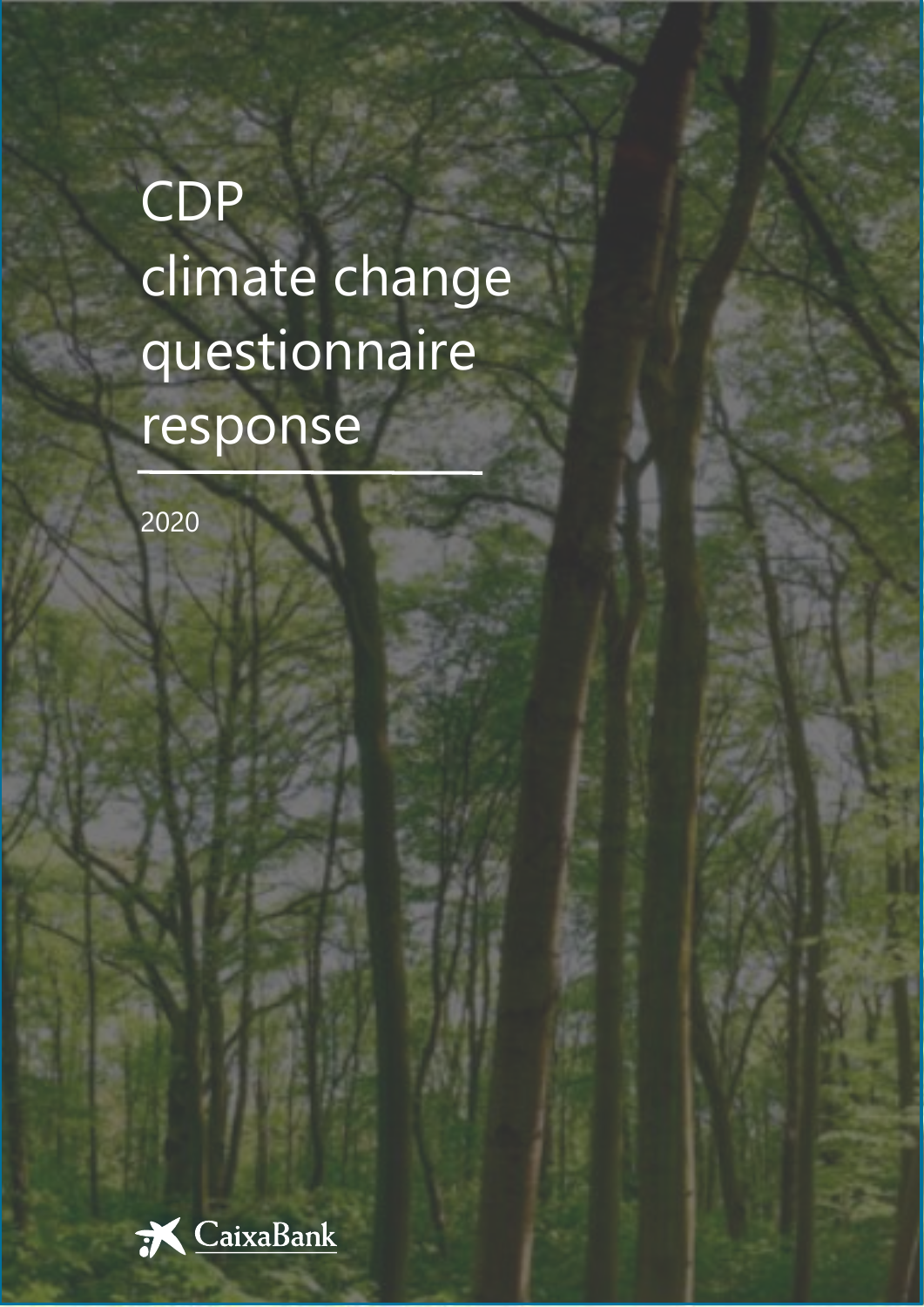# ( CDP climate change questionnaire response

2020

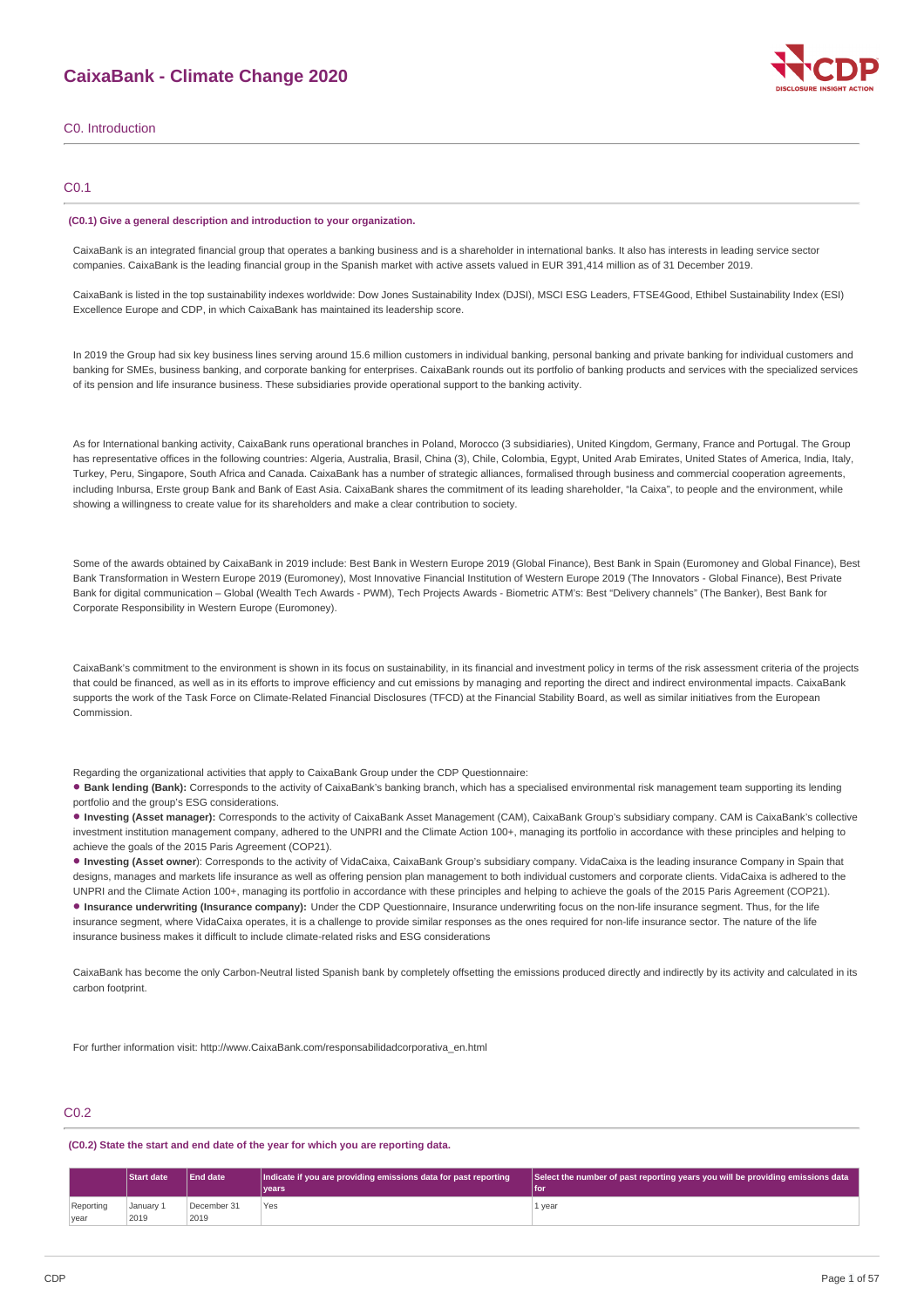

### C0. Introduction

### C0.1

#### **(C0.1) Give a general description and introduction to your organization.**

CaixaBank is an integrated financial group that operates a banking business and is a shareholder in international banks. It also has interests in leading service sector companies. CaixaBank is the leading financial group in the Spanish market with active assets valued in EUR 391,414 million as of 31 December 2019.

CaixaBank is listed in the top sustainability indexes worldwide: Dow Jones Sustainability Index (DJSI), MSCI ESG Leaders, FTSE4Good, Ethibel Sustainability Index (ESI) Excellence Europe and CDP, in which CaixaBank has maintained its leadership score.

In 2019 the Group had six key business lines serving around 15.6 million customers in individual banking, personal banking and private banking for individual customers and banking for SMEs, business banking, and corporate banking for enterprises. CaixaBank rounds out its portfolio of banking products and services with the specialized services of its pension and life insurance business. These subsidiaries provide operational support to the banking activity.

As for International banking activity, CaixaBank runs operational branches in Poland, Morocco (3 subsidiaries), United Kingdom, Germany, France and Portugal. The Group has representative offices in the following countries: Algeria, Australia, Brasil, China (3), Chile, Colombia, Egypt, United Arab Emirates, United States of America, India, Italy, Turkey, Peru, Singapore, South Africa and Canada. CaixaBank has a number of strategic alliances, formalised through business and commercial cooperation agreements, including Inbursa, Erste group Bank and Bank of East Asia. CaixaBank shares the commitment of its leading shareholder, "la Caixa", to people and the environment, while showing a willingness to create value for its shareholders and make a clear contribution to society.

Some of the awards obtained by CaixaBank in 2019 include: Best Bank in Western Europe 2019 (Global Finance), Best Bank in Spain (Euromoney and Global Finance), Best Bank Transformation in Western Europe 2019 (Euromoney), Most Innovative Financial Institution of Western Europe 2019 (The Innovators - Global Finance), Best Private Bank for digital communication – Global (Wealth Tech Awards - PWM), Tech Projects Awards - Biometric ATM's: Best "Delivery channels" (The Banker), Best Bank for Corporate Responsibility in Western Europe (Euromoney).

CaixaBank's commitment to the environment is shown in its focus on sustainability, in its financial and investment policy in terms of the risk assessment criteria of the projects that could be financed, as well as in its efforts to improve efficiency and cut emissions by managing and reporting the direct and indirect environmental impacts. CaixaBank supports the work of the Task Force on Climate-Related Financial Disclosures (TFCD) at the Financial Stability Board, as well as similar initiatives from the European Commission.

Regarding the organizational activities that apply to CaixaBank Group under the CDP Questionnaire:

• Bank lending (Bank): Corresponds to the activity of CaixaBank's banking branch, which has a specialised environmental risk management team supporting its lending portfolio and the group's ESG considerations.

**Investing (Asset manager):** Corresponds to the activity of CaixaBank Asset Management (CAM), CaixaBank Group's subsidiary company. CAM is CaixaBank's collective • investment institution management company, adhered to the UNPRI and the Climate Action 100+, managing its portfolio in accordance with these principles and helping to achieve the goals of the 2015 Paris Agreement (COP21).

**Investing (Asset owner**): Corresponds to the activity of VidaCaixa, CaixaBank Group's subsidiary company. VidaCaixa is the leading insurance Company in Spain that designs, manages and markets life insurance as well as offering pension plan management to both individual customers and corporate clients. VidaCaixa is adhered to the UNPRI and the Climate Action 100+, managing its portfolio in accordance with these principles and helping to achieve the goals of the 2015 Paris Agreement (COP21). **Insurance underwriting (Insurance company):** Under the CDP Questionnaire, Insurance underwriting focus on the non-life insurance segment. Thus, for the life insurance segment, where VidaCaixa operates, it is a challenge to provide similar responses as the ones required for non-life insurance sector. The nature of the life insurance business makes it difficult to include climate-related risks and ESG considerations

CaixaBank has become the only Carbon-Neutral listed Spanish bank by completely offsetting the emissions produced directly and indirectly by its activity and calculated in its carbon footprint.

For further information visit: http://www.CaixaBank.com/responsabilidadcorporativa\_en.html

#### C<sub>0.2</sub>

**(C0.2) State the start and end date of the year for which you are reporting data.**

|           | <b>Start date</b> | <b>End date</b> | Indicate if you are providing emissions data for past reporting | Select the number of past reporting years you will be providing emissions data |
|-----------|-------------------|-----------------|-----------------------------------------------------------------|--------------------------------------------------------------------------------|
|           |                   |                 | vears <sup>®</sup>                                              | l for                                                                          |
| Reporting | January 1         | December 31     | Yes                                                             | 1 year                                                                         |
| year      | 2019              | 2019            |                                                                 |                                                                                |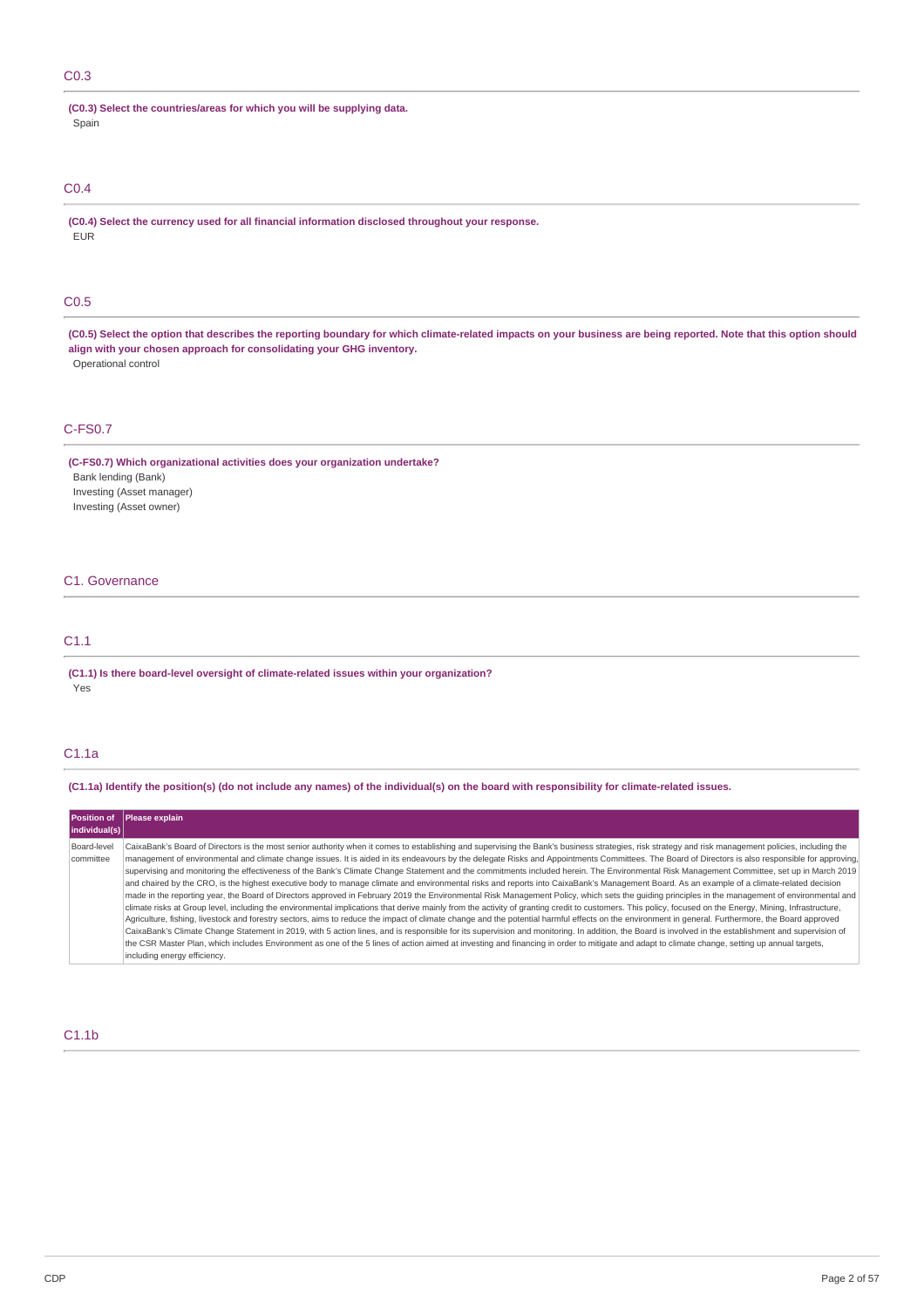### C0.3

**(C0.3) Select the countries/areas for which you will be supplying data.** Spain

### C0.4

**(C0.4) Select the currency used for all financial information disclosed throughout your response.** EUR

### C0.5

(C0.5) Select the option that describes the reporting boundary for which climate-related impacts on your business are being reported. Note that this option should **align with your chosen approach for consolidating your GHG inventory.** Operational control

#### C-FS0.7

**(C-FS0.7) Which organizational activities does your organization undertake?**

Bank lending (Bank) Investing (Asset manager) Investing (Asset owner)

### C1. Governance

### C1.1

**(C1.1) Is there board-level oversight of climate-related issues within your organization?** Yes

### C1.1a

(C1.1a) Identify the position(s) (do not include any names) of the individual(s) on the board with responsibility for climate-related issues.

| Position of<br> individual(s) | Please explain                                                                                                                                                                                                                                                                                                                                                                                                                                                                                                                                                                                                                                                                                                                                                                                                                                                                                                                                                                                                                                                                                                                                                                                                                                                                                                                                                                                                                                                                                                                                                                                                                                                                                                                                                                                                                                                     |
|-------------------------------|--------------------------------------------------------------------------------------------------------------------------------------------------------------------------------------------------------------------------------------------------------------------------------------------------------------------------------------------------------------------------------------------------------------------------------------------------------------------------------------------------------------------------------------------------------------------------------------------------------------------------------------------------------------------------------------------------------------------------------------------------------------------------------------------------------------------------------------------------------------------------------------------------------------------------------------------------------------------------------------------------------------------------------------------------------------------------------------------------------------------------------------------------------------------------------------------------------------------------------------------------------------------------------------------------------------------------------------------------------------------------------------------------------------------------------------------------------------------------------------------------------------------------------------------------------------------------------------------------------------------------------------------------------------------------------------------------------------------------------------------------------------------------------------------------------------------------------------------------------------------|
| Board-level<br>committee      | CaixaBank's Board of Directors is the most senior authority when it comes to establishing and supervising the Bank's business strategies, risk strategy and risk management policies, including the<br>management of environmental and climate change issues. It is aided in its endeavours by the delegate Risks and Appointments Committees. The Board of Directors is also responsible for approving,<br>supervising and monitoring the effectiveness of the Bank's Climate Change Statement and the commitments included herein. The Environmental Risk Management Committee, set up in March 2019<br>and chaired by the CRO, is the highest executive body to manage climate and environmental risks and reports into CaixaBank's Management Board. As an example of a climate-related decision<br>made in the reporting year, the Board of Directors approved in February 2019 the Environmental Risk Management Policy, which sets the quiding principles in the management of environmental and<br>climate risks at Group level, including the environmental implications that derive mainly from the activity of granting credit to customers. This policy, focused on the Energy, Mining, Infrastructure,<br>Agriculture, fishing, livestock and forestry sectors, aims to reduce the impact of climate change and the potential harmful effects on the environment in general. Furthermore, the Board approved<br>CaixaBank's Climate Change Statement in 2019, with 5 action lines, and is responsible for its supervision and monitoring. In addition, the Board is involved in the establishment and supervision of<br>the CSR Master Plan, which includes Environment as one of the 5 lines of action aimed at investing and financing in order to mitigate and adapt to climate change, setting up annual targets,<br>including energy efficiency. |

### C1.1b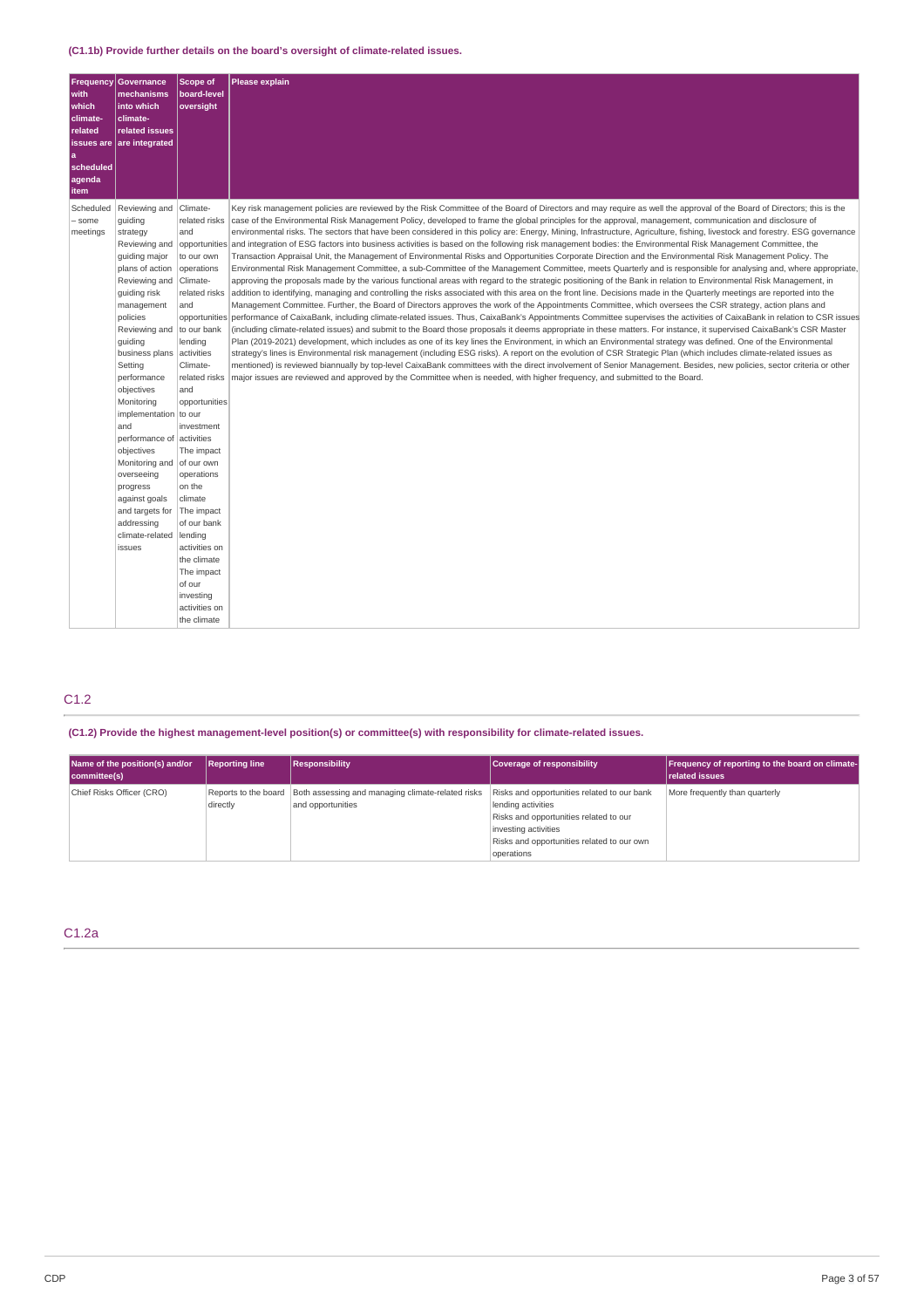| Frequency<br>with<br>which<br>climate-<br>related<br>$\mathbf{a}$<br>scheduled<br>agenda<br>item | <b>Governance</b><br>mechanisms<br>into which<br>climate-<br>related issues<br>issues are are integrated                                                                                                                                                                                                                                                                                                                                                                 | <b>Scope of</b><br>board-level<br>oversight                                                                                                                                                                                                                                                                                                                                                                                                    | <b>Please explain</b>                                                                                                                                                                                                                                                                                                                                                                                                                                                                                                                                                                                                                                                                                                                                                                                                                                                                                                                                                                                                                                                                                                                                                                                                                                                                                                                                                                                                                                                                                                                                                                                                                                                                                                                                                                                                                                                                                                                                                                                                                                                                                                                                                                                                                                                                                                                                                                                                                                                                                                      |
|--------------------------------------------------------------------------------------------------|--------------------------------------------------------------------------------------------------------------------------------------------------------------------------------------------------------------------------------------------------------------------------------------------------------------------------------------------------------------------------------------------------------------------------------------------------------------------------|------------------------------------------------------------------------------------------------------------------------------------------------------------------------------------------------------------------------------------------------------------------------------------------------------------------------------------------------------------------------------------------------------------------------------------------------|----------------------------------------------------------------------------------------------------------------------------------------------------------------------------------------------------------------------------------------------------------------------------------------------------------------------------------------------------------------------------------------------------------------------------------------------------------------------------------------------------------------------------------------------------------------------------------------------------------------------------------------------------------------------------------------------------------------------------------------------------------------------------------------------------------------------------------------------------------------------------------------------------------------------------------------------------------------------------------------------------------------------------------------------------------------------------------------------------------------------------------------------------------------------------------------------------------------------------------------------------------------------------------------------------------------------------------------------------------------------------------------------------------------------------------------------------------------------------------------------------------------------------------------------------------------------------------------------------------------------------------------------------------------------------------------------------------------------------------------------------------------------------------------------------------------------------------------------------------------------------------------------------------------------------------------------------------------------------------------------------------------------------------------------------------------------------------------------------------------------------------------------------------------------------------------------------------------------------------------------------------------------------------------------------------------------------------------------------------------------------------------------------------------------------------------------------------------------------------------------------------------------------|
| Scheduled<br>- some<br>meetings                                                                  | Reviewing and<br>quiding<br>strategy<br>Reviewing and<br>quiding major<br>plans of action<br>Reviewing and<br>guiding risk<br>management<br>policies<br>Reviewing and<br>quiding<br>business plans<br>Setting<br>performance<br>objectives<br>Monitoring<br>implementation to our<br>and<br>performance of activities<br>objectives<br>Monitoring and<br>overseeing<br>progress<br>against goals<br>and targets for<br>addressing<br>climate-related   lending<br>issues | Climate-<br>related risks<br>and<br>opportunities<br>to our own<br>operations<br>Climate-<br>related risks<br>and<br>opportunities<br>to our bank<br>lending<br>activities<br>Climate-<br>related risks<br>and<br>opportunities<br>investment<br>The impact<br>of our own<br>operations<br>on the<br>climate<br>The impact<br>of our bank<br>activities on<br>the climate<br>The impact<br>of our<br>investing<br>activities on<br>the climate | Key risk management policies are reviewed by the Risk Committee of the Board of Directors and may require as well the approval of the Board of Directors; this is the<br>case of the Environmental Risk Management Policy, developed to frame the global principles for the approval, management, communication and disclosure of<br>environmental risks. The sectors that have been considered in this policy are: Energy, Mining, Infrastructure, Agriculture, fishing, livestock and forestry. ESG governance<br>and integration of ESG factors into business activities is based on the following risk management bodies: the Environmental Risk Management Committee, the<br>Transaction Appraisal Unit, the Management of Environmental Risks and Opportunities Corporate Direction and the Environmental Risk Management Policy. The<br>Environmental Risk Management Committee, a sub-Committee of the Management Committee, meets Quarterly and is responsible for analysing and, where appropriate,<br>approving the proposals made by the various functional areas with regard to the strategic positioning of the Bank in relation to Environmental Risk Management, in<br>addition to identifying, managing and controlling the risks associated with this area on the front line. Decisions made in the Quarterly meetings are reported into the<br>Management Committee. Further, the Board of Directors approves the work of the Appointments Committee, which oversees the CSR strategy, action plans and<br>performance of CaixaBank, including climate-related issues. Thus, CaixaBank's Appointments Committee supervises the activities of CaixaBank in relation to CSR issues<br>(including climate-related issues) and submit to the Board those proposals it deems appropriate in these matters. For instance, it supervised CaixaBank's CSR Master<br>Plan (2019-2021) development, which includes as one of its key lines the Environment, in which an Environmental strategy was defined. One of the Environmental<br>strategy's lines is Environmental risk management (including ESG risks). A report on the evolution of CSR Strategic Plan (which includes climate-related issues as<br>mentioned) is reviewed biannually by top-level CaixaBank committees with the direct involvement of Senior Management. Besides, new policies, sector criteria or other<br>major issues are reviewed and approved by the Committee when is needed, with higher frequency, and submitted to the Board. |

### C1.2

### **(C1.2) Provide the highest management-level position(s) or committee(s) with responsibility for climate-related issues.**

| Name of the position(s) and/or<br>committee(s) | <b>Reporting line</b> | <b>Responsibility</b>                                                                         | <b>Coverage of responsibility</b>                                                                                                                                                               | Frequency of reporting to the board on climate-<br><b>related issues</b> |
|------------------------------------------------|-----------------------|-----------------------------------------------------------------------------------------------|-------------------------------------------------------------------------------------------------------------------------------------------------------------------------------------------------|--------------------------------------------------------------------------|
| Chief Risks Officer (CRO)                      | directly              | Reports to the board   Both assessing and managing climate-related risks<br>and opportunities | Risks and opportunities related to our bank<br>lending activities<br>Risks and opportunities related to our<br>investing activities<br>Risks and opportunities related to our own<br>operations | More frequently than quarterly                                           |

C1.2a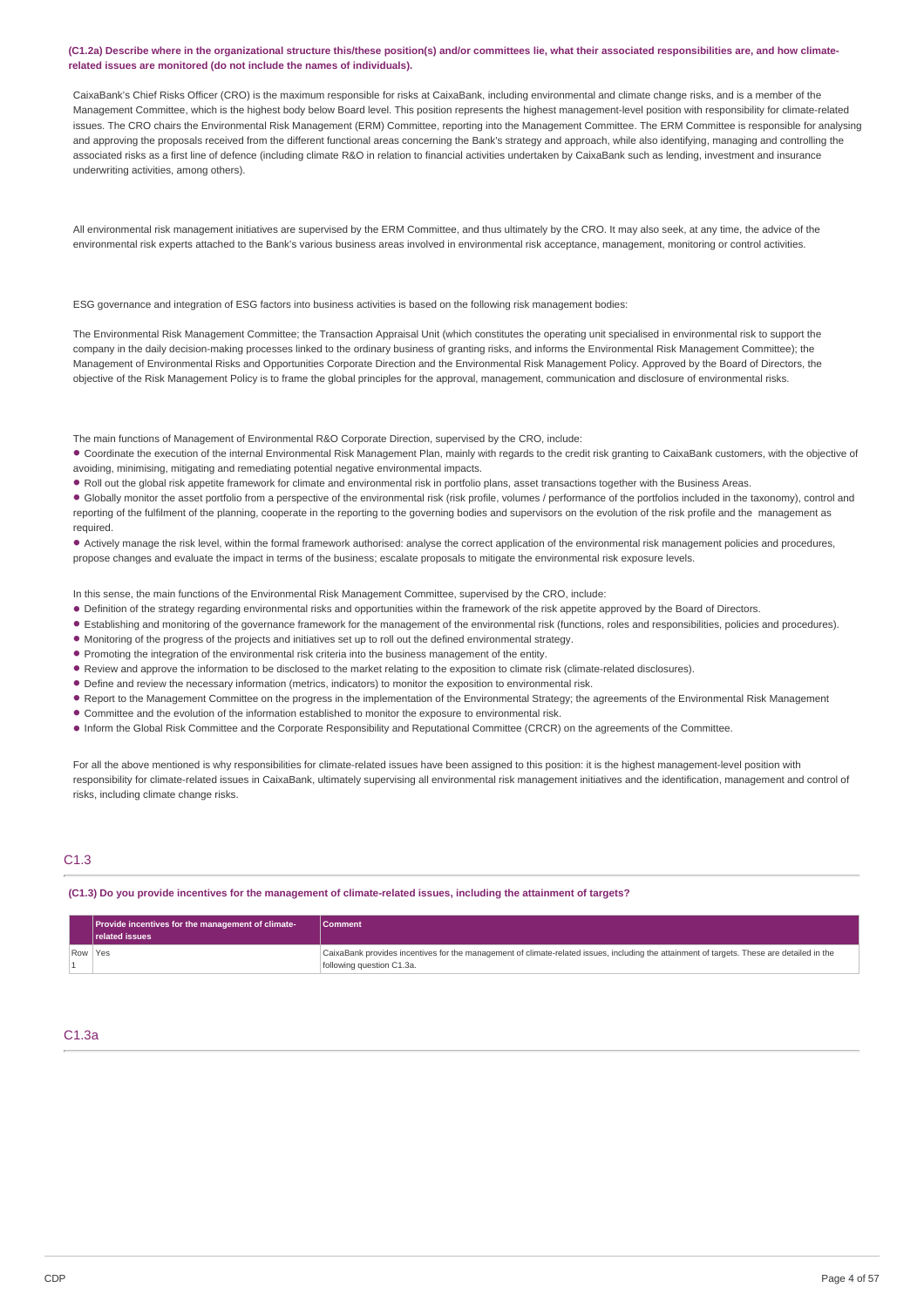#### (C1.2a) Describe where in the organizational structure this/these position(s) and/or committees lie, what their associated responsibilities are, and how climate**related issues are monitored (do not include the names of individuals).**

CaixaBank's Chief Risks Officer (CRO) is the maximum responsible for risks at CaixaBank, including environmental and climate change risks, and is a member of the Management Committee, which is the highest body below Board level. This position represents the highest management-level position with responsibility for climate-related issues. The CRO chairs the Environmental Risk Management (ERM) Committee, reporting into the Management Committee. The ERM Committee is responsible for analysing and approving the proposals received from the different functional areas concerning the Bank's strategy and approach, while also identifying, managing and controlling the associated risks as a first line of defence (including climate R&O in relation to financial activities undertaken by CaixaBank such as lending, investment and insurance underwriting activities, among others).

All environmental risk management initiatives are supervised by the ERM Committee, and thus ultimately by the CRO. It may also seek, at any time, the advice of the environmental risk experts attached to the Bank's various business areas involved in environmental risk acceptance, management, monitoring or control activities.

ESG governance and integration of ESG factors into business activities is based on the following risk management bodies:

The Environmental Risk Management Committee; the Transaction Appraisal Unit (which constitutes the operating unit specialised in environmental risk to support the company in the daily decision-making processes linked to the ordinary business of granting risks, and informs the Environmental Risk Management Committee); the Management of Environmental Risks and Opportunities Corporate Direction and the Environmental Risk Management Policy. Approved by the Board of Directors, the objective of the Risk Management Policy is to frame the global principles for the approval, management, communication and disclosure of environmental risks.

The main functions of Management of Environmental R&O Corporate Direction, supervised by the CRO, include:

- Coordinate the execution of the internal Environmental Risk Management Plan, mainly with regards to the credit risk granting to CaixaBank customers, with the objective of avoiding, minimising, mitigating and remediating potential negative environmental impacts.
- Roll out the global risk appetite framework for climate and environmental risk in portfolio plans, asset transactions together with the Business Areas.

Globally monitor the asset portfolio from a perspective of the environmental risk (risk profile, volumes / performance of the portfolios included in the taxonomy), control and • reporting of the fulfilment of the planning, cooperate in the reporting to the governing bodies and supervisors on the evolution of the risk profile and the management as required.

• Actively manage the risk level, within the formal framework authorised: analyse the correct application of the environmental risk management policies and procedures, propose changes and evaluate the impact in terms of the business; escalate proposals to mitigate the environmental risk exposure levels.

In this sense, the main functions of the Environmental Risk Management Committee, supervised by the CRO, include:

- Definition of the strategy regarding environmental risks and opportunities within the framework of the risk appetite approved by the Board of Directors.
- Establishing and monitoring of the governance framework for the management of the environmental risk (functions, roles and responsibilities, policies and procedures).
- Monitoring of the progress of the projects and initiatives set up to roll out the defined environmental strategy. •
- Promoting the integration of the environmental risk criteria into the business management of the entity.
- Review and approve the information to be disclosed to the market relating to the exposition to climate risk (climate-related disclosures).
- Define and review the necessary information (metrics, indicators) to monitor the exposition to environmental risk.
- Report to the Management Committee on the progress in the implementation of the Environmental Strategy; the agreements of the Environmental Risk Management •
- Committee and the evolution of the information established to monitor the exposure to environmental risk.
- Inform the Global Risk Committee and the Corporate Responsibility and Reputational Committee (CRCR) on the agreements of the Committee. •

For all the above mentioned is why responsibilities for climate-related issues have been assigned to this position: it is the highest management-level position with responsibility for climate-related issues in CaixaBank, ultimately supervising all environmental risk management initiatives and the identification, management and control of risks, including climate change risks.

### C1.3

(C1.3) Do you provide incentives for the management of climate-related issues, including the attainment of targets?

|         | Provide incentives for the management of climate-<br><b>related issues</b> | <b>Comment</b>                                                                                                                                                          |
|---------|----------------------------------------------------------------------------|-------------------------------------------------------------------------------------------------------------------------------------------------------------------------|
| Row Yes |                                                                            | CaixaBank provides incentives for the management of climate-related issues, including the attainment of targets. These are detailed in the<br>following question C1.3a. |

#### C1.3a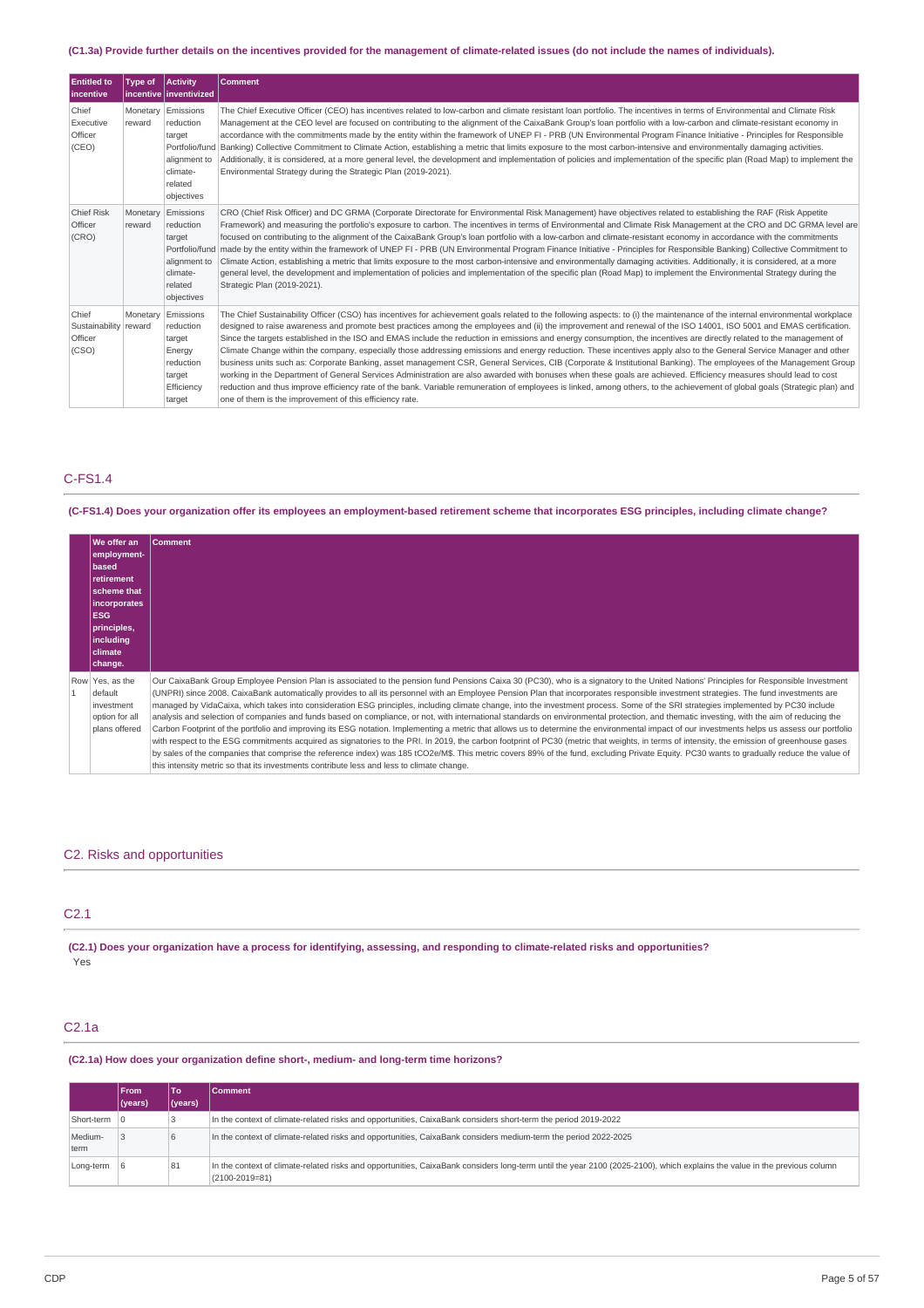### (C1.3a) Provide further details on the incentives provided for the management of climate-related issues (do not include the names of individuals).

| <b>Entitled to</b><br>incentive             | <b>Type of</b>     | <b>Activity</b><br>incentive   inventivized                                               | <b>Comment</b>                                                                                                                                                                                                                                                                                                                                                                                                                                                                                                                                                                                                                                                                                                                                                                                                                                                                                                                                                                                                                                                                                                                                                                                                                                                                         |
|---------------------------------------------|--------------------|-------------------------------------------------------------------------------------------|----------------------------------------------------------------------------------------------------------------------------------------------------------------------------------------------------------------------------------------------------------------------------------------------------------------------------------------------------------------------------------------------------------------------------------------------------------------------------------------------------------------------------------------------------------------------------------------------------------------------------------------------------------------------------------------------------------------------------------------------------------------------------------------------------------------------------------------------------------------------------------------------------------------------------------------------------------------------------------------------------------------------------------------------------------------------------------------------------------------------------------------------------------------------------------------------------------------------------------------------------------------------------------------|
| Chief<br>Executive<br>Officer<br>(CEO)      | Monetary<br>reward | Emissions<br>reduction<br>target<br>alignment to<br>climate-<br>related<br>objectives     | The Chief Executive Officer (CEO) has incentives related to low-carbon and climate resistant loan portfolio. The incentives in terms of Environmental and Climate Risk<br>Management at the CEO level are focused on contributing to the alignment of the CaixaBank Group's loan portfolio with a low-carbon and climate-resistant economy in<br>accordance with the commitments made by the entity within the framework of UNEP FI - PRB (UN Environmental Program Finance Initiative - Principles for Responsible<br>Portfolio/fund Banking) Collective Commitment to Climate Action, establishing a metric that limits exposure to the most carbon-intensive and environmentally damaging activities.<br>Additionally, it is considered, at a more general level, the development and implementation of policies and implementation of the specific plan (Road Map) to implement the<br>Environmental Strategy during the Strategic Plan (2019-2021).                                                                                                                                                                                                                                                                                                                               |
| <b>Chief Risk</b><br>Officer<br>(CRO)       | Monetary<br>reward | Emissions<br>reduction<br>target<br>alignment to<br>climate-<br>related<br>objectives     | CRO (Chief Risk Officer) and DC GRMA (Corporate Directorate for Environmental Risk Management) have objectives related to establishing the RAF (Risk Appetite<br>Framework) and measuring the portfolio's exposure to carbon. The incentives in terms of Environmental and Climate Risk Management at the CRO and DC GRMA level are<br>focused on contributing to the alignment of the CaixaBank Group's loan portfolio with a low-carbon and climate-resistant economy in accordance with the commitments<br>Portfolio/fund   made by the entity within the framework of UNEP FI - PRB (UN Environmental Program Finance Initiative - Principles for Responsible Banking) Collective Commitment to<br>Climate Action, establishing a metric that limits exposure to the most carbon-intensive and environmentally damaging activities. Additionally, it is considered, at a more<br>general level, the development and implementation of policies and implementation of the specific plan (Road Map) to implement the Environmental Strategy during the<br>Strategic Plan (2019-2021).                                                                                                                                                                                                |
| Chief<br>Sustainability<br>Officer<br>(CSO) | Monetary<br>reward | Emissions<br>reduction<br>target<br>Energy<br>reduction<br>target<br>Efficiency<br>target | The Chief Sustainability Officer (CSO) has incentives for achievement goals related to the following aspects: to (i) the maintenance of the internal environmental workplace<br>designed to raise awareness and promote best practices among the employees and (ii) the improvement and renewal of the ISO 14001, ISO 5001 and EMAS certification.<br>Since the targets established in the ISO and EMAS include the reduction in emissions and energy consumption, the incentives are directly related to the management of<br>Climate Change within the company, especially those addressing emissions and energy reduction. These incentives apply also to the General Service Manager and other<br>business units such as: Corporate Banking, asset management CSR, General Services, CIB (Corporate & Institutional Banking). The employees of the Management Group<br>working in the Department of General Services Administration are also awarded with bonuses when these goals are achieved. Efficiency measures should lead to cost<br>reduction and thus improve efficiency rate of the bank. Variable remuneration of employees is linked, among others, to the achievement of global goals (Strategic plan) and<br>one of them is the improvement of this efficiency rate. |

### C-FS1.4

(C-FS1.4) Does your organization offer its employees an employment-based retirement scheme that incorporates ESG principles, including climate change?

| We offer an<br>employment-<br><b>based</b><br>retirement<br><b>scheme that</b><br>incorporates<br><b>IESG</b><br>principles,<br>  including<br><b>climate</b><br>change. | <b>Comment</b>                                                                                                                                                                                                                                                                                                                                                                                                                                                                                                                                                                                                                                                                                                                                                                                                                                                                                                                                                                                                                                                                                                                                                                                                                                                                                                                                                                                                                                              |
|--------------------------------------------------------------------------------------------------------------------------------------------------------------------------|-------------------------------------------------------------------------------------------------------------------------------------------------------------------------------------------------------------------------------------------------------------------------------------------------------------------------------------------------------------------------------------------------------------------------------------------------------------------------------------------------------------------------------------------------------------------------------------------------------------------------------------------------------------------------------------------------------------------------------------------------------------------------------------------------------------------------------------------------------------------------------------------------------------------------------------------------------------------------------------------------------------------------------------------------------------------------------------------------------------------------------------------------------------------------------------------------------------------------------------------------------------------------------------------------------------------------------------------------------------------------------------------------------------------------------------------------------------|
| Row Yes, as the<br>default<br>investment<br>option for all<br>plans offered                                                                                              | Our CaixaBank Group Employee Pension Plan is associated to the pension fund Pensions Caixa 30 (PC30), who is a signatory to the United Nations' Principles for Responsible Investment<br>(UNPRI) since 2008. CaixaBank automatically provides to all its personnel with an Employee Pension Plan that incorporates responsible investment strategies. The fund investments are<br>managed by VidaCaixa, which takes into consideration ESG principles, including climate change, into the investment process. Some of the SRI strategies implemented by PC30 include<br>analysis and selection of companies and funds based on compliance, or not, with international standards on environmental protection, and thematic investing, with the aim of reducing the<br>Carbon Footprint of the portfolio and improving its ESG notation. Implementing a metric that allows us to determine the environmental impact of our investments helps us assess our portfolio<br>with respect to the ESG commitments acquired as signatories to the PRI. In 2019, the carbon footprint of PC30 (metric that weights, in terms of intensity, the emission of greenhouse gases<br>by sales of the companies that comprise the reference index) was 185 tCO2e/M\$. This metric covers 89% of the fund, excluding Private Equity. PC30 wants to gradually reduce the value of<br>this intensity metric so that its investments contribute less and less to climate change. |

### C2. Risks and opportunities

### C2.1

(C2.1) Does your organization have a process for identifying, assessing, and responding to climate-related risks and opportunities? Yes

### C2.1a

**(C2.1a) How does your organization define short-, medium- and long-term time horizons?**

|                 | <b>From</b><br>$ $ (years) | To<br>(years) | <b>Comment</b>                                                                                                                                                                                    |
|-----------------|----------------------------|---------------|---------------------------------------------------------------------------------------------------------------------------------------------------------------------------------------------------|
| Short-term      |                            |               | In the context of climate-related risks and opportunities, CaixaBank considers short-term the period 2019-2022                                                                                    |
| Medium-<br>term |                            |               | In the context of climate-related risks and opportunities, CaixaBank considers medium-term the period 2022-2025                                                                                   |
| Long-term       |                            | 81            | In the context of climate-related risks and opportunities, CaixaBank considers long-term until the year 2100 (2025-2100), which explains the value in the previous column<br>$(2100 - 2019 = 81)$ |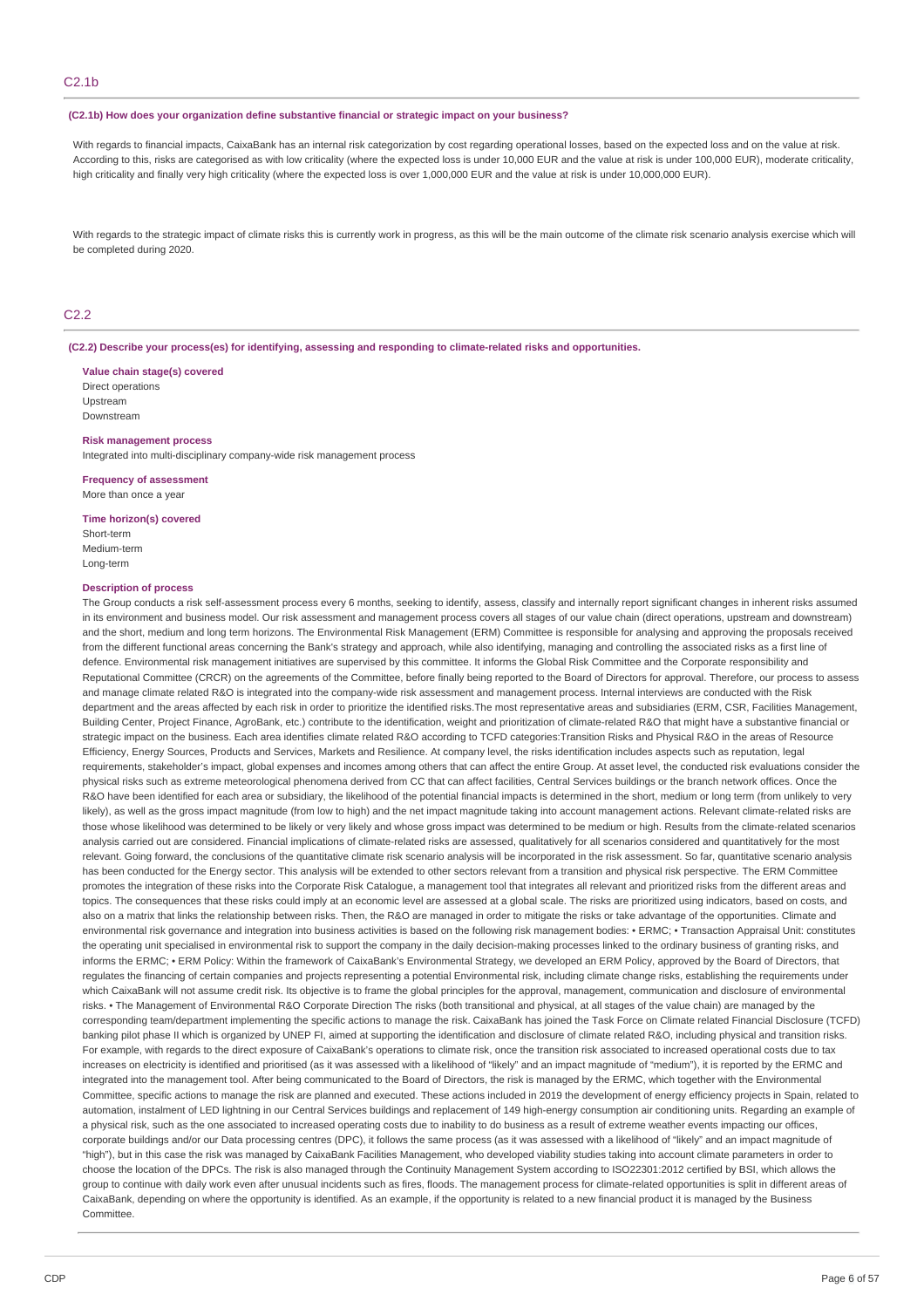### **(C2.1b) How does your organization define substantive financial or strategic impact on your business?**

With regards to financial impacts, CaixaBank has an internal risk categorization by cost regarding operational losses, based on the expected loss and on the value at risk. According to this, risks are categorised as with low criticality (where the expected loss is under 10,000 EUR and the value at risk is under 100,000 EUR), moderate criticality, high criticality and finally very high criticality (where the expected loss is over 1,000,000 EUR and the value at risk is under 10,000,000 EUR).

With regards to the strategic impact of climate risks this is currently work in progress, as this will be the main outcome of the climate risk scenario analysis exercise which will be completed during 2020.

### C2.2

**(C2.2) Describe your process(es) for identifying, assessing and responding to climate-related risks and opportunities.**

**Value chain stage(s) covered**

Direct operations Upstream Downstream

#### **Risk management process**

Integrated into multi-disciplinary company-wide risk management process

**Frequency of assessment**

More than once a year

#### **Time horizon(s) covered**

Short-term Medium-term Long-term

#### **Description of process**

The Group conducts a risk self-assessment process every 6 months, seeking to identify, assess, classify and internally report significant changes in inherent risks assumed in its environment and business model. Our risk assessment and management process covers all stages of our value chain (direct operations, upstream and downstream) and the short, medium and long term horizons. The Environmental Risk Management (ERM) Committee is responsible for analysing and approving the proposals received from the different functional areas concerning the Bank's strategy and approach, while also identifying, managing and controlling the associated risks as a first line of defence. Environmental risk management initiatives are supervised by this committee. It informs the Global Risk Committee and the Corporate responsibility and Reputational Committee (CRCR) on the agreements of the Committee, before finally being reported to the Board of Directors for approval. Therefore, our process to assess and manage climate related R&O is integrated into the company-wide risk assessment and management process. Internal interviews are conducted with the Risk department and the areas affected by each risk in order to prioritize the identified risks. The most representative areas and subsidiaries (ERM, CSR, Facilities Management, Building Center, Project Finance, AgroBank, etc.) contribute to the identification, weight and prioritization of climate-related R&O that might have a substantive financial or strategic impact on the business. Each area identifies climate related R&O according to TCFD categories:Transition Risks and Physical R&O in the areas of Resource Efficiency, Energy Sources, Products and Services, Markets and Resilience. At company level, the risks identification includes aspects such as reputation, legal requirements, stakeholder's impact, global expenses and incomes among others that can affect the entire Group. At asset level, the conducted risk evaluations consider the physical risks such as extreme meteorological phenomena derived from CC that can affect facilities, Central Services buildings or the branch network offices. Once the R&O have been identified for each area or subsidiary, the likelihood of the potential financial impacts is determined in the short, medium or long term (from unlikely to very likely), as well as the gross impact magnitude (from low to high) and the net impact magnitude taking into account management actions. Relevant climate-related risks are those whose likelihood was determined to be likely or very likely and whose gross impact was determined to be medium or high. Results from the climate-related scenarios analysis carried out are considered. Financial implications of climate-related risks are assessed, qualitatively for all scenarios considered and quantitatively for the most relevant. Going forward, the conclusions of the quantitative climate risk scenario analysis will be incorporated in the risk assessment. So far, quantitative scenario analysis has been conducted for the Energy sector. This analysis will be extended to other sectors relevant from a transition and physical risk perspective. The ERM Committee promotes the integration of these risks into the Corporate Risk Catalogue, a management tool that integrates all relevant and prioritized risks from the different areas and topics. The consequences that these risks could imply at an economic level are assessed at a global scale. The risks are prioritized using indicators, based on costs, and also on a matrix that links the relationship between risks. Then, the R&O are managed in order to mitigate the risks or take advantage of the opportunities. Climate and environmental risk governance and integration into business activities is based on the following risk management bodies: • ERMC: • Transaction Appraisal Unit: constitutes the operating unit specialised in environmental risk to support the company in the daily decision-making processes linked to the ordinary business of granting risks, and informs the ERMC; • ERM Policy: Within the framework of CaixaBank's Environmental Strategy, we developed an ERM Policy, approved by the Board of Directors, that regulates the financing of certain companies and projects representing a potential Environmental risk, including climate change risks, establishing the requirements under which CaixaBank will not assume credit risk. Its objective is to frame the global principles for the approval, management, communication and disclosure of environmental risks. • The Management of Environmental R&O Corporate Direction The risks (both transitional and physical, at all stages of the value chain) are managed by the corresponding team/department implementing the specific actions to manage the risk. CaixaBank has joined the Task Force on Climate related Financial Disclosure (TCFD) banking pilot phase II which is organized by UNEP FI, aimed at supporting the identification and disclosure of climate related R&O, including physical and transition risks. For example, with regards to the direct exposure of CaixaBank's operations to climate risk, once the transition risk associated to increased operational costs due to tax increases on electricity is identified and prioritised (as it was assessed with a likelihood of "likely" and an impact magnitude of "medium"), it is reported by the ERMC and integrated into the management tool. After being communicated to the Board of Directors, the risk is managed by the ERMC, which together with the Environmental Committee, specific actions to manage the risk are planned and executed. These actions included in 2019 the development of energy efficiency projects in Spain, related to automation, instalment of LED lightning in our Central Services buildings and replacement of 149 high-energy consumption air conditioning units. Regarding an example of a physical risk, such as the one associated to increased operating costs due to inability to do business as a result of extreme weather events impacting our offices, corporate buildings and/or our Data processing centres (DPC), it follows the same process (as it was assessed with a likelihood of "likely" and an impact magnitude of "high"), but in this case the risk was managed by CaixaBank Facilities Management, who developed viability studies taking into account climate parameters in order to choose the location of the DPCs. The risk is also managed through the Continuity Management System according to ISO22301:2012 certified by BSI, which allows the group to continue with daily work even after unusual incidents such as fires, floods. The management process for climate-related opportunities is split in different areas of CaixaBank, depending on where the opportunity is identified. As an example, if the opportunity is related to a new financial product it is managed by the Business Committee.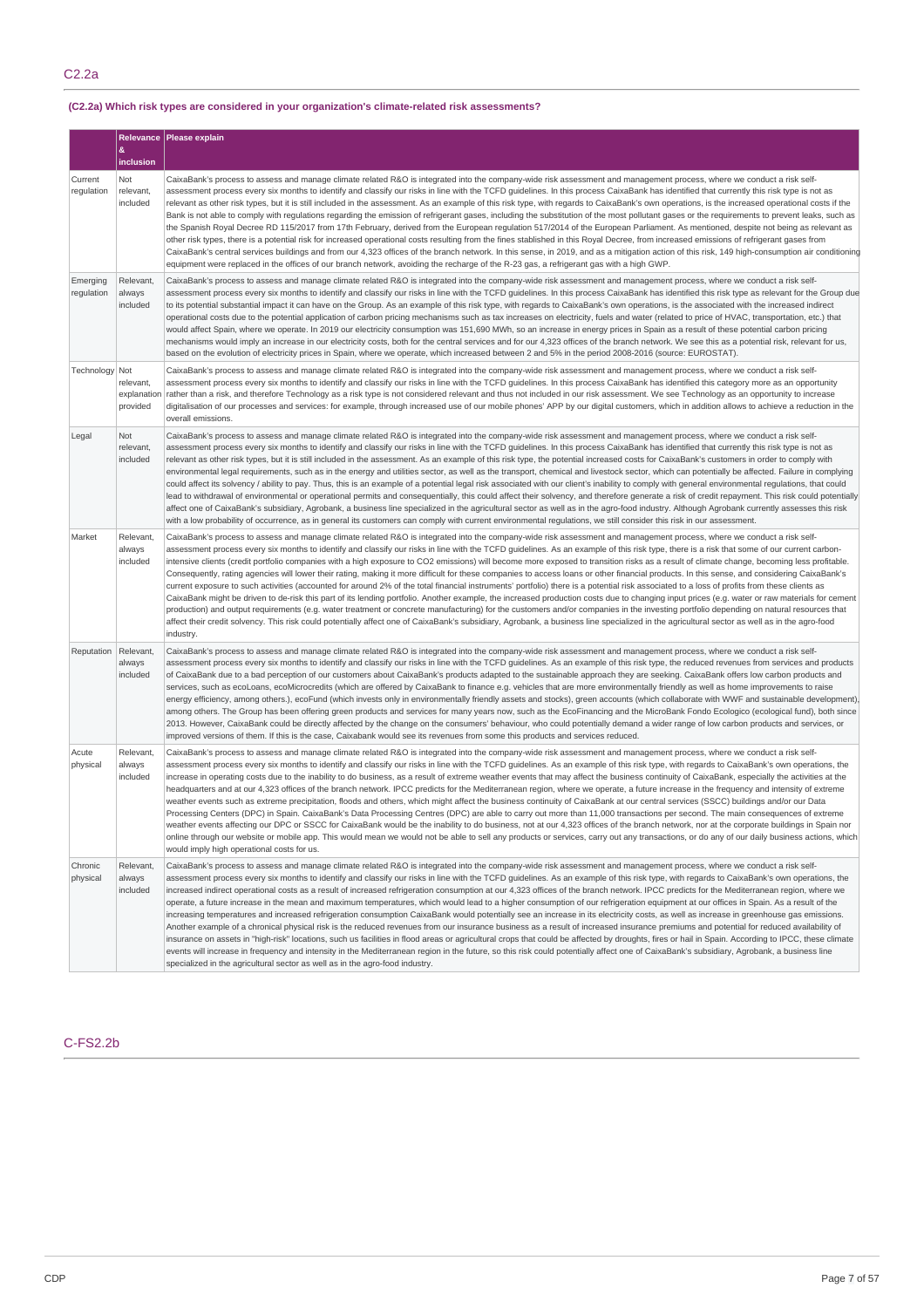### **(C2.2a) Which risk types are considered in your organization's climate-related risk assessments?**

|                        | Relevance                                   | Please explain                                                                                                                                                                                                                                                                                                                                                                                                                                                                                                                                                                                                                                                                                                                                                                                                                                                                                                                                                                                                                                                                                                                                                                                                                                                                                                                                                                                                                                                                                                                                                                                                                 |
|------------------------|---------------------------------------------|--------------------------------------------------------------------------------------------------------------------------------------------------------------------------------------------------------------------------------------------------------------------------------------------------------------------------------------------------------------------------------------------------------------------------------------------------------------------------------------------------------------------------------------------------------------------------------------------------------------------------------------------------------------------------------------------------------------------------------------------------------------------------------------------------------------------------------------------------------------------------------------------------------------------------------------------------------------------------------------------------------------------------------------------------------------------------------------------------------------------------------------------------------------------------------------------------------------------------------------------------------------------------------------------------------------------------------------------------------------------------------------------------------------------------------------------------------------------------------------------------------------------------------------------------------------------------------------------------------------------------------|
|                        | 8<br>inclusion                              |                                                                                                                                                                                                                                                                                                                                                                                                                                                                                                                                                                                                                                                                                                                                                                                                                                                                                                                                                                                                                                                                                                                                                                                                                                                                                                                                                                                                                                                                                                                                                                                                                                |
| Current<br>regulation  | Not<br>relevant,<br>included                | CaixaBank's process to assess and manage climate related R&O is integrated into the company-wide risk assessment and management process, where we conduct a risk self-<br>assessment process every six months to identify and classify our risks in line with the TCFD guidelines. In this process CaixaBank has identified that currently this risk type is not as<br>relevant as other risk types, but it is still included in the assessment. As an example of this risk type, with regards to CaixaBank's own operations, is the increased operational costs if the<br>Bank is not able to comply with regulations regarding the emission of refrigerant gases, including the substitution of the most pollutant gases or the requirements to prevent leaks, such as<br>the Spanish Royal Decree RD 115/2017 from 17th February, derived from the European regulation 517/2014 of the European Parliament. As mentioned, despite not being as relevant as<br>other risk types, there is a potential risk for increased operational costs resulting from the fines stablished in this Royal Decree, from increased emissions of refrigerant gases from<br>CaixaBank's central services buildings and from our 4,323 offices of the branch network. In this sense, in 2019, and as a mitigation action of this risk, 149 high-consumption air conditioning<br>equipment were replaced in the offices of our branch network, avoiding the recharge of the R-23 gas, a refrigerant gas with a high GWP.                                                                                                                        |
| Emerging<br>regulation | Relevant,<br>always<br>included             | CaixaBank's process to assess and manage climate related R&O is integrated into the company-wide risk assessment and management process, where we conduct a risk self-<br>assessment process every six months to identify and classify our risks in line with the TCFD quidelines. In this process CaixaBank has identified this risk type as relevant for the Group due<br>to its potential substantial impact it can have on the Group. As an example of this risk type, with regards to CaixaBank's own operations, is the associated with the increased indirect<br>operational costs due to the potential application of carbon pricing mechanisms such as tax increases on electricity, fuels and water (related to price of HVAC, transportation, etc.) that<br>would affect Spain, where we operate. In 2019 our electricity consumption was 151,690 MWh, so an increase in energy prices in Spain as a result of these potential carbon pricing<br>mechanisms would imply an increase in our electricity costs, both for the central services and for our 4,323 offices of the branch network. We see this as a potential risk, relevant for us,<br>based on the evolution of electricity prices in Spain, where we operate, which increased between 2 and 5% in the period 2008-2016 (source: EUROSTAT).                                                                                                                                                                                                                                                                                                             |
| Technology             | Not<br>relevant,<br>explanation<br>provided | CaixaBank's process to assess and manage climate related R&O is integrated into the company-wide risk assessment and management process, where we conduct a risk self-<br>assessment process every six months to identify and classify our risks in line with the TCFD guidelines. In this process CaixaBank has identified this category more as an opportunity<br>rather than a risk, and therefore Technology as a risk type is not considered relevant and thus not included in our risk assessment. We see Technology as an opportunity to increase<br>digitalisation of our processes and services: for example, through increased use of our mobile phones' APP by our digital customers, which in addition allows to achieve a reduction in the<br>overall emissions.                                                                                                                                                                                                                                                                                                                                                                                                                                                                                                                                                                                                                                                                                                                                                                                                                                                  |
| Legal                  | Not<br>relevant,<br>included                | CaixaBank's process to assess and manage climate related R&O is integrated into the company-wide risk assessment and management process, where we conduct a risk self-<br>assessment process every six months to identify and classify our risks in line with the TCFD guidelines. In this process CaixaBank has identified that currently this risk type is not as<br>relevant as other risk types, but it is still included in the assessment. As an example of this risk type, the potential increased costs for CaixaBank's customers in order to comply with<br>environmental legal requirements, such as in the energy and utilities sector, as well as the transport, chemical and livestock sector, which can potentially be affected. Failure in complying<br>could affect its solvency / ability to pay. Thus, this is an example of a potential legal risk associated with our client's inability to comply with general environmental regulations, that could<br>lead to withdrawal of environmental or operational permits and consequentially, this could affect their solvency, and therefore generate a risk of credit repayment. This risk could potentially<br>affect one of CaixaBank's subsidiary, Agrobank, a business line specialized in the agricultural sector as well as in the agro-food industry. Although Agrobank currently assesses this risk<br>with a low probability of occurrence, as in general its customers can comply with current environmental regulations, we still consider this risk in our assessment.                                                                            |
| Market                 | Relevant,<br>always<br>included             | CaixaBank's process to assess and manage climate related R&O is integrated into the company-wide risk assessment and management process, where we conduct a risk self-<br>assessment process every six months to identify and classify our risks in line with the TCFD quidelines. As an example of this risk type, there is a risk that some of our current carbon-<br>intensive clients (credit portfolio companies with a high exposure to CO2 emissions) will become more exposed to transition risks as a result of climate change, becoming less profitable.<br>Consequently, rating agencies will lower their rating, making it more difficult for these companies to access loans or other financial products. In this sense, and considering CaixaBank's<br>current exposure to such activities (accounted for around 2% of the total financial instruments' portfolio) there is a potential risk associated to a loss of profits from these clients as<br>CaixaBank might be driven to de-risk this part of its lending portfolio. Another example, the increased production costs due to changing input prices (e.g. water or raw materials for cement<br>production) and output requirements (e.g. water treatment or concrete manufacturing) for the customers and/or companies in the investing portfolio depending on natural resources that<br>affect their credit solvency. This risk could potentially affect one of CaixaBank's subsidiary, Agrobank, a business line specialized in the agricultural sector as well as in the agro-food<br>industry.                                                       |
| Reputation             | Relevant,<br>always<br>included             | CaixaBank's process to assess and manage climate related R&O is integrated into the company-wide risk assessment and management process, where we conduct a risk self-<br>assessment process every six months to identify and classify our risks in line with the TCFD guidelines. As an example of this risk type, the reduced revenues from services and products<br>of CaixaBank due to a bad perception of our customers about CaixaBank's products adapted to the sustainable approach they are seeking. CaixaBank offers low carbon products and<br>services, such as ecoLoans, ecoMicrocredits (which are offered by CaixaBank to finance e.g. vehicles that are more environmentally friendly as well as home improvements to raise<br>energy efficiency, among others.), ecoFund (which invests only in environmentally friendly assets and stocks), green accounts (which collaborate with WWF and sustainable development),<br>among others. The Group has been offering green products and services for many years now, such as the EcoFinancing and the MicroBank Fondo Ecologico (ecological fund), both since<br>2013. However, CaixaBank could be directly affected by the change on the consumers' behaviour, who could potentially demand a wider range of low carbon products and services, or<br>improved versions of them. If this is the case, Caixabank would see its revenues from some this products and services reduced.                                                                                                                                                                            |
| Acute<br>physical      | Relevant,<br>always<br>included             | CaixaBank's process to assess and manage climate related R&O is integrated into the company-wide risk assessment and management process, where we conduct a risk self-<br>assessment process every six months to identify and classify our risks in line with the TCFD guidelines. As an example of this risk type, with regards to CaixaBank's own operations, the<br>increase in operating costs due to the inability to do business, as a result of extreme weather events that may affect the business continuity of CaixaBank, especially the activities at the<br>headquarters and at our 4,323 offices of the branch network. IPCC predicts for the Mediterranean region, where we operate, a future increase in the frequency and intensity of extreme<br>weather events such as extreme precipitation, floods and others, which might affect the business continuity of CaixaBank at our central services (SSCC) buildings and/or our Data<br>Processing Centers (DPC) in Spain. CaixaBank's Data Processing Centres (DPC) are able to carry out more than 11,000 transactions per second. The main consequences of extreme<br>weather events affecting our DPC or SSCC for CaixaBank would be the inability to do business, not at our 4,323 offices of the branch network, nor at the corporate buildings in Spain nor<br>online through our website or mobile app. This would mean we would not be able to sell any products or services, carry out any transactions, or do any of our daily business actions, which<br>would imply high operational costs for us.                                                 |
| Chronic<br>physical    | Relevant.<br>always<br>included             | CaixaBank's process to assess and manage climate related R&O is integrated into the company-wide risk assessment and management process, where we conduct a risk self-<br>assessment process every six months to identify and classify our risks in line with the TCFD guidelines. As an example of this risk type, with regards to CaixaBank's own operations, the<br>increased indirect operational costs as a result of increased refrigeration consumption at our 4,323 offices of the branch network. IPCC predicts for the Mediterranean region, where we<br>operate, a future increase in the mean and maximum temperatures, which would lead to a higher consumption of our refrigeration equipment at our offices in Spain. As a result of the<br>increasing temperatures and increased refrigeration consumption CaixaBank would potentially see an increase in its electricity costs, as well as increase in greenhouse gas emissions.<br>Another example of a chronical physical risk is the reduced revenues from our insurance business as a result of increased insurance premiums and potential for reduced availability of<br>insurance on assets in "high-risk" locations, such us facilities in flood areas or agricultural crops that could be affected by droughts, fires or hail in Spain. According to IPCC, these climate<br>events will increase in frequency and intensity in the Mediterranean region in the future, so this risk could potentially affect one of CaixaBank's subsidiary, Agrobank, a business line<br>specialized in the agricultural sector as well as in the agro-food industry. |

### C-FS2.2b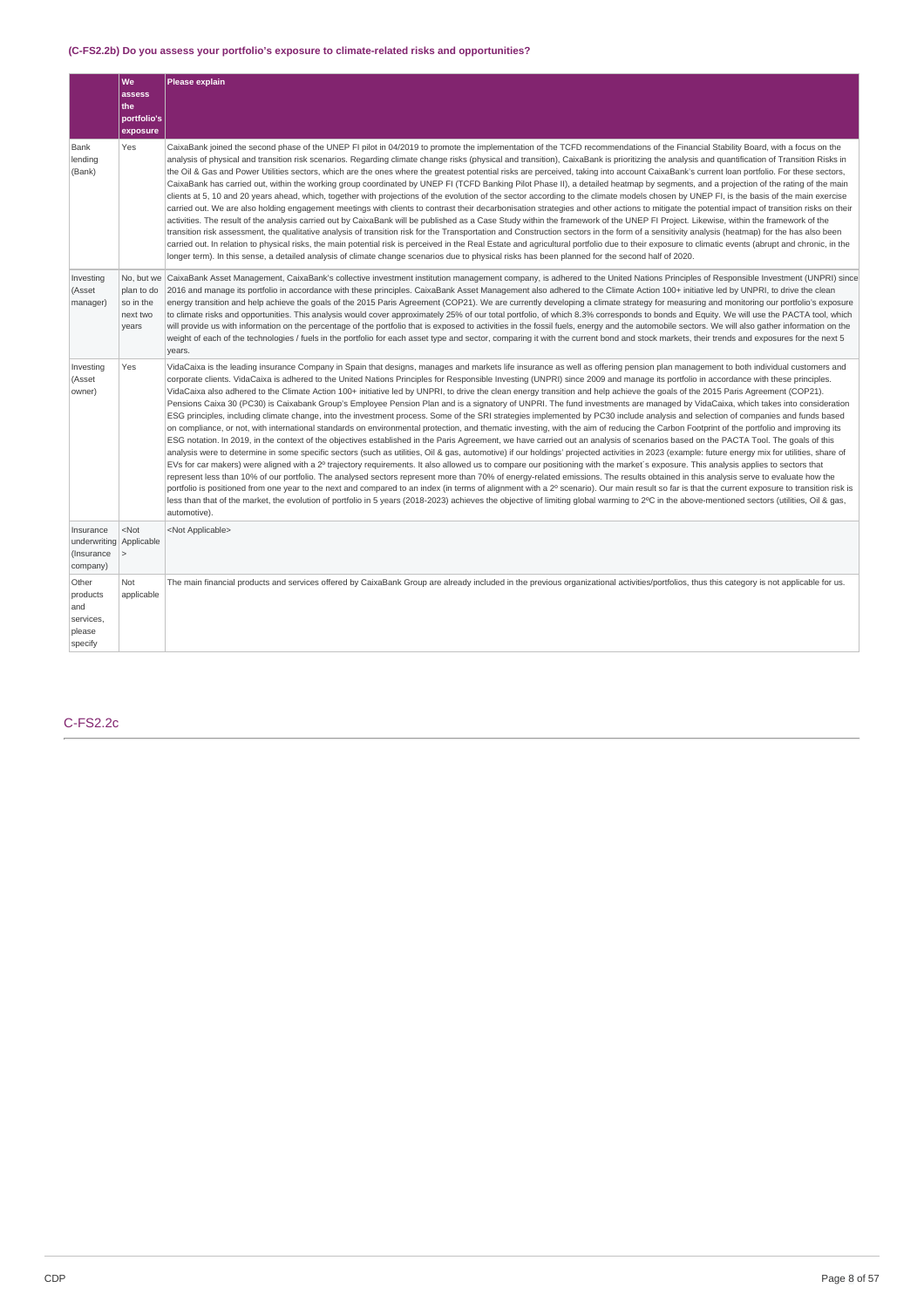### **(C-FS2.2b) Do you assess your portfolio's exposure to climate-related risks and opportunities?**

|                                                                | we<br>assess<br>the<br>portfolio's<br>exposure             | <b>Please explain</b>                                                                                                                                                                                                                                                                                                                                                                                                                                                                                                                                                                                                                                                                                                                                                                                                                                                                                                                                                                                                                                                                                                                                                                                                                                                                                                                                                                                                                                                                                                                                                                                                                                                                                                                                                                                                                                                                                                                                                                                                                                                                                                                                                                                                                                                                                                          |
|----------------------------------------------------------------|------------------------------------------------------------|--------------------------------------------------------------------------------------------------------------------------------------------------------------------------------------------------------------------------------------------------------------------------------------------------------------------------------------------------------------------------------------------------------------------------------------------------------------------------------------------------------------------------------------------------------------------------------------------------------------------------------------------------------------------------------------------------------------------------------------------------------------------------------------------------------------------------------------------------------------------------------------------------------------------------------------------------------------------------------------------------------------------------------------------------------------------------------------------------------------------------------------------------------------------------------------------------------------------------------------------------------------------------------------------------------------------------------------------------------------------------------------------------------------------------------------------------------------------------------------------------------------------------------------------------------------------------------------------------------------------------------------------------------------------------------------------------------------------------------------------------------------------------------------------------------------------------------------------------------------------------------------------------------------------------------------------------------------------------------------------------------------------------------------------------------------------------------------------------------------------------------------------------------------------------------------------------------------------------------------------------------------------------------------------------------------------------------|
| Bank<br>lending<br>(Bank)                                      | Yes                                                        | CaixaBank joined the second phase of the UNEP FI pilot in 04/2019 to promote the implementation of the TCFD recommendations of the Financial Stability Board, with a focus on the<br>analysis of physical and transition risk scenarios. Regarding climate change risks (physical and transition), CaixaBank is prioritizing the analysis and quantification of Transition Risks in<br>the Oil & Gas and Power Utilities sectors, which are the ones where the greatest potential risks are perceived, taking into account CaixaBank's current loan portfolio. For these sectors,<br>CaixaBank has carried out, within the working group coordinated by UNEP FI (TCFD Banking Pilot Phase II), a detailed heatmap by segments, and a projection of the rating of the main<br>clients at 5, 10 and 20 years ahead, which, together with projections of the evolution of the sector according to the climate models chosen by UNEP FI, is the basis of the main exercise<br>carried out. We are also holding engagement meetings with clients to contrast their decarbonisation strategies and other actions to mitigate the potential impact of transition risks on their<br>activities. The result of the analysis carried out by CaixaBank will be published as a Case Study within the framework of the UNEP FI Project. Likewise, within the framework of the<br>transition risk assessment, the qualitative analysis of transition risk for the Transportation and Construction sectors in the form of a sensitivity analysis (heatmap) for the has also been<br>carried out. In relation to physical risks, the main potential risk is perceived in the Real Estate and agricultural portfolio due to their exposure to climatic events (abrupt and chronic, in the<br>longer term). In this sense, a detailed analysis of climate change scenarios due to physical risks has been planned for the second half of 2020.                                                                                                                                                                                                                                                                                                                                                                                                   |
| Investing<br>(Asset<br>manager)                                | No, but we<br>plan to do<br>so in the<br>next two<br>years | CaixaBank Asset Management, CaixaBank's collective investment institution management company, is adhered to the United Nations Principles of Responsible Investment (UNPRI) since<br>2016 and manage its portfolio in accordance with these principles. CaixaBank Asset Management also adhered to the Climate Action 100+ initiative led by UNPRI, to drive the clean<br>energy transition and help achieve the goals of the 2015 Paris Agreement (COP21). We are currently developing a climate strategy for measuring and monitoring our portfolio's exposure<br>to climate risks and opportunities. This analysis would cover approximately 25% of our total portfolio, of which 8.3% corresponds to bonds and Equity. We will use the PACTA tool, which<br>will provide us with information on the percentage of the portfolio that is exposed to activities in the fossil fuels, energy and the automobile sectors. We will also gather information on the<br>weight of each of the technologies / fuels in the portfolio for each asset type and sector, comparing it with the current bond and stock markets, their trends and exposures for the next 5<br>years.                                                                                                                                                                                                                                                                                                                                                                                                                                                                                                                                                                                                                                                                                                                                                                                                                                                                                                                                                                                                                                                                                                                                                      |
| Investing<br>(Asset<br>owner)                                  | Yes                                                        | VidaCaixa is the leading insurance Company in Spain that designs, manages and markets life insurance as well as offering pension plan management to both individual customers and<br>corporate clients. VidaCaixa is adhered to the United Nations Principles for Responsible Investing (UNPRI) since 2009 and manage its portfolio in accordance with these principles.<br>VidaCaixa also adhered to the Climate Action 100+ initiative led by UNPRI, to drive the clean energy transition and help achieve the goals of the 2015 Paris Agreement (COP21).<br>Pensions Caixa 30 (PC30) is Caixabank Group's Employee Pension Plan and is a signatory of UNPRI. The fund investments are managed by VidaCaixa, which takes into consideration<br>ESG principles, including climate change, into the investment process. Some of the SRI strategies implemented by PC30 include analysis and selection of companies and funds based<br>on compliance, or not, with international standards on environmental protection, and thematic investing, with the aim of reducing the Carbon Footprint of the portfolio and improving its<br>ESG notation. In 2019, in the context of the objectives established in the Paris Agreement, we have carried out an analysis of scenarios based on the PACTA Tool. The goals of this<br>analysis were to determine in some specific sectors (such as utilities, Oil & gas, automotive) if our holdings' projected activities in 2023 (example: future energy mix for utilities, share of<br>EVs for car makers) were aligned with a 2º trajectory requirements. It also allowed us to compare our positioning with the market's exposure. This analysis applies to sectors that<br>represent less than 10% of our portfolio. The analysed sectors represent more than 70% of energy-related emissions. The results obtained in this analysis serve to evaluate how the<br>portfolio is positioned from one year to the next and compared to an index (in terms of alignment with a 2° scenario). Our main result so far is that the current exposure to transition risk is<br>less than that of the market, the evolution of portfolio in 5 years (2018-2023) achieves the objective of limiting global warming to 2°C in the above-mentioned sectors (utilities, Oil & gas,<br>automotive). |
| Insurance<br>underwriting Applicable<br>(Insurance<br>company) | $<$ Not<br>$\geq$                                          | <not applicable=""></not>                                                                                                                                                                                                                                                                                                                                                                                                                                                                                                                                                                                                                                                                                                                                                                                                                                                                                                                                                                                                                                                                                                                                                                                                                                                                                                                                                                                                                                                                                                                                                                                                                                                                                                                                                                                                                                                                                                                                                                                                                                                                                                                                                                                                                                                                                                      |
| Other<br>products<br>and<br>services,<br>please<br>specify     | Not<br>applicable                                          | The main financial products and services offered by CaixaBank Group are already included in the previous organizational activities/portfolios, thus this category is not applicable for us.                                                                                                                                                                                                                                                                                                                                                                                                                                                                                                                                                                                                                                                                                                                                                                                                                                                                                                                                                                                                                                                                                                                                                                                                                                                                                                                                                                                                                                                                                                                                                                                                                                                                                                                                                                                                                                                                                                                                                                                                                                                                                                                                    |

### C-FS2.2c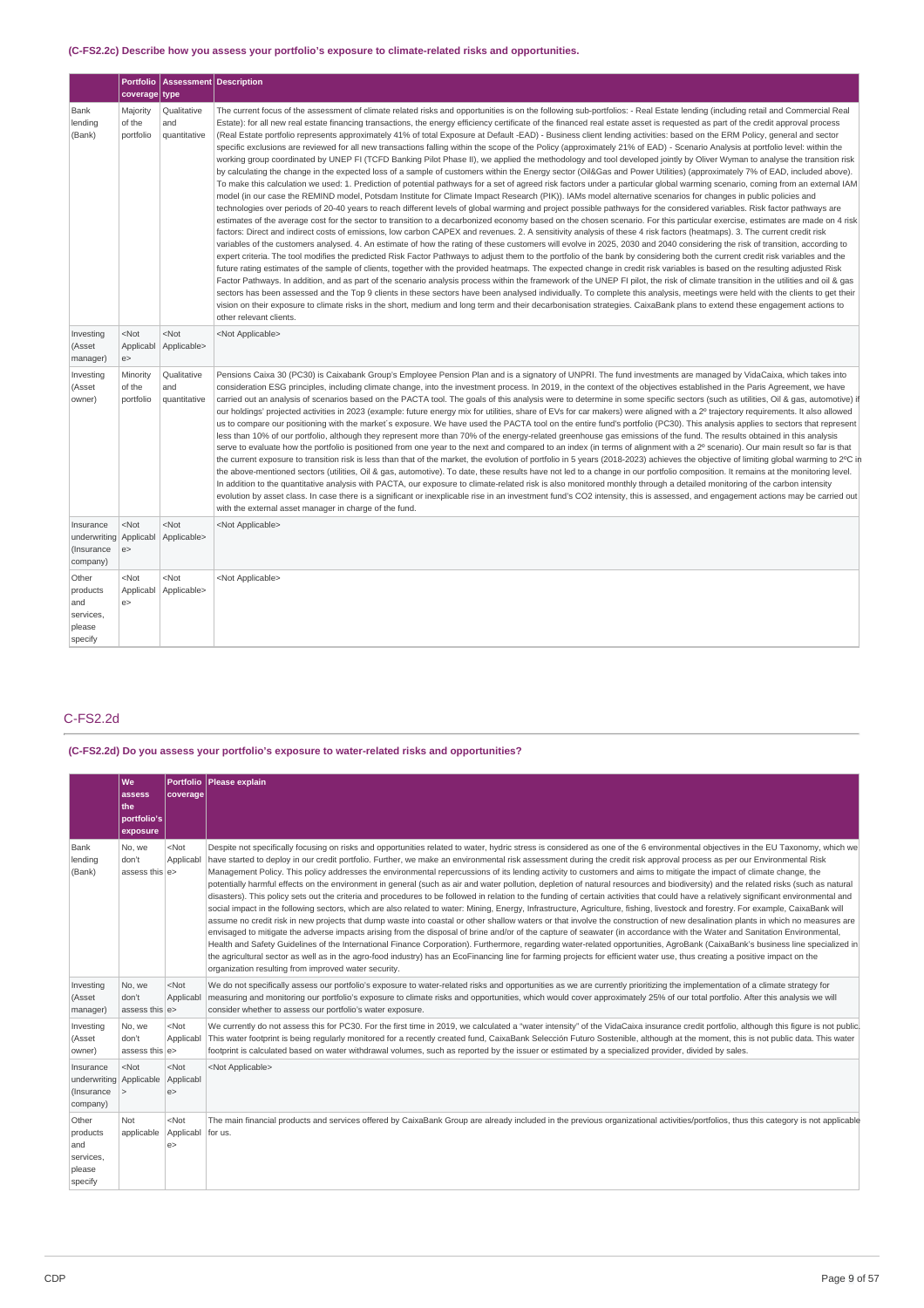### **(C-FS2.2c) Describe how you assess your portfolio's exposure to climate-related risks and opportunities.**

|                                                               | <b>Portfolio</b><br>coverage type | <b>Assessment Description</b>      |                                                                                                                                                                                                                                                                                                                                                                                                                                                                                                                                                                                                                                                                                                                                                                                                                                                                                                                                                                                                                                                                                                                                                                                                                                                                                                                                                                                                                                                                                                                                                                                                                                                                                                                                                                                                                                                                                                                                                                                                                                                                                                                                                                                                                                                                                                                                                                                                                                                                                                                                                                                                                                                                                                                                                                                                                                                                                                                                                                                                                                                                                                                          |
|---------------------------------------------------------------|-----------------------------------|------------------------------------|--------------------------------------------------------------------------------------------------------------------------------------------------------------------------------------------------------------------------------------------------------------------------------------------------------------------------------------------------------------------------------------------------------------------------------------------------------------------------------------------------------------------------------------------------------------------------------------------------------------------------------------------------------------------------------------------------------------------------------------------------------------------------------------------------------------------------------------------------------------------------------------------------------------------------------------------------------------------------------------------------------------------------------------------------------------------------------------------------------------------------------------------------------------------------------------------------------------------------------------------------------------------------------------------------------------------------------------------------------------------------------------------------------------------------------------------------------------------------------------------------------------------------------------------------------------------------------------------------------------------------------------------------------------------------------------------------------------------------------------------------------------------------------------------------------------------------------------------------------------------------------------------------------------------------------------------------------------------------------------------------------------------------------------------------------------------------------------------------------------------------------------------------------------------------------------------------------------------------------------------------------------------------------------------------------------------------------------------------------------------------------------------------------------------------------------------------------------------------------------------------------------------------------------------------------------------------------------------------------------------------------------------------------------------------------------------------------------------------------------------------------------------------------------------------------------------------------------------------------------------------------------------------------------------------------------------------------------------------------------------------------------------------------------------------------------------------------------------------------------------------|
| Bank<br>lending<br>(Bank)                                     | Majority<br>of the<br>portfolio   | Qualitative<br>and<br>quantitative | The current focus of the assessment of climate related risks and opportunities is on the following sub-portfolios: - Real Estate lending (including retail and Commercial Real<br>Estate): for all new real estate financing transactions, the energy efficiency certificate of the financed real estate asset is requested as part of the credit approval process<br>(Real Estate portfolio represents approximately 41% of total Exposure at Default -EAD) - Business client lending activities: based on the ERM Policy, general and sector<br>specific exclusions are reviewed for all new transactions falling within the scope of the Policy (approximately 21% of EAD) - Scenario Analysis at portfolio level: within the<br>working group coordinated by UNEP FI (TCFD Banking Pilot Phase II), we applied the methodology and tool developed jointly by Oliver Wyman to analyse the transition risk<br>by calculating the change in the expected loss of a sample of customers within the Energy sector (Oil&Gas and Power Utilities) (approximately 7% of EAD, included above).<br>To make this calculation we used: 1. Prediction of potential pathways for a set of agreed risk factors under a particular global warming scenario, coming from an external IAM<br>model (in our case the REMIND model, Potsdam Institute for Climate Impact Research (PIK)). IAMs model alternative scenarios for changes in public policies and<br>technologies over periods of 20-40 years to reach different levels of global warming and project possible pathways for the considered variables. Risk factor pathways are<br>estimates of the average cost for the sector to transition to a decarbonized economy based on the chosen scenario. For this particular exercise, estimates are made on 4 risk<br>factors: Direct and indirect costs of emissions, low carbon CAPEX and revenues. 2. A sensitivity analysis of these 4 risk factors (heatmaps). 3. The current credit risk<br>variables of the customers analysed. 4. An estimate of how the rating of these customers will evolve in 2025, 2030 and 2040 considering the risk of transition, according to<br>expert criteria. The tool modifies the predicted Risk Factor Pathways to adjust them to the portfolio of the bank by considering both the current credit risk variables and the<br>future rating estimates of the sample of clients, together with the provided heatmaps. The expected change in credit risk variables is based on the resulting adjusted Risk<br>Factor Pathways. In addition, and as part of the scenario analysis process within the framework of the UNEP FI pilot, the risk of climate transition in the utilities and oil & gas<br>sectors has been assessed and the Top 9 clients in these sectors have been analysed individually. To complete this analysis, meetings were held with the clients to get their<br>vision on their exposure to climate risks in the short, medium and long term and their decarbonisation strategies. CaixaBank plans to extend these engagement actions to<br>other relevant clients. |
| Investing<br>(Asset<br>manager)                               | $<$ Not<br>Applicabl<br>e         | $<$ Not<br>Applicable>             | <not applicable=""></not>                                                                                                                                                                                                                                                                                                                                                                                                                                                                                                                                                                                                                                                                                                                                                                                                                                                                                                                                                                                                                                                                                                                                                                                                                                                                                                                                                                                                                                                                                                                                                                                                                                                                                                                                                                                                                                                                                                                                                                                                                                                                                                                                                                                                                                                                                                                                                                                                                                                                                                                                                                                                                                                                                                                                                                                                                                                                                                                                                                                                                                                                                                |
| Investing<br>(Asset<br>owner)                                 | Minority<br>of the<br>portfolio   | Qualitative<br>and<br>quantitative | Pensions Caixa 30 (PC30) is Caixabank Group's Employee Pension Plan and is a signatory of UNPRI. The fund investments are managed by VidaCaixa, which takes into<br>consideration ESG principles, including climate change, into the investment process. In 2019, in the context of the objectives established in the Paris Agreement, we have<br>carried out an analysis of scenarios based on the PACTA tool. The goals of this analysis were to determine in some specific sectors (such as utilities, Oil & gas, automotive) if<br>our holdings' projected activities in 2023 (example: future energy mix for utilities, share of EVs for car makers) were aligned with a 2 <sup>o</sup> trajectory requirements. It also allowed<br>us to compare our positioning with the market's exposure. We have used the PACTA tool on the entire fund's portfolio (PC30). This analysis applies to sectors that represent<br>less than 10% of our portfolio, although they represent more than 70% of the energy-related greenhouse gas emissions of the fund. The results obtained in this analysis<br>serve to evaluate how the portfolio is positioned from one year to the next and compared to an index (in terms of alignment with a 2° scenario). Our main result so far is that<br>the current exposure to transition risk is less than that of the market, the evolution of portfolio in 5 years (2018-2023) achieves the objective of limiting global warming to 2°C in<br>the above-mentioned sectors (utilities, Oil & gas, automotive). To date, these results have not led to a change in our portfolio composition. It remains at the monitoring level.<br>In addition to the quantitative analysis with PACTA, our exposure to climate-related risk is also monitored monthly through a detailed monitoring of the carbon intensity<br>evolution by asset class. In case there is a significant or inexplicable rise in an investment fund's CO2 intensity, this is assessed, and engagement actions may be carried out<br>with the external asset manager in charge of the fund.                                                                                                                                                                                                                                                                                                                                                                                                                                                                                                                                                                                                                                                                                                                                                                                                                                                                                                                                                                                                                            |
| Insurance<br>underwriting Applicabl<br>(Insurance<br>company) | $<$ Not<br>e                      | $<$ Not<br>Applicable>             | <not applicable=""></not>                                                                                                                                                                                                                                                                                                                                                                                                                                                                                                                                                                                                                                                                                                                                                                                                                                                                                                                                                                                                                                                                                                                                                                                                                                                                                                                                                                                                                                                                                                                                                                                                                                                                                                                                                                                                                                                                                                                                                                                                                                                                                                                                                                                                                                                                                                                                                                                                                                                                                                                                                                                                                                                                                                                                                                                                                                                                                                                                                                                                                                                                                                |
| Other<br>products<br>and<br>services,<br>please<br>specify    | $<$ Not<br>Applicabl<br>e >       | $<$ Not<br>Applicable>             | <not applicable=""></not>                                                                                                                                                                                                                                                                                                                                                                                                                                                                                                                                                                                                                                                                                                                                                                                                                                                                                                                                                                                                                                                                                                                                                                                                                                                                                                                                                                                                                                                                                                                                                                                                                                                                                                                                                                                                                                                                                                                                                                                                                                                                                                                                                                                                                                                                                                                                                                                                                                                                                                                                                                                                                                                                                                                                                                                                                                                                                                                                                                                                                                                                                                |

### C-FS2.2d

### **(C-FS2.2d) Do you assess your portfolio's exposure to water-related risks and opportunities?**

|                                                                | We<br>assess<br>the<br>portfolio's<br>exposure | coverage                  | Portfolio Please explain                                                                                                                                                                                                                                                                                                                                                                                                                                                                                                                                                                                                                                                                                                                                                                                                                                                                                                                                                                                                                                                                                                                                                                                                                                                                                                                                                                                                                                                                                                                                                                                                                                                                                                                                                                                                                                                                              |
|----------------------------------------------------------------|------------------------------------------------|---------------------------|-------------------------------------------------------------------------------------------------------------------------------------------------------------------------------------------------------------------------------------------------------------------------------------------------------------------------------------------------------------------------------------------------------------------------------------------------------------------------------------------------------------------------------------------------------------------------------------------------------------------------------------------------------------------------------------------------------------------------------------------------------------------------------------------------------------------------------------------------------------------------------------------------------------------------------------------------------------------------------------------------------------------------------------------------------------------------------------------------------------------------------------------------------------------------------------------------------------------------------------------------------------------------------------------------------------------------------------------------------------------------------------------------------------------------------------------------------------------------------------------------------------------------------------------------------------------------------------------------------------------------------------------------------------------------------------------------------------------------------------------------------------------------------------------------------------------------------------------------------------------------------------------------------|
| Bank<br>lending<br>(Bank)                                      | No, we<br>don't<br>assess this e>              | $<$ Not<br>Applicabl      | Despite not specifically focusing on risks and opportunities related to water, hydric stress is considered as one of the 6 environmental objectives in the EU Taxonomy, which we<br>have started to deploy in our credit portfolio. Further, we make an environmental risk assessment during the credit risk approval process as per our Environmental Risk<br>Management Policy. This policy addresses the environmental repercussions of its lending activity to customers and aims to mitigate the impact of climate change, the<br>potentially harmful effects on the environment in general (such as air and water pollution, depletion of natural resources and biodiversity) and the related risks (such as natural<br>disasters). This policy sets out the criteria and procedures to be followed in relation to the funding of certain activities that could have a relatively significant environmental and<br>social impact in the following sectors, which are also related to water: Mining, Energy, Infrastructure, Agriculture, fishing, livestock and forestry. For example, CaixaBank will<br>assume no credit risk in new projects that dump waste into coastal or other shallow waters or that involve the construction of new desalination plants in which no measures are<br>envisaged to mitigate the adverse impacts arising from the disposal of brine and/or of the capture of seawater (in accordance with the Water and Sanitation Environmental,<br>Health and Safety Guidelines of the International Finance Corporation). Furthermore, regarding water-related opportunities, AgroBank (CaixaBank's business line specialized in<br>the agricultural sector as well as in the agro-food industry) has an EcoFinancing line for farming projects for efficient water use, thus creating a positive impact on the<br>organization resulting from improved water security. |
| Investing<br>(Asset<br>manager)                                | No, we<br>don't<br>assess this e>              | $<$ Not<br>Applicabl      | We do not specifically assess our portfolio's exposure to water-related risks and opportunities as we are currently prioritizing the implementation of a climate strategy for<br>measuring and monitoring our portfolio's exposure to climate risks and opportunities, which would cover approximately 25% of our total portfolio. After this analysis we will<br>consider whether to assess our portfolio's water exposure.                                                                                                                                                                                                                                                                                                                                                                                                                                                                                                                                                                                                                                                                                                                                                                                                                                                                                                                                                                                                                                                                                                                                                                                                                                                                                                                                                                                                                                                                          |
| Investing<br>(Asset<br>owner)                                  | No, we<br>don't<br>assess this e>              | $<$ Not<br>Applicabl      | We currently do not assess this for PC30. For the first time in 2019, we calculated a "water intensity" of the VidaCaixa insurance credit portfolio, although this figure is not public<br>This water footprint is being regularly monitored for a recently created fund, CaixaBank Selección Futuro Sostenible, although at the moment, this is not public data. This water<br>footprint is calculated based on water withdrawal volumes, such as reported by the issuer or estimated by a specialized provider, divided by sales.                                                                                                                                                                                                                                                                                                                                                                                                                                                                                                                                                                                                                                                                                                                                                                                                                                                                                                                                                                                                                                                                                                                                                                                                                                                                                                                                                                   |
| Insurance<br>underwriting Applicable<br>(Insurance<br>company) | $<$ Not                                        | $<$ Not<br>Applicabl<br>e | <not applicable=""></not>                                                                                                                                                                                                                                                                                                                                                                                                                                                                                                                                                                                                                                                                                                                                                                                                                                                                                                                                                                                                                                                                                                                                                                                                                                                                                                                                                                                                                                                                                                                                                                                                                                                                                                                                                                                                                                                                             |
| Other<br>products<br>and<br>services,<br>please<br>specify     | Not<br>applicable                              | $<$ Not<br>Applicabl<br>e | The main financial products and services offered by CaixaBank Group are already included in the previous organizational activities/portfolios, thus this category is not applicable<br>for us.                                                                                                                                                                                                                                                                                                                                                                                                                                                                                                                                                                                                                                                                                                                                                                                                                                                                                                                                                                                                                                                                                                                                                                                                                                                                                                                                                                                                                                                                                                                                                                                                                                                                                                        |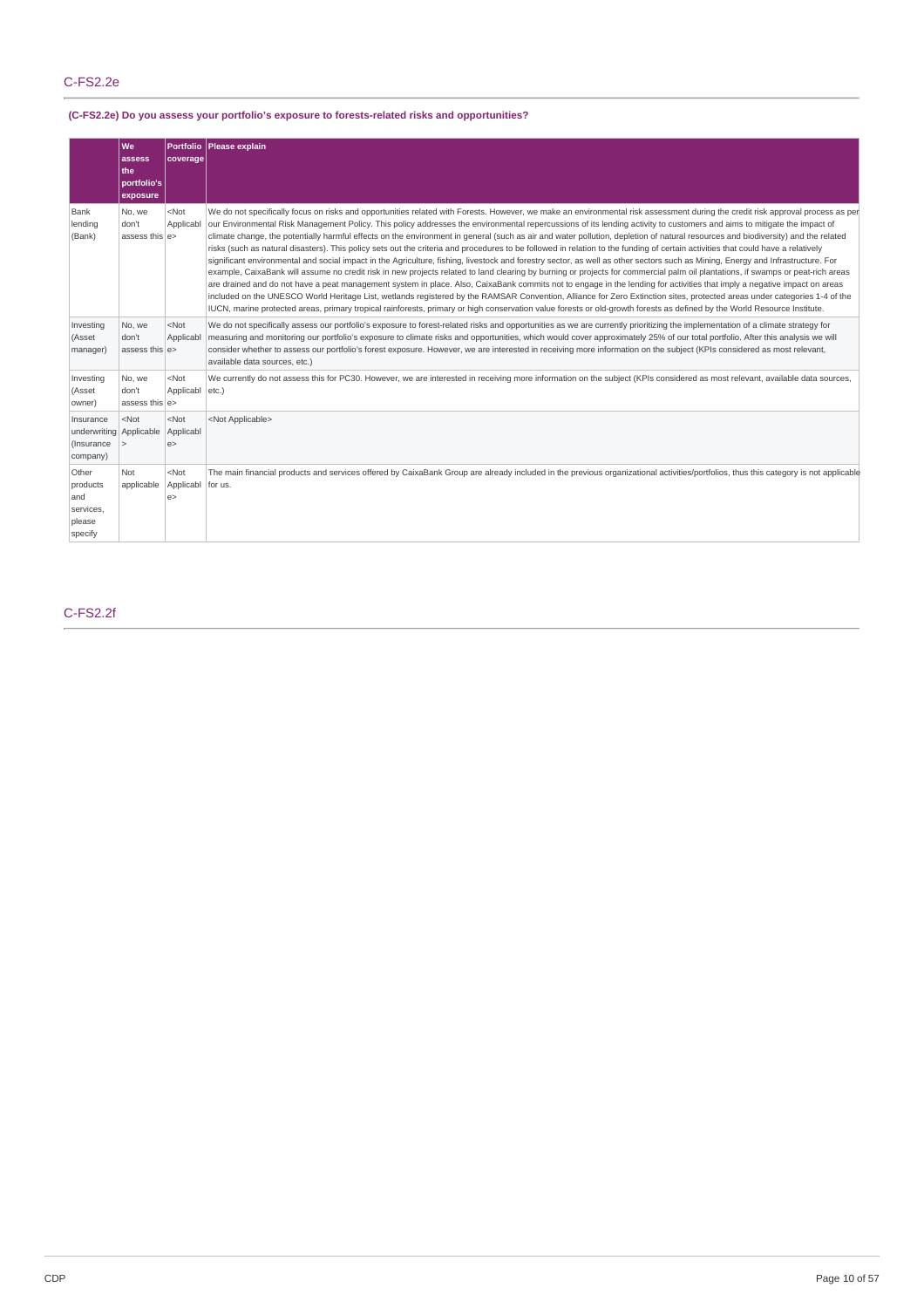### C-FS2.2e

### **(C-FS2.2e) Do you assess your portfolio's exposure to forests-related risks and opportunities?**

|                                                                | We<br>assess<br>the<br>portfolio's<br>exposure | coverage                   | Portfolio Please explain                                                                                                                                                                                                                                                                                                                                                                                                                                                                                                                                                                                                                                                                                                                                                                                                                                                                                                                                                                                                                                                                                                                                                                                                                                                                                                                                                                                                                                                                                                                                                                                                                     |  |
|----------------------------------------------------------------|------------------------------------------------|----------------------------|----------------------------------------------------------------------------------------------------------------------------------------------------------------------------------------------------------------------------------------------------------------------------------------------------------------------------------------------------------------------------------------------------------------------------------------------------------------------------------------------------------------------------------------------------------------------------------------------------------------------------------------------------------------------------------------------------------------------------------------------------------------------------------------------------------------------------------------------------------------------------------------------------------------------------------------------------------------------------------------------------------------------------------------------------------------------------------------------------------------------------------------------------------------------------------------------------------------------------------------------------------------------------------------------------------------------------------------------------------------------------------------------------------------------------------------------------------------------------------------------------------------------------------------------------------------------------------------------------------------------------------------------|--|
| Bank<br>lending<br>(Bank)                                      | No, we<br>don't<br>assess this e>              | $<$ Not<br>Applicabl       | We do not specifically focus on risks and opportunities related with Forests. However, we make an environmental risk assessment during the credit risk approval process as per<br>our Environmental Risk Management Policy. This policy addresses the environmental repercussions of its lending activity to customers and aims to mitigate the impact of<br>climate change, the potentially harmful effects on the environment in general (such as air and water pollution, depletion of natural resources and biodiversity) and the related<br>risks (such as natural disasters). This policy sets out the criteria and procedures to be followed in relation to the funding of certain activities that could have a relatively<br>significant environmental and social impact in the Agriculture, fishing, livestock and forestry sector, as well as other sectors such as Mining, Energy and Infrastructure. For<br>example, CaixaBank will assume no credit risk in new projects related to land clearing by burning or projects for commercial palm oil plantations, if swamps or peat-rich areas<br>are drained and do not have a peat management system in place. Also, CaixaBank commits not to engage in the lending for activities that imply a negative impact on areas<br>included on the UNESCO World Heritage List, wetlands registered by the RAMSAR Convention, Alliance for Zero Extinction sites, protected areas under categories 1-4 of the<br>IUCN, marine protected areas, primary tropical rainforests, primary or high conservation value forests or old-growth forests as defined by the World Resource Institute. |  |
| Investing<br>(Asset<br>manager)                                | No, we<br>don't<br>assess this e>              | $<$ Not<br>Applicabl       | We do not specifically assess our portfolio's exposure to forest-related risks and opportunities as we are currently prioritizing the implementation of a climate strategy for<br>measuring and monitoring our portfolio's exposure to climate risks and opportunities, which would cover approximately 25% of our total portfolio. After this analysis we will<br>consider whether to assess our portfolio's forest exposure. However, we are interested in receiving more information on the subject (KPIs considered as most relevant,<br>available data sources, etc.)                                                                                                                                                                                                                                                                                                                                                                                                                                                                                                                                                                                                                                                                                                                                                                                                                                                                                                                                                                                                                                                                   |  |
| Investing<br>(Asset<br>owner)                                  | No, we<br>don't<br>assess this e>              | $<$ Not<br>Applicabl etc.) | We currently do not assess this for PC30. However, we are interested in receiving more information on the subject (KPIs considered as most relevant, available data sources,                                                                                                                                                                                                                                                                                                                                                                                                                                                                                                                                                                                                                                                                                                                                                                                                                                                                                                                                                                                                                                                                                                                                                                                                                                                                                                                                                                                                                                                                 |  |
| Insurance<br>underwriting Applicable<br>(Insurance<br>company) | $<$ Not<br>$\overline{ }$                      | $<$ Not<br>Applicabl<br>e  | <not applicable=""></not>                                                                                                                                                                                                                                                                                                                                                                                                                                                                                                                                                                                                                                                                                                                                                                                                                                                                                                                                                                                                                                                                                                                                                                                                                                                                                                                                                                                                                                                                                                                                                                                                                    |  |
| Other<br>products<br>and<br>services,<br>please<br>specify     | Not<br>applicable                              | $<$ Not<br>Applicabl<br>e  | The main financial products and services offered by CaixaBank Group are already included in the previous organizational activities/portfolios, thus this category is not applicable<br>for us.                                                                                                                                                                                                                                                                                                                                                                                                                                                                                                                                                                                                                                                                                                                                                                                                                                                                                                                                                                                                                                                                                                                                                                                                                                                                                                                                                                                                                                               |  |

### C-FS2.2f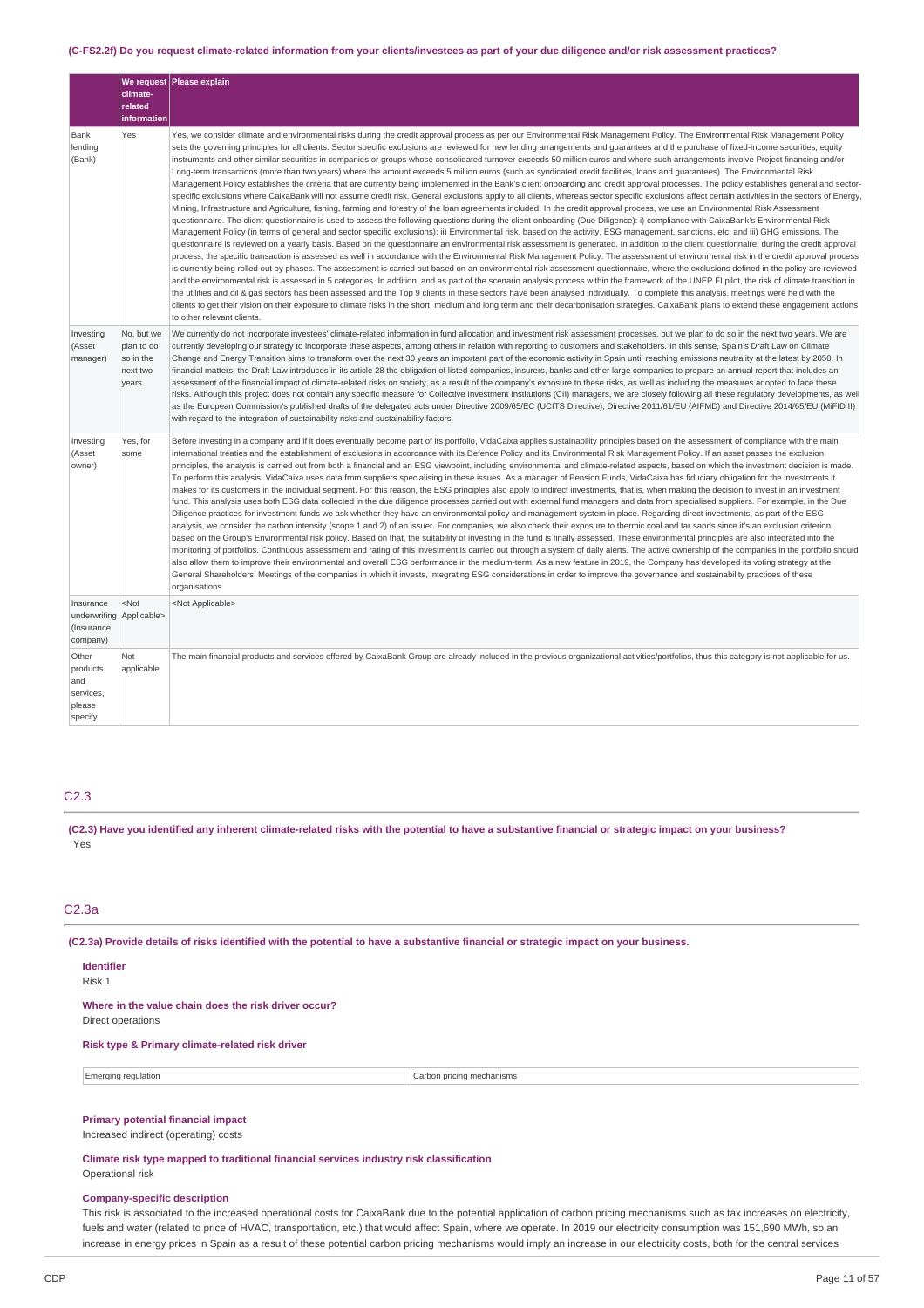#### (C-FS2.2f) Do you request climate-related information from your clients/investees as part of your due diligence and/or risk assessment practices?

|                                                                 | climate-                                                   | We request Please explain                                                                                                                                                                                                                                                                                                                                                                                                                                                                                                                                                                                                                                                                                                                                                                                                                                                                                                                                                                                                                                                                                                                                                                                                                                                                                                                                                                                                                                                                                                                                                                                                                                                                                                                                                                                                                                                                                                                                                                                                                                                                                                                                                                                                                                                                                                                                                                                                                                                                                                                                                                                                                                                                                                                                                                                                                                                                                       |
|-----------------------------------------------------------------|------------------------------------------------------------|-----------------------------------------------------------------------------------------------------------------------------------------------------------------------------------------------------------------------------------------------------------------------------------------------------------------------------------------------------------------------------------------------------------------------------------------------------------------------------------------------------------------------------------------------------------------------------------------------------------------------------------------------------------------------------------------------------------------------------------------------------------------------------------------------------------------------------------------------------------------------------------------------------------------------------------------------------------------------------------------------------------------------------------------------------------------------------------------------------------------------------------------------------------------------------------------------------------------------------------------------------------------------------------------------------------------------------------------------------------------------------------------------------------------------------------------------------------------------------------------------------------------------------------------------------------------------------------------------------------------------------------------------------------------------------------------------------------------------------------------------------------------------------------------------------------------------------------------------------------------------------------------------------------------------------------------------------------------------------------------------------------------------------------------------------------------------------------------------------------------------------------------------------------------------------------------------------------------------------------------------------------------------------------------------------------------------------------------------------------------------------------------------------------------------------------------------------------------------------------------------------------------------------------------------------------------------------------------------------------------------------------------------------------------------------------------------------------------------------------------------------------------------------------------------------------------------------------------------------------------------------------------------------------------|
|                                                                 | related<br>information                                     |                                                                                                                                                                                                                                                                                                                                                                                                                                                                                                                                                                                                                                                                                                                                                                                                                                                                                                                                                                                                                                                                                                                                                                                                                                                                                                                                                                                                                                                                                                                                                                                                                                                                                                                                                                                                                                                                                                                                                                                                                                                                                                                                                                                                                                                                                                                                                                                                                                                                                                                                                                                                                                                                                                                                                                                                                                                                                                                 |
| Bank<br>lending<br>(Bank)                                       | Yes                                                        | Yes, we consider climate and environmental risks during the credit approval process as per our Environmental Risk Management Policy. The Environmental Risk Management Policy<br>sets the governing principles for all clients. Sector specific exclusions are reviewed for new lending arrangements and quarantees and the purchase of fixed-income securities, equity<br>instruments and other similar securities in companies or groups whose consolidated turnover exceeds 50 million euros and where such arrangements involve Project financing and/or<br>Long-term transactions (more than two years) where the amount exceeds 5 million euros (such as syndicated credit facilities, loans and quarantees). The Environmental Risk<br>Management Policy establishes the criteria that are currently being implemented in the Bank's client onboarding and credit approval processes. The policy establishes general and sector<br>specific exclusions where CaixaBank will not assume credit risk. General exclusions apply to all clients, whereas sector specific exclusions affect certain activities in the sectors of Energy<br>Mining, Infrastructure and Agriculture, fishing, farming and forestry of the loan agreements included. In the credit approval process, we use an Environmental Risk Assessment<br>questionnaire. The client questionnaire is used to assess the following questions during the client onboarding (Due Diligence): i) compliance with CaixaBank's Environmental Risk<br>Management Policy (in terms of general and sector specific exclusions); ii) Environmental risk, based on the activity, ESG management, sanctions, etc. and iii) GHG emissions. The<br>questionnaire is reviewed on a yearly basis. Based on the questionnaire an environmental risk assessment is generated. In addition to the client questionnaire, during the credit approval<br>process, the specific transaction is assessed as well in accordance with the Environmental Risk Management Policy. The assessment of environmental risk in the credit approval process<br>is currently being rolled out by phases. The assessment is carried out based on an environmental risk assessment questionnaire, where the exclusions defined in the policy are reviewed<br>and the environmental risk is assessed in 5 categories. In addition, and as part of the scenario analysis process within the framework of the UNEP FI pilot, the risk of climate transition in<br>the utilities and oil & gas sectors has been assessed and the Top 9 clients in these sectors have been analysed individually. To complete this analysis, meetings were held with the<br>clients to get their vision on their exposure to climate risks in the short, medium and long term and their decarbonisation strategies. CaixaBank plans to extend these engagement actions<br>to other relevant clients. |
| Investing<br>(Asset<br>manager)                                 | No, but we<br>plan to do<br>so in the<br>next two<br>years | We currently do not incorporate investees' climate-related information in fund allocation and investment risk assessment processes, but we plan to do so in the next two years. We are<br>currently developing our strategy to incorporate these aspects, among others in relation with reporting to customers and stakeholders. In this sense, Spain's Draft Law on Climate<br>Change and Energy Transition aims to transform over the next 30 years an important part of the economic activity in Spain until reaching emissions neutrality at the latest by 2050. In<br>financial matters, the Draft Law introduces in its article 28 the obligation of listed companies, insurers, banks and other large companies to prepare an annual report that includes an<br>assessment of the financial impact of climate-related risks on society, as a result of the company's exposure to these risks, as well as including the measures adopted to face these<br>risks. Although this project does not contain any specific measure for Collective Investment Institutions (CII) managers, we are closely following all these regulatory developments, as well<br>as the European Commission's published drafts of the delegated acts under Directive 2009/65/EC (UCITS Directive), Directive 2011/61/EU (AIFMD) and Directive 2014/65/EU (MiFID II)<br>with regard to the integration of sustainability risks and sustainability factors.                                                                                                                                                                                                                                                                                                                                                                                                                                                                                                                                                                                                                                                                                                                                                                                                                                                                                                                                                                                                                                                                                                                                                                                                                                                                                                                                                                                                                                                                       |
| Investing<br>(Asset<br>owner)                                   | Yes, for<br>some                                           | Before investing in a company and if it does eventually become part of its portfolio, VidaCaixa applies sustainability principles based on the assessment of compliance with the main<br>international treaties and the establishment of exclusions in accordance with its Defence Policy and its Environmental Risk Management Policy. If an asset passes the exclusion<br>principles, the analysis is carried out from both a financial and an ESG viewpoint, including environmental and climate-related aspects, based on which the investment decision is made.<br>To perform this analysis, VidaCaixa uses data from suppliers specialising in these issues. As a manager of Pension Funds, VidaCaixa has fiduciary obligation for the investments it<br>makes for its customers in the individual segment. For this reason, the ESG principles also apply to indirect investments, that is, when making the decision to invest in an investment<br>fund. This analysis uses both ESG data collected in the due diligence processes carried out with external fund managers and data from specialised suppliers. For example, in the Due<br>Diligence practices for investment funds we ask whether they have an environmental policy and management system in place. Regarding direct investments, as part of the ESG<br>analysis, we consider the carbon intensity (scope 1 and 2) of an issuer. For companies, we also check their exposure to thermic coal and tar sands since it's an exclusion criterion,<br>based on the Group's Environmental risk policy. Based on that, the suitability of investing in the fund is finally assessed. These environmental principles are also integrated into the<br>monitoring of portfolios. Continuous assessment and rating of this investment is carried out through a system of daily alerts. The active ownership of the companies in the portfolio should<br>also allow them to improve their environmental and overall ESG performance in the medium-term. As a new feature in 2019, the Company has developed its voting strategy at the<br>General Shareholders' Meetings of the companies in which it invests, integrating ESG considerations in order to improve the governance and sustainability practices of these<br>organisations.                                                                                                                                                                                                                                                                                                                                                                                                                                                                                                                                                                                                            |
| Insurance<br>underwriting Applicable><br>(Insurance<br>company) | $<$ Not                                                    | <not applicable=""></not>                                                                                                                                                                                                                                                                                                                                                                                                                                                                                                                                                                                                                                                                                                                                                                                                                                                                                                                                                                                                                                                                                                                                                                                                                                                                                                                                                                                                                                                                                                                                                                                                                                                                                                                                                                                                                                                                                                                                                                                                                                                                                                                                                                                                                                                                                                                                                                                                                                                                                                                                                                                                                                                                                                                                                                                                                                                                                       |
| Other<br>products<br>and<br>services,<br>please<br>specify      | Not<br>applicable                                          | The main financial products and services offered by CaixaBank Group are already included in the previous organizational activities/portfolios, thus this category is not applicable for us.                                                                                                                                                                                                                                                                                                                                                                                                                                                                                                                                                                                                                                                                                                                                                                                                                                                                                                                                                                                                                                                                                                                                                                                                                                                                                                                                                                                                                                                                                                                                                                                                                                                                                                                                                                                                                                                                                                                                                                                                                                                                                                                                                                                                                                                                                                                                                                                                                                                                                                                                                                                                                                                                                                                     |

#### C2.3

(C2.3) Have you identified any inherent climate-related risks with the potential to have a substantive financial or strategic impact on your business? Yes

### C2.3a

**Identifier**

(C2.3a) Provide details of risks identified with the potential to have a substantive financial or strategic impact on your business.

| Emerging regulation                                                       | Carbon pricing mechanisms |
|---------------------------------------------------------------------------|---------------------------|
| Risk type & Primary climate-related risk driver                           |                           |
| Where in the value chain does the risk driver occur?<br>Direct operations |                           |
| Risk 1                                                                    |                           |

### **Primary potential financial impact**

Increased indirect (operating) costs

**Climate risk type mapped to traditional financial services industry risk classification** Operational risk

### **Company-specific description**

This risk is associated to the increased operational costs for CaixaBank due to the potential application of carbon pricing mechanisms such as tax increases on electricity, fuels and water (related to price of HVAC, transportation, etc.) that would affect Spain, where we operate. In 2019 our electricity consumption was 151,690 MWh, so an increase in energy prices in Spain as a result of these potential carbon pricing mechanisms would imply an increase in our electricity costs, both for the central services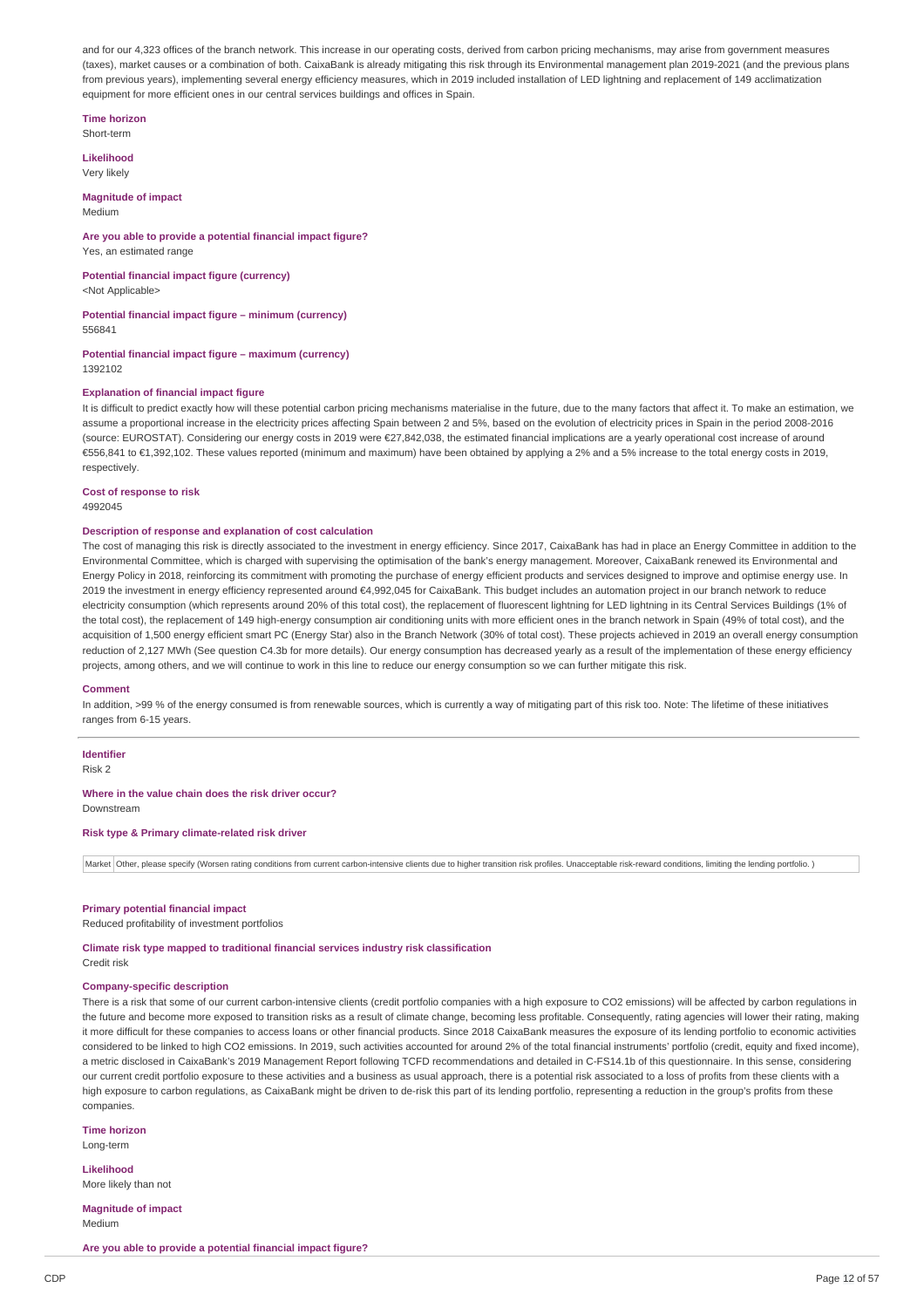and for our 4,323 offices of the branch network. This increase in our operating costs, derived from carbon pricing mechanisms, may arise from government measures (taxes), market causes or a combination of both. CaixaBank is already mitigating this risk through its Environmental management plan 2019-2021 (and the previous plans from previous years), implementing several energy efficiency measures, which in 2019 included installation of LED lightning and replacement of 149 acclimatization equipment for more efficient ones in our central services buildings and offices in Spain.

**Time horizon** Short-term

**Likelihood** Very likely

#### **Magnitude of impact** Medium

#### **Are you able to provide a potential financial impact figure?** Yes, an estimated range

**Potential financial impact figure (currency)**

<Not Applicable>

**Potential financial impact figure – minimum (currency)** 556841

**Potential financial impact figure – maximum (currency)** 1392102

#### **Explanation of financial impact figure**

It is difficult to predict exactly how will these potential carbon pricing mechanisms materialise in the future, due to the many factors that affect it. To make an estimation, we assume a proportional increase in the electricity prices affecting Spain between 2 and 5%, based on the evolution of electricity prices in Spain in the period 2008-2016 (source: EUROSTAT). Considering our energy costs in 2019 were €27,842,038, the estimated financial implications are a yearly operational cost increase of around €556,841 to €1,392,102. These values reported (minimum and maximum) have been obtained by applying a 2% and a 5% increase to the total energy costs in 2019, respectively.

**Cost of response to risk**

4992045

#### **Description of response and explanation of cost calculation**

The cost of managing this risk is directly associated to the investment in energy efficiency. Since 2017, CaixaBank has had in place an Energy Committee in addition to the Environmental Committee, which is charged with supervising the optimisation of the bank's energy management. Moreover, CaixaBank renewed its Environmental and Energy Policy in 2018, reinforcing its commitment with promoting the purchase of energy efficient products and services designed to improve and optimise energy use. In 2019 the investment in energy efficiency represented around €4,992,045 for CaixaBank. This budget includes an automation project in our branch network to reduce electricity consumption (which represents around 20% of this total cost), the replacement of fluorescent lightning for LED lightning in its Central Services Buildings (1% of the total cost), the replacement of 149 high-energy consumption air conditioning units with more efficient ones in the branch network in Spain (49% of total cost), and the acquisition of 1,500 energy efficient smart PC (Energy Star) also in the Branch Network (30% of total cost). These projects achieved in 2019 an overall energy consumption reduction of 2,127 MWh (See question C4.3b for more details). Our energy consumption has decreased yearly as a result of the implementation of these energy efficiency projects, among others, and we will continue to work in this line to reduce our energy consumption so we can further mitigate this risk.

#### **Comment**

In addition, >99 % of the energy consumed is from renewable sources, which is currently a way of mitigating part of this risk too. Note: The lifetime of these initiatives ranges from 6-15 years.

#### **Identifier**

Risk 2

#### **Where in the value chain does the risk driver occur?**

Downstream

#### **Risk type & Primary climate-related risk driver**

Market Other, please specify (Worsen rating conditions from current carbon-intensive clients due to higher transition risk profiles. Unacceptable risk-reward conditions, limiting the lending portfolio.)

#### **Primary potential financial impact**

Reduced profitability of investment portfolios

### **Climate risk type mapped to traditional financial services industry risk classification**

Credit risk

#### **Company-specific description**

There is a risk that some of our current carbon-intensive clients (credit portfolio companies with a high exposure to CO2 emissions) will be affected by carbon regulations in the future and become more exposed to transition risks as a result of climate change, becoming less profitable. Consequently, rating agencies will lower their rating, making it more difficult for these companies to access loans or other financial products. Since 2018 CaixaBank measures the exposure of its lending portfolio to economic activities considered to be linked to high CO2 emissions. In 2019, such activities accounted for around 2% of the total financial instruments' portfolio (credit, equity and fixed income), a metric disclosed in CaixaBank's 2019 Management Report following TCFD recommendations and detailed in C-FS14.1b of this questionnaire. In this sense, considering our current credit portfolio exposure to these activities and a business as usual approach, there is a potential risk associated to a loss of profits from these clients with a high exposure to carbon regulations, as CaixaBank might be driven to de-risk this part of its lending portfolio, representing a reduction in the group's profits from these companies.

**Time horizon**

Long-term

**Likelihood** More likely than not

**Magnitude of impact** Medium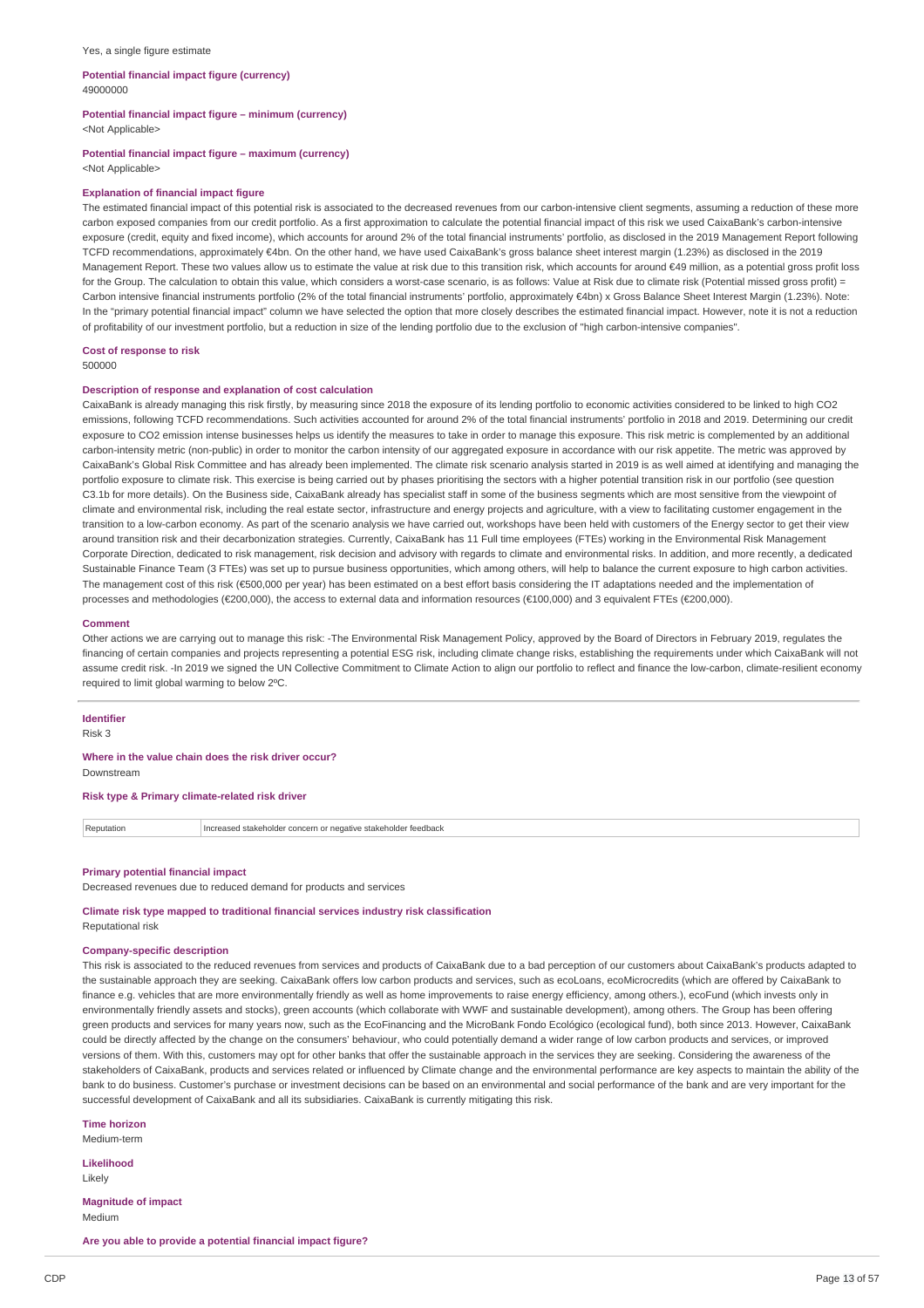#### **Potential financial impact figure (currency)** 49000000

### **Potential financial impact figure – minimum (currency)**

<Not Applicable>

#### **Potential financial impact figure – maximum (currency)**

<Not Applicable>

#### **Explanation of financial impact figure**

The estimated financial impact of this potential risk is associated to the decreased revenues from our carbon-intensive client segments, assuming a reduction of these more carbon exposed companies from our credit portfolio. As a first approximation to calculate the potential financial impact of this risk we used CaixaBank's carbon-intensive exposure (credit, equity and fixed income), which accounts for around 2% of the total financial instruments' portfolio, as disclosed in the 2019 Management Report following TCFD recommendations, approximately €4bn. On the other hand, we have used CaixaBank's gross balance sheet interest margin (1.23%) as disclosed in the 2019 Management Report. These two values allow us to estimate the value at risk due to this transition risk, which accounts for around €49 million, as a potential gross profit loss for the Group. The calculation to obtain this value, which considers a worst-case scenario, is as follows: Value at Risk due to climate risk (Potential missed gross profit) = Carbon intensive financial instruments portfolio (2% of the total financial instruments' portfolio, approximately €4bn) x Gross Balance Sheet Interest Margin (1.23%). Note: In the "primary potential financial impact" column we have selected the option that more closely describes the estimated financial impact. However, note it is not a reduction of profitability of our investment portfolio, but a reduction in size of the lending portfolio due to the exclusion of "high carbon-intensive companies".

#### **Cost of response to risk** 500000

#### **Description of response and explanation of cost calculation**

CaixaBank is already managing this risk firstly, by measuring since 2018 the exposure of its lending portfolio to economic activities considered to be linked to high CO2 emissions, following TCFD recommendations. Such activities accounted for around 2% of the total financial instruments' portfolio in 2018 and 2019. Determining our credit exposure to CO2 emission intense businesses helps us identify the measures to take in order to manage this exposure. This risk metric is complemented by an additional carbon-intensity metric (non-public) in order to monitor the carbon intensity of our aggregated exposure in accordance with our risk appetite. The metric was approved by CaixaBank's Global Risk Committee and has already been implemented. The climate risk scenario analysis started in 2019 is as well aimed at identifying and managing the portfolio exposure to climate risk. This exercise is being carried out by phases prioritising the sectors with a higher potential transition risk in our portfolio (see question C3.1b for more details). On the Business side, CaixaBank already has specialist staff in some of the business segments which are most sensitive from the viewpoint of climate and environmental risk, including the real estate sector, infrastructure and energy projects and agriculture, with a view to facilitating customer engagement in the transition to a low-carbon economy. As part of the scenario analysis we have carried out, workshops have been held with customers of the Energy sector to get their view around transition risk and their decarbonization strategies. Currently, CaixaBank has 11 Full time employees (FTEs) working in the Environmental Risk Management Corporate Direction, dedicated to risk management, risk decision and advisory with regards to climate and environmental risks. In addition, and more recently, a dedicated Sustainable Finance Team (3 FTEs) was set up to pursue business opportunities, which among others, will help to balance the current exposure to high carbon activities. The management cost of this risk (€500,000 per year) has been estimated on a best effort basis considering the IT adaptations needed and the implementation of processes and methodologies (€200,000), the access to external data and information resources (€100,000) and 3 equivalent FTEs (€200,000).

#### **Comment**

Other actions we are carrying out to manage this risk: -The Environmental Risk Management Policy, approved by the Board of Directors in February 2019, regulates the financing of certain companies and projects representing a potential ESG risk, including climate change risks, establishing the requirements under which CaixaBank will not assume credit risk. -In 2019 we signed the UN Collective Commitment to Climate Action to align our portfolio to reflect and finance the low-carbon, climate-resilient economy required to limit global warming to below 2ºC.

#### **Identifier**

Risk 3

#### **Where in the value chain does the risk driver occur?** Downstream

#### **Risk type & Primary climate-related risk driver**

| Reputation<br>'Increased stakeholder ι.<br>.<br>lder feedback<br>$-1$<br>.<br>リンヘハハ<br>° ner<br><br>. <del>. .</del> |  |
|----------------------------------------------------------------------------------------------------------------------|--|
|----------------------------------------------------------------------------------------------------------------------|--|

#### **Primary potential financial impact**

Decreased revenues due to reduced demand for products and services

#### **Climate risk type mapped to traditional financial services industry risk classification** Reputational risk

#### **Company-specific description**

This risk is associated to the reduced revenues from services and products of CaixaBank due to a bad perception of our customers about CaixaBank's products adapted to the sustainable approach they are seeking. CaixaBank offers low carbon products and services, such as ecoLoans, ecoMicrocredits (which are offered by CaixaBank to finance e.g. vehicles that are more environmentally friendly as well as home improvements to raise energy efficiency, among others.), ecoFund (which invests only in environmentally friendly assets and stocks), green accounts (which collaborate with WWF and sustainable development), among others. The Group has been offering green products and services for many years now, such as the EcoFinancing and the MicroBank Fondo Ecológico (ecological fund), both since 2013. However, CaixaBank could be directly affected by the change on the consumers' behaviour, who could potentially demand a wider range of low carbon products and services, or improved versions of them. With this, customers may opt for other banks that offer the sustainable approach in the services they are seeking. Considering the awareness of the stakeholders of CaixaBank, products and services related or influenced by Climate change and the environmental performance are key aspects to maintain the ability of the bank to do business. Customer's purchase or investment decisions can be based on an environmental and social performance of the bank and are very important for the successful development of CaixaBank and all its subsidiaries. CaixaBank is currently mitigating this risk.

**Time horizon** Medium-term

#### **Likelihood**

Likely

**Magnitude of impact** Medium

**Are you able to provide a potential financial impact figure?**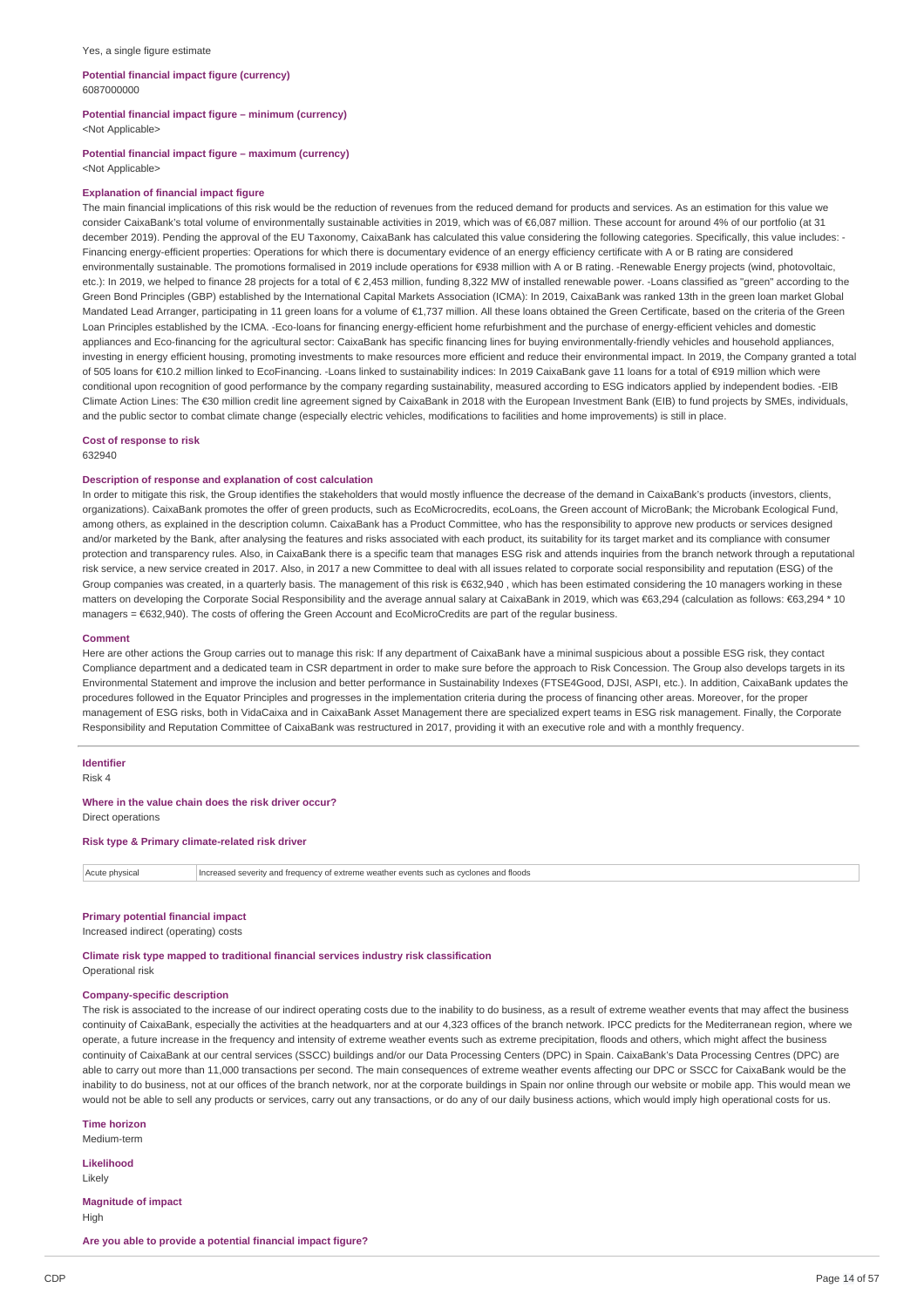#### **Potential financial impact figure (currency)** 6087000000

### **Potential financial impact figure – minimum (currency)**

<Not Applicable>

#### **Potential financial impact figure – maximum (currency)**

<Not Applicable>

#### **Explanation of financial impact figure**

The main financial implications of this risk would be the reduction of revenues from the reduced demand for products and services. As an estimation for this value we consider CaixaBank's total volume of environmentally sustainable activities in 2019, which was of €6,087 million. These account for around 4% of our portfolio (at 31 december 2019). Pending the approval of the EU Taxonomy, CaixaBank has calculated this value considering the following categories. Specifically, this value includes: -Financing energy-efficient properties: Operations for which there is documentary evidence of an energy efficiency certificate with A or B rating are considered environmentally sustainable. The promotions formalised in 2019 include operations for €938 million with A or B rating. -Renewable Energy projects (wind, photovoltaic, etc.): In 2019, we helped to finance 28 projects for a total of € 2,453 million, funding 8,322 MW of installed renewable power. -Loans classified as "green" according to the Green Bond Principles (GBP) established by the International Capital Markets Association (ICMA): In 2019, CaixaBank was ranked 13th in the green loan market Global Mandated Lead Arranger, participating in 11 green loans for a volume of €1,737 million. All these loans obtained the Green Certificate, based on the criteria of the Green Loan Principles established by the ICMA. -Eco-loans for financing energy-efficient home refurbishment and the purchase of energy-efficient vehicles and domestic appliances and Eco-financing for the agricultural sector: CaixaBank has specific financing lines for buying environmentally-friendly vehicles and household appliances, investing in energy efficient housing, promoting investments to make resources more efficient and reduce their environmental impact. In 2019, the Company granted a total of 505 loans for €10.2 million linked to EcoFinancing. -Loans linked to sustainability indices: In 2019 CaixaBank gave 11 loans for a total of €919 million which were conditional upon recognition of good performance by the company regarding sustainability, measured according to ESG indicators applied by independent bodies. -EIB Climate Action Lines: The €30 million credit line agreement signed by CaixaBank in 2018 with the European Investment Bank (EIB) to fund projects by SMEs, individuals, and the public sector to combat climate change (especially electric vehicles, modifications to facilities and home improvements) is still in place.

### **Cost of response to risk**

632940

#### **Description of response and explanation of cost calculation**

In order to mitigate this risk, the Group identifies the stakeholders that would mostly influence the decrease of the demand in CaixaBank's products (investors, clients, organizations). CaixaBank promotes the offer of green products, such as EcoMicrocredits, ecoLoans, the Green account of MicroBank; the Microbank Ecological Fund, among others, as explained in the description column. CaixaBank has a Product Committee, who has the responsibility to approve new products or services designed and/or marketed by the Bank, after analysing the features and risks associated with each product, its suitability for its target market and its compliance with consumer protection and transparency rules. Also, in CaixaBank there is a specific team that manages ESG risk and attends inquiries from the branch network through a reputational risk service, a new service created in 2017. Also, in 2017 a new Committee to deal with all issues related to corporate social responsibility and reputation (ESG) of the Group companies was created, in a quarterly basis. The management of this risk is €632,940, which has been estimated considering the 10 managers working in these matters on developing the Corporate Social Responsibility and the average annual salary at CaixaBank in 2019. which was €63.294 (calculation as follows: €63.294 \* 10 managers = €632,940). The costs of offering the Green Account and EcoMicroCredits are part of the regular business.

#### **Comment**

Here are other actions the Group carries out to manage this risk: If any department of CaixaBank have a minimal suspicious about a possible ESG risk, they contact Compliance department and a dedicated team in CSR department in order to make sure before the approach to Risk Concession. The Group also develops targets in its Environmental Statement and improve the inclusion and better performance in Sustainability Indexes (FTSE4Good, DJSI, ASPI, etc.). In addition, CaixaBank updates the procedures followed in the Equator Principles and progresses in the implementation criteria during the process of financing other areas. Moreover, for the proper management of ESG risks, both in VidaCaixa and in CaixaBank Asset Management there are specialized expert teams in ESG risk management. Finally, the Corporate Responsibility and Reputation Committee of CaixaBank was restructured in 2017, providing it with an executive role and with a monthly frequency.

#### **Identifier**

Risk 4

#### **Where in the value chain does the risk driver occur?**

Direct operations

#### **Risk type & Primary climate-related risk driver**

Acute physical Increased severity and frequency of extreme weather events such as cyclones and floods

#### **Primary potential financial impact**

Increased indirect (operating) costs

### **Climate risk type mapped to traditional financial services industry risk classification**

Operational risk

#### **Company-specific description**

The risk is associated to the increase of our indirect operating costs due to the inability to do business, as a result of extreme weather events that may affect the business continuity of CaixaBank, especially the activities at the headquarters and at our 4,323 offices of the branch network. IPCC predicts for the Mediterranean region, where we operate, a future increase in the frequency and intensity of extreme weather events such as extreme precipitation, floods and others, which might affect the business continuity of CaixaBank at our central services (SSCC) buildings and/or our Data Processing Centers (DPC) in Spain. CaixaBank's Data Processing Centres (DPC) are able to carry out more than 11,000 transactions per second. The main consequences of extreme weather events affecting our DPC or SSCC for CaixaBank would be the inability to do business, not at our offices of the branch network, nor at the corporate buildings in Spain nor online through our website or mobile app. This would mean we would not be able to sell any products or services, carry out any transactions, or do any of our daily business actions, which would imply high operational costs for us.

**Time horizon**

Medium-term

### **Likelihood**

Likely

**Magnitude of impact** High

**Are you able to provide a potential financial impact figure?**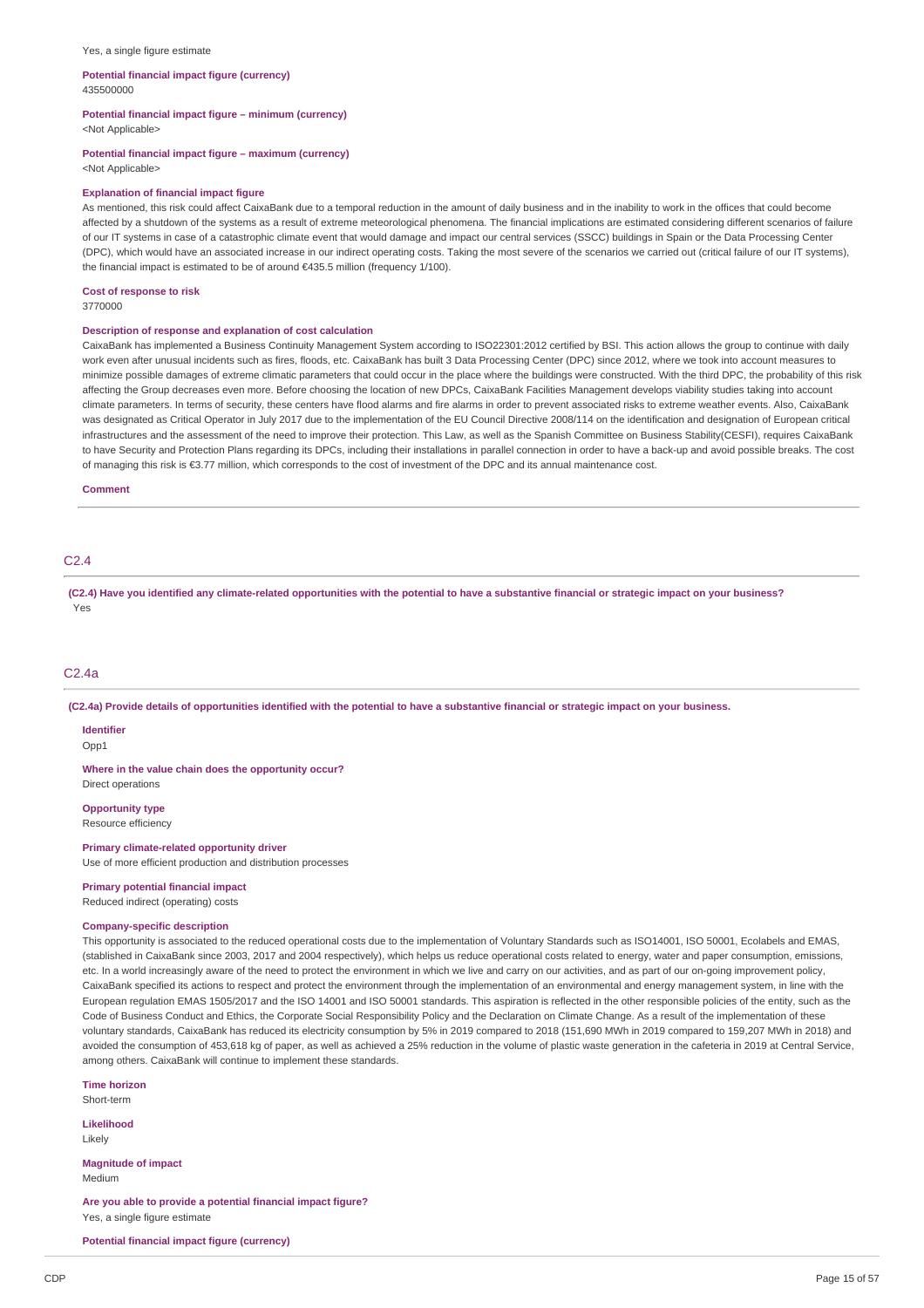#### Yes, a single figure estimate

#### **Potential financial impact figure (currency)** 435500000

**Potential financial impact figure – minimum (currency)**

<Not Applicable>

#### **Potential financial impact figure – maximum (currency)**

<Not Applicable>

#### **Explanation of financial impact figure**

As mentioned, this risk could affect CaixaBank due to a temporal reduction in the amount of daily business and in the inability to work in the offices that could become affected by a shutdown of the systems as a result of extreme meteorological phenomena. The financial implications are estimated considering different scenarios of failure of our IT systems in case of a catastrophic climate event that would damage and impact our central services (SSCC) buildings in Spain or the Data Processing Center (DPC), which would have an associated increase in our indirect operating costs. Taking the most severe of the scenarios we carried out (critical failure of our IT systems), the financial impact is estimated to be of around €435.5 million (frequency 1/100).

#### **Cost of response to risk**

3770000

#### **Description of response and explanation of cost calculation**

CaixaBank has implemented a Business Continuity Management System according to ISO22301:2012 certified by BSI. This action allows the group to continue with daily work even after unusual incidents such as fires, floods, etc. CaixaBank has built 3 Data Processing Center (DPC) since 2012, where we took into account measures to minimize possible damages of extreme climatic parameters that could occur in the place where the buildings were constructed. With the third DPC, the probability of this risk affecting the Group decreases even more. Before choosing the location of new DPCs, CaixaBank Facilities Management develops viability studies taking into account climate parameters. In terms of security, these centers have flood alarms and fire alarms in order to prevent associated risks to extreme weather events. Also, CaixaBank was designated as Critical Operator in July 2017 due to the implementation of the EU Council Directive 2008/114 on the identification and designation of European critical infrastructures and the assessment of the need to improve their protection. This Law, as well as the Spanish Committee on Business Stability(CESFI), requires CaixaBank to have Security and Protection Plans regarding its DPCs, including their installations in parallel connection in order to have a back-up and avoid possible breaks. The cost of managing this risk is €3.77 million, which corresponds to the cost of investment of the DPC and its annual maintenance cost.

#### **Comment**

#### C2.4

(C2.4) Have you identified any climate-related opportunities with the potential to have a substantive financial or strategic impact on your business? Yes

### C<sub>2</sub> Aa

(C2.4a) Provide details of opportunities identified with the potential to have a substantive financial or strategic impact on your business.

### **Identifier**

Opp1

**Where in the value chain does the opportunity occur?** Direct operations

#### **Opportunity type**

Resource efficiency

#### **Primary climate-related opportunity driver**

Use of more efficient production and distribution processes

#### **Primary potential financial impact**

Reduced indirect (operating) costs

#### **Company-specific description**

This opportunity is associated to the reduced operational costs due to the implementation of Voluntary Standards such as ISO14001, ISO 50001, Ecolabels and EMAS, (stablished in CaixaBank since 2003, 2017 and 2004 respectively), which helps us reduce operational costs related to energy, water and paper consumption, emissions, etc. In a world increasingly aware of the need to protect the environment in which we live and carry on our activities, and as part of our on-going improvement policy, CaixaBank specified its actions to respect and protect the environment through the implementation of an environmental and energy management system, in line with the European regulation EMAS 1505/2017 and the ISO 14001 and ISO 50001 standards. This aspiration is reflected in the other responsible policies of the entity, such as the Code of Business Conduct and Ethics, the Corporate Social Responsibility Policy and the Declaration on Climate Change. As a result of the implementation of these voluntary standards, CaixaBank has reduced its electricity consumption by 5% in 2019 compared to 2018 (151,690 MWh in 2019 compared to 159,207 MWh in 2018) and avoided the consumption of 453,618 kg of paper, as well as achieved a 25% reduction in the volume of plastic waste generation in the cafeteria in 2019 at Central Service, among others. CaixaBank will continue to implement these standards.

**Time horizon**

Short-term

**Likelihood** Likely

**Magnitude of impact** Medium

**Are you able to provide a potential financial impact figure?** Yes, a single figure estimate

**Potential financial impact figure (currency)**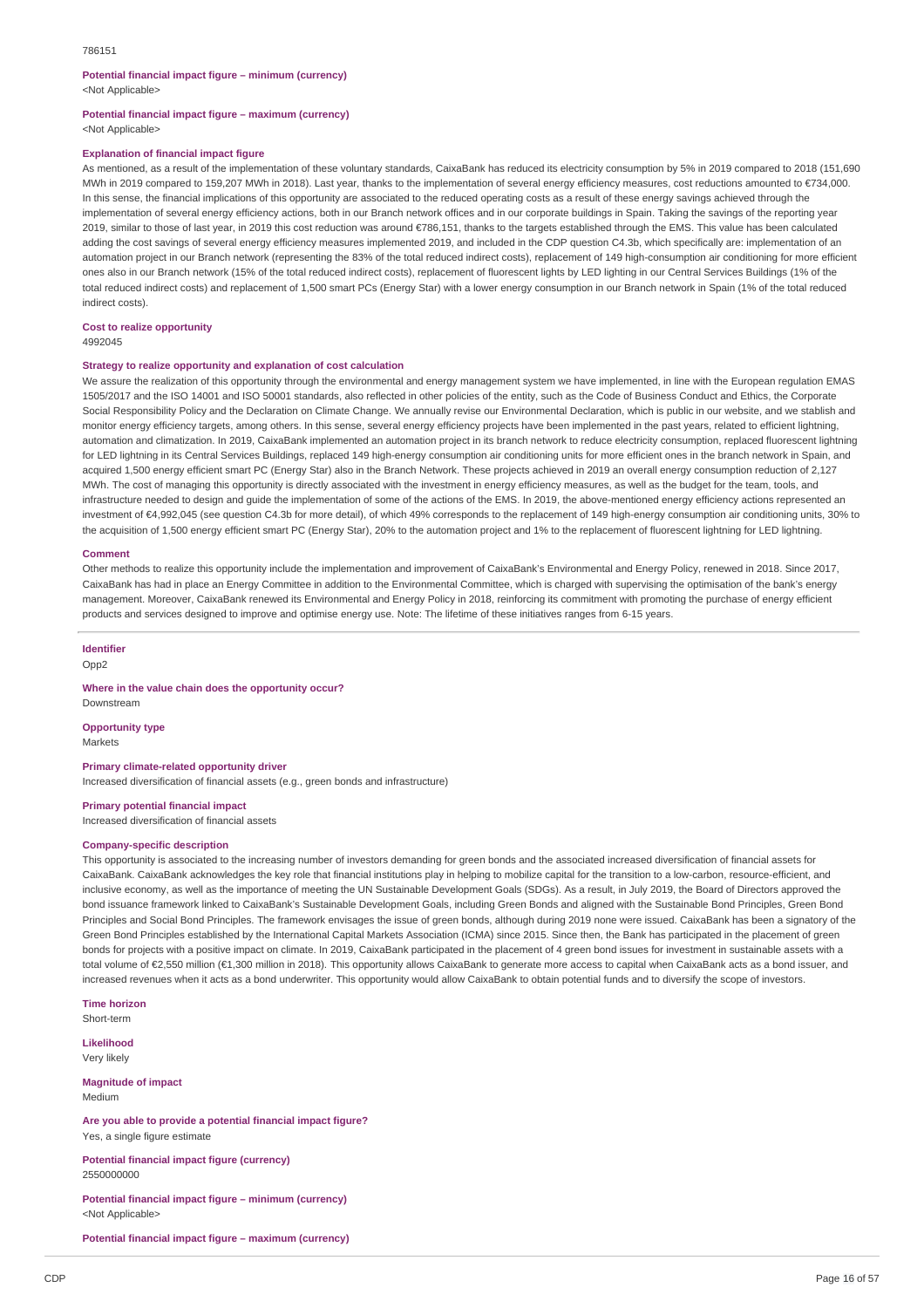#### 786151

#### **Potential financial impact figure – minimum (currency)** <Not Applicable>

### **Potential financial impact figure – maximum (currency)**

<Not Applicable>

#### **Explanation of financial impact figure**

As mentioned, as a result of the implementation of these voluntary standards, CaixaBank has reduced its electricity consumption by 5% in 2019 compared to 2018 (151,690 MWh in 2019 compared to 159,207 MWh in 2018). Last year, thanks to the implementation of several energy efficiency measures, cost reductions amounted to €734,000. In this sense, the financial implications of this opportunity are associated to the reduced operating costs as a result of these energy savings achieved through the implementation of several energy efficiency actions, both in our Branch network offices and in our corporate buildings in Spain. Taking the savings of the reporting year 2019, similar to those of last year, in 2019 this cost reduction was around €786,151, thanks to the targets established through the EMS. This value has been calculated adding the cost savings of several energy efficiency measures implemented 2019, and included in the CDP question C4.3b, which specifically are: implementation of an automation project in our Branch network (representing the 83% of the total reduced indirect costs), replacement of 149 high-consumption air conditioning for more efficient ones also in our Branch network (15% of the total reduced indirect costs), replacement of fluorescent lights by LED lighting in our Central Services Buildings (1% of the total reduced indirect costs) and replacement of 1,500 smart PCs (Energy Star) with a lower energy consumption in our Branch network in Spain (1% of the total reduced indirect costs).

#### **Cost to realize opportunity**

4992045

#### **Strategy to realize opportunity and explanation of cost calculation**

We assure the realization of this opportunity through the environmental and energy management system we have implemented, in line with the European regulation EMAS 1505/2017 and the ISO 14001 and ISO 50001 standards, also reflected in other policies of the entity, such as the Code of Business Conduct and Ethics, the Corporate Social Responsibility Policy and the Declaration on Climate Change. We annually revise our Environmental Declaration, which is public in our website, and we stablish and monitor energy efficiency targets, among others. In this sense, several energy efficiency projects have been implemented in the past years, related to efficient lightning, automation and climatization. In 2019, CaixaBank implemented an automation project in its branch network to reduce electricity consumption, replaced fluorescent lightning for LED lightning in its Central Services Buildings, replaced 149 high-energy consumption air conditioning units for more efficient ones in the branch network in Spain, and acquired 1,500 energy efficient smart PC (Energy Star) also in the Branch Network. These projects achieved in 2019 an overall energy consumption reduction of 2,127 MWh. The cost of managing this opportunity is directly associated with the investment in energy efficiency measures, as well as the budget for the team, tools, and infrastructure needed to design and guide the implementation of some of the actions of the EMS. In 2019, the above-mentioned energy efficiency actions represented an investment of €4,992,045 (see question C4.3b for more detail), of which 49% corresponds to the replacement of 149 high-energy consumption air conditioning units, 30% to the acquisition of 1,500 energy efficient smart PC (Energy Star), 20% to the automation project and 1% to the replacement of fluorescent lightning for LED lightning.

#### **Comment**

Other methods to realize this opportunity include the implementation and improvement of CaixaBank's Environmental and Energy Policy, renewed in 2018. Since 2017, CaixaBank has had in place an Energy Committee in addition to the Environmental Committee, which is charged with supervising the optimisation of the bank's energy management. Moreover, CaixaBank renewed its Environmental and Energy Policy in 2018, reinforcing its commitment with promoting the purchase of energy efficient products and services designed to improve and optimise energy use. Note: The lifetime of these initiatives ranges from 6-15 years.

#### **Identifier**

Opp2

#### **Where in the value chain does the opportunity occur?** Downstream

**Opportunity type**

Markets

### **Primary climate-related opportunity driver**

Increased diversification of financial assets (e.g., green bonds and infrastructure)

#### **Primary potential financial impact**

Increased diversification of financial assets

#### **Company-specific description**

This opportunity is associated to the increasing number of investors demanding for green bonds and the associated increased diversification of financial assets for CaixaBank. CaixaBank acknowledges the key role that financial institutions play in helping to mobilize capital for the transition to a low-carbon, resource-efficient, and inclusive economy, as well as the importance of meeting the UN Sustainable Development Goals (SDGs). As a result, in July 2019, the Board of Directors approved the bond issuance framework linked to CaixaBank's Sustainable Development Goals, including Green Bonds and aligned with the Sustainable Bond Principles, Green Bond Principles and Social Bond Principles. The framework envisages the issue of green bonds, although during 2019 none were issued. CaixaBank has been a signatory of the Green Bond Principles established by the International Capital Markets Association (ICMA) since 2015. Since then, the Bank has participated in the placement of green bonds for projects with a positive impact on climate. In 2019, CaixaBank participated in the placement of 4 green bond issues for investment in sustainable assets with a total volume of €2,550 million (€1,300 million in 2018). This opportunity allows CaixaBank to generate more access to capital when CaixaBank acts as a bond issuer, and increased revenues when it acts as a bond underwriter. This opportunity would allow CaixaBank to obtain potential funds and to diversify the scope of investors.

**Time horizon** Short-term

**Likelihood** Very likely

**Magnitude of impact**

Medium

**Are you able to provide a potential financial impact figure?** Yes, a single figure estimate

**Potential financial impact figure (currency)** 2550000000

**Potential financial impact figure – minimum (currency)** <Not Applicable>

**Potential financial impact figure – maximum (currency)**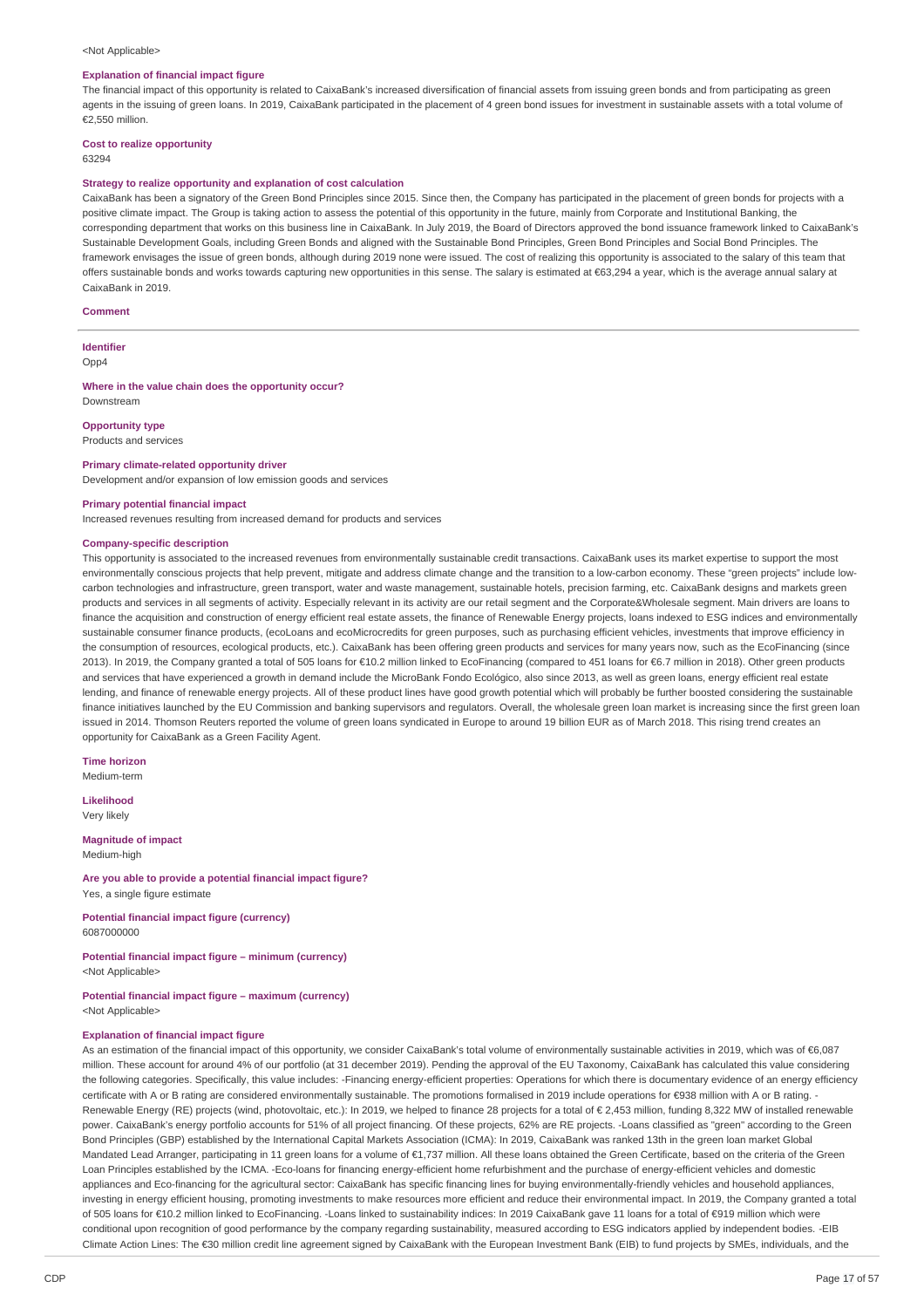#### <Not Applicable>

#### **Explanation of financial impact figure**

The financial impact of this opportunity is related to CaixaBank's increased diversification of financial assets from issuing green bonds and from participating as green agents in the issuing of green loans. In 2019, CaixaBank participated in the placement of 4 green bond issues for investment in sustainable assets with a total volume of €2,550 million.

### **Cost to realize opportunity**

63294

#### **Strategy to realize opportunity and explanation of cost calculation**

CaixaBank has been a signatory of the Green Bond Principles since 2015. Since then, the Company has participated in the placement of green bonds for projects with a positive climate impact. The Group is taking action to assess the potential of this opportunity in the future, mainly from Corporate and Institutional Banking, the corresponding department that works on this business line in CaixaBank. In July 2019, the Board of Directors approved the bond issuance framework linked to CaixaBank's Sustainable Development Goals, including Green Bonds and aligned with the Sustainable Bond Principles, Green Bond Principles and Social Bond Principles. The framework envisages the issue of green bonds, although during 2019 none were issued. The cost of realizing this opportunity is associated to the salary of this team that offers sustainable bonds and works towards capturing new opportunities in this sense. The salary is estimated at €63,294 a year, which is the average annual salary at CaixaBank in 2019.

#### **Comment**

### **Identifier**

Opp4

**Where in the value chain does the opportunity occur?** Downstream

#### **Opportunity type**

Products and services

#### **Primary climate-related opportunity driver**

Development and/or expansion of low emission goods and services

#### **Primary potential financial impact**

Increased revenues resulting from increased demand for products and services

#### **Company-specific description**

This opportunity is associated to the increased revenues from environmentally sustainable credit transactions. CaixaBank uses its market expertise to support the most environmentally conscious projects that help prevent, mitigate and address climate change and the transition to a low-carbon economy. These "green projects" include lowcarbon technologies and infrastructure, green transport, water and waste management, sustainable hotels, precision farming, etc. CaixaBank designs and markets green products and services in all segments of activity. Especially relevant in its activity are our retail segment and the Corporate&Wholesale segment. Main drivers are loans to finance the acquisition and construction of energy efficient real estate assets, the finance of Renewable Energy projects, loans indexed to ESG indices and environmentally sustainable consumer finance products, (ecoLoans and ecoMicrocredits for green purposes, such as purchasing efficient vehicles, investments that improve efficiency in the consumption of resources, ecological products, etc.). CaixaBank has been offering green products and services for many years now, such as the EcoFinancing (since 2013). In 2019, the Company granted a total of 505 loans for €10.2 million linked to EcoFinancing (compared to 451 loans for €6.7 million in 2018). Other green products and services that have experienced a growth in demand include the MicroBank Fondo Ecológico, also since 2013, as well as green loans, energy efficient real estate lending, and finance of renewable energy projects. All of these product lines have good growth potential which will probably be further boosted considering the sustainable finance initiatives launched by the EU Commission and banking supervisors and regulators. Overall, the wholesale green loan market is increasing since the first green loan issued in 2014. Thomson Reuters reported the volume of green loans syndicated in Europe to around 19 billion EUR as of March 2018. This rising trend creates an opportunity for CaixaBank as a Green Facility Agent.

#### **Time horizon**

Medium-term

**Likelihood** Very likely

**Magnitude of impact**

Medium-high

**Are you able to provide a potential financial impact figure?** Yes, a single figure estimate

**Potential financial impact figure (currency)** 6087000000

**Potential financial impact figure – minimum (currency)** <Not Applicable>

#### **Potential financial impact figure – maximum (currency)** <Not Applicable>

#### **Explanation of financial impact figure**

As an estimation of the financial impact of this opportunity, we consider CaixaBank's total volume of environmentally sustainable activities in 2019, which was of €6,087 million. These account for around 4% of our portfolio (at 31 december 2019). Pending the approval of the EU Taxonomy, CaixaBank has calculated this value considering the following categories. Specifically, this value includes: -Financing energy-efficient properties: Operations for which there is documentary evidence of an energy efficiency certificate with A or B rating are considered environmentally sustainable. The promotions formalised in 2019 include operations for €938 million with A or B rating. -Renewable Energy (RE) projects (wind, photovoltaic, etc.): In 2019, we helped to finance 28 projects for a total of € 2,453 million, funding 8,322 MW of installed renewable power. CaixaBank's energy portfolio accounts for 51% of all project financing. Of these projects, 62% are RE projects. -Loans classified as "green" according to the Green Bond Principles (GBP) established by the International Capital Markets Association (ICMA): In 2019, CaixaBank was ranked 13th in the green loan market Global Mandated Lead Arranger, participating in 11 green loans for a volume of €1,737 million. All these loans obtained the Green Certificate, based on the criteria of the Green Loan Principles established by the ICMA. -Eco-loans for financing energy-efficient home refurbishment and the purchase of energy-efficient vehicles and domestic appliances and Eco-financing for the agricultural sector: CaixaBank has specific financing lines for buying environmentally-friendly vehicles and household appliances, investing in energy efficient housing, promoting investments to make resources more efficient and reduce their environmental impact. In 2019, the Company granted a total of 505 loans for €10.2 million linked to EcoFinancing. -Loans linked to sustainability indices: In 2019 CaixaBank gave 11 loans for a total of €919 million which were conditional upon recognition of good performance by the company regarding sustainability, measured according to ESG indicators applied by independent bodies. -EIB Climate Action Lines: The €30 million credit line agreement signed by CaixaBank with the European Investment Bank (EIB) to fund projects by SMEs, individuals, and the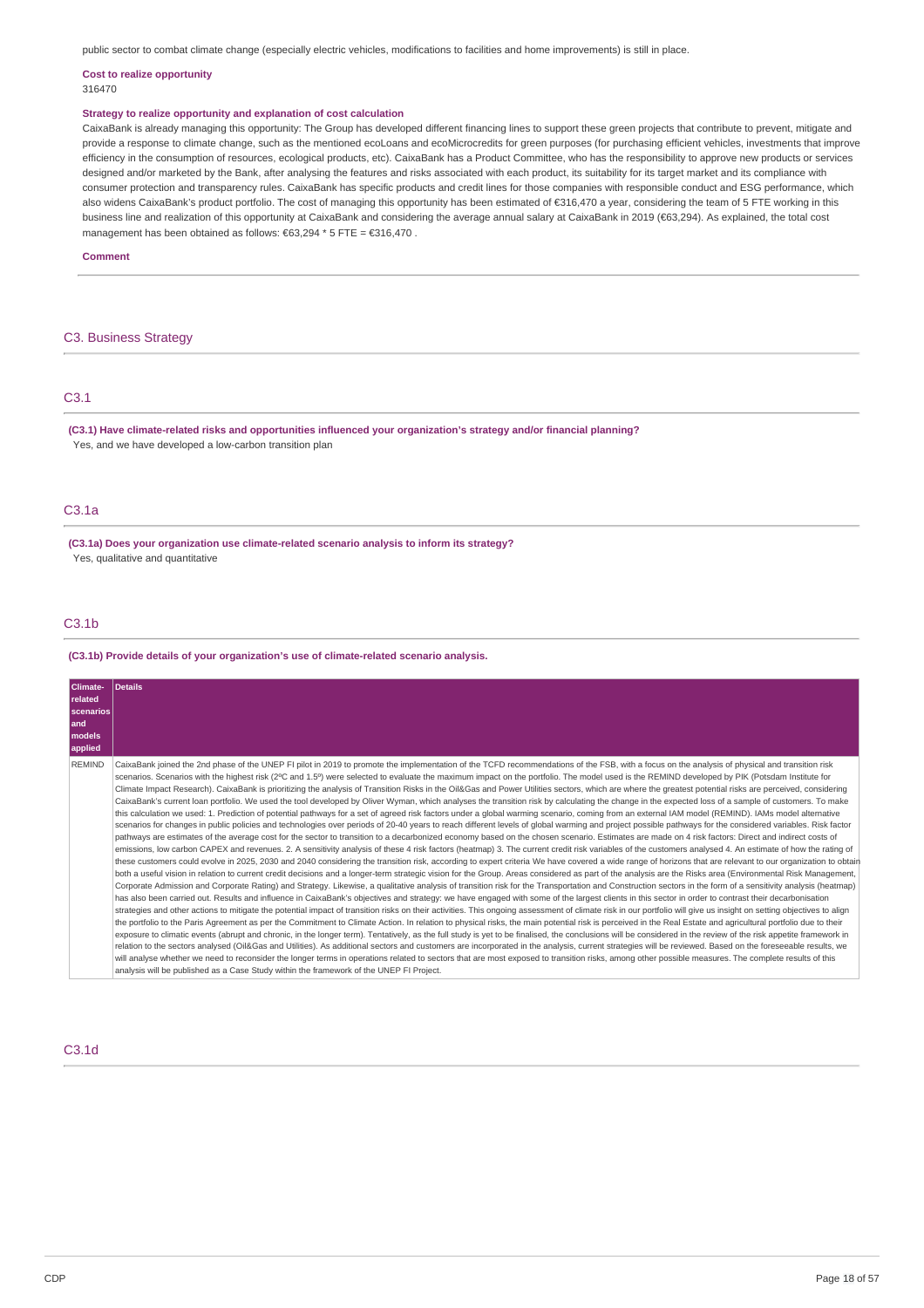public sector to combat climate change (especially electric vehicles, modifications to facilities and home improvements) is still in place.

#### **Cost to realize opportunity** 316470

#### **Strategy to realize opportunity and explanation of cost calculation**

CaixaBank is already managing this opportunity: The Group has developed different financing lines to support these green projects that contribute to prevent, mitigate and provide a response to climate change, such as the mentioned ecoLoans and ecoMicrocredits for green purposes (for purchasing efficient vehicles, investments that improve efficiency in the consumption of resources, ecological products, etc). CaixaBank has a Product Committee, who has the responsibility to approve new products or services designed and/or marketed by the Bank, after analysing the features and risks associated with each product, its suitability for its target market and its compliance with consumer protection and transparency rules. CaixaBank has specific products and credit lines for those companies with responsible conduct and ESG performance, which also widens CaixaBank's product portfolio. The cost of managing this opportunity has been estimated of €316,470 a year, considering the team of 5 FTE working in this business line and realization of this opportunity at CaixaBank and considering the average annual salary at CaixaBank in 2019 (€63,294). As explained, the total cost management has been obtained as follows: €63,294 \* 5 FTE = €316,470 .

#### **Comment**

### C3. Business Strategy

### C3.1

**(C3.1) Have climate-related risks and opportunities influenced your organization's strategy and/or financial planning?** Yes, and we have developed a low-carbon transition plan

### C3.1a

**(C3.1a) Does your organization use climate-related scenario analysis to inform its strategy?** Yes, qualitative and quantitative

### C3.1b

**(C3.1b) Provide details of your organization's use of climate-related scenario analysis.**

| Climate-<br>related<br><b>scenarios</b><br>land<br>l models<br>applied | Details                                                                                                                                                                                                                                                                                                                                                                                                                                                                                                                                                                                                                                                                                                                                                                                                                                                                                                                                                                                                                                                                                                                                                                                                                                                                                                                                                                                                                                                                                                                                                                                                                                                                                                                                                                                                                                                                                                                                                                                                                                                                                                                                                                                                                                                                                                                                                                                                                                                                                                                                                                                                                                                                                                                                                                                                                                                                                                                                                                                                                                                                                                                                                                                                                                                                                                                                                                                                                                                                                                                                                                                                                                                                            |
|------------------------------------------------------------------------|------------------------------------------------------------------------------------------------------------------------------------------------------------------------------------------------------------------------------------------------------------------------------------------------------------------------------------------------------------------------------------------------------------------------------------------------------------------------------------------------------------------------------------------------------------------------------------------------------------------------------------------------------------------------------------------------------------------------------------------------------------------------------------------------------------------------------------------------------------------------------------------------------------------------------------------------------------------------------------------------------------------------------------------------------------------------------------------------------------------------------------------------------------------------------------------------------------------------------------------------------------------------------------------------------------------------------------------------------------------------------------------------------------------------------------------------------------------------------------------------------------------------------------------------------------------------------------------------------------------------------------------------------------------------------------------------------------------------------------------------------------------------------------------------------------------------------------------------------------------------------------------------------------------------------------------------------------------------------------------------------------------------------------------------------------------------------------------------------------------------------------------------------------------------------------------------------------------------------------------------------------------------------------------------------------------------------------------------------------------------------------------------------------------------------------------------------------------------------------------------------------------------------------------------------------------------------------------------------------------------------------------------------------------------------------------------------------------------------------------------------------------------------------------------------------------------------------------------------------------------------------------------------------------------------------------------------------------------------------------------------------------------------------------------------------------------------------------------------------------------------------------------------------------------------------------------------------------------------------------------------------------------------------------------------------------------------------------------------------------------------------------------------------------------------------------------------------------------------------------------------------------------------------------------------------------------------------------------------------------------------------------------------------------------------------|
| <b>REMIND</b>                                                          | CaixaBank joined the 2nd phase of the UNEP FI pilot in 2019 to promote the implementation of the TCFD recommendations of the FSB, with a focus on the analysis of physical and transition risk<br>scenarios. Scenarios with the highest risk (2°C and 1.5°) were selected to evaluate the maximum impact on the portfolio. The model used is the REMIND developed by PIK (Potsdam Institute for<br>Climate Impact Research). CaixaBank is prioritizing the analysis of Transition Risks in the Oil&Gas and Power Utilities sectors, which are where the greatest potential risks are perceived, considering<br>CaixaBank's current loan portfolio. We used the tool developed by Oliver Wyman, which analyses the transition risk by calculating the change in the expected loss of a sample of customers. To make<br>this calculation we used: 1. Prediction of potential pathways for a set of agreed risk factors under a global warming scenario, coming from an external IAM model (REMIND). IAMs model alternative<br>scenarios for changes in public policies and technologies over periods of 20-40 years to reach different levels of global warming and project possible pathways for the considered variables. Risk factor<br>pathways are estimates of the average cost for the sector to transition to a decarbonized economy based on the chosen scenario. Estimates are made on 4 risk factors: Direct and indirect costs of<br>emissions, low carbon CAPEX and revenues. 2. A sensitivity analysis of these 4 risk factors (heatmap) 3. The current credit risk variables of the customers analysed 4. An estimate of how the rating of<br>these customers could evolve in 2025, 2030 and 2040 considering the transition risk, according to expert criteria We have covered a wide range of horizons that are relevant to our organization to obtain<br>both a useful vision in relation to current credit decisions and a longer-term strategic vision for the Group. Areas considered as part of the analysis are the Risks area (Environmental Risk Management,<br>Corporate Admission and Corporate Rating) and Strategy. Likewise, a qualitative analysis of transition risk for the Transportation and Construction sectors in the form of a sensitivity analysis (heatmap)<br>has also been carried out. Results and influence in CaixaBank's objectives and strategy: we have engaged with some of the largest clients in this sector in order to contrast their decarbonisation<br>strategies and other actions to mitigate the potential impact of transition risks on their activities. This ongoing assessment of climate risk in our portfolio will give us insight on setting objectives to align<br>the portfolio to the Paris Agreement as per the Commitment to Climate Action. In relation to physical risks, the main potential risk is perceived in the Real Estate and agricultural portfolio due to their<br>exposure to climatic events (abrupt and chronic, in the longer term). Tentatively, as the full study is yet to be finalised, the conclusions will be considered in the review of the risk appetite framework in<br>relation to the sectors analysed (Oil&Gas and Utilities). As additional sectors and customers are incorporated in the analysis, current strategies will be reviewed. Based on the foreseeable results, we<br>will analyse whether we need to reconsider the longer terms in operations related to sectors that are most exposed to transition risks, among other possible measures. The complete results of this<br>analysis will be published as a Case Study within the framework of the UNEP FI Project. |

### C3.1d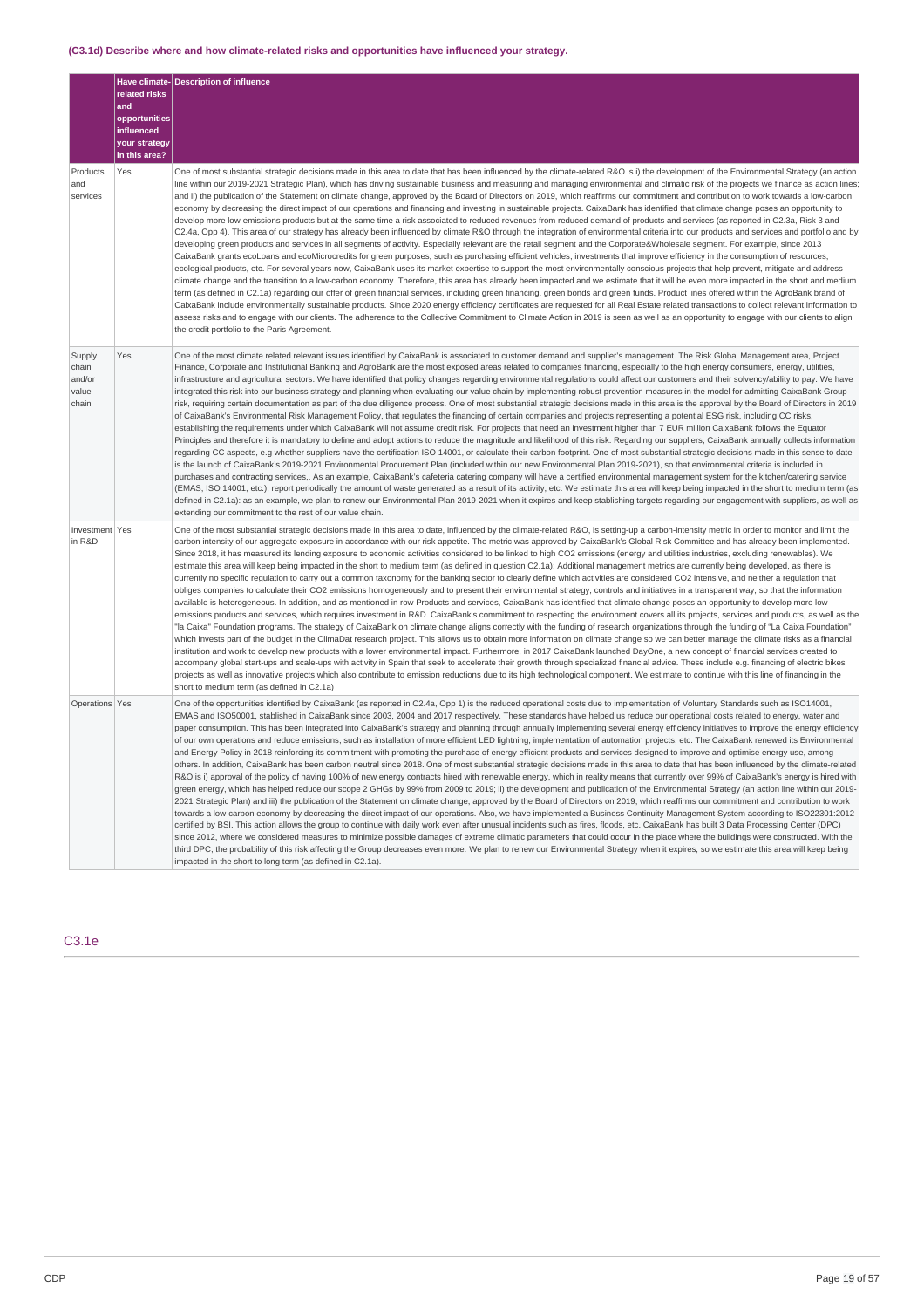### **(C3.1d) Describe where and how climate-related risks and opportunities have influenced your strategy.**

|                                             | related risks<br>and<br>opportunities<br>influenced<br>your strategy<br>in this area? | Have climate- Description of influence                                                                                                                                                                                                                                                                                                                                                                                                                                                                                                                                                                                                                                                                                                                                                                                                                                                                                                                                                                                                                                                                                                                                                                                                                                                                                                                                                                                                                                                                                                                                                                                                                                                                                                                                                                                                                                                                                                                                                                                                                                                                                                                                                                                                                                                                                                                                                                                                                                                                                               |
|---------------------------------------------|---------------------------------------------------------------------------------------|--------------------------------------------------------------------------------------------------------------------------------------------------------------------------------------------------------------------------------------------------------------------------------------------------------------------------------------------------------------------------------------------------------------------------------------------------------------------------------------------------------------------------------------------------------------------------------------------------------------------------------------------------------------------------------------------------------------------------------------------------------------------------------------------------------------------------------------------------------------------------------------------------------------------------------------------------------------------------------------------------------------------------------------------------------------------------------------------------------------------------------------------------------------------------------------------------------------------------------------------------------------------------------------------------------------------------------------------------------------------------------------------------------------------------------------------------------------------------------------------------------------------------------------------------------------------------------------------------------------------------------------------------------------------------------------------------------------------------------------------------------------------------------------------------------------------------------------------------------------------------------------------------------------------------------------------------------------------------------------------------------------------------------------------------------------------------------------------------------------------------------------------------------------------------------------------------------------------------------------------------------------------------------------------------------------------------------------------------------------------------------------------------------------------------------------------------------------------------------------------------------------------------------------|
| Products<br>and<br>services                 | Yes                                                                                   | One of most substantial strategic decisions made in this area to date that has been influenced by the climate-related R&O is i) the development of the Environmental Strategy (an action<br>line within our 2019-2021 Strategic Plan), which has driving sustainable business and measuring and managing environmental and climatic risk of the projects we finance as action lines;<br>and ii) the publication of the Statement on climate change, approved by the Board of Directors on 2019, which reaffirms our commitment and contribution to work towards a low-carbon<br>economy by decreasing the direct impact of our operations and financing and investing in sustainable projects. CaixaBank has identified that climate change poses an opportunity to<br>develop more low-emissions products but at the same time a risk associated to reduced revenues from reduced demand of products and services (as reported in C2.3a, Risk 3 and<br>C2.4a, Opp 4). This area of our strategy has already been influenced by climate R&O through the integration of environmental criteria into our products and services and portfolio and by<br>developing green products and services in all segments of activity. Especially relevant are the retail segment and the Corporate&Wholesale segment. For example, since 2013<br>CaixaBank grants ecoLoans and ecoMicrocredits for green purposes, such as purchasing efficient vehicles, investments that improve efficiency in the consumption of resources,<br>ecological products, etc. For several years now, CaixaBank uses its market expertise to support the most environmentally conscious projects that help prevent, mitigate and address<br>climate change and the transition to a low-carbon economy. Therefore, this area has already been impacted and we estimate that it will be even more impacted in the short and medium<br>term (as defined in C2.1a) regarding our offer of green financial services, including green financing, green bonds and green funds. Product lines offered within the AgroBank brand of<br>CaixaBank include environmentally sustainable products. Since 2020 energy efficiency certificates are requested for all Real Estate related transactions to collect relevant information to<br>assess risks and to engage with our clients. The adherence to the Collective Commitment to Climate Action in 2019 is seen as well as an opportunity to engage with our clients to align<br>the credit portfolio to the Paris Agreement. |
| Supply<br>chain<br>and/or<br>value<br>chain | Yes                                                                                   | One of the most climate related relevant issues identified by CaixaBank is associated to customer demand and supplier's management. The Risk Global Management area, Project<br>Finance, Corporate and Institutional Banking and AgroBank are the most exposed areas related to companies financing, especially to the high energy consumers, energy, utilities,<br>infrastructure and agricultural sectors. We have identified that policy changes regarding environmental regulations could affect our customers and their solvency/ability to pay. We have<br>integrated this risk into our business strategy and planning when evaluating our value chain by implementing robust prevention measures in the model for admitting CaixaBank Group<br>risk, requiring certain documentation as part of the due diligence process. One of most substantial strategic decisions made in this area is the approval by the Board of Directors in 2019<br>of CaixaBank's Environmental Risk Management Policy, that regulates the financing of certain companies and projects representing a potential ESG risk, including CC risks,<br>establishing the requirements under which CaixaBank will not assume credit risk. For projects that need an investment higher than 7 EUR million CaixaBank follows the Equator<br>Principles and therefore it is mandatory to define and adopt actions to reduce the magnitude and likelihood of this risk. Regarding our suppliers, CaixaBank annually collects information<br>regarding CC aspects, e.g whether suppliers have the certification ISO 14001, or calculate their carbon footprint. One of most substantial strategic decisions made in this sense to date<br>is the launch of CaixaBank's 2019-2021 Environmental Procurement Plan (included within our new Environmental Plan 2019-2021), so that environmental criteria is included in<br>purchases and contracting services,. As an example, CaixaBank's cafeteria catering company will have a certified environmental management system for the kitchen/catering service<br>(EMAS, ISO 14001, etc.); report periodically the amount of waste generated as a result of its activity, etc. We estimate this area will keep being impacted in the short to medium term (as<br>defined in C2.1a): as an example, we plan to renew our Environmental Plan 2019-2021 when it expires and keep stablishing targets regarding our engagement with suppliers, as well as<br>extending our commitment to the rest of our value chain.  |
| Investment Yes<br>in R&D                    |                                                                                       | One of the most substantial strategic decisions made in this area to date, influenced by the climate-related R&O, is setting-up a carbon-intensity metric in order to monitor and limit the<br>carbon intensity of our aggregate exposure in accordance with our risk appetite. The metric was approved by CaixaBank's Global Risk Committee and has already been implemented.<br>Since 2018, it has measured its lending exposure to economic activities considered to be linked to high CO2 emissions (energy and utilities industries, excluding renewables). We<br>estimate this area will keep being impacted in the short to medium term (as defined in question C2.1a): Additional management metrics are currently being developed, as there is<br>currently no specific requlation to carry out a common taxonomy for the banking sector to clearly define which activities are considered CO2 intensive, and neither a requlation that<br>obliges companies to calculate their CO2 emissions homogeneously and to present their environmental strategy, controls and initiatives in a transparent way, so that the information<br>available is heterogeneous. In addition, and as mentioned in row Products and services, CaixaBank has identified that climate change poses an opportunity to develop more low-<br>emissions products and services, which requires investment in R&D. CaixaBank's commitment to respecting the environment covers all its projects, services and products, as well as the<br>"la Caixa" Foundation programs. The strategy of CaixaBank on climate change aligns correctly with the funding of research organizations through the funding of "La Caixa Foundation"<br>which invests part of the budget in the ClimaDat research project. This allows us to obtain more information on climate change so we can better manage the climate risks as a financial<br>institution and work to develop new products with a lower environmental impact. Furthermore, in 2017 CaixaBank launched DayOne, a new concept of financial services created to<br>accompany global start-ups and scale-ups with activity in Spain that seek to accelerate their growth through specialized financial advice. These include e.g. financing of electric bikes<br>projects as well as innovative projects which also contribute to emission reductions due to its high technological component. We estimate to continue with this line of financing in the<br>short to medium term (as defined in C2.1a)     |
| Operations Yes                              |                                                                                       | One of the opportunities identified by CaixaBank (as reported in C2.4a, Opp 1) is the reduced operational costs due to implementation of Voluntary Standards such as ISO14001,<br>EMAS and ISO50001, stablished in CaixaBank since 2003, 2004 and 2017 respectively. These standards have helped us reduce our operational costs related to energy, water and<br>paper consumption. This has been integrated into CaixaBank's strategy and planning through annually implementing several energy efficiency initiatives to improve the energy efficiency<br>of our own operations and reduce emissions, such as installation of more efficient LED lightning, implementation of automation projects, etc. The CaixaBank renewed its Environmental<br>and Energy Policy in 2018 reinforcing its commitment with promoting the purchase of energy efficient products and services designed to improve and optimise energy use, among<br>others. In addition, CaixaBank has been carbon neutral since 2018. One of most substantial strategic decisions made in this area to date that has been influenced by the climate-related<br>R&O is i) approval of the policy of having 100% of new energy contracts hired with renewable energy, which in reality means that currently over 99% of CaixaBank's energy is hired with<br>green energy, which has helped reduce our scope 2 GHGs by 99% from 2009 to 2019; ii) the development and publication of the Environmental Strategy (an action line within our 2019-<br>2021 Strategic Plan) and iii) the publication of the Statement on climate change, approved by the Board of Directors on 2019, which reaffirms our commitment and contribution to work<br>towards a low-carbon economy by decreasing the direct impact of our operations. Also, we have implemented a Business Continuity Management System according to ISO22301:2012<br>certified by BSI. This action allows the group to continue with daily work even after unusual incidents such as fires, floods, etc. CaixaBank has built 3 Data Processing Center (DPC)<br>since 2012, where we considered measures to minimize possible damages of extreme climatic parameters that could occur in the place where the buildings were constructed. With the<br>third DPC, the probability of this risk affecting the Group decreases even more. We plan to renew our Environmental Strategy when it expires, so we estimate this area will keep being<br>impacted in the short to long term (as defined in C2.1a).      |

### C3.1e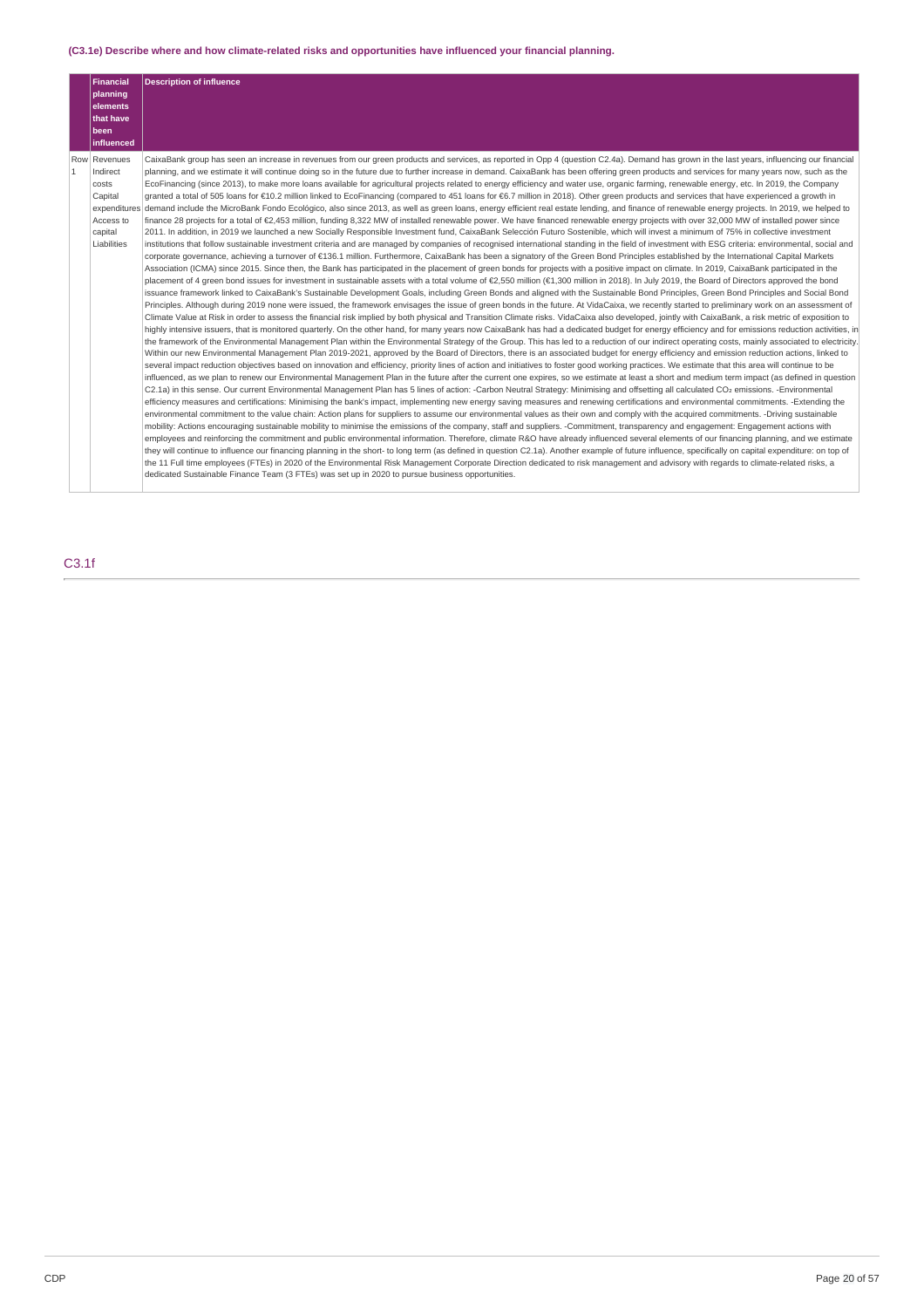### **(C3.1e) Describe where and how climate-related risks and opportunities have influenced your financial planning.**

|              | <b>Financial</b><br>planning<br>elements<br>that have                               | <b>Description of influence</b>                                                                                                                                                                                                                                                                                                                                                                                                                                                                                                                                                                                                                                                                                                                                                                                                                                                                                                                                                                                                                                                                                                                                                                                                                                                                                                                                                                                                                                                                                                                                                                                                                                                                                                                                                                                                                                                                                                                                                                                                                                                                                                                                                                                                                                                                                                                                                                                                                                                                                                                                                                                                                                                                                                                                                                                                                                                                                                                                                                                                                                                                                                                                                                                                                                                                                                                                                                                                                                                                                                                                                                                                                                                                                                                                                                                                                                                                                                                                                                                                                                                                                                                                                                                                                                                                                                                                                                                                                                                                                                                                                                                                                                                                                                                                                                                                                                                                                                                                                                                                                                                                                                                                                                                                                                                     |
|--------------|-------------------------------------------------------------------------------------|-------------------------------------------------------------------------------------------------------------------------------------------------------------------------------------------------------------------------------------------------------------------------------------------------------------------------------------------------------------------------------------------------------------------------------------------------------------------------------------------------------------------------------------------------------------------------------------------------------------------------------------------------------------------------------------------------------------------------------------------------------------------------------------------------------------------------------------------------------------------------------------------------------------------------------------------------------------------------------------------------------------------------------------------------------------------------------------------------------------------------------------------------------------------------------------------------------------------------------------------------------------------------------------------------------------------------------------------------------------------------------------------------------------------------------------------------------------------------------------------------------------------------------------------------------------------------------------------------------------------------------------------------------------------------------------------------------------------------------------------------------------------------------------------------------------------------------------------------------------------------------------------------------------------------------------------------------------------------------------------------------------------------------------------------------------------------------------------------------------------------------------------------------------------------------------------------------------------------------------------------------------------------------------------------------------------------------------------------------------------------------------------------------------------------------------------------------------------------------------------------------------------------------------------------------------------------------------------------------------------------------------------------------------------------------------------------------------------------------------------------------------------------------------------------------------------------------------------------------------------------------------------------------------------------------------------------------------------------------------------------------------------------------------------------------------------------------------------------------------------------------------------------------------------------------------------------------------------------------------------------------------------------------------------------------------------------------------------------------------------------------------------------------------------------------------------------------------------------------------------------------------------------------------------------------------------------------------------------------------------------------------------------------------------------------------------------------------------------------------------------------------------------------------------------------------------------------------------------------------------------------------------------------------------------------------------------------------------------------------------------------------------------------------------------------------------------------------------------------------------------------------------------------------------------------------------------------------------------------------------------------------------------------------------------------------------------------------------------------------------------------------------------------------------------------------------------------------------------------------------------------------------------------------------------------------------------------------------------------------------------------------------------------------------------------------------------------------------------------------------------------------------------------------------------------------------------------------------------------------------------------------------------------------------------------------------------------------------------------------------------------------------------------------------------------------------------------------------------------------------------------------------------------------------------------------------------------------------------------------------------------------------------------------|
|              | been<br>influenced                                                                  |                                                                                                                                                                                                                                                                                                                                                                                                                                                                                                                                                                                                                                                                                                                                                                                                                                                                                                                                                                                                                                                                                                                                                                                                                                                                                                                                                                                                                                                                                                                                                                                                                                                                                                                                                                                                                                                                                                                                                                                                                                                                                                                                                                                                                                                                                                                                                                                                                                                                                                                                                                                                                                                                                                                                                                                                                                                                                                                                                                                                                                                                                                                                                                                                                                                                                                                                                                                                                                                                                                                                                                                                                                                                                                                                                                                                                                                                                                                                                                                                                                                                                                                                                                                                                                                                                                                                                                                                                                                                                                                                                                                                                                                                                                                                                                                                                                                                                                                                                                                                                                                                                                                                                                                                                                                                                     |
| $\mathbf{1}$ | Row Revenues<br>Indirect<br>costs<br>Capital<br>Access to<br>capital<br>Liabilities | CaixaBank group has seen an increase in revenues from our green products and services, as reported in Opp 4 (question C2.4a). Demand has grown in the last years, influencing our financial<br>planning, and we estimate it will continue doing so in the future due to further increase in demand. CaixaBank has been offering green products and services for many years now, such as the<br>EcoFinancing (since 2013), to make more loans available for agricultural projects related to energy efficiency and water use, organic farming, renewable energy, etc. In 2019, the Company<br>granted a total of 505 loans for €10.2 million linked to EcoFinancing (compared to 451 loans for €6.7 million in 2018). Other green products and services that have experienced a growth in<br>expenditures demand include the MicroBank Fondo Ecológico, also since 2013, as well as green loans, energy efficient real estate lending, and finance of renewable energy projects. In 2019, we helped to<br>finance 28 projects for a total of €2,453 million, funding 8,322 MW of installed renewable power. We have financed renewable energy projects with over 32,000 MW of installed power since<br>2011. In addition, in 2019 we launched a new Socially Responsible Investment fund, CaixaBank Selección Futuro Sostenible, which will invest a minimum of 75% in collective investment<br>institutions that follow sustainable investment criteria and are managed by companies of recognised international standing in the field of investment with ESG criteria: environmental, social and<br>corporate governance, achieving a turnover of €136.1 million. Furthermore, CaixaBank has been a signatory of the Green Bond Principles established by the International Capital Markets<br>Association (ICMA) since 2015. Since then, the Bank has participated in the placement of green bonds for projects with a positive impact on climate. In 2019, CaixaBank participated in the<br>placement of 4 green bond issues for investment in sustainable assets with a total volume of €2,550 million (€1,300 million in 2018). In July 2019, the Board of Directors approved the bond<br>issuance framework linked to CaixaBank's Sustainable Development Goals, including Green Bonds and aligned with the Sustainable Bond Principles, Green Bond Principles and Social Bond<br>Principles. Although during 2019 none were issued, the framework envisages the issue of green bonds in the future. At VidaCaixa, we recently started to preliminary work on an assessment of<br>Climate Value at Risk in order to assess the financial risk implied by both physical and Transition Climate risks. VidaCaixa also developed, jointly with CaixaBank, a risk metric of exposition to<br>highly intensive issuers, that is monitored quarterly. On the other hand, for many years now CaixaBank has had a dedicated budget for energy efficiency and for emissions reduction activities, in<br>the framework of the Environmental Management Plan within the Environmental Strategy of the Group. This has led to a reduction of our indirect operating costs, mainly associated to electricity.<br>Within our new Environmental Management Plan 2019-2021, approved by the Board of Directors, there is an associated budget for energy efficiency and emission reduction actions, linked to<br>several impact reduction objectives based on innovation and efficiency, priority lines of action and initiatives to foster good working practices. We estimate that this area will continue to be<br>influenced, as we plan to renew our Environmental Management Plan in the future after the current one expires, so we estimate at least a short and medium term impact (as defined in question<br>C2.1a) in this sense. Our current Environmental Management Plan has 5 lines of action: -Carbon Neutral Strategy: Minimising and offsetting all calculated CO2 emissions. -Environmental<br>efficiency measures and certifications: Minimising the bank's impact, implementing new energy saving measures and renewing certifications and environmental commitments. -Extending the<br>environmental commitment to the value chain: Action plans for suppliers to assume our environmental values as their own and comply with the acquired commitments. -Driving sustainable<br>mobility: Actions encouraging sustainable mobility to minimise the emissions of the company, staff and suppliers. -Commitment, transparency and engagement: Engagement actions with<br>employees and reinforcing the commitment and public environmental information. Therefore, climate R&O have already influenced several elements of our financing planning, and we estimate<br>they will continue to influence our financing planning in the short- to long term (as defined in question C2.1a). Another example of future influence, specifically on capital expenditure: on top of<br>the 11 Full time employees (FTEs) in 2020 of the Environmental Risk Management Corporate Direction dedicated to risk management and advisory with regards to climate-related risks, a<br>dedicated Sustainable Finance Team (3 FTEs) was set up in 2020 to pursue business opportunities. |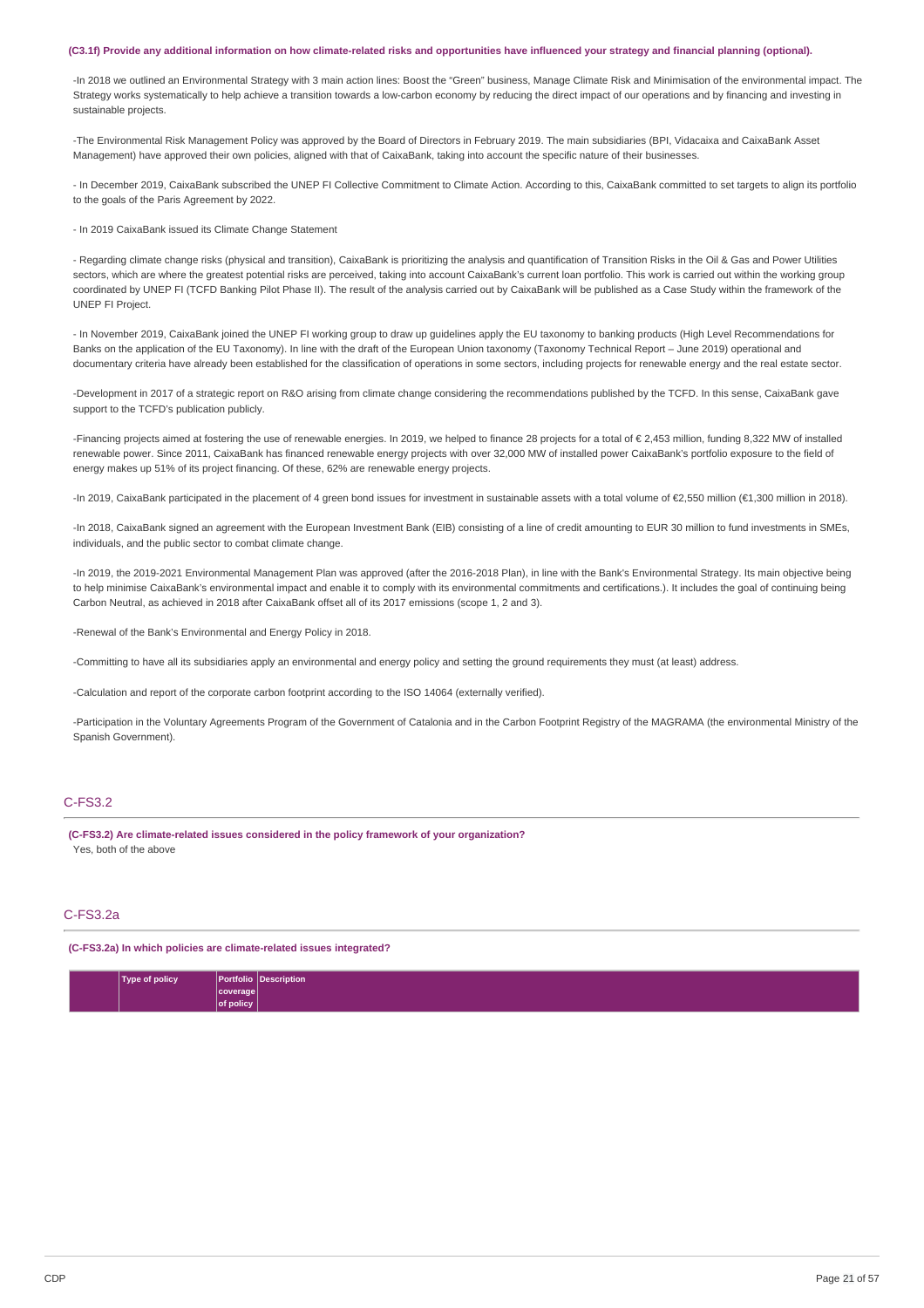#### (C3.1f) Provide any additional information on how climate-related risks and opportunities have influenced your strategy and financial planning (optional).

-In 2018 we outlined an Environmental Strategy with 3 main action lines: Boost the "Green" business, Manage Climate Risk and Minimisation of the environmental impact. The Strategy works systematically to help achieve a transition towards a low-carbon economy by reducing the direct impact of our operations and by financing and investing in sustainable projects.

-The Environmental Risk Management Policy was approved by the Board of Directors in February 2019. The main subsidiaries (BPI, Vidacaixa and CaixaBank Asset Management) have approved their own policies, aligned with that of CaixaBank, taking into account the specific nature of their businesses.

- In December 2019, CaixaBank subscribed the UNEP FI Collective Commitment to Climate Action. According to this, CaixaBank committed to set targets to align its portfolio to the goals of the Paris Agreement by 2022.

- In 2019 CaixaBank issued its Climate Change Statement

- Regarding climate change risks (physical and transition), CaixaBank is prioritizing the analysis and quantification of Transition Risks in the Oil & Gas and Power Utilities sectors, which are where the greatest potential risks are perceived, taking into account CaixaBank's current loan portfolio. This work is carried out within the working group coordinated by UNEP FI (TCFD Banking Pilot Phase II). The result of the analysis carried out by CaixaBank will be published as a Case Study within the framework of the UNEP FI Project.

- In November 2019, CaixaBank joined the UNEP FI working group to draw up guidelines apply the EU taxonomy to banking products (High Level Recommendations for Banks on the application of the EU Taxonomy). In line with the draft of the European Union taxonomy (Taxonomy Technical Report – June 2019) operational and documentary criteria have already been established for the classification of operations in some sectors, including projects for renewable energy and the real estate sector.

-Development in 2017 of a strategic report on R&O arising from climate change considering the recommendations published by the TCFD. In this sense, CaixaBank gave support to the TCFD's publication publicly.

-Financing projects aimed at fostering the use of renewable energies. In 2019, we helped to finance 28 projects for a total of € 2,453 million, funding 8,322 MW of installed renewable power. Since 2011, CaixaBank has financed renewable energy projects with over 32,000 MW of installed power CaixaBank's portfolio exposure to the field of energy makes up 51% of its project financing. Of these, 62% are renewable energy projects.

-In 2019, CaixaBank participated in the placement of 4 green bond issues for investment in sustainable assets with a total volume of €2,550 million (€1,300 million in 2018).

-In 2018, CaixaBank signed an agreement with the European Investment Bank (EIB) consisting of a line of credit amounting to EUR 30 million to fund investments in SMEs, individuals, and the public sector to combat climate change.

-In 2019, the 2019-2021 Environmental Management Plan was approved (after the 2016-2018 Plan), in line with the Bank's Environmental Strategy. Its main objective being to help minimise CaixaBank's environmental impact and enable it to comply with its environmental commitments and certifications.). It includes the goal of continuing being Carbon Neutral, as achieved in 2018 after CaixaBank offset all of its 2017 emissions (scope 1, 2 and 3).

-Renewal of the Bank's Environmental and Energy Policy in 2018.

-Committing to have all its subsidiaries apply an environmental and energy policy and setting the ground requirements they must (at least) address.

-Calculation and report of the corporate carbon footprint according to the ISO 14064 (externally verified).

-Participation in the Voluntary Agreements Program of the Government of Catalonia and in the Carbon Footprint Registry of the MAGRAMA (the environmental Ministry of the Spanish Government).

#### C-FS3.2

**(C-FS3.2) Are climate-related issues considered in the policy framework of your organization?** Yes, both of the above

#### C-FS3.2a

**(C-FS3.2a) In which policies are climate-related issues integrated?**

| Type of policy |           | <b>Portfolio Description</b> |
|----------------|-----------|------------------------------|
|                | coverage  |                              |
|                | of policy |                              |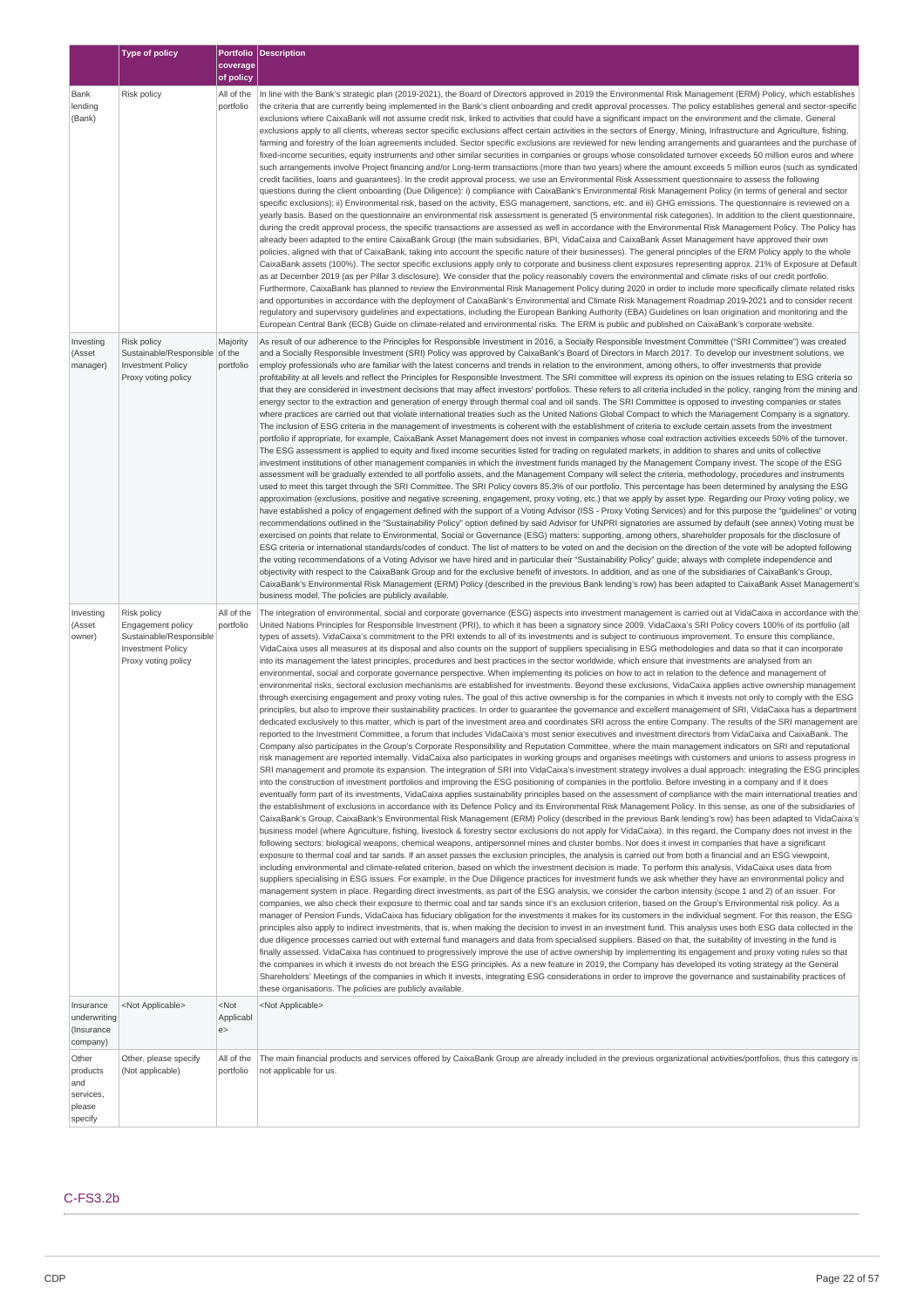|                                                                                 | <b>Type of policy</b>                                                                                          |                                                                    | Portfolio Description                                                                                                                                                                                                                                                                                                                                                                                                                                                                                                                                                                                                                                                                                                                                                                                                                                                                                                                                                                                                                                                                                                                                                                                                                                                                                                                                                                                                                                                                                                                                                                                                                                                                                                                                                                                                                                                                                                                                                                                                                                                                                                                                                                                                                                                                                                                                                                                                                                                                                                                                                                                                                                                                                                                                                                                                                                                                                                                                                                                                                                                                                                                                                                                                                                                                                                                                                                                                                                                                                                                                                                                                                                                                                                                                                                                                                                                                                                                                                                                                                                                                                                                                                                                                                                                                                                                                                                                                                                                                                                                                                                                                                                                                                                                                                                                                                                                                                                                                                                                                                                                                                                                                                                                                               |
|---------------------------------------------------------------------------------|----------------------------------------------------------------------------------------------------------------|--------------------------------------------------------------------|-------------------------------------------------------------------------------------------------------------------------------------------------------------------------------------------------------------------------------------------------------------------------------------------------------------------------------------------------------------------------------------------------------------------------------------------------------------------------------------------------------------------------------------------------------------------------------------------------------------------------------------------------------------------------------------------------------------------------------------------------------------------------------------------------------------------------------------------------------------------------------------------------------------------------------------------------------------------------------------------------------------------------------------------------------------------------------------------------------------------------------------------------------------------------------------------------------------------------------------------------------------------------------------------------------------------------------------------------------------------------------------------------------------------------------------------------------------------------------------------------------------------------------------------------------------------------------------------------------------------------------------------------------------------------------------------------------------------------------------------------------------------------------------------------------------------------------------------------------------------------------------------------------------------------------------------------------------------------------------------------------------------------------------------------------------------------------------------------------------------------------------------------------------------------------------------------------------------------------------------------------------------------------------------------------------------------------------------------------------------------------------------------------------------------------------------------------------------------------------------------------------------------------------------------------------------------------------------------------------------------------------------------------------------------------------------------------------------------------------------------------------------------------------------------------------------------------------------------------------------------------------------------------------------------------------------------------------------------------------------------------------------------------------------------------------------------------------------------------------------------------------------------------------------------------------------------------------------------------------------------------------------------------------------------------------------------------------------------------------------------------------------------------------------------------------------------------------------------------------------------------------------------------------------------------------------------------------------------------------------------------------------------------------------------------------------------------------------------------------------------------------------------------------------------------------------------------------------------------------------------------------------------------------------------------------------------------------------------------------------------------------------------------------------------------------------------------------------------------------------------------------------------------------------------------------------------------------------------------------------------------------------------------------------------------------------------------------------------------------------------------------------------------------------------------------------------------------------------------------------------------------------------------------------------------------------------------------------------------------------------------------------------------------------------------------------------------------------------------------------------------------------------------------------------------------------------------------------------------------------------------------------------------------------------------------------------------------------------------------------------------------------------------------------------------------------------------------------------------------------------------------------------------------------------------------------------------------------------------------|
|                                                                                 |                                                                                                                | coverage<br>of policy                                              |                                                                                                                                                                                                                                                                                                                                                                                                                                                                                                                                                                                                                                                                                                                                                                                                                                                                                                                                                                                                                                                                                                                                                                                                                                                                                                                                                                                                                                                                                                                                                                                                                                                                                                                                                                                                                                                                                                                                                                                                                                                                                                                                                                                                                                                                                                                                                                                                                                                                                                                                                                                                                                                                                                                                                                                                                                                                                                                                                                                                                                                                                                                                                                                                                                                                                                                                                                                                                                                                                                                                                                                                                                                                                                                                                                                                                                                                                                                                                                                                                                                                                                                                                                                                                                                                                                                                                                                                                                                                                                                                                                                                                                                                                                                                                                                                                                                                                                                                                                                                                                                                                                                                                                                                                                     |
| Bank<br>lending<br>(Bank)                                                       | Risk policy                                                                                                    | All of the<br>portfolio                                            | In line with the Bank's strategic plan (2019-2021), the Board of Directors approved in 2019 the Environmental Risk Management (ERM) Policy, which establishes<br>the criteria that are currently being implemented in the Bank's client onboarding and credit approval processes. The policy establishes general and sector-specific<br>exclusions where CaixaBank will not assume credit risk, linked to activities that could have a significant impact on the environment and the climate. General<br>exclusions apply to all clients, whereas sector specific exclusions affect certain activities in the sectors of Energy, Mining, Infrastructure and Agriculture, fishing,<br>farming and forestry of the loan agreements included. Sector specific exclusions are reviewed for new lending arrangements and guarantees and the purchase of<br>fixed-income securities, equity instruments and other similar securities in companies or groups whose consolidated turnover exceeds 50 million euros and where<br>such arrangements involve Project financing and/or Long-term transactions (more than two years) where the amount exceeds 5 million euros (such as syndicated<br>credit facilities, loans and guarantees). In the credit approval process, we use an Environmental Risk Assessment questionnaire to assess the following<br>questions during the client onboarding (Due Diligence): i) compliance with CaixaBank's Environmental Risk Management Policy (in terms of general and sector<br>specific exclusions); ii) Environmental risk, based on the activity, ESG management, sanctions, etc. and iii) GHG emissions. The questionnaire is reviewed on a<br>yearly basis. Based on the questionnaire an environmental risk assessment is generated (5 environmental risk categories). In addition to the client questionnaire,<br>during the credit approval process, the specific transactions are assessed as well in accordance with the Environmental Risk Management Policy. The Policy has<br>already been adapted to the entire CaixaBank Group (the main subsidiaries, BPI, VidaCaixa and CaixaBank Asset Management have approved their own<br>policies, aligned with that of CaixaBank, taking into account the specific nature of their businesses). The general principles of the ERM Policy apply to the whole<br>CaixaBank assets (100%). The sector specific exclusions apply only to corporate and business client exposures representing approx. 21% of Exposure at Default<br>as at December 2019 (as per Pillar 3 disclosure). We consider that the policy reasonably covers the environmental and climate risks of our credit portfolio.<br>Furthermore, CaixaBank has planned to review the Environmental Risk Management Policy during 2020 in order to include more specifically climate related risks<br>and opportunities in accordance with the deployment of CaixaBank's Environmental and Climate Risk Management Roadmap 2019-2021 and to consider recent<br>regulatory and supervisory guidelines and expectations, including the European Banking Authority (EBA) Guidelines on loan origination and monitoring and the<br>European Central Bank (ECB) Guide on climate-related and environmental risks. The ERM is public and published on CaixaBank's corporate website.                                                                                                                                                                                                                                                                                                                                                                                                                                                                                                                                                                                                                                                                                                                                                                                                                                                                                                                                                                                                                                                                                                                                                                                                                                                                                                                                                                                                                                                                                                                                                                                                                                                                                                                                                                                                                                                                                                  |
| Investing<br>(Asset<br>manager)                                                 | Risk policy<br>Sustainable/Responsible of the<br><b>Investment Policy</b><br>Proxy voting policy               | Majority<br>portfolio                                              | As result of our adherence to the Principles for Responsible Investment in 2016, a Socially Responsible Investment Committee ("SRI Committee") was created<br>and a Socially Responsible Investment (SRI) Policy was approved by CaixaBank's Board of Directors in March 2017. To develop our investment solutions, we<br>employ professionals who are familiar with the latest concerns and trends in relation to the environment, among others, to offer investments that provide<br>profitability at all levels and reflect the Principles for Responsible Investment. The SRI committee will express its opinion on the issues relating to ESG criteria so<br>that they are considered in investment decisions that may affect investors' portfolios. These refers to all criteria included in the policy, ranging from the mining and<br>energy sector to the extraction and generation of energy through thermal coal and oil sands. The SRI Committee is opposed to investing companies or states<br>where practices are carried out that violate international treaties such as the United Nations Global Compact to which the Management Company is a signatory.<br>The inclusion of ESG criteria in the management of investments is coherent with the establishment of criteria to exclude certain assets from the investment<br>portfolio if appropriate, for example, CaixaBank Asset Management does not invest in companies whose coal extraction activities exceeds 50% of the turnover.<br>The ESG assessment is applied to equity and fixed income securities listed for trading on regulated markets, in addition to shares and units of collective<br>investment institutions of other management companies in which the investment funds managed by the Management Company invest. The scope of the ESG<br>assessment will be gradually extended to all portfolio assets, and the Management Company will select the criteria, methodology, procedures and instruments<br>used to meet this target through the SRI Committee. The SRI Policy covers 85.3% of our portfolio. This percentage has been determined by analysing the ESG<br>approximation (exclusions, positive and negative screening, engagement, proxy voting, etc.) that we apply by asset type. Regarding our Proxy voting policy, we<br>have established a policy of engagement defined with the support of a Voting Advisor (ISS - Proxy Voting Services) and for this purpose the "guidelines" or voting<br>recommendations outlined in the "Sustainability Policy" option defined by said Advisor for UNPRI signatories are assumed by default (see annex) Voting must be<br>exercised on points that relate to Environmental, Social or Governance (ESG) matters: supporting, among others, shareholder proposals for the disclosure of<br>ESG criteria or international standards/codes of conduct. The list of matters to be voted on and the decision on the direction of the vote will be adopted following<br>the voting recommendations of a Voting Advisor we have hired and in particular their "Sustainability Policy" guide; always with complete independence and<br>objectivity with respect to the CaixaBank Group and for the exclusive benefit of investors. In addition, and as one of the subsidiaries of CaixaBank's Group,<br>CaixaBank's Environmental Risk Management (ERM) Policy (described in the previous Bank lending's row) has been adapted to CaixaBank Asset Management's<br>business model. The policies are publicly available.                                                                                                                                                                                                                                                                                                                                                                                                                                                                                                                                                                                                                                                                                                                                                                                                                                                                                                                                                                                                                                                                                                                                                                                                                                                                                                                                                                                                                                                                                                                                                                                                                                                                          |
| Investing<br>(Asset<br>owner)                                                   | Risk policy<br>Engagement policy<br>Sustainable/Responsible<br><b>Investment Policy</b><br>Proxy voting policy | All of the<br>portfolio                                            | The integration of environmental, social and corporate governance (ESG) aspects into investment management is carried out at VidaCaixa in accordance with the<br>United Nations Principles for Responsible Investment (PRI), to which it has been a signatory since 2009. VidaCaixa's SRI Policy covers 100% of its portfolio (all<br>types of assets). VidaCaixa's commitment to the PRI extends to all of its investments and is subject to continuous improvement. To ensure this compliance,<br>VidaCaixa uses all measures at its disposal and also counts on the support of suppliers specialising in ESG methodologies and data so that it can incorporate<br>into its management the latest principles, procedures and best practices in the sector worldwide, which ensure that investments are analysed from an<br>environmental, social and corporate governance perspective. When implementing its policies on how to act in relation to the defence and management of<br>environmental risks, sectoral exclusion mechanisms are established for investments. Beyond these exclusions, VidaCaixa applies active ownership management<br>through exercising engagement and proxy voting rules. The goal of this active ownership is for the companies in which it invests not only to comply with the ESG<br>principles, but also to improve their sustainability practices. In order to guarantee the governance and excellent management of SRI, VidaCaixa has a department<br>dedicated exclusively to this matter, which is part of the investment area and coordinates SRI across the entire Company. The results of the SRI management are<br>reported to the Investment Committee, a forum that includes VidaCaixa's most senior executives and investment directors from VidaCaixa and CaixaBank. The<br>Company also participates in the Group's Corporate Responsibility and Reputation Committee, where the main management indicators on SRI and reputational<br>risk management are reported internally. VidaCaixa also participates in working groups and organises meetings with customers and unions to assess progress in<br>SRI management and promote its expansion. The integration of SRI into VidaCaixa's investment strategy involves a dual approach: integrating the ESG principles<br>into the construction of investment portfolios and improving the ESG positioning of companies in the portfolio. Before investing in a company and if it does<br>eventually form part of its investments, VidaCaixa applies sustainability principles based on the assessment of compliance with the main international treaties and<br>the establishment of exclusions in accordance with its Defence Policy and its Environmental Risk Management Policy. In this sense, as one of the subsidiaries of<br>CaixaBank's Group, CaixaBank's Environmental Risk Management (ERM) Policy (described in the previous Bank lending's row) has been adapted to VidaCaixa's<br>business model (where Agriculture, fishing, livestock & forestry sector exclusions do not apply for VidaCaixa). In this regard, the Company does not invest in the<br>following sectors: biological weapons, chemical weapons, antipersonnel mines and cluster bombs. Nor does it invest in companies that have a significant<br>exposure to thermal coal and tar sands. If an asset passes the exclusion principles, the analysis is carried out from both a financial and an ESG viewpoint,<br>including environmental and climate-related criterion, based on which the investment decision is made. To perform this analysis, VidaCaixa uses data from<br>suppliers specialising in ESG issues. For example, in the Due Diligence practices for investment funds we ask whether they have an environmental policy and<br>management system in place. Regarding direct investments, as part of the ESG analysis, we consider the carbon intensity (scope 1 and 2) of an issuer. For<br>companies, we also check their exposure to thermic coal and tar sands since it's an exclusion criterion, based on the Group's Environmental risk policy. As a<br>manager of Pension Funds, VidaCaixa has fiduciary obligation for the investments it makes for its customers in the individual segment. For this reason, the ESG<br>principles also apply to indirect investments, that is, when making the decision to invest in an investment fund. This analysis uses both ESG data collected in the<br>due diligence processes carried out with external fund managers and data from specialised suppliers. Based on that, the suitability of investing in the fund is<br>finally assessed. VidaCaixa has continued to progressively improve the use of active ownership by implementing its engagement and proxy voting rules so that<br>the companies in which it invests do not breach the ESG principles. As a new feature in 2019, the Company has developed its voting strategy at the General<br>Shareholders' Meetings of the companies in which it invests, integrating ESG considerations in order to improve the governance and sustainability practices of<br>these organisations. The policies are publicly available. |
| Insurance<br>underwriting<br>(Insurance<br>company)<br>Other<br>products<br>and | <not applicable=""><br/>Other, please specify<br/>(Not applicable)</not>                                       | <not<br>Applicabl<br/>e &gt;<br/>All of the<br/>portfolio</not<br> | <not applicable=""><br/>The main financial products and services offered by CaixaBank Group are already included in the previous organizational activities/portfolios, thus this category is<br/>not applicable for us.</not>                                                                                                                                                                                                                                                                                                                                                                                                                                                                                                                                                                                                                                                                                                                                                                                                                                                                                                                                                                                                                                                                                                                                                                                                                                                                                                                                                                                                                                                                                                                                                                                                                                                                                                                                                                                                                                                                                                                                                                                                                                                                                                                                                                                                                                                                                                                                                                                                                                                                                                                                                                                                                                                                                                                                                                                                                                                                                                                                                                                                                                                                                                                                                                                                                                                                                                                                                                                                                                                                                                                                                                                                                                                                                                                                                                                                                                                                                                                                                                                                                                                                                                                                                                                                                                                                                                                                                                                                                                                                                                                                                                                                                                                                                                                                                                                                                                                                                                                                                                                                       |
| services,<br>please<br>specify                                                  |                                                                                                                |                                                                    |                                                                                                                                                                                                                                                                                                                                                                                                                                                                                                                                                                                                                                                                                                                                                                                                                                                                                                                                                                                                                                                                                                                                                                                                                                                                                                                                                                                                                                                                                                                                                                                                                                                                                                                                                                                                                                                                                                                                                                                                                                                                                                                                                                                                                                                                                                                                                                                                                                                                                                                                                                                                                                                                                                                                                                                                                                                                                                                                                                                                                                                                                                                                                                                                                                                                                                                                                                                                                                                                                                                                                                                                                                                                                                                                                                                                                                                                                                                                                                                                                                                                                                                                                                                                                                                                                                                                                                                                                                                                                                                                                                                                                                                                                                                                                                                                                                                                                                                                                                                                                                                                                                                                                                                                                                     |

### C-FS3.2b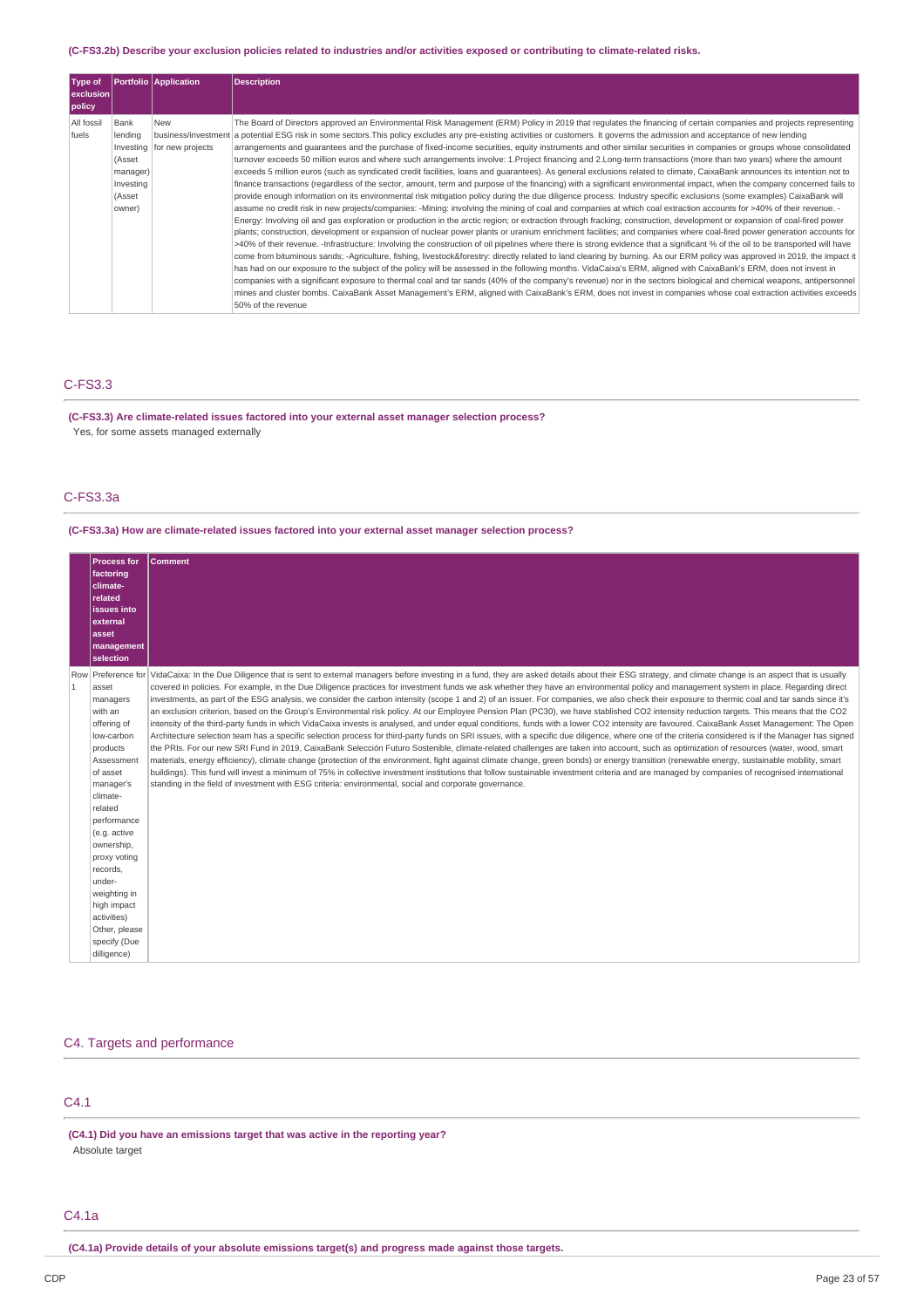#### (C-FS3.2b) Describe your exclusion policies related to industries and/or activities exposed or contributing to climate-related risks.

| Type of<br>exclusion<br>policy |                       | <b>Portfolio Application</b> | <b>Description</b>                                                                                                                                                                                                                                                                                                                                  |
|--------------------------------|-----------------------|------------------------------|-----------------------------------------------------------------------------------------------------------------------------------------------------------------------------------------------------------------------------------------------------------------------------------------------------------------------------------------------------|
| All fossil                     | Bank                  | <b>New</b>                   | The Board of Directors approved an Environmental Risk Management (ERM) Policy in 2019 that regulates the financing of certain companies and projects representing                                                                                                                                                                                   |
| fuels                          | lending               |                              | business/investment a potential ESG risk in some sectors. This policy excludes any pre-existing activities or customers. It governs the admission and acceptance of new lending                                                                                                                                                                     |
|                                |                       | Investing for new projects   | arrangements and quarantees and the purchase of fixed-income securities, equity instruments and other similar securities in companies or groups whose consolidated                                                                                                                                                                                  |
|                                | (Asset                |                              | turnover exceeds 50 million euros and where such arrangements involve: 1.Project financing and 2.Long-term transactions (more than two years) where the amount                                                                                                                                                                                      |
|                                | manager)<br>Investing |                              | exceeds 5 million euros (such as syndicated credit facilities, loans and quarantees). As general exclusions related to climate, CaixaBank announces its intention not to<br>finance transactions (regardless of the sector, amount, term and purpose of the financing) with a significant environmental impact, when the company concerned fails to |
|                                | (Asset                |                              | provide enough information on its environmental risk mitigation policy during the due diligence process. Industry specific exclusions (some examples) CaixaBank will                                                                                                                                                                                |
|                                | owner)                |                              | assume no credit risk in new projects/companies: -Mining: involving the mining of coal and companies at which coal extraction accounts for >40% of their revenue. -                                                                                                                                                                                 |
|                                |                       |                              | Energy: Involving oil and gas exploration or production in the arctic region; or extraction through fracking; construction, development or expansion of coal-fired power                                                                                                                                                                            |
|                                |                       |                              | plants; construction, development or expansion of nuclear power plants or uranium enrichment facilities; and companies where coal-fired power generation accounts for                                                                                                                                                                               |
|                                |                       |                              | >40% of their revenue. -Infrastructure: Involving the construction of oil pipelines where there is strong evidence that a significant % of the oil to be transported will have                                                                                                                                                                      |
|                                |                       |                              | come from bituminous sands; -Agriculture, fishing, livestock&forestry: directly related to land clearing by burning. As our ERM policy was approved in 2019, the impact it                                                                                                                                                                          |
|                                |                       |                              | has had on our exposure to the subject of the policy will be assessed in the following months. VidaCaixa's ERM, aligned with CaixaBank's ERM, does not invest in                                                                                                                                                                                    |
|                                |                       |                              | companies with a significant exposure to thermal coal and tar sands (40% of the company's revenue) nor in the sectors biological and chemical weapons, antipersonnel                                                                                                                                                                                |
|                                |                       |                              | mines and cluster bombs. CaixaBank Asset Management's ERM, aligned with CaixaBank's ERM, does not invest in companies whose coal extraction activities exceeds                                                                                                                                                                                      |
|                                |                       |                              | 50% of the revenue                                                                                                                                                                                                                                                                                                                                  |

### C-FS3.3

**(C-FS3.3) Are climate-related issues factored into your external asset manager selection process?** Yes, for some assets managed externally

### C-FS3.3a

**(C-FS3.3a) How are climate-related issues factored into your external asset manager selection process?**

|   | <b>Process for</b><br>factoring<br>climate-<br>related<br>issues into<br>external<br>asset<br>management<br>selection                                                                                                                                                                                                | Comment                                                                                                                                                                                                                                                                                                                                                                                                                                                                                                                                                                                                                                                                                                                                                                                                                                                                                                                                                                                                                                                                                                                                                                                                                                                                                                                                                                                                                                                                                                                                                                                                                                                                                                                                                                                                                                                                                                             |
|---|----------------------------------------------------------------------------------------------------------------------------------------------------------------------------------------------------------------------------------------------------------------------------------------------------------------------|---------------------------------------------------------------------------------------------------------------------------------------------------------------------------------------------------------------------------------------------------------------------------------------------------------------------------------------------------------------------------------------------------------------------------------------------------------------------------------------------------------------------------------------------------------------------------------------------------------------------------------------------------------------------------------------------------------------------------------------------------------------------------------------------------------------------------------------------------------------------------------------------------------------------------------------------------------------------------------------------------------------------------------------------------------------------------------------------------------------------------------------------------------------------------------------------------------------------------------------------------------------------------------------------------------------------------------------------------------------------------------------------------------------------------------------------------------------------------------------------------------------------------------------------------------------------------------------------------------------------------------------------------------------------------------------------------------------------------------------------------------------------------------------------------------------------------------------------------------------------------------------------------------------------|
| 1 | asset<br>managers<br>with an<br>offering of<br>low-carbon<br>products<br>Assessment<br>of asset<br>manager's<br>climate-<br>related<br>performance<br>(e.g. active<br>ownership,<br>proxy voting<br>records,<br>under-<br>weighting in<br>high impact<br>activities)<br>Other, please<br>specify (Due<br>dilligence) | Row Preference for VidaCaixa: In the Due Diligence that is sent to external managers before investing in a fund, they are asked details about their ESG strategy, and climate change is an aspect that is usually<br>covered in policies. For example, in the Due Diligence practices for investment funds we ask whether they have an environmental policy and management system in place. Regarding direct<br>investments, as part of the ESG analysis, we consider the carbon intensity (scope 1 and 2) of an issuer. For companies, we also check their exposure to thermic coal and tar sands since it's<br>an exclusion criterion, based on the Group's Environmental risk policy. At our Employee Pension Plan (PC30), we have stablished CO2 intensity reduction targets. This means that the CO2<br>intensity of the third-party funds in which VidaCaixa invests is analysed, and under equal conditions, funds with a lower CO2 intensity are favoured. CaixaBank Asset Management: The Open<br>Architecture selection team has a specific selection process for third-party funds on SRI issues, with a specific due diligence, where one of the criteria considered is if the Manager has signed<br>the PRIs. For our new SRI Fund in 2019, CaixaBank Selección Futuro Sostenible, climate-related challenges are taken into account, such as optimization of resources (water, wood, smart<br>materials, energy efficiency), climate change (protection of the environment, fight against climate change, green bonds) or energy transition (renewable energy, sustainable mobility, smart<br>buildings). This fund will invest a minimum of 75% in collective investment institutions that follow sustainable investment criteria and are managed by companies of recognised international<br>standing in the field of investment with ESG criteria: environmental, social and corporate governance. |

### C4. Targets and performance

### C4.1

**(C4.1) Did you have an emissions target that was active in the reporting year?** Absolute target

### C4.1a

**(C4.1a) Provide details of your absolute emissions target(s) and progress made against those targets.**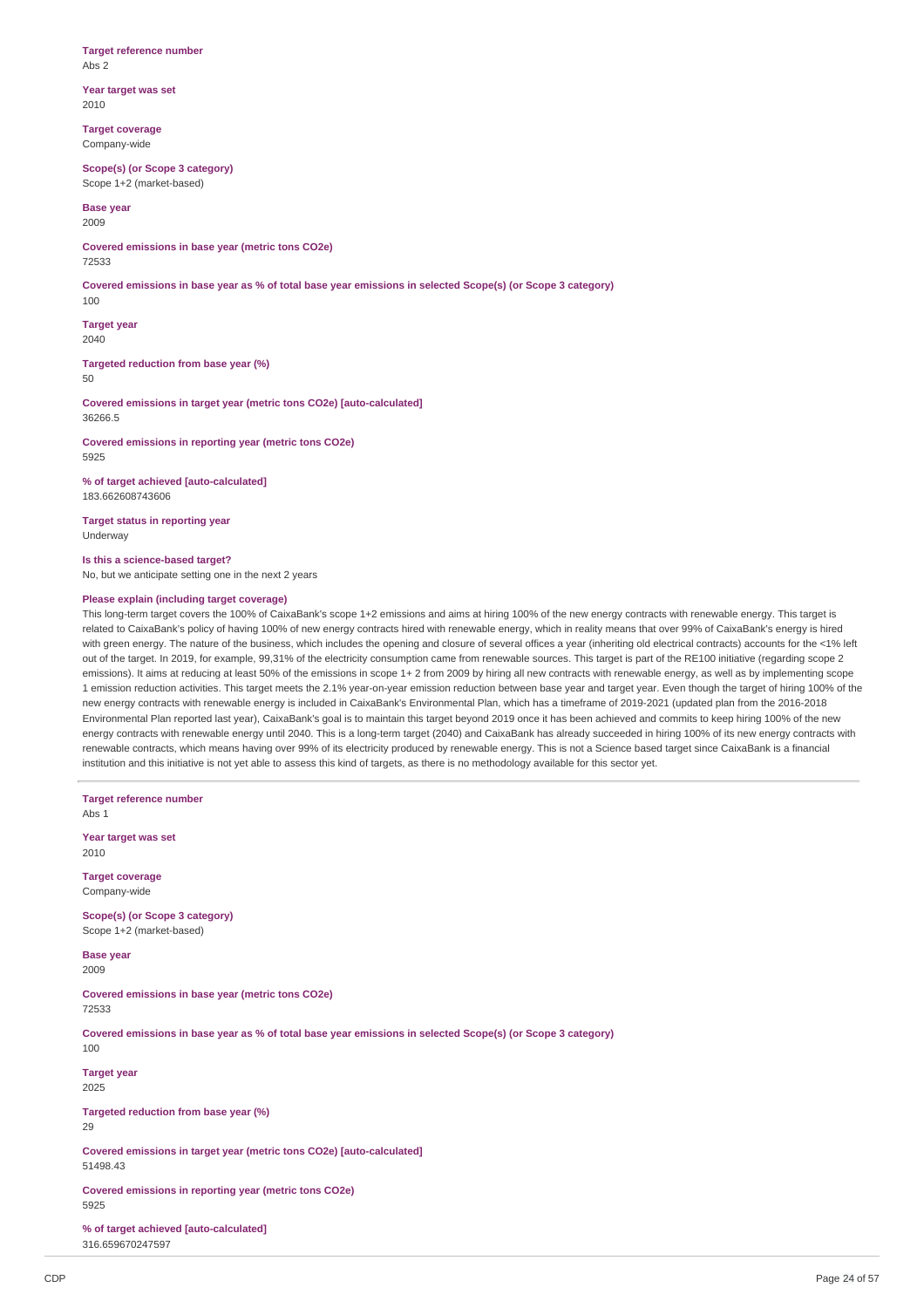**Target reference number** Abs 2

**Year target was set** 2010

**Target coverage** Company-wide

**Scope(s) (or Scope 3 category)** Scope 1+2 (market-based)

**Base year** 2009

**Covered emissions in base year (metric tons CO2e)** 72533

Covered emissions in base year as % of total base year emissions in selected Scope(s) (or Scope 3 category) 100

**Target year** 2040

**Targeted reduction from base year (%)** 50

**Covered emissions in target year (metric tons CO2e) [auto-calculated]** 36266.5

**Covered emissions in reporting year (metric tons CO2e)** 5925

**% of target achieved [auto-calculated]** 183.662608743606

**Target status in reporting year** Underway

**Is this a science-based target?** No, but we anticipate setting one in the next 2 years

#### **Please explain (including target coverage)**

This long-term target covers the 100% of CaixaBank's scope 1+2 emissions and aims at hiring 100% of the new energy contracts with renewable energy. This target is related to CaixaBank's policy of having 100% of new energy contracts hired with renewable energy, which in reality means that over 99% of CaixaBank's energy is hired with green energy. The nature of the business, which includes the opening and closure of several offices a year (inheriting old electrical contracts) accounts for the <1% left out of the target. In 2019, for example, 99,31% of the electricity consumption came from renewable sources. This target is part of the RE100 initiative (regarding scope 2 emissions). It aims at reducing at least 50% of the emissions in scope 1+ 2 from 2009 by hiring all new contracts with renewable energy, as well as by implementing scope 1 emission reduction activities. This target meets the 2.1% year-on-year emission reduction between base year and target year. Even though the target of hiring 100% of the new energy contracts with renewable energy is included in CaixaBank's Environmental Plan, which has a timeframe of 2019-2021 (updated plan from the 2016-2018 Environmental Plan reported last year), CaixaBank's goal is to maintain this target beyond 2019 once it has been achieved and commits to keep hiring 100% of the new energy contracts with renewable energy until 2040. This is a long-term target (2040) and CaixaBank has already succeeded in hiring 100% of its new energy contracts with renewable contracts, which means having over 99% of its electricity produced by renewable energy. This is not a Science based target since CaixaBank is a financial institution and this initiative is not yet able to assess this kind of targets, as there is no methodology available for this sector yet.

**Target reference number** Abs 1 **Year target was set** 2010 **Target coverage** Company-wide **Scope(s) (or Scope 3 category)** Scope 1+2 (market-based) **Base year** 2009 **Covered emissions in base year (metric tons CO2e)** 72533 Covered emissions in base year as % of total base year emissions in selected Scope(s) (or Scope 3 category) 100 **Target year** 2025 **Targeted reduction from base year (%)** 29 **Covered emissions in target year (metric tons CO2e) [auto-calculated]** 51498.43 **Covered emissions in reporting year (metric tons CO2e)** 5925 **% of target achieved [auto-calculated]** 316.659670247597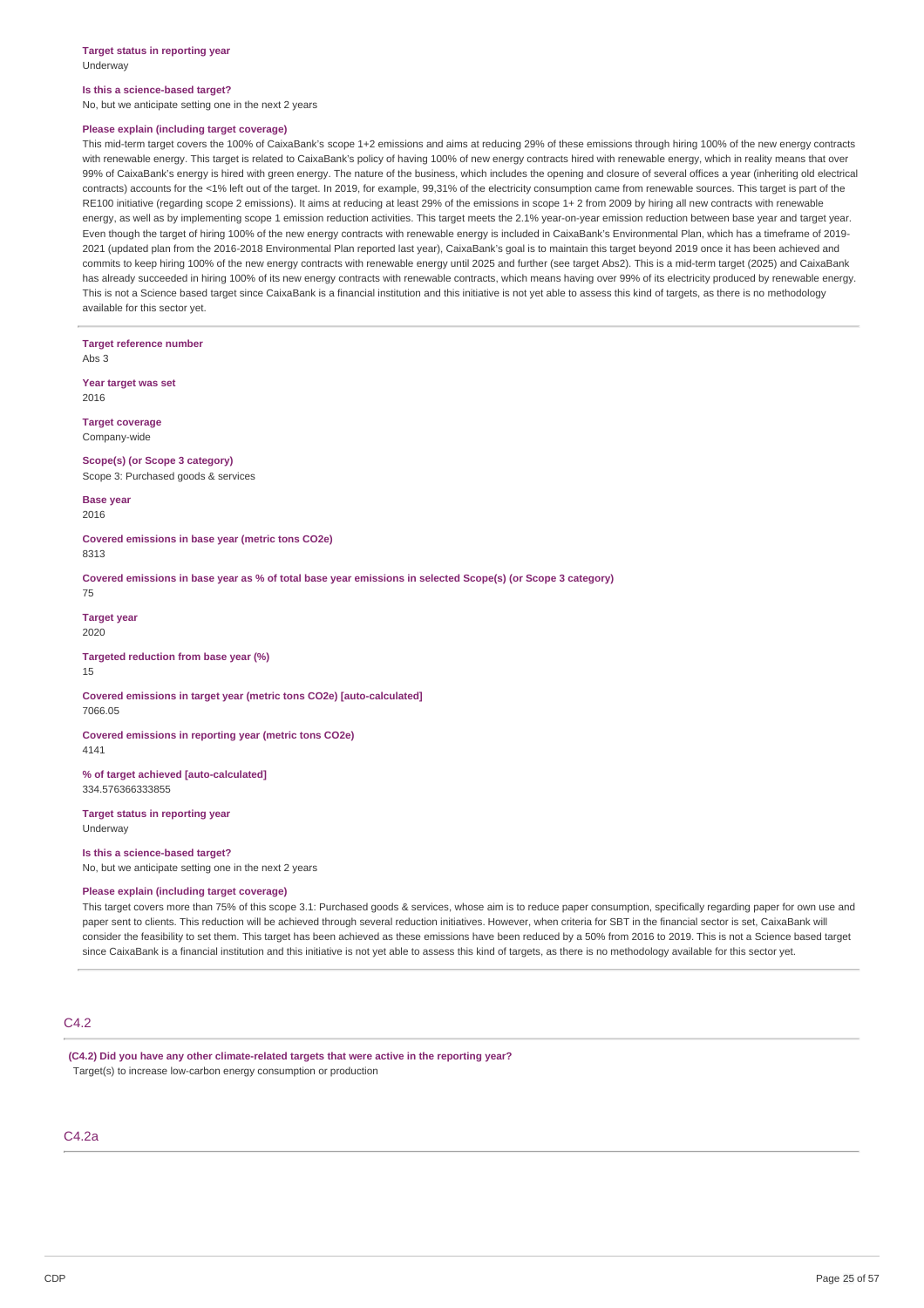#### **Is this a science-based target?**

No, but we anticipate setting one in the next 2 years

#### **Please explain (including target coverage)**

This mid-term target covers the 100% of CaixaBank's scope 1+2 emissions and aims at reducing 29% of these emissions through hiring 100% of the new energy contracts with renewable energy. This target is related to CaixaBank's policy of having 100% of new energy contracts hired with renewable energy, which in reality means that over 99% of CaixaBank's energy is hired with green energy. The nature of the business, which includes the opening and closure of several offices a year (inheriting old electrical contracts) accounts for the <1% left out of the target. In 2019, for example, 99,31% of the electricity consumption came from renewable sources. This target is part of the RE100 initiative (regarding scope 2 emissions). It aims at reducing at least 29% of the emissions in scope 1+ 2 from 2009 by hiring all new contracts with renewable energy, as well as by implementing scope 1 emission reduction activities. This target meets the 2.1% year-on-year emission reduction between base year and target year. Even though the target of hiring 100% of the new energy contracts with renewable energy is included in CaixaBank's Environmental Plan, which has a timeframe of 2019- 2021 (updated plan from the 2016-2018 Environmental Plan reported last year), CaixaBank's goal is to maintain this target beyond 2019 once it has been achieved and commits to keep hiring 100% of the new energy contracts with renewable energy until 2025 and further (see target Abs2). This is a mid-term target (2025) and CaixaBank has already succeeded in hiring 100% of its new energy contracts with renewable contracts, which means having over 99% of its electricity produced by renewable energy. This is not a Science based target since CaixaBank is a financial institution and this initiative is not yet able to assess this kind of targets, as there is no methodology available for this sector yet.

**Target reference number** Abs 3 **Year target was set** 2016 **Target coverage** Company-wide **Scope(s) (or Scope 3 category)** Scope 3: Purchased goods & services **Base year** 2016 **Covered emissions in base year (metric tons CO2e)** 8313 Covered emissions in base year as % of total base year emissions in selected Scope(s) (or Scope 3 category) 75 **Target year** 2020 **Targeted reduction from base year (%)** 15 **Covered emissions in target year (metric tons CO2e) [auto-calculated]** 7066.05 **Covered emissions in reporting year (metric tons CO2e)** 4141 **% of target achieved [auto-calculated]** 334.576366333855 **Target status in reporting year** Underway **Is this a science-based target?** No, but we anticipate setting one in the next 2 years **Please explain (including target coverage)** This target covers more than 75% of this scope 3.1: Purchased goods & services, whose aim is to reduce paper consumption, specifically regarding paper for own use and paper sent to clients. This reduction will be achieved through several reduction initiatives. However, when criteria for SBT in the financial sector is set, CaixaBank will consider the feasibility to set them. This target has been achieved as these emissions have been reduced by a 50% from 2016 to 2019. This is not a Science based target since CaixaBank is a financial institution and this initiative is not yet able to assess this kind of targets, as there is no methodology available for this sector yet.

### C4.2

**(C4.2) Did you have any other climate-related targets that were active in the reporting year?** Target(s) to increase low-carbon energy consumption or production

### C4.2a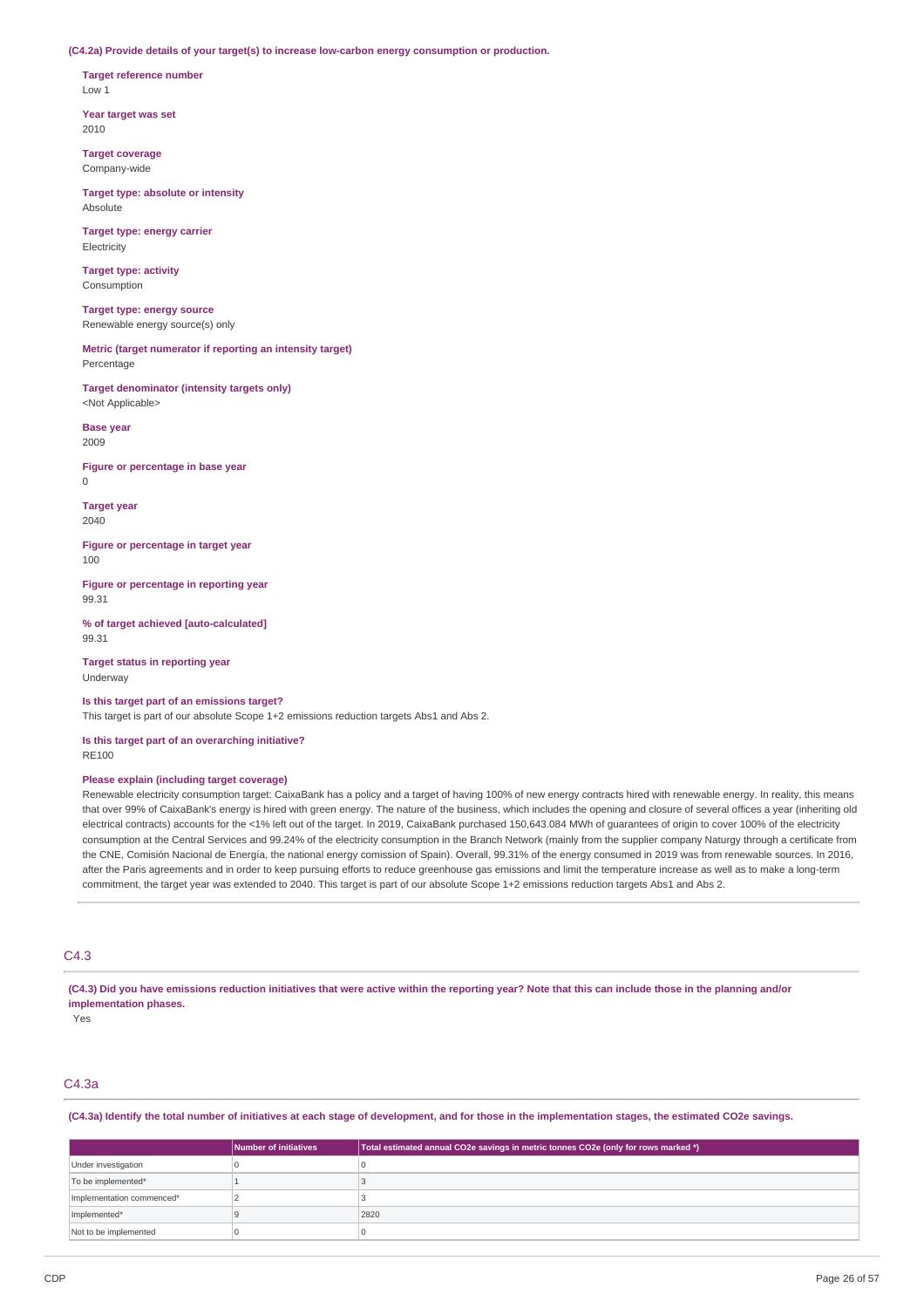**(C4.2a) Provide details of your target(s) to increase low-carbon energy consumption or production.**

**Target reference number** Low 1

**Year target was set** 2010

**Target coverage** Company-wide

**Target type: absolute or intensity** Absolute

**Target type: energy carrier** Electricity

**Target type: activity** Consumption

**Target type: energy source** Renewable energy source(s) only

**Metric (target numerator if reporting an intensity target)** Percentage

**Target denominator (intensity targets only)** <Not Applicable>

**Base year** 2009

**Figure or percentage in base year**  $\Omega$ 

**Target year** 2040

**Figure or percentage in target year** 100

**Figure or percentage in reporting year** 99.31

**% of target achieved [auto-calculated]** 99.31

**Target status in reporting year** Underway

**Is this target part of an emissions target?**

This target is part of our absolute Scope 1+2 emissions reduction targets Abs1 and Abs 2.

**Is this target part of an overarching initiative?** RE100

#### **Please explain (including target coverage)**

Renewable electricity consumption target: CaixaBank has a policy and a target of having 100% of new energy contracts hired with renewable energy. In reality, this means that over 99% of CaixaBank's energy is hired with green energy. The nature of the business, which includes the opening and closure of several offices a year (inheriting old electrical contracts) accounts for the <1% left out of the target. In 2019, CaixaBank purchased 150,643.084 MWh of guarantees of origin to cover 100% of the electricity consumption at the Central Services and 99.24% of the electricity consumption in the Branch Network (mainly from the supplier company Naturgy through a certificate from the CNE, Comisión Nacional de Energía, the national energy comission of Spain). Overall, 99.31% of the energy consumed in 2019 was from renewable sources. In 2016, after the Paris agreements and in order to keep pursuing efforts to reduce greenhouse gas emissions and limit the temperature increase as well as to make a long-term commitment, the target year was extended to 2040. This target is part of our absolute Scope 1+2 emissions reduction targets Abs1 and Abs 2.

### C4.3

(C4.3) Did you have emissions reduction initiatives that were active within the reporting year? Note that this can include those in the planning and/or **implementation phases.**

Yes

### C4.3a

(C4.3a) Identify the total number of initiatives at each stage of development, and for those in the implementation stages, the estimated CO2e savings.

|                           | Number of initiatives | Total estimated annual CO2e savings in metric tonnes CO2e (only for rows marked *) |
|---------------------------|-----------------------|------------------------------------------------------------------------------------|
| Under investigation       |                       |                                                                                    |
| To be implemented*        |                       |                                                                                    |
| Implementation commenced* |                       |                                                                                    |
| Implemented*              |                       | 2820                                                                               |
| Not to be implemented     |                       |                                                                                    |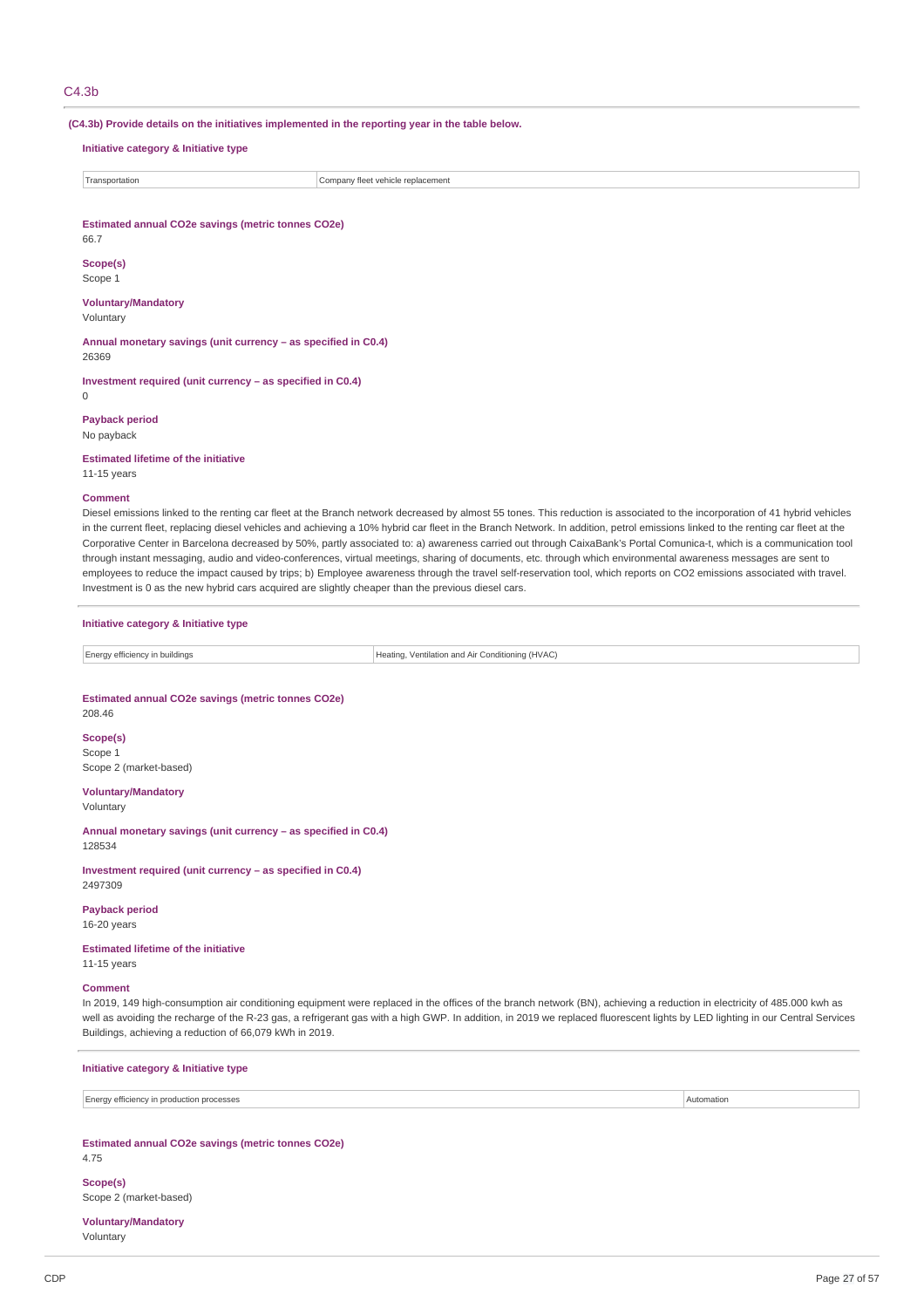### C4.3b

**(C4.3b) Provide details on the initiatives implemented in the reporting year in the table below.**

**Initiative category & Initiative type**

| isnortation | replacem<br>anv fleet vehic'<br>`omr<br>nent |
|-------------|----------------------------------------------|

**Estimated annual CO2e savings (metric tonnes CO2e)**

66.7 **Scope(s)**

Scope 1

#### **Voluntary/Mandatory** Voluntary

**Annual monetary savings (unit currency – as specified in C0.4)** 26369

**Investment required (unit currency – as specified in C0.4)**

**Payback period**

 $\Omega$ 

No payback

### **Estimated lifetime of the initiative**

11-15 years

#### **Comment**

Diesel emissions linked to the renting car fleet at the Branch network decreased by almost 55 tones. This reduction is associated to the incorporation of 41 hybrid vehicles in the current fleet, replacing diesel vehicles and achieving a 10% hybrid car fleet in the Branch Network. In addition, petrol emissions linked to the renting car fleet at the Corporative Center in Barcelona decreased by 50%, partly associated to: a) awareness carried out through CaixaBank's Portal Comunica-t, which is a communication tool through instant messaging, audio and video-conferences, virtual meetings, sharing of documents, etc. through which environmental awareness messages are sent to employees to reduce the impact caused by trips; b) Employee awareness through the travel self-reservation tool, which reports on CO2 emissions associated with travel. Investment is 0 as the new hybrid cars acquired are slightly cheaper than the previous diesel cars.

#### **Initiative category & Initiative type**

Energy efficiency in buildings **Heating, Ventilation and Air Conditioning (HVAC)** 

#### **Estimated annual CO2e savings (metric tonnes CO2e)**

208.46

### **Scope(s)** Scope 1

Scope 2 (market-based)

**Voluntary/Mandatory** Voluntary

**Annual monetary savings (unit currency – as specified in C0.4)** 128534

**Investment required (unit currency – as specified in C0.4)** 2497309

### **Payback period**

16-20 years

**Estimated lifetime of the initiative**

11-15 years

#### **Comment**

In 2019, 149 high-consumption air conditioning equipment were replaced in the offices of the branch network (BN), achieving a reduction in electricity of 485.000 kwh as well as avoiding the recharge of the R-23 gas, a refrigerant gas with a high GWP. In addition, in 2019 we replaced fluorescent lights by LED lighting in our Central Services Buildings, achieving a reduction of 66,079 kWh in 2019.

#### **Initiative category & Initiative type**

Energy efficiency in production processes **Automation Automation Automation** 

#### **Estimated annual CO2e savings (metric tonnes CO2e)**

4.75

**Scope(s)** Scope 2 (market-based)

**Voluntary/Mandatory** Voluntary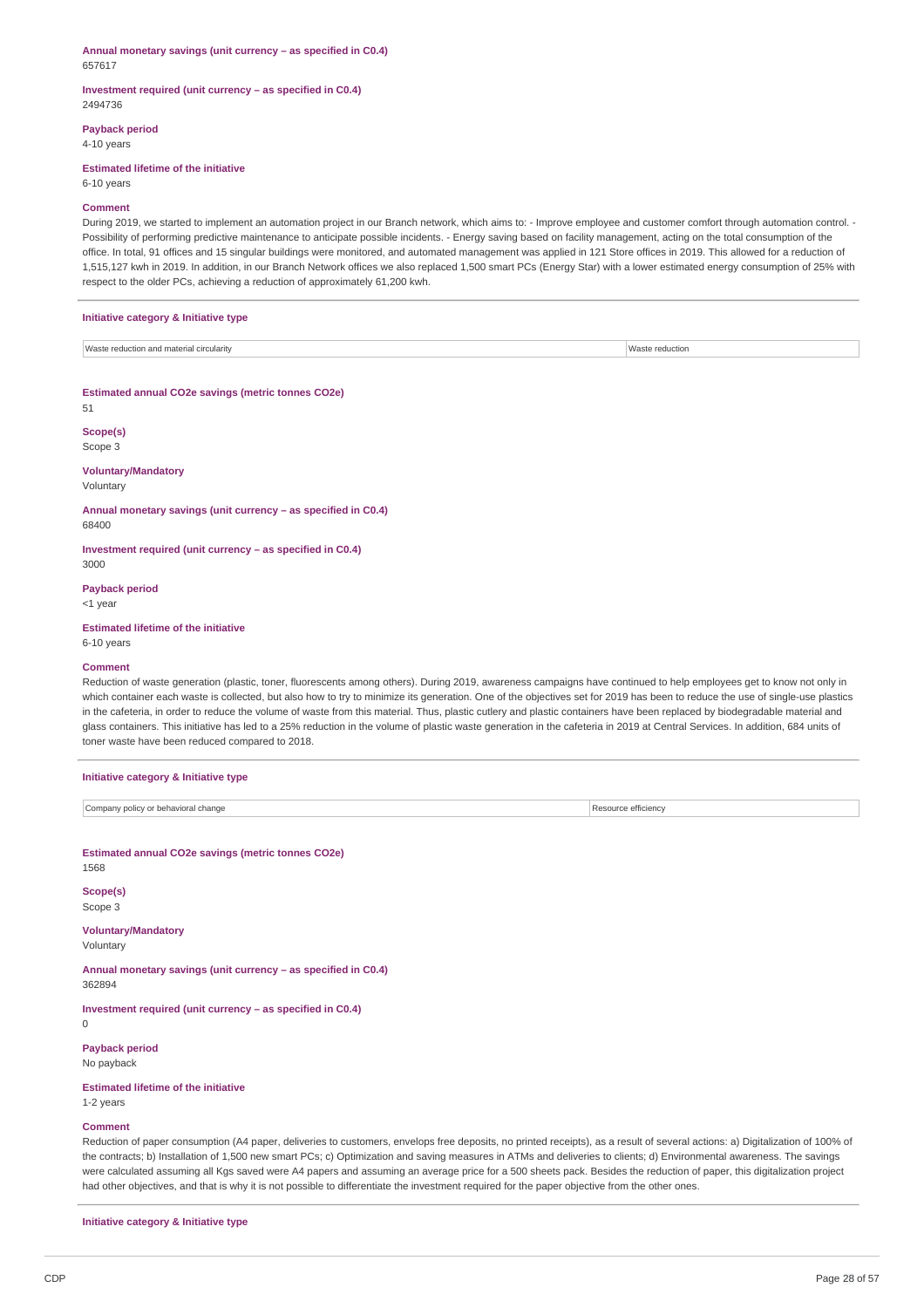#### **Annual monetary savings (unit currency – as specified in C0.4)** 657617

#### **Investment required (unit currency – as specified in C0.4)** 2494736

# **Payback period**

4-10 years

#### **Estimated lifetime of the initiative**

# 6-10 years

#### **Comment**

During 2019, we started to implement an automation project in our Branch network, which aims to: - Improve employee and customer comfort through automation control. - Possibility of performing predictive maintenance to anticipate possible incidents. - Energy saving based on facility management, acting on the total consumption of the office. In total, 91 offices and 15 singular buildings were monitored, and automated management was applied in 121 Store offices in 2019. This allowed for a reduction of 1,515,127 kwh in 2019. In addition, in our Branch Network offices we also replaced 1,500 smart PCs (Energy Star) with a lower estimated energy consumption of 25% with respect to the older PCs, achieving a reduction of approximately 61,200 kwh.

#### **Initiative category & Initiative type**

Waste reduction and material circularity **Waster reduction** Waster reduction

#### **Estimated annual CO2e savings (metric tonnes CO2e)**  $51$

**Scope(s)** Scope 3

### **Voluntary/Mandatory**

Voluntary

**Annual monetary savings (unit currency – as specified in C0.4)** 68400

**Investment required (unit currency – as specified in C0.4)** 3000

#### **Payback period**

<1 year

**Estimated lifetime of the initiative** 6-10 years

#### **Comment**

Reduction of waste generation (plastic, toner, fluorescents among others). During 2019, awareness campaigns have continued to help employees get to know not only in which container each waste is collected, but also how to try to minimize its generation. One of the objectives set for 2019 has been to reduce the use of single-use plastics in the cafeteria, in order to reduce the volume of waste from this material. Thus, plastic cutlery and plastic containers have been replaced by biodegradable material and glass containers. This initiative has led to a 25% reduction in the volume of plastic waste generation in the cafeteria in 2019 at Central Services. In addition, 684 units of toner waste have been reduced compared to 2018.

#### **Initiative category & Initiative type**

Company policy or behavioral change **Resource efficiency Resource efficiency** 

**Estimated annual CO2e savings (metric tonnes CO2e)** 1568

### **Scope(s)**

Scope 3

### **Voluntary/Mandatory**

Voluntary

**Annual monetary savings (unit currency – as specified in C0.4)** 362894

**Investment required (unit currency – as specified in C0.4)**

 $\Omega$ 

#### **Payback period** No payback

**Estimated lifetime of the initiative**

1-2 years

#### **Comment**

Reduction of paper consumption (A4 paper, deliveries to customers, envelops free deposits, no printed receipts), as a result of several actions: a) Digitalization of 100% of the contracts; b) Installation of 1,500 new smart PCs; c) Optimization and saving measures in ATMs and deliveries to clients; d) Environmental awareness. The savings were calculated assuming all Kgs saved were A4 papers and assuming an average price for a 500 sheets pack. Besides the reduction of paper, this digitalization project had other objectives, and that is why it is not possible to differentiate the investment required for the paper objective from the other ones.

**Initiative category & Initiative type**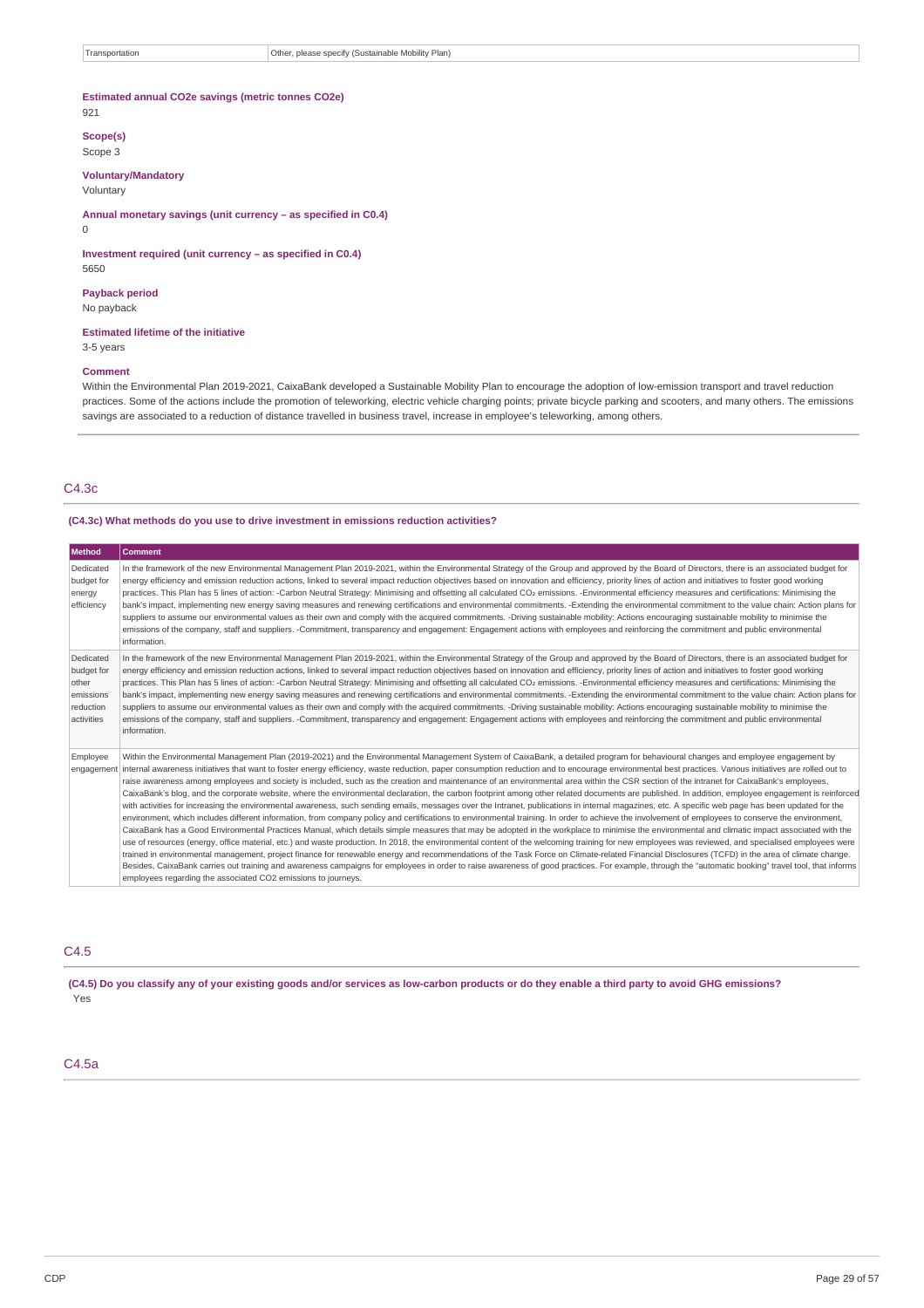### **Estimated annual CO2e savings (metric tonnes CO2e)**

921

### **Scope(s)**

Scope 3

### **Voluntary/Mandatory**

Voluntary

**Annual monetary savings (unit currency – as specified in C0.4)**

0

5650

**Investment required (unit currency – as specified in C0.4)**

## **Payback period**

No payback

**Estimated lifetime of the initiative**

3-5 years

#### **Comment**

Within the Environmental Plan 2019-2021, CaixaBank developed a Sustainable Mobility Plan to encourage the adoption of low-emission transport and travel reduction practices. Some of the actions include the promotion of teleworking, electric vehicle charging points; private bicycle parking and scooters, and many others. The emissions savings are associated to a reduction of distance travelled in business travel, increase in employee's teleworking, among others.

#### C4.3c

#### **(C4.3c) What methods do you use to drive investment in emissions reduction activities?**

| Method                                                                   | <b>Comment</b>                                                                                                                                                                                                                                                                                                                                                                                                                                                                                                                                                                                                                                                                                                                                                                                                                                                                                                                                                                                                                                                                                                                                                                                                                                                                                                                                                                                                                                                                                                                                                                                                                                                                                                                                                                                                                                                                                                                                                                                                                                                                             |
|--------------------------------------------------------------------------|--------------------------------------------------------------------------------------------------------------------------------------------------------------------------------------------------------------------------------------------------------------------------------------------------------------------------------------------------------------------------------------------------------------------------------------------------------------------------------------------------------------------------------------------------------------------------------------------------------------------------------------------------------------------------------------------------------------------------------------------------------------------------------------------------------------------------------------------------------------------------------------------------------------------------------------------------------------------------------------------------------------------------------------------------------------------------------------------------------------------------------------------------------------------------------------------------------------------------------------------------------------------------------------------------------------------------------------------------------------------------------------------------------------------------------------------------------------------------------------------------------------------------------------------------------------------------------------------------------------------------------------------------------------------------------------------------------------------------------------------------------------------------------------------------------------------------------------------------------------------------------------------------------------------------------------------------------------------------------------------------------------------------------------------------------------------------------------------|
| Dedicated<br>budget for<br>energy<br>efficiency                          | In the framework of the new Environmental Management Plan 2019-2021, within the Environmental Strategy of the Group and approved by the Board of Directors, there is an associated budget for<br>energy efficiency and emission reduction actions, linked to several impact reduction objectives based on innovation and efficiency, priority lines of action and initiatives to foster good working<br>practices. This Plan has 5 lines of action: -Carbon Neutral Strategy: Minimising and offsetting all calculated CO <sub>2</sub> emissions. -Environmental efficiency measures and certifications: Minimising the<br>bank's impact, implementing new energy saving measures and renewing certifications and environmental commitments. -Extending the environmental commitment to the value chain: Action plans for<br>suppliers to assume our environmental values as their own and comply with the acquired commitments. -Driving sustainable mobility: Actions encouraging sustainable mobility to minimise the<br>emissions of the company, staff and suppliers. -Commitment, transparency and engagement: Engagement actions with employees and reinforcing the commitment and public environmental<br>information.                                                                                                                                                                                                                                                                                                                                                                                                                                                                                                                                                                                                                                                                                                                                                                                                                                                             |
| Dedicated<br>budget for<br>other<br>emissions<br>reduction<br>activities | In the framework of the new Environmental Management Plan 2019-2021, within the Environmental Strategy of the Group and approved by the Board of Directors, there is an associated budget for<br>energy efficiency and emission reduction actions, linked to several impact reduction objectives based on innovation and efficiency, priority lines of action and initiatives to foster good working<br>practices. This Plan has 5 lines of action: -Carbon Neutral Strategy: Minimising and offsetting all calculated CO <sub>2</sub> emissions. -Environmental efficiency measures and certifications: Minimising the<br>bank's impact, implementing new energy saving measures and renewing certifications and environmental commitments. -Extending the environmental commitment to the value chain: Action plans for<br>suppliers to assume our environmental values as their own and comply with the acquired commitments. -Driving sustainable mobility: Actions encouraging sustainable mobility to minimise the<br>emissions of the company, staff and suppliers. -Commitment, transparency and engagement: Engagement actions with employees and reinforcing the commitment and public environmental<br>information.                                                                                                                                                                                                                                                                                                                                                                                                                                                                                                                                                                                                                                                                                                                                                                                                                                                             |
| Employee<br>engagement                                                   | Within the Environmental Management Plan (2019-2021) and the Environmental Management System of CaixaBank, a detailed program for behavioural changes and employee engagement by<br>internal awareness initiatives that want to foster energy efficiency, waste reduction, paper consumption reduction and to encourage environmental best practices. Various initiatives are rolled out to<br>raise awareness among employees and society is included, such as the creation and maintenance of an environmental area within the CSR section of the intranet for CaixaBank's employees,<br>CaixaBank's blog, and the corporate website, where the environmental declaration, the carbon footprint among other related documents are published. In addition, employee engagement is reinforced<br>with activities for increasing the environmental awareness, such sending emails, messages over the Intranet, publications in internal magazines, etc. A specific web page has been updated for the<br>environment, which includes different information, from company policy and certifications to environmental training. In order to achieve the involvement of employees to conserve the environment,<br>CaixaBank has a Good Environmental Practices Manual, which details simple measures that may be adopted in the workplace to minimise the environmental and climatic impact associated with the<br>use of resources (energy, office material, etc.) and waste production. In 2018, the environmental content of the welcoming training for new employees was reviewed, and specialised employees were<br>trained in environmental management, project finance for renewable energy and recommendations of the Task Force on Climate-related Financial Disclosures (TCFD) in the area of climate change.<br>Besides, CaixaBank carries out training and awareness campaigns for employees in order to raise awareness of good practices. For example, through the "automatic bookinq" travel tool, that informs<br>employees regarding the associated CO2 emissions to journeys. |

### C4.5

(C4.5) Do you classify any of your existing goods and/or services as low-carbon products or do they enable a third party to avoid GHG emissions? Yes

### C4.5a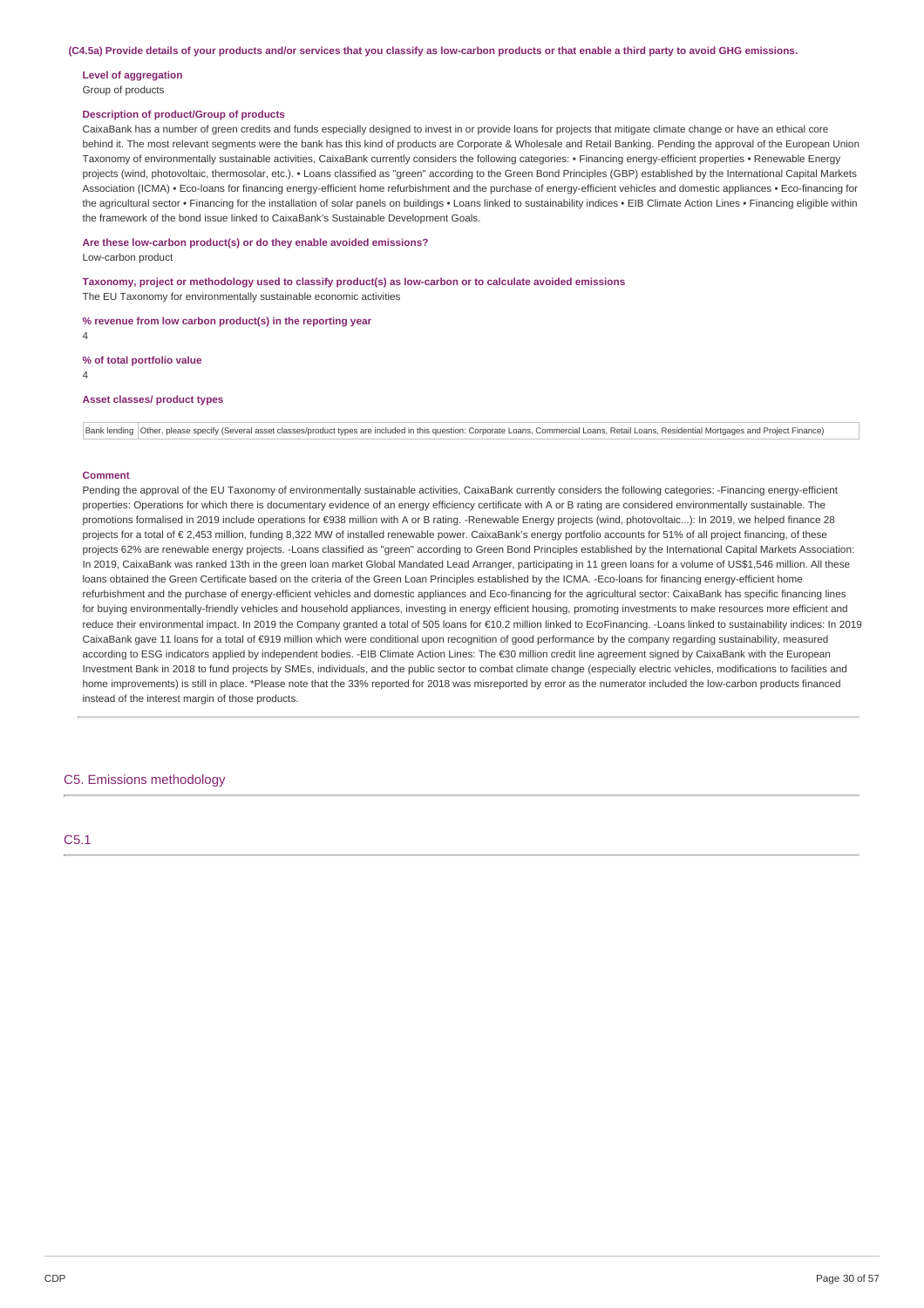### **Level of aggregation**

Group of products

#### **Description of product/Group of products**

CaixaBank has a number of green credits and funds especially designed to invest in or provide loans for projects that mitigate climate change or have an ethical core behind it. The most relevant segments were the bank has this kind of products are Corporate & Wholesale and Retail Banking. Pending the approval of the European Union Taxonomy of environmentally sustainable activities, CaixaBank currently considers the following categories: • Financing energy-efficient properties • Renewable Energy projects (wind, photovoltaic, thermosolar, etc.). • Loans classified as "green" according to the Green Bond Principles (GBP) established by the International Capital Markets Association (ICMA) • Eco-loans for financing energy-efficient home refurbishment and the purchase of energy-efficient vehicles and domestic appliances • Eco-financing for the agricultural sector • Financing for the installation of solar panels on buildings • Loans linked to sustainability indices • EIB Climate Action Lines • Financing eligible within the framework of the bond issue linked to CaixaBank's Sustainable Development Goals.

**Are these low-carbon product(s) or do they enable avoided emissions?**

Low-carbon product

**Taxonomy, project or methodology used to classify product(s) as low-carbon or to calculate avoided emissions** The EU Taxonomy for environmentally sustainable economic activities

**% revenue from low carbon product(s) in the reporting year**

4

**% of total portfolio value**

 $\overline{A}$ 

#### **Asset classes/ product types**

Bank lending Other, please specify (Several asset classes/product types are included in this question: Corporate Loans, Commercial Loans, Retail Loans, Residential Mortgages and Project Finance)

#### **Comment**

Pending the approval of the EU Taxonomy of environmentally sustainable activities. CaixaBank currently considers the following categories: -Financing energy-efficient properties: Operations for which there is documentary evidence of an energy efficiency certificate with A or B rating are considered environmentally sustainable. The promotions formalised in 2019 include operations for €938 million with A or B rating. -Renewable Energy projects (wind, photovoltaic...): In 2019, we helped finance 28 projects for a total of € 2,453 million, funding 8,322 MW of installed renewable power. CaixaBank's energy portfolio accounts for 51% of all project financing, of these projects 62% are renewable energy projects. -Loans classified as "green" according to Green Bond Principles established by the International Capital Markets Association: In 2019, CaixaBank was ranked 13th in the green loan market Global Mandated Lead Arranger, participating in 11 green loans for a volume of US\$1,546 million. All these loans obtained the Green Certificate based on the criteria of the Green Loan Principles established by the ICMA. -Eco-loans for financing energy-efficient home refurbishment and the purchase of energy-efficient vehicles and domestic appliances and Eco-financing for the agricultural sector: CaixaBank has specific financing lines for buying environmentally-friendly vehicles and household appliances, investing in energy efficient housing, promoting investments to make resources more efficient and reduce their environmental impact. In 2019 the Company granted a total of 505 loans for €10.2 million linked to EcoFinancing. -Loans linked to sustainability indices: In 2019 CaixaBank gave 11 loans for a total of €919 million which were conditional upon recognition of good performance by the company regarding sustainability, measured according to ESG indicators applied by independent bodies. -EIB Climate Action Lines: The €30 million credit line agreement signed by CaixaBank with the European Investment Bank in 2018 to fund projects by SMEs, individuals, and the public sector to combat climate change (especially electric vehicles, modifications to facilities and home improvements) is still in place. \*Please note that the 33% reported for 2018 was misreported by error as the numerator included the low-carbon products financed instead of the interest margin of those products.

C5. Emissions methodology

C5.1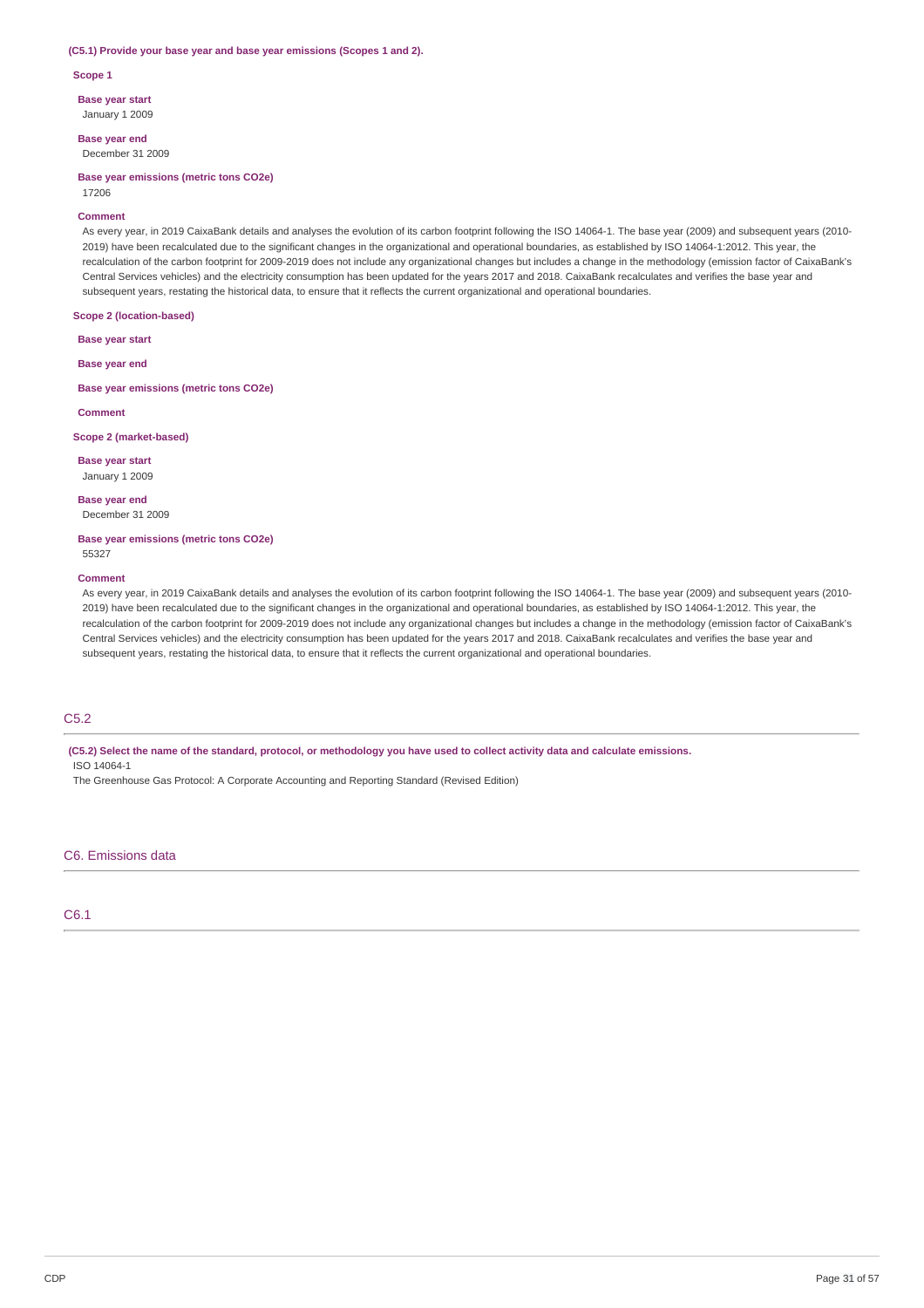#### **(C5.1) Provide your base year and base year emissions (Scopes 1 and 2).**

**Scope 1**

**Base year start**

January 1 2009

**Base year end** December 31 2009

**Base year emissions (metric tons CO2e)** 17206

#### **Comment**

As every year, in 2019 CaixaBank details and analyses the evolution of its carbon footprint following the ISO 14064-1. The base year (2009) and subsequent years (2010- 2019) have been recalculated due to the significant changes in the organizational and operational boundaries, as established by ISO 14064-1:2012. This year, the recalculation of the carbon footprint for 2009-2019 does not include any organizational changes but includes a change in the methodology (emission factor of CaixaBank's Central Services vehicles) and the electricity consumption has been updated for the years 2017 and 2018. CaixaBank recalculates and verifies the base year and subsequent years, restating the historical data, to ensure that it reflects the current organizational and operational boundaries.

#### **Scope 2 (location-based)**

**Base year start**

**Base year end**

**Base year emissions (metric tons CO2e)**

**Comment**

#### **Scope 2 (market-based)**

**Base year start** January 1 2009

**Base year end** December 31 2009

#### **Base year emissions (metric tons CO2e)** 55327

#### **Comment**

As every year, in 2019 CaixaBank details and analyses the evolution of its carbon footprint following the ISO 14064-1. The base year (2009) and subsequent years (2010- 2019) have been recalculated due to the significant changes in the organizational and operational boundaries, as established by ISO 14064-1:2012. This year, the recalculation of the carbon footprint for 2009-2019 does not include any organizational changes but includes a change in the methodology (emission factor of CaixaBank's Central Services vehicles) and the electricity consumption has been updated for the years 2017 and 2018. CaixaBank recalculates and verifies the base year and subsequent years, restating the historical data, to ensure that it reflects the current organizational and operational boundaries.

#### C5.2

(C5.2) Select the name of the standard, protocol, or methodology you have used to collect activity data and calculate emissions. ISO 14064-1

The Greenhouse Gas Protocol: A Corporate Accounting and Reporting Standard (Revised Edition)

#### C6. Emissions data

### C6.1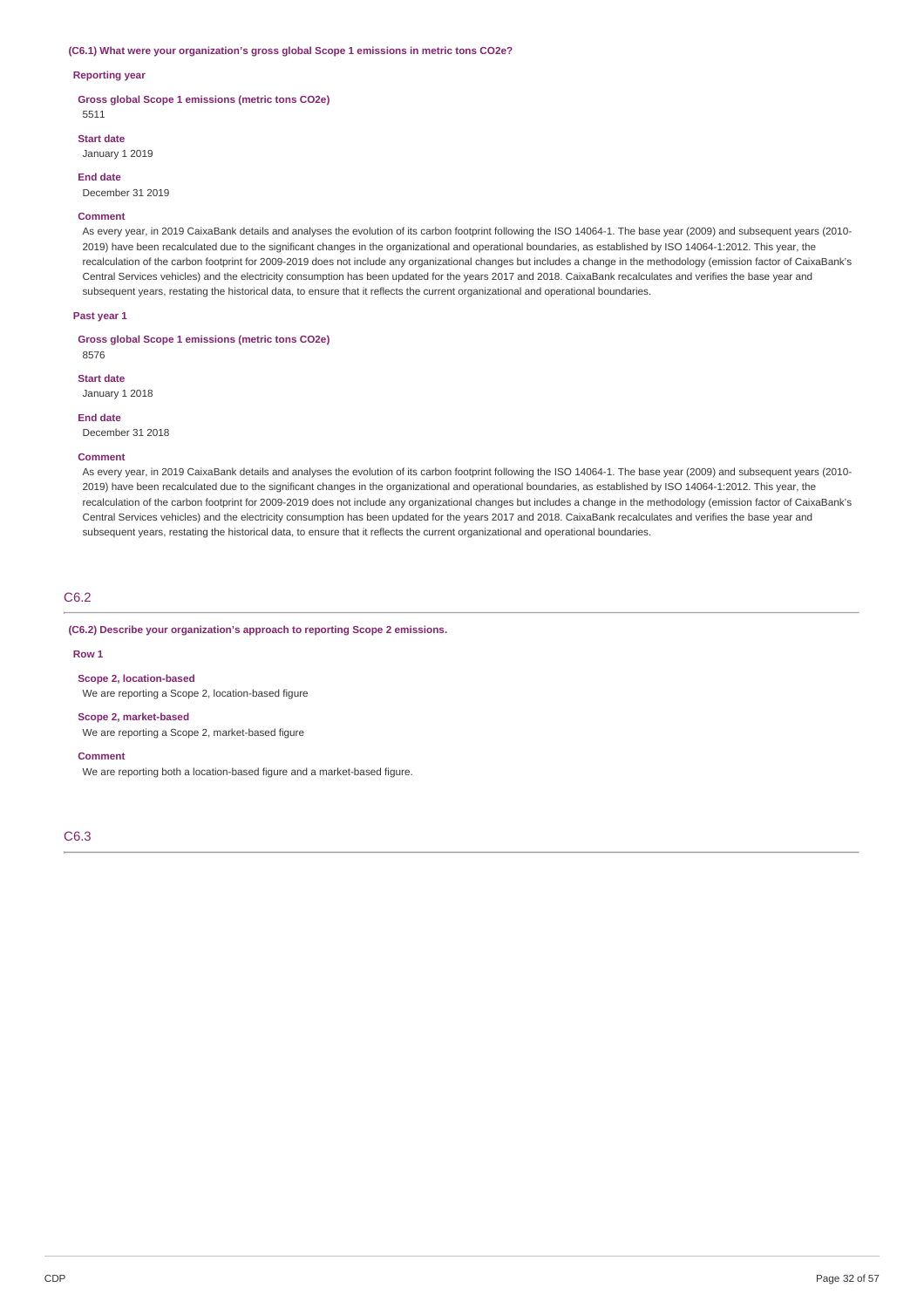#### **(C6.1) What were your organization's gross global Scope 1 emissions in metric tons CO2e?**

#### **Reporting year**

**Gross global Scope 1 emissions (metric tons CO2e)**

# 5511

**Start date**

January 1 2019

#### **End date**

December 31 2019

#### **Comment**

As every year, in 2019 CaixaBank details and analyses the evolution of its carbon footprint following the ISO 14064-1. The base year (2009) and subsequent years (2010- 2019) have been recalculated due to the significant changes in the organizational and operational boundaries, as established by ISO 14064-1:2012. This year, the recalculation of the carbon footprint for 2009-2019 does not include any organizational changes but includes a change in the methodology (emission factor of CaixaBank's Central Services vehicles) and the electricity consumption has been updated for the years 2017 and 2018. CaixaBank recalculates and verifies the base year and subsequent years, restating the historical data, to ensure that it reflects the current organizational and operational boundaries.

#### **Past year 1**

**Gross global Scope 1 emissions (metric tons CO2e)** 8576

**Start date** January 1 2018

**End date**

December 31 2018

### **Comment**

As every year, in 2019 CaixaBank details and analyses the evolution of its carbon footprint following the ISO 14064-1. The base year (2009) and subsequent years (2010- 2019) have been recalculated due to the significant changes in the organizational and operational boundaries, as established by ISO 14064-1:2012. This year, the recalculation of the carbon footprint for 2009-2019 does not include any organizational changes but includes a change in the methodology (emission factor of CaixaBank's Central Services vehicles) and the electricity consumption has been updated for the years 2017 and 2018. CaixaBank recalculates and verifies the base year and subsequent years, restating the historical data, to ensure that it reflects the current organizational and operational boundaries.

### C6.2

#### **(C6.2) Describe your organization's approach to reporting Scope 2 emissions.**

#### **Row 1**

**Scope 2, location-based** We are reporting a Scope 2, location-based figure

#### **Scope 2, market-based**

We are reporting a Scope 2, market-based figure

#### **Comment**

We are reporting both a location-based figure and a market-based figure.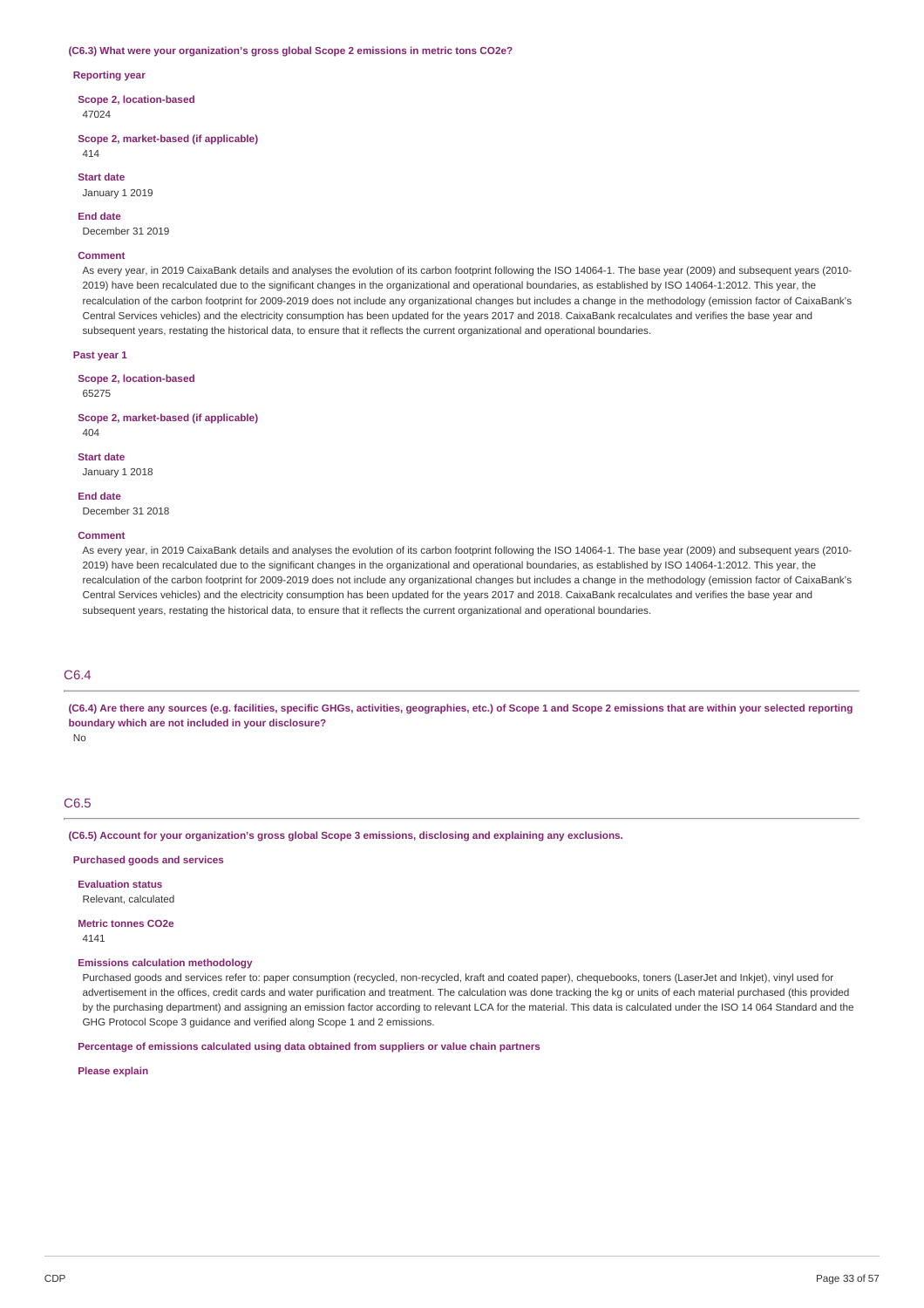#### **(C6.3) What were your organization's gross global Scope 2 emissions in metric tons CO2e?**

#### **Reporting year**

**Scope 2, location-based** 47024

**Scope 2, market-based (if applicable)**

**Start date**

414

January 1 2019

**End date**

December 31 2019

#### **Comment**

As every year, in 2019 CaixaBank details and analyses the evolution of its carbon footprint following the ISO 14064-1. The base year (2009) and subsequent years (2010- 2019) have been recalculated due to the significant changes in the organizational and operational boundaries, as established by ISO 14064-1:2012. This year, the recalculation of the carbon footprint for 2009-2019 does not include any organizational changes but includes a change in the methodology (emission factor of CaixaBank's Central Services vehicles) and the electricity consumption has been updated for the years 2017 and 2018. CaixaBank recalculates and verifies the base year and subsequent years, restating the historical data, to ensure that it reflects the current organizational and operational boundaries.

**Past year 1**

**Scope 2, location-based** 65275

**Scope 2, market-based (if applicable)** 404

**Start date**

January 1 2018

#### **End date**

December 31 2018

#### **Comment**

As every year, in 2019 CaixaBank details and analyses the evolution of its carbon footprint following the ISO 14064-1. The base year (2009) and subsequent years (2010- 2019) have been recalculated due to the significant changes in the organizational and operational boundaries, as established by ISO 14064-1:2012. This year, the recalculation of the carbon footprint for 2009-2019 does not include any organizational changes but includes a change in the methodology (emission factor of CaixaBank's Central Services vehicles) and the electricity consumption has been updated for the years 2017 and 2018. CaixaBank recalculates and verifies the base year and subsequent years, restating the historical data, to ensure that it reflects the current organizational and operational boundaries.

#### C6.4

(C6.4) Are there any sources (e.g. facilities, specific GHGs, activities, geographies, etc.) of Scope 1 and Scope 2 emissions that are within your selected reporting **boundary which are not included in your disclosure?** No

### C6.5

**(C6.5) Account for your organization's gross global Scope 3 emissions, disclosing and explaining any exclusions.**

**Purchased goods and services**

**Evaluation status**

Relevant, calculated

**Metric tonnes CO2e** 4141

#### **Emissions calculation methodology**

Purchased goods and services refer to: paper consumption (recycled, non-recycled, kraft and coated paper), chequebooks, toners (LaserJet and Inkjet), vinyl used for advertisement in the offices, credit cards and water purification and treatment. The calculation was done tracking the kg or units of each material purchased (this provided by the purchasing department) and assigning an emission factor according to relevant LCA for the material. This data is calculated under the ISO 14 064 Standard and the GHG Protocol Scope 3 guidance and verified along Scope 1 and 2 emissions.

**Percentage of emissions calculated using data obtained from suppliers or value chain partners**

**Please explain**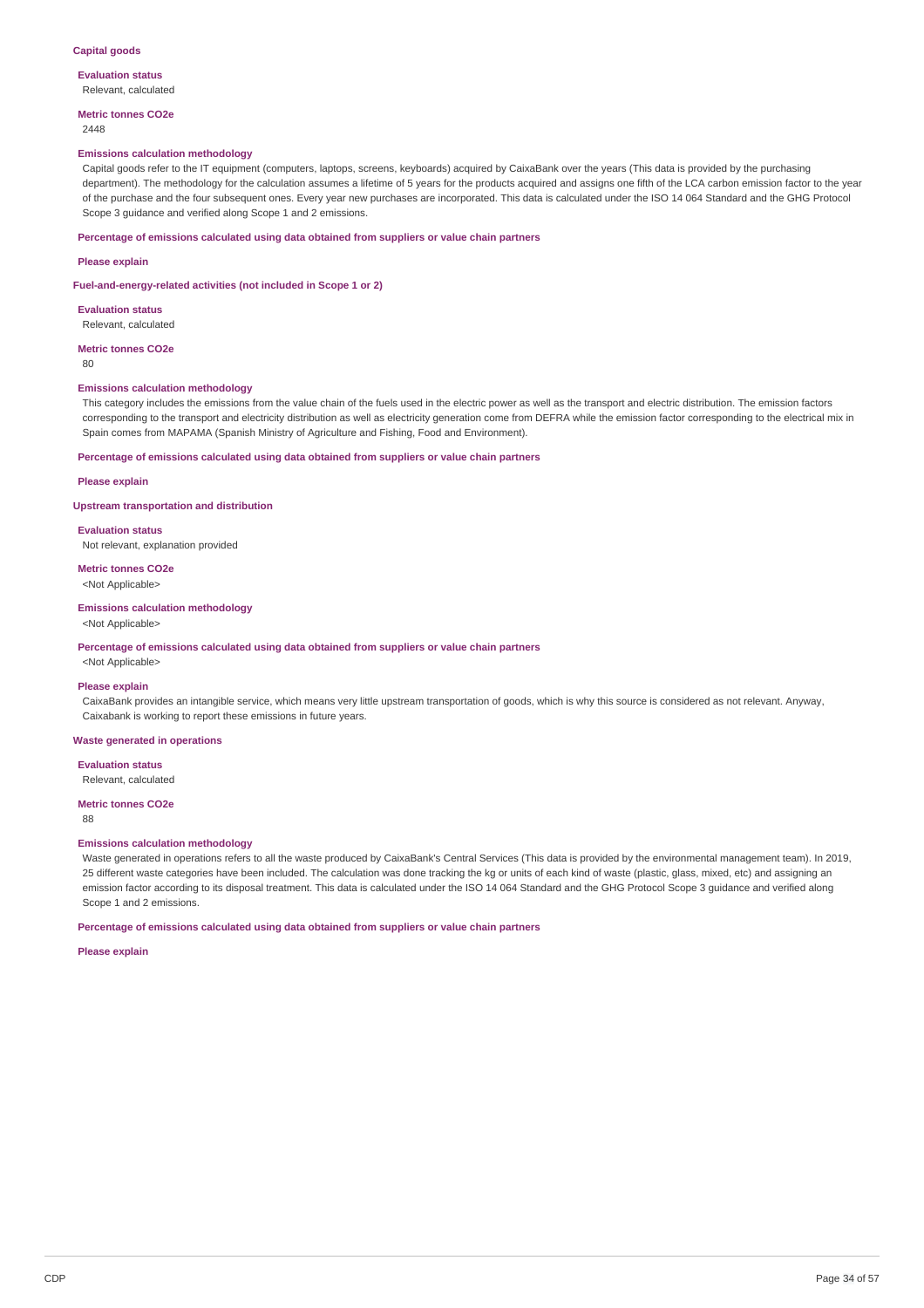#### **Capital goods**

**Evaluation status** Relevant, calculated

**Metric tonnes CO2e**

#### 2448

#### **Emissions calculation methodology**

Capital goods refer to the IT equipment (computers, laptops, screens, keyboards) acquired by CaixaBank over the years (This data is provided by the purchasing department). The methodology for the calculation assumes a lifetime of 5 years for the products acquired and assigns one fifth of the LCA carbon emission factor to the year of the purchase and the four subsequent ones. Every year new purchases are incorporated. This data is calculated under the ISO 14 064 Standard and the GHG Protocol Scope 3 guidance and verified along Scope 1 and 2 emissions.

#### **Percentage of emissions calculated using data obtained from suppliers or value chain partners**

#### **Please explain**

**Fuel-and-energy-related activities (not included in Scope 1 or 2)**

**Evaluation status**

Relevant, calculated

**Metric tonnes CO2e**

80

#### **Emissions calculation methodology**

This category includes the emissions from the value chain of the fuels used in the electric power as well as the transport and electric distribution. The emission factors corresponding to the transport and electricity distribution as well as electricity generation come from DEFRA while the emission factor corresponding to the electrical mix in Spain comes from MAPAMA (Spanish Ministry of Agriculture and Fishing, Food and Environment).

#### **Percentage of emissions calculated using data obtained from suppliers or value chain partners**

#### **Please explain**

#### **Upstream transportation and distribution**

**Evaluation status** Not relevant, explanation provided

**Metric tonnes CO2e**

<Not Applicable>

### **Emissions calculation methodology**

<Not Applicable>

**Percentage of emissions calculated using data obtained from suppliers or value chain partners**

<Not Applicable>

#### **Please explain**

CaixaBank provides an intangible service, which means very little upstream transportation of goods, which is why this source is considered as not relevant. Anyway, Caixabank is working to report these emissions in future years.

#### **Waste generated in operations**

**Evaluation status**

Relevant, calculated

**Metric tonnes CO2e**

88

#### **Emissions calculation methodology**

Waste generated in operations refers to all the waste produced by CaixaBank's Central Services (This data is provided by the environmental management team). In 2019, 25 different waste categories have been included. The calculation was done tracking the kg or units of each kind of waste (plastic, glass, mixed, etc) and assigning an emission factor according to its disposal treatment. This data is calculated under the ISO 14 064 Standard and the GHG Protocol Scope 3 guidance and verified along Scope 1 and 2 emissions.

**Percentage of emissions calculated using data obtained from suppliers or value chain partners**

**Please explain**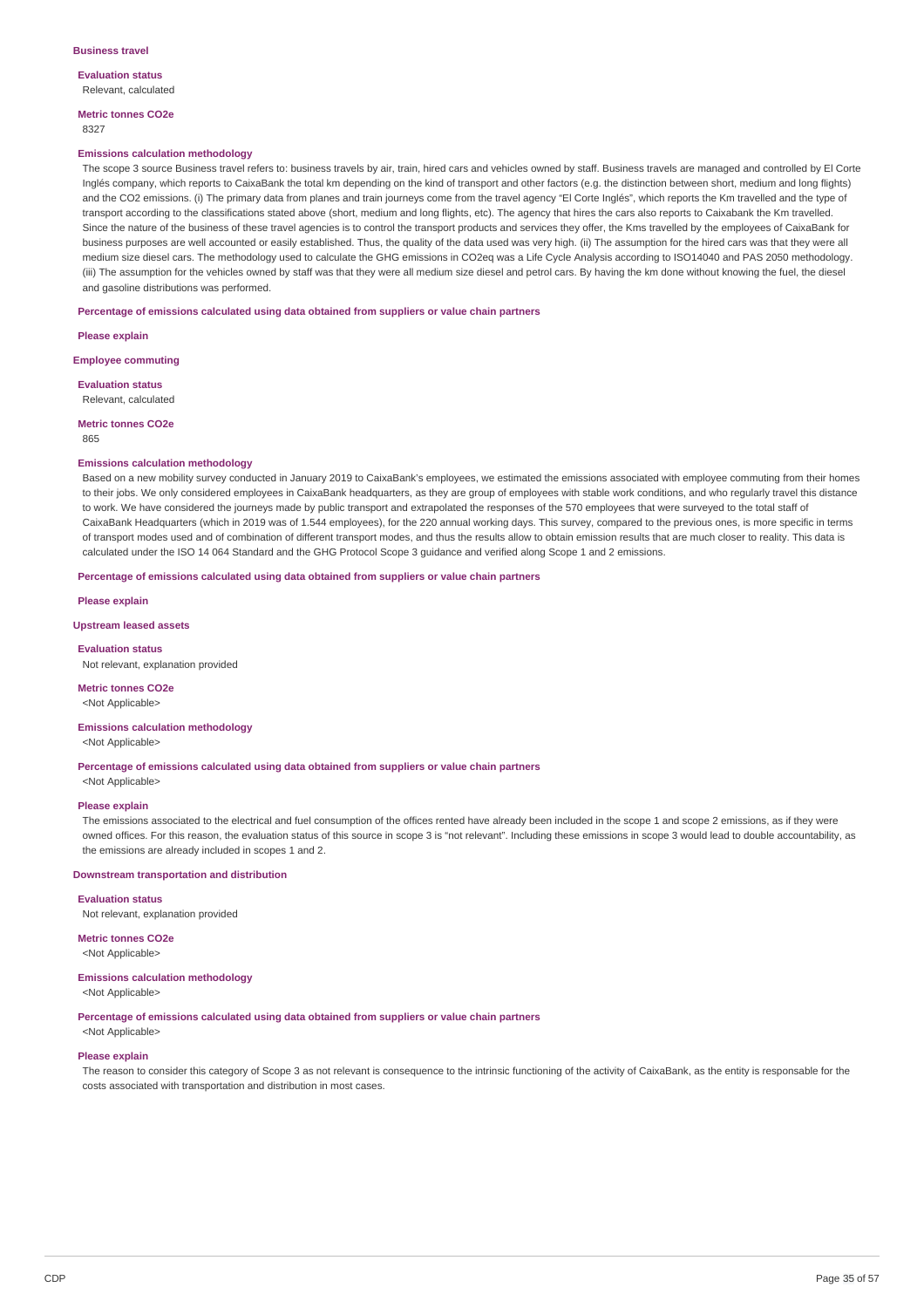**Evaluation status** Relevant, calculated

**Metric tonnes CO2e** 8327

#### **Emissions calculation methodology**

The scope 3 source Business travel refers to: business travels by air, train, hired cars and vehicles owned by staff. Business travels are managed and controlled by El Corte Inglés company, which reports to CaixaBank the total km depending on the kind of transport and other factors (e.g. the distinction between short, medium and long flights) and the CO2 emissions. (i) The primary data from planes and train journeys come from the travel agency "El Corte Inglés", which reports the Km travelled and the type of transport according to the classifications stated above (short, medium and long flights, etc). The agency that hires the cars also reports to Caixabank the Km travelled. Since the nature of the business of these travel agencies is to control the transport products and services they offer, the Kms travelled by the employees of CaixaBank for business purposes are well accounted or easily established. Thus, the quality of the data used was very high. (ii) The assumption for the hired cars was that they were all medium size diesel cars. The methodology used to calculate the GHG emissions in CO2eq was a Life Cycle Analysis according to ISO14040 and PAS 2050 methodology. (iii) The assumption for the vehicles owned by staff was that they were all medium size diesel and petrol cars. By having the km done without knowing the fuel, the diesel and gasoline distributions was performed.

#### **Percentage of emissions calculated using data obtained from suppliers or value chain partners**

**Please explain**

**Employee commuting**

**Evaluation status**

Relevant, calculated

### **Metric tonnes CO2e**

865

#### **Emissions calculation methodology**

Based on a new mobility survey conducted in January 2019 to CaixaBank's employees, we estimated the emissions associated with employee commuting from their homes to their jobs. We only considered employees in CaixaBank headquarters, as they are group of employees with stable work conditions, and who regularly travel this distance to work. We have considered the journeys made by public transport and extrapolated the responses of the 570 employees that were surveyed to the total staff of CaixaBank Headquarters (which in 2019 was of 1.544 employees), for the 220 annual working days. This survey, compared to the previous ones, is more specific in terms of transport modes used and of combination of different transport modes, and thus the results allow to obtain emission results that are much closer to reality. This data is calculated under the ISO 14 064 Standard and the GHG Protocol Scope 3 guidance and verified along Scope 1 and 2 emissions.

#### **Percentage of emissions calculated using data obtained from suppliers or value chain partners**

#### **Please explain**

**Upstream leased assets**

**Evaluation status** Not relevant, explanation provided

#### **Metric tonnes CO2e**

<Not Applicable>

#### **Emissions calculation methodology**

<Not Applicable>

**Percentage of emissions calculated using data obtained from suppliers or value chain partners** <Not Applicable>

#### **Please explain**

The emissions associated to the electrical and fuel consumption of the offices rented have already been included in the scope 1 and scope 2 emissions, as if they were owned offices. For this reason, the evaluation status of this source in scope 3 is "not relevant". Including these emissions in scope 3 would lead to double accountability, as the emissions are already included in scopes 1 and 2.

#### **Downstream transportation and distribution**

#### **Evaluation status**

Not relevant, explanation provided

**Metric tonnes CO2e**

<Not Applicable>

**Emissions calculation methodology** <Not Applicable>

**Percentage of emissions calculated using data obtained from suppliers or value chain partners**

### <Not Applicable> **Please explain**

The reason to consider this category of Scope 3 as not relevant is consequence to the intrinsic functioning of the activity of CaixaBank, as the entity is responsable for the costs associated with transportation and distribution in most cases.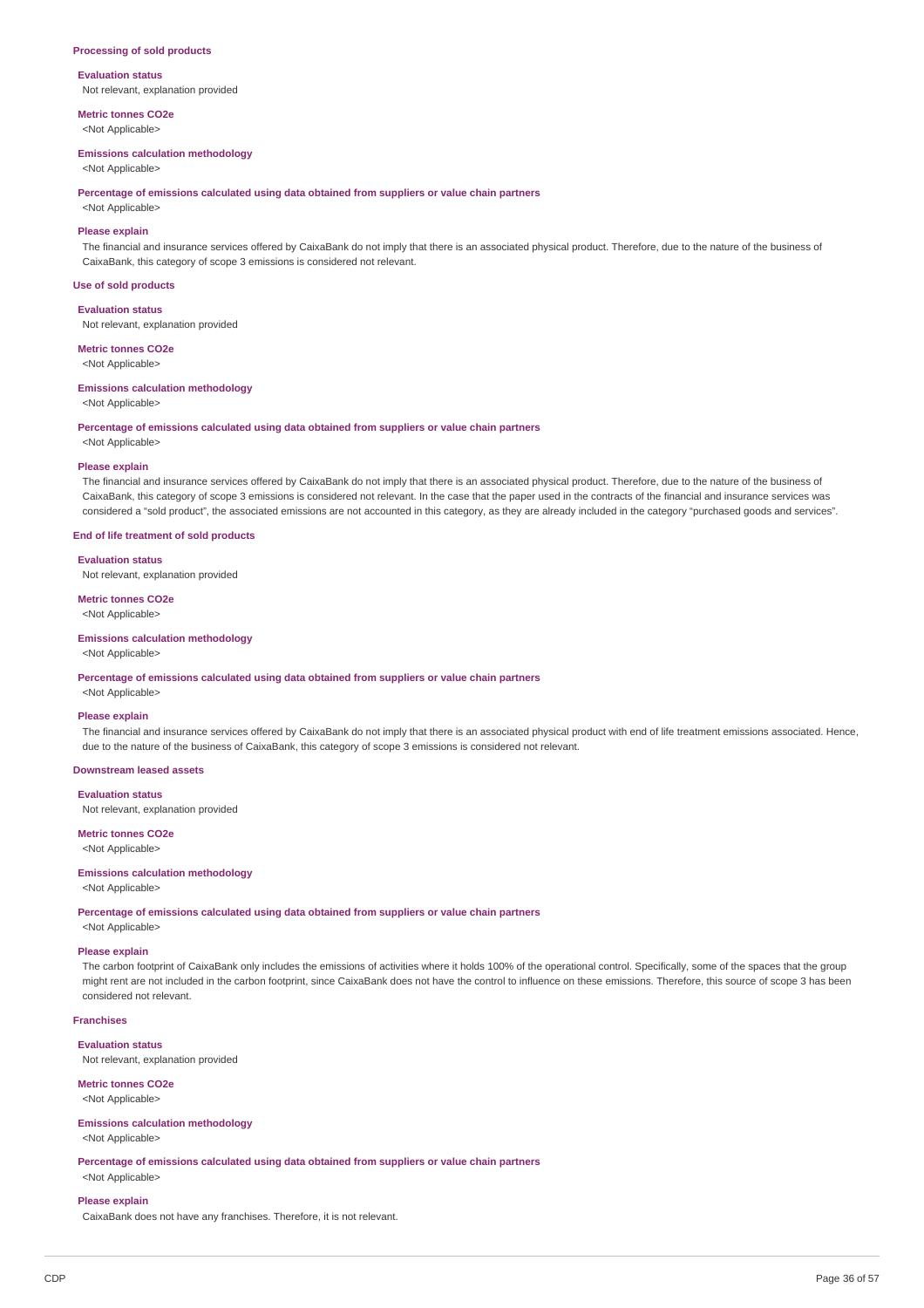#### **Processing of sold products**

#### **Evaluation status**

Not relevant, explanation provided

**Metric tonnes CO2e** <Not Applicable>

#### **Emissions calculation methodology**

<Not Applicable>

#### **Percentage of emissions calculated using data obtained from suppliers or value chain partners**

<Not Applicable>

#### **Please explain**

The financial and insurance services offered by CaixaBank do not imply that there is an associated physical product. Therefore, due to the nature of the business of CaixaBank, this category of scope 3 emissions is considered not relevant.

#### **Use of sold products**

**Evaluation status**

Not relevant, explanation provided

**Metric tonnes CO2e**

<Not Applicable>

#### **Emissions calculation methodology**

<Not Applicable>

#### **Percentage of emissions calculated using data obtained from suppliers or value chain partners**

<Not Applicable>

#### **Please explain**

The financial and insurance services offered by CaixaBank do not imply that there is an associated physical product. Therefore, due to the nature of the business of CaixaBank, this category of scope 3 emissions is considered not relevant. In the case that the paper used in the contracts of the financial and insurance services was considered a "sold product", the associated emissions are not accounted in this category, as they are already included in the category "purchased goods and services".

#### **End of life treatment of sold products**

#### **Evaluation status**

Not relevant, explanation provided

### **Metric tonnes CO2e**

<Not Applicable>

### **Emissions calculation methodology**

#### <Not Applicable>

#### **Percentage of emissions calculated using data obtained from suppliers or value chain partners**

<Not Applicable>

#### **Please explain**

The financial and insurance services offered by CaixaBank do not imply that there is an associated physical product with end of life treatment emissions associated. Hence, due to the nature of the business of CaixaBank, this category of scope 3 emissions is considered not relevant.

### **Downstream leased assets**

**Evaluation status**

Not relevant, explanation provided

### **Metric tonnes CO2e**

<Not Applicable>

#### **Emissions calculation methodology**

<Not Applicable>

**Percentage of emissions calculated using data obtained from suppliers or value chain partners**

<Not Applicable>

#### **Please explain**

The carbon footprint of CaixaBank only includes the emissions of activities where it holds 100% of the operational control. Specifically, some of the spaces that the group might rent are not included in the carbon footprint, since CaixaBank does not have the control to influence on these emissions. Therefore, this source of scope 3 has been considered not relevant.

#### **Franchises**

**Evaluation status**

Not relevant, explanation provided

### **Metric tonnes CO2e**

<Not Applicable>

#### **Emissions calculation methodology**

<Not Applicable>

**Percentage of emissions calculated using data obtained from suppliers or value chain partners** <Not Applicable>

#### **Please explain**

CaixaBank does not have any franchises. Therefore, it is not relevant.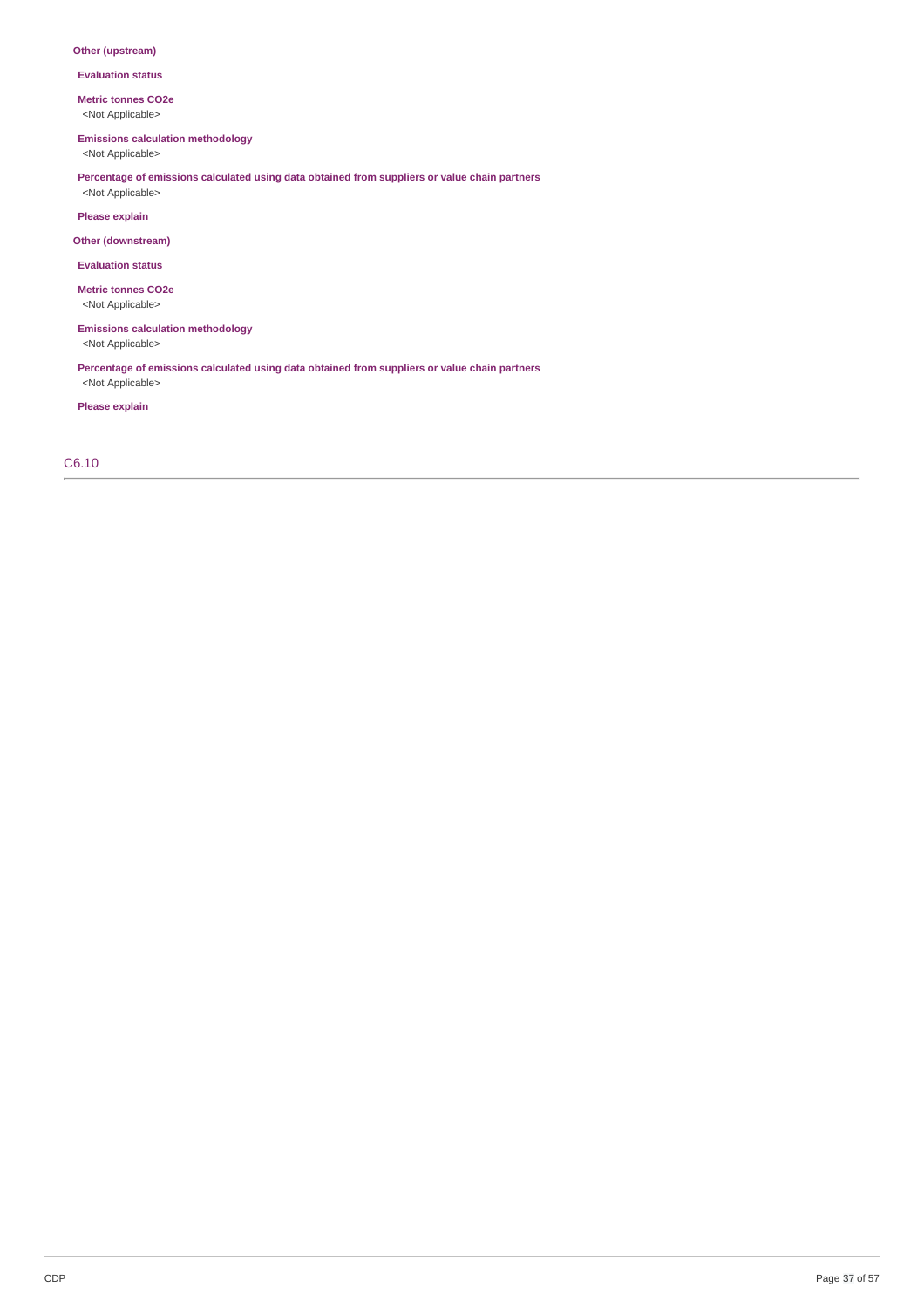#### **Other (upstream)**

**Evaluation status**

**Metric tonnes CO2e**

<Not Applicable>

**Emissions calculation methodology**

<Not Applicable>

**Percentage of emissions calculated using data obtained from suppliers or value chain partners** <Not Applicable>

**Please explain**

**Other (downstream)**

**Evaluation status**

**Metric tonnes CO2e** <Not Applicable>

**Emissions calculation methodology** <Not Applicable>

**Percentage of emissions calculated using data obtained from suppliers or value chain partners** <Not Applicable>

**Please explain**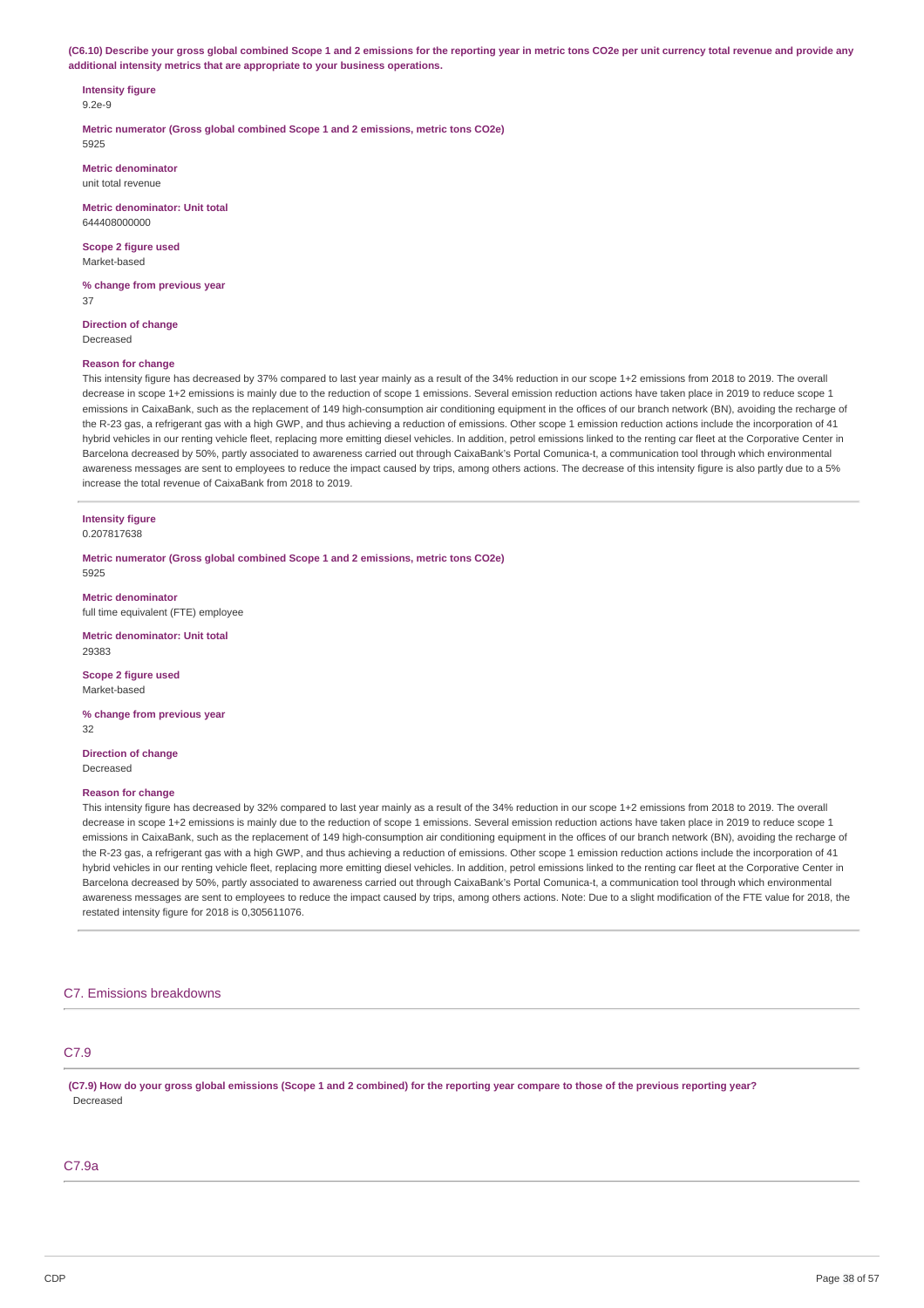(C6.10) Describe your gross global combined Scope 1 and 2 emissions for the reporting year in metric tons CO2e per unit currency total revenue and provide any **additional intensity metrics that are appropriate to your business operations.**

#### **Intensity figure** 9.2e-9

**Metric numerator (Gross global combined Scope 1 and 2 emissions, metric tons CO2e)** 5925

**Metric denominator** unit total revenue

**Metric denominator: Unit total** 644408000000

**Scope 2 figure used** Market-based

**% change from previous year** 37

**Direction of change** Decreased

#### **Reason for change**

This intensity figure has decreased by 37% compared to last year mainly as a result of the 34% reduction in our scope 1+2 emissions from 2018 to 2019. The overall decrease in scope 1+2 emissions is mainly due to the reduction of scope 1 emissions. Several emission reduction actions have taken place in 2019 to reduce scope 1 emissions in CaixaBank, such as the replacement of 149 high-consumption air conditioning equipment in the offices of our branch network (BN), avoiding the recharge of the R-23 gas, a refrigerant gas with a high GWP, and thus achieving a reduction of emissions. Other scope 1 emission reduction actions include the incorporation of 41 hybrid vehicles in our renting vehicle fleet, replacing more emitting diesel vehicles. In addition, petrol emissions linked to the renting car fleet at the Corporative Center in Barcelona decreased by 50%, partly associated to awareness carried out through CaixaBank's Portal Comunica-t, a communication tool through which environmental awareness messages are sent to employees to reduce the impact caused by trips, among others actions. The decrease of this intensity figure is also partly due to a 5% increase the total revenue of CaixaBank from 2018 to 2019.

**Intensity figure** 0.207817638

**Metric numerator (Gross global combined Scope 1 and 2 emissions, metric tons CO2e)** 5925

**Metric denominator** full time equivalent (FTE) employee

**Metric denominator: Unit total** 29383

**Scope 2 figure used** Market-based

**% change from previous year** 32

**Direction of change** Decreased

#### **Reason for change**

This intensity figure has decreased by 32% compared to last year mainly as a result of the 34% reduction in our scope 1+2 emissions from 2018 to 2019. The overall decrease in scope 1+2 emissions is mainly due to the reduction of scope 1 emissions. Several emission reduction actions have taken place in 2019 to reduce scope 1 emissions in CaixaBank, such as the replacement of 149 high-consumption air conditioning equipment in the offices of our branch network (BN), avoiding the recharge of the R-23 gas, a refrigerant gas with a high GWP, and thus achieving a reduction of emissions. Other scope 1 emission reduction actions include the incorporation of 41 hybrid vehicles in our renting vehicle fleet, replacing more emitting diesel vehicles. In addition, petrol emissions linked to the renting car fleet at the Corporative Center in Barcelona decreased by 50%, partly associated to awareness carried out through CaixaBank's Portal Comunica-t, a communication tool through which environmental awareness messages are sent to employees to reduce the impact caused by trips, among others actions. Note: Due to a slight modification of the FTE value for 2018, the restated intensity figure for 2018 is 0,305611076.

#### C7. Emissions breakdowns

### $C7.9$

(C7.9) How do your gross global emissions (Scope 1 and 2 combined) for the reporting year compare to those of the previous reporting year? Decreased

#### C7.9a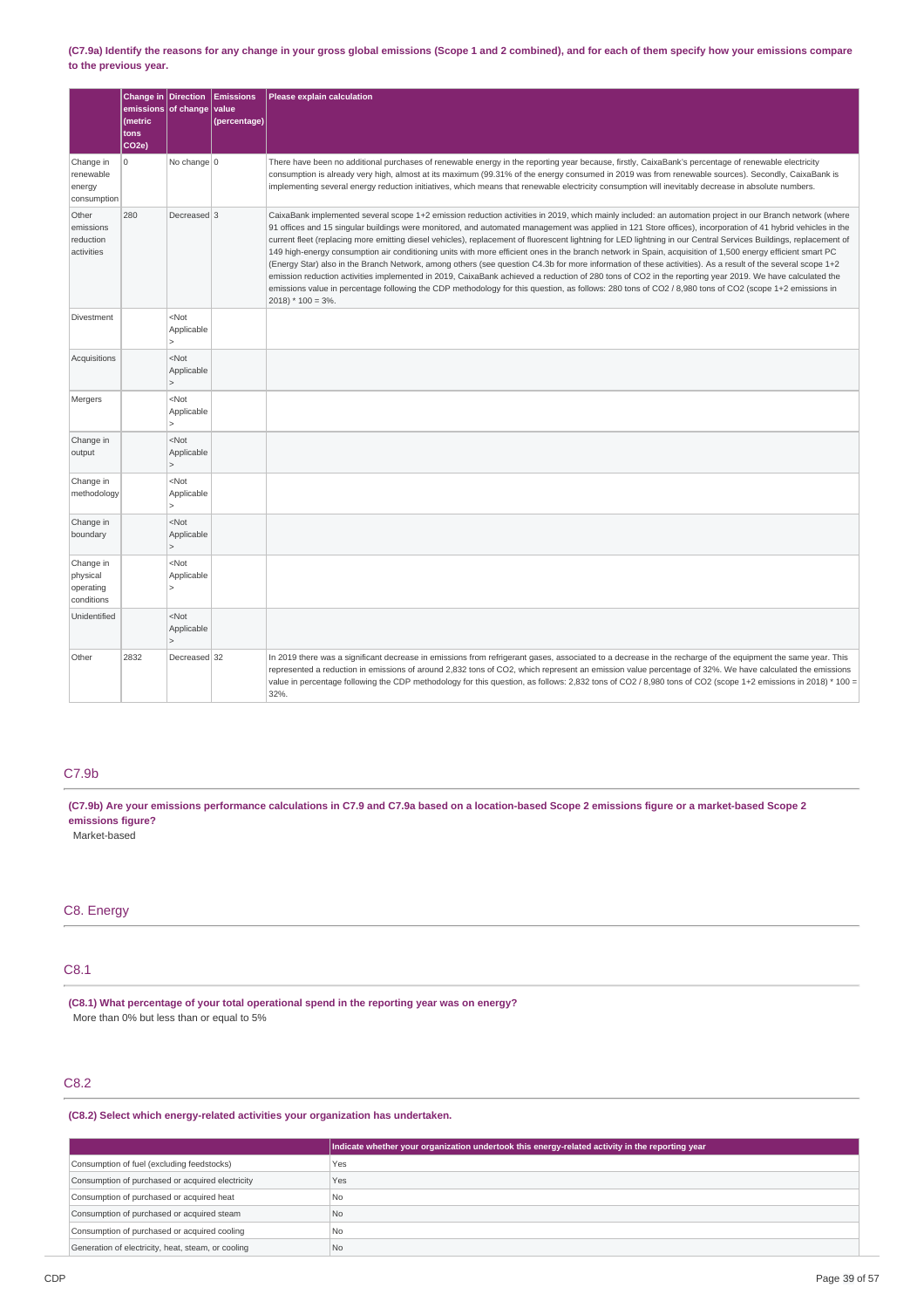#### (C7.9a) Identify the reasons for any change in your gross global emissions (Scope 1 and 2 combined), and for each of them specify how your emissions compare **to the previous year.**

|                                                  | Change in Direction<br>emissions of change<br>(metric<br>tons<br>CO <sub>2e</sub> ) |                                         | <b>Emissions</b><br>value<br>(percentage) | Please explain calculation                                                                                                                                                                                                                                                                                                                                                                                                                                                                                                                                                                                                                                                                                                                                                                                                                                                                                                                                                                                                                                                                                                                                             |
|--------------------------------------------------|-------------------------------------------------------------------------------------|-----------------------------------------|-------------------------------------------|------------------------------------------------------------------------------------------------------------------------------------------------------------------------------------------------------------------------------------------------------------------------------------------------------------------------------------------------------------------------------------------------------------------------------------------------------------------------------------------------------------------------------------------------------------------------------------------------------------------------------------------------------------------------------------------------------------------------------------------------------------------------------------------------------------------------------------------------------------------------------------------------------------------------------------------------------------------------------------------------------------------------------------------------------------------------------------------------------------------------------------------------------------------------|
| Change in<br>renewable<br>energy<br>consumption  | lo.                                                                                 | No change $0$                           |                                           | There have been no additional purchases of renewable energy in the reporting year because, firstly, CaixaBank's percentage of renewable electricity<br>consumption is already very high, almost at its maximum (99.31% of the energy consumed in 2019 was from renewable sources). Secondly, CaixaBank is<br>implementing several energy reduction initiatives, which means that renewable electricity consumption will inevitably decrease in absolute numbers.                                                                                                                                                                                                                                                                                                                                                                                                                                                                                                                                                                                                                                                                                                       |
| Other<br>emissions<br>reduction<br>activities    | 280                                                                                 | Decreased <sup>3</sup>                  |                                           | CaixaBank implemented several scope 1+2 emission reduction activities in 2019, which mainly included: an automation project in our Branch network (where<br>91 offices and 15 singular buildings were monitored, and automated management was applied in 121 Store offices), incorporation of 41 hybrid vehicles in the<br>current fleet (replacing more emitting diesel vehicles), replacement of fluorescent lightning for LED lightning in our Central Services Buildings, replacement of<br>149 high-energy consumption air conditioning units with more efficient ones in the branch network in Spain, acquisition of 1,500 energy efficient smart PC<br>(Energy Star) also in the Branch Network, among others (see question C4.3b for more information of these activities). As a result of the several scope 1+2<br>emission reduction activities implemented in 2019, CaixaBank achieved a reduction of 280 tons of CO2 in the reporting year 2019. We have calculated the<br>emissions value in percentage following the CDP methodology for this question, as follows: 280 tons of CO2 / 8,980 tons of CO2 (scope 1+2 emissions in<br>$2018$ * $100 = 3%$ . |
| Divestment                                       |                                                                                     | $<$ Not<br>Applicable<br>$\geq$         |                                           |                                                                                                                                                                                                                                                                                                                                                                                                                                                                                                                                                                                                                                                                                                                                                                                                                                                                                                                                                                                                                                                                                                                                                                        |
| Acquisitions                                     |                                                                                     | $<$ Not<br>Applicable<br>$\overline{ }$ |                                           |                                                                                                                                                                                                                                                                                                                                                                                                                                                                                                                                                                                                                                                                                                                                                                                                                                                                                                                                                                                                                                                                                                                                                                        |
| Mergers                                          |                                                                                     | <not<br>Applicable</not<br>             |                                           |                                                                                                                                                                                                                                                                                                                                                                                                                                                                                                                                                                                                                                                                                                                                                                                                                                                                                                                                                                                                                                                                                                                                                                        |
| Change in<br>output                              |                                                                                     | $<$ Not<br>Applicable<br>$\overline{ }$ |                                           |                                                                                                                                                                                                                                                                                                                                                                                                                                                                                                                                                                                                                                                                                                                                                                                                                                                                                                                                                                                                                                                                                                                                                                        |
| Change in<br>methodology                         |                                                                                     | <not<br>Applicable</not<br>             |                                           |                                                                                                                                                                                                                                                                                                                                                                                                                                                                                                                                                                                                                                                                                                                                                                                                                                                                                                                                                                                                                                                                                                                                                                        |
| Change in<br>boundary                            |                                                                                     | $<$ Not<br>Applicable<br>$\mathbf{r}$   |                                           |                                                                                                                                                                                                                                                                                                                                                                                                                                                                                                                                                                                                                                                                                                                                                                                                                                                                                                                                                                                                                                                                                                                                                                        |
| Change in<br>physical<br>operating<br>conditions |                                                                                     | $<$ Not<br>Applicable                   |                                           |                                                                                                                                                                                                                                                                                                                                                                                                                                                                                                                                                                                                                                                                                                                                                                                                                                                                                                                                                                                                                                                                                                                                                                        |
| Unidentified                                     |                                                                                     | <not<br>Applicable</not<br>             |                                           |                                                                                                                                                                                                                                                                                                                                                                                                                                                                                                                                                                                                                                                                                                                                                                                                                                                                                                                                                                                                                                                                                                                                                                        |
| Other                                            | 2832                                                                                | Decreased 32                            |                                           | In 2019 there was a significant decrease in emissions from refrigerant gases, associated to a decrease in the recharge of the equipment the same year. This<br>represented a reduction in emissions of around 2,832 tons of CO2, which represent an emission value percentage of 32%. We have calculated the emissions<br>value in percentage following the CDP methodology for this question, as follows: 2,832 tons of CO2 / 8,980 tons of CO2 (scope 1+2 emissions in 2018) * 100 =<br>32%.                                                                                                                                                                                                                                                                                                                                                                                                                                                                                                                                                                                                                                                                         |

### C7.9b

(C7.9b) Are your emissions performance calculations in C7.9 and C7.9a based on a location-based Scope 2 emissions figure or a market-based Scope 2 **emissions figure?**

Market-based

### C8. Energy

### C8.1

**(C8.1) What percentage of your total operational spend in the reporting year was on energy?** More than 0% but less than or equal to 5%

### C8.2

**(C8.2) Select which energy-related activities your organization has undertaken.**

|                                                    | Indicate whether your organization undertook this energy-related activity in the reporting year |
|----------------------------------------------------|-------------------------------------------------------------------------------------------------|
| Consumption of fuel (excluding feedstocks)         | Yes                                                                                             |
| Consumption of purchased or acquired electricity   | Yes                                                                                             |
| Consumption of purchased or acquired heat          | <b>No</b>                                                                                       |
| Consumption of purchased or acquired steam         | N <sub>0</sub>                                                                                  |
| Consumption of purchased or acquired cooling       | <b>No</b>                                                                                       |
| Generation of electricity, heat, steam, or cooling | N <sub>0</sub>                                                                                  |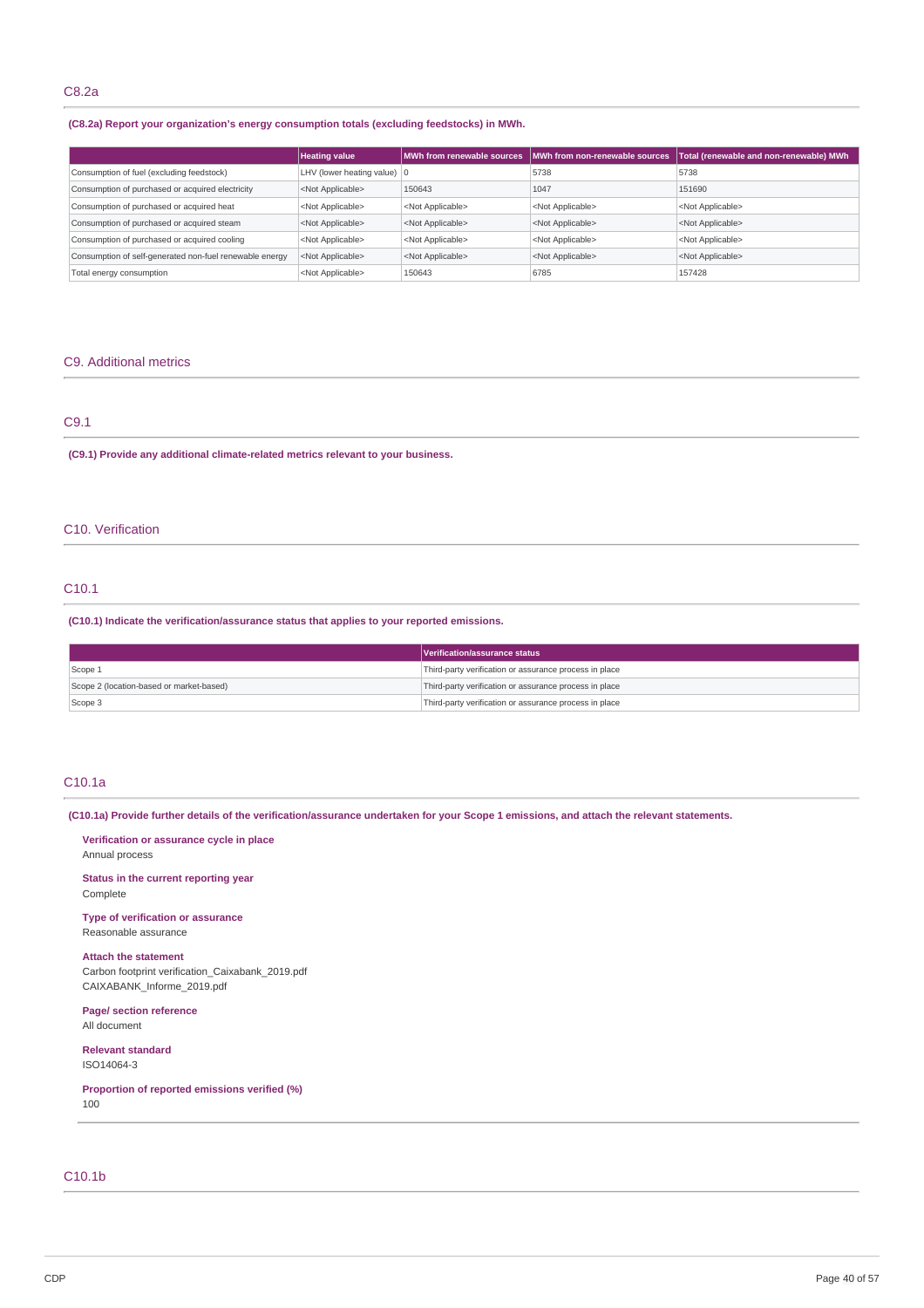### C8.2a

#### **(C8.2a) Report your organization's energy consumption totals (excluding feedstocks) in MWh.**

|                                                         | <b>Heating value</b>                  |                           | MWh from renewable sources IMWh from non-renewable sources | Total (renewable and non-renewable) MWh |
|---------------------------------------------------------|---------------------------------------|---------------------------|------------------------------------------------------------|-----------------------------------------|
| Consumption of fuel (excluding feedstock)               | LHV (lower heating value) $ 0\rangle$ |                           | 5738                                                       | 5738                                    |
| Consumption of purchased or acquired electricity        | <not applicable=""></not>             | 150643                    | 1047                                                       | 151690                                  |
| Consumption of purchased or acquired heat               | <not applicable=""></not>             | <not applicable=""></not> | <not applicable=""></not>                                  | <not applicable=""></not>               |
| Consumption of purchased or acquired steam              | <not applicable=""></not>             | <not applicable=""></not> | <not applicable=""></not>                                  | <not applicable=""></not>               |
| Consumption of purchased or acquired cooling            | <not applicable=""></not>             | <not applicable=""></not> | <not applicable=""></not>                                  | <not applicable=""></not>               |
| Consumption of self-generated non-fuel renewable energy | <not applicable=""></not>             | <not applicable=""></not> | <not applicable=""></not>                                  | <not applicable=""></not>               |
| Total energy consumption                                | <not applicable=""></not>             | 150643                    | 6785                                                       | 157428                                  |

#### C9. Additional metrics

### C9.1

**(C9.1) Provide any additional climate-related metrics relevant to your business.**

### C10. Verification

#### C10.1

#### **(C10.1) Indicate the verification/assurance status that applies to your reported emissions.**

|                                          | Verification/assurance status                          |
|------------------------------------------|--------------------------------------------------------|
| Scope 1                                  | Third-party verification or assurance process in place |
| Scope 2 (location-based or market-based) | Third-party verification or assurance process in place |
| Scope 3                                  | Third-party verification or assurance process in place |

### C10.1a

(C10.1a) Provide further details of the verification/assurance undertaken for your Scope 1 emissions, and attach the relevant statements.

**Verification or assurance cycle in place** Annual process

**Status in the current reporting year** Complete

**Type of verification or assurance** Reasonable assurance

#### **Attach the statement**

Carbon footprint verification\_Caixabank\_2019.pdf CAIXABANK\_Informe\_2019.pdf

**Page/ section reference** All document

**Relevant standard** ISO14064-3

**Proportion of reported emissions verified (%)** 100

### C10.1b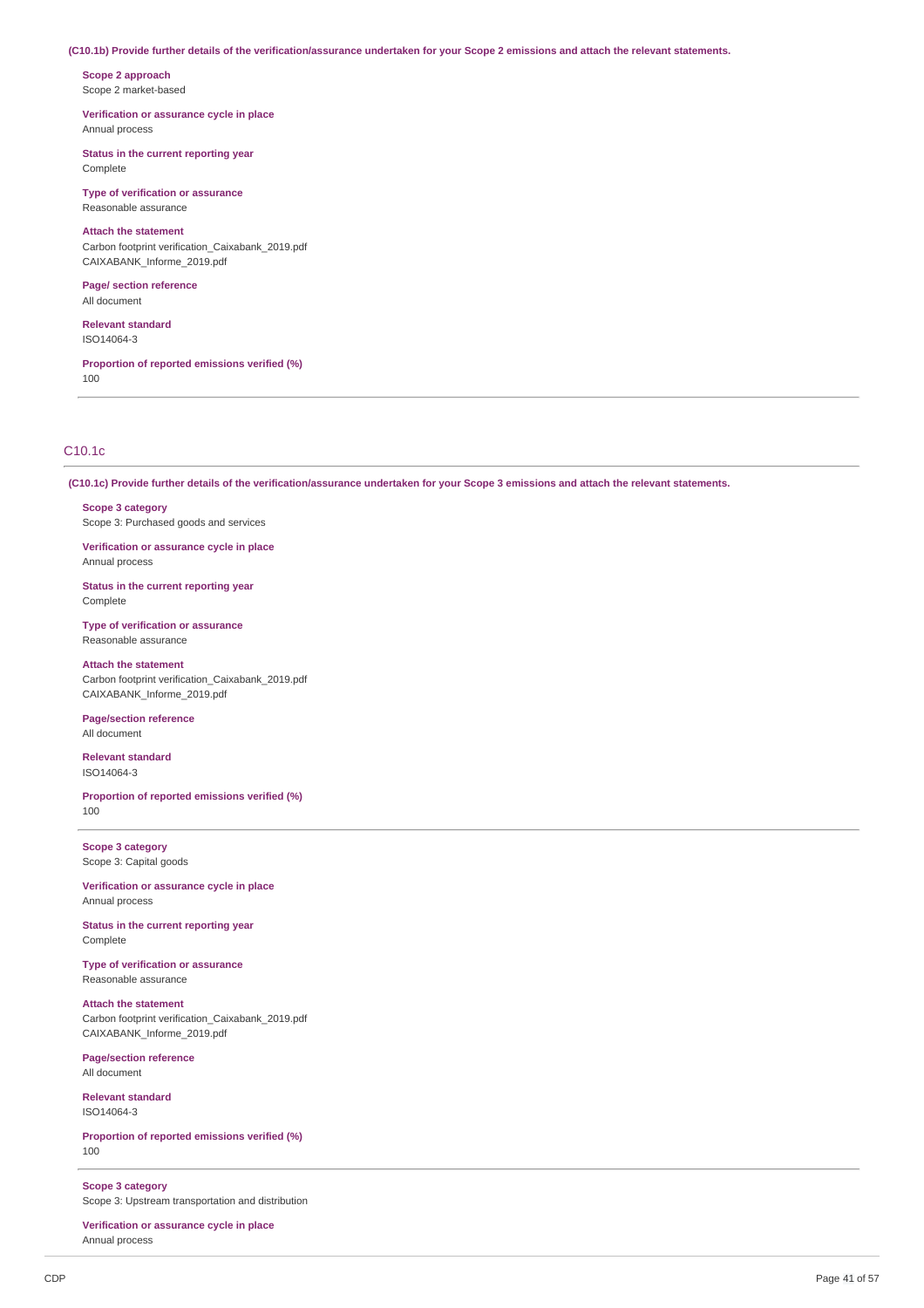#### (C10.1b) Provide further details of the verification/assurance undertaken for your Scope 2 emissions and attach the relevant statements.

**Scope 2 approach** Scope 2 market-based

**Verification or assurance cycle in place** Annual process

**Status in the current reporting year** Complete

**Type of verification or assurance** Reasonable assurance

**Attach the statement** Carbon footprint verification\_Caixabank\_2019.pdf CAIXABANK\_Informe\_2019.pdf

**Page/ section reference** All document

**Relevant standard** ISO14064-3

**Proportion of reported emissions verified (%)** 100

### C10.1c

(C10.1c) Provide further details of the verification/assurance undertaken for your Scope 3 emissions and attach the relevant statements.

**Scope 3 category** Scope 3: Purchased goods and services

**Verification or assurance cycle in place** Annual process

**Status in the current reporting year** Complete

**Type of verification or assurance** Reasonable assurance

**Attach the statement** Carbon footprint verification\_Caixabank\_2019.pdf CAIXABANK\_Informe\_2019.pdf

**Page/section reference** All document

**Relevant standard** ISO14064-3

**Proportion of reported emissions verified (%)** 100

**Scope 3 category** Scope 3: Capital goods

**Verification or assurance cycle in place** Annual process

**Status in the current reporting year** Complete

**Type of verification or assurance** Reasonable assurance

**Attach the statement** Carbon footprint verification\_Caixabank\_2019.pdf CAIXABANK\_Informe\_2019.pdf

**Page/section reference** All document

**Relevant standard** ISO14064-3

**Proportion of reported emissions verified (%)** 100

**Scope 3 category** Scope 3: Upstream transportation and distribution

**Verification or assurance cycle in place** Annual process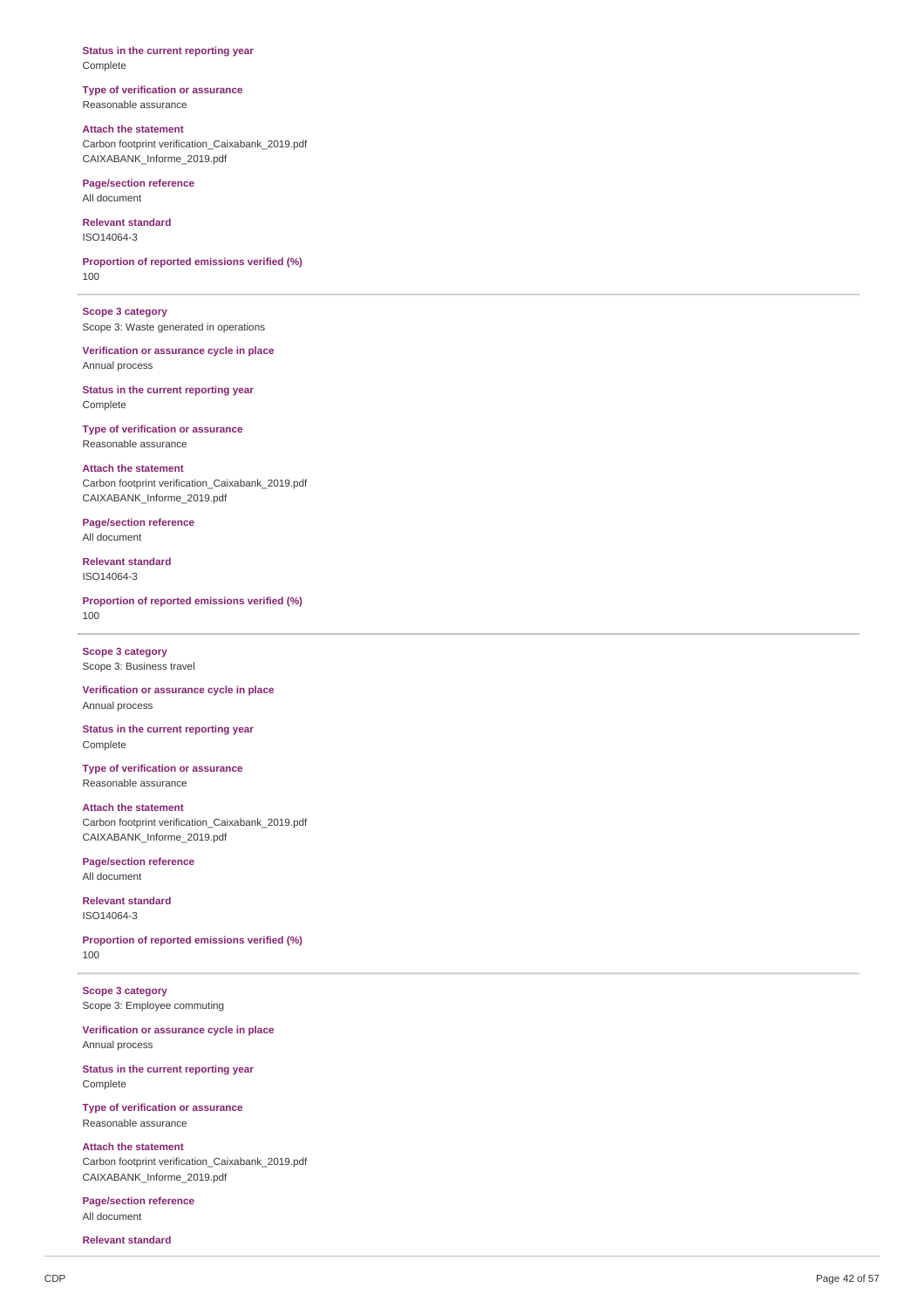#### Status in the current reporting year Complete

#### **Type of verification or assurance** Reasonable assurance

**Attach the statement** Carbon footprint verification\_Caixabank\_2019.pdf CAIXABANK\_Informe\_2019.pdf

**Page/section reference** All document

**Relevant standard** ISO14064-3

**Proportion of reported emissions verified (%)** 1 0 0

**Scope 3 category** Scope 3: Waste generated in operations

Verification or assurance cycle in place Annual process

Status in the current reporting year Complete

**Type of verification or assurance** Reasonable assurance

#### **Attach the statement**

Carbon footprint verification\_Caixabank\_2019.pdf CAIXABANK\_Informe\_2019.pdf

**Page/section reference** All document

**Relevant standard** ISO14064-3

**Proportion of reported emissions verified (%)** 1 0 0

**Scope 3 category** Scope 3: Business travel

**Verification or assuranc e c y cle in pla c e** Annual process

Status in the current reporting year Complete

**Type of verification or assurance** Reasonable assurance

**Attach the statement** Carbon footprint verification\_Caixabank\_2019.pdf CAIXABANK\_Informe\_2019.pdf

**Page/section reference** All document

**Relevant standard** ISO14064-3

**Proportion of reported emissions verified (%)** 1 0 0

**Scope 3 category** Scope 3: Employee commuting

Verification or assurance cycle in place Annual process

Status in the current reporting year Complete

**Type of verification or assurance** Reasonable assurance

**Attach the statement** Carbon footprint verification\_Caixabank\_2019.pdf CAIXABANK Informe 2019.pdf

**Page/section reference** All document

**Relevant standard**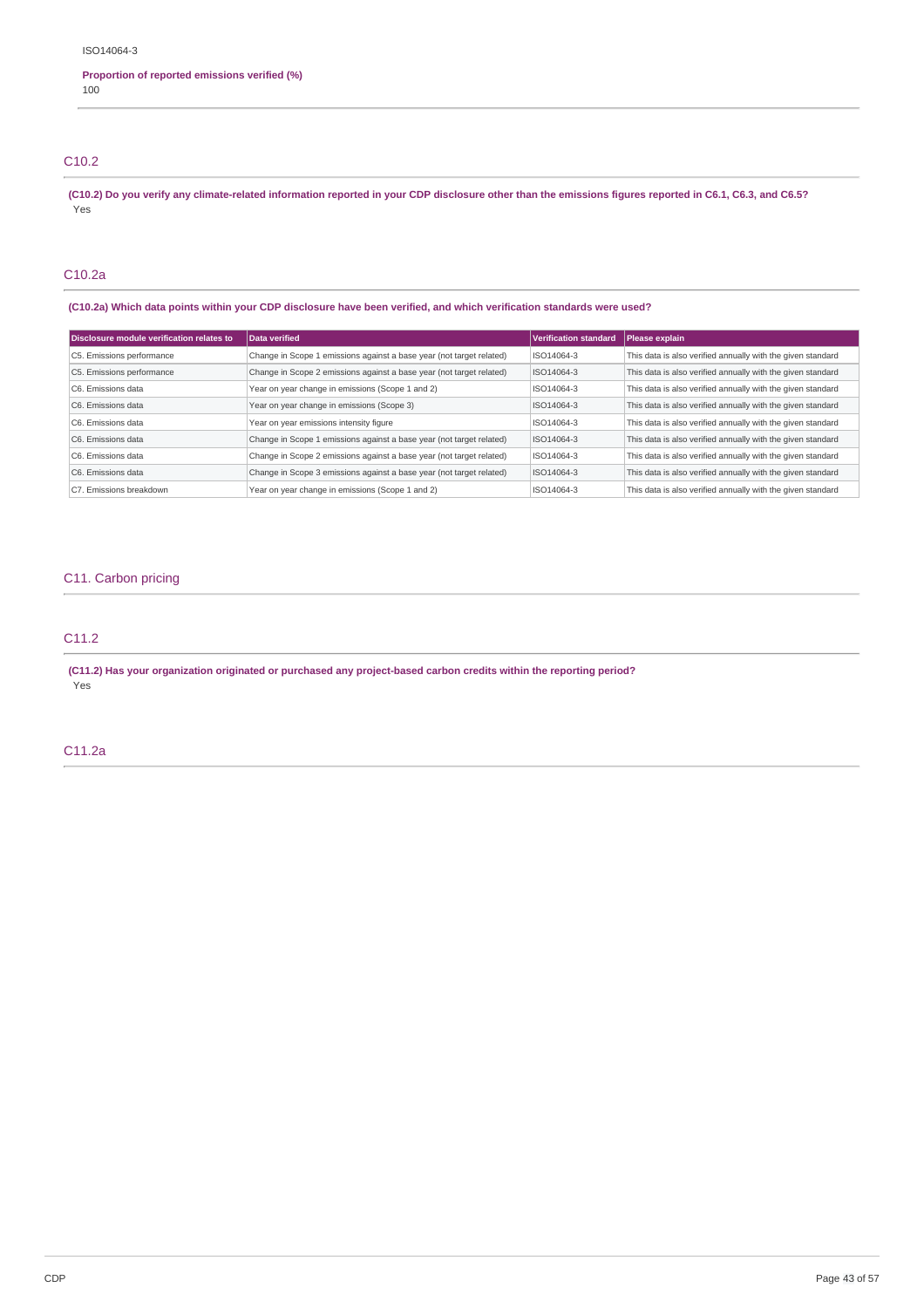### **Proportion of reported emissions verified (%)** 100

### C10.2

(C10.2) Do you verify any climate-related information reported in your CDP disclosure other than the emissions figures reported in C6.1, C6.3, and C6.5? Yes

#### C10.2a

(C10.2a) Which data points within your CDP disclosure have been verified, and which verification standards were used?

| Disclosure module verification relates to | Data verified                                                        | Verification standard | Please explain                                              |
|-------------------------------------------|----------------------------------------------------------------------|-----------------------|-------------------------------------------------------------|
| C5. Emissions performance                 | Change in Scope 1 emissions against a base year (not target related) | ISO14064-3            | This data is also verified annually with the given standard |
| C5. Emissions performance                 | Change in Scope 2 emissions against a base year (not target related) | ISO14064-3            | This data is also verified annually with the given standard |
| C6. Emissions data                        | Year on year change in emissions (Scope 1 and 2)                     | ISO14064-3            | This data is also verified annually with the given standard |
| C6. Emissions data                        | Year on year change in emissions (Scope 3)                           | ISO14064-3            | This data is also verified annually with the given standard |
| C6. Emissions data                        | Year on year emissions intensity figure                              | ISO14064-3            | This data is also verified annually with the given standard |
| C6. Emissions data                        | Change in Scope 1 emissions against a base year (not target related) | ISO14064-3            | This data is also verified annually with the given standard |
| C6. Emissions data                        | Change in Scope 2 emissions against a base year (not target related) | ISO14064-3            | This data is also verified annually with the given standard |
| C6. Emissions data                        | Change in Scope 3 emissions against a base year (not target related) | ISO14064-3            | This data is also verified annually with the given standard |
| C7. Emissions breakdown                   | Year on year change in emissions (Scope 1 and 2)                     | ISO14064-3            | This data is also verified annually with the given standard |

### C11. Carbon pricing

### C11.2

**(C11.2) Has your organization originated or purchased any project-based carbon credits within the reporting period?** Yes

### C11.2a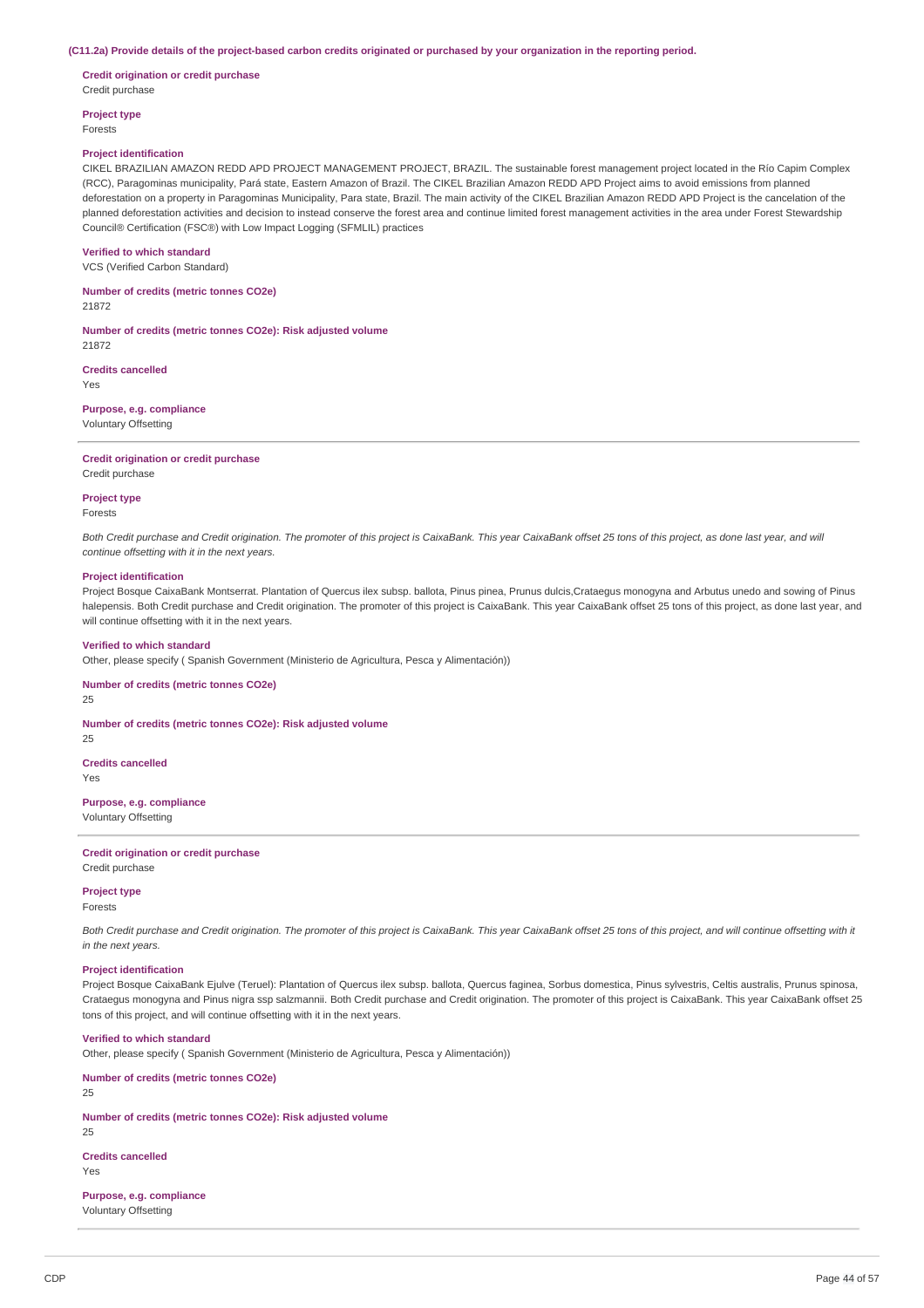#### (C11.2a) Provide details of the project-based carbon credits originated or purchased by your organization in the reporting period.

**Credit origination or credit purchase** Credit purchase

**Project type** Forests

#### **Project identification**

CIKEL BRAZILIAN AMAZON REDD APD PROJECT MANAGEMENT PROJECT, BRAZIL. The sustainable forest management project located in the Río Capim Complex (RCC), Paragominas municipality, Pará state, Eastern Amazon of Brazil. The CIKEL Brazilian Amazon REDD APD Project aims to avoid emissions from planned deforestation on a property in Paragominas Municipality, Para state, Brazil. The main activity of the CIKEL Brazilian Amazon REDD APD Project is the cancelation of the planned deforestation activities and decision to instead conserve the forest area and continue limited forest management activities in the area under Forest Stewardship Council® Certification (FSC®) with Low Impact Logging (SFMLIL) practices

#### **Verified to which standard**

VCS (Verified Carbon Standard)

**Number of credits (metric tonnes CO2e)** 21872

**Number of credits (metric tonnes CO2e): Risk adjusted volume** 21872

**Credits cancelled**

Yes

**Purpose, e.g. compliance** Voluntary Offsetting

#### **Credit origination or credit purchase**

Credit purchase

#### **Project type** Forests

Both Credit purchase and Credit origination. The promoter of this project is CaixaBank. This year CaixaBank offset 25 tons of this project, as done last year, and will *continue offsetting with it in the next years.*

#### **Project identification**

Project Bosque CaixaBank Montserrat. Plantation of Quercus ilex subsp. ballota, Pinus pinea, Prunus dulcis,Crataegus monogyna and Arbutus unedo and sowing of Pinus halepensis. Both Credit purchase and Credit origination. The promoter of this project is CaixaBank. This year CaixaBank offset 25 tons of this project, as done last year, and will continue offsetting with it in the next years.

#### **Verified to which standard**

Other, please specify ( Spanish Government (Ministerio de Agricultura, Pesca y Alimentación))

#### **Number of credits (metric tonnes CO2e)**

25

#### **Number of credits (metric tonnes CO2e): Risk adjusted volume**

25

### **Credits cancelled**

Yes

### **Purpose, e.g. compliance**

Voluntary Offsetting

#### **Credit origination or credit purchase** Credit purchase

### **Project type**

Forests

Both Credit purchase and Credit origination. The promoter of this project is CaixaBank. This year CaixaBank offset 25 tons of this project, and will continue offsetting with it *in the next years.*

#### **Project identification**

Project Bosque CaixaBank Ejulve (Teruel): Plantation of Quercus ilex subsp. ballota, Quercus faginea, Sorbus domestica, Pinus sylvestris, Celtis australis, Prunus spinosa, Crataegus monogyna and Pinus nigra ssp salzmannii. Both Credit purchase and Credit origination. The promoter of this project is CaixaBank. This year CaixaBank offset 25 tons of this project, and will continue offsetting with it in the next years.

#### **Verified to which standard**

Other, please specify ( Spanish Government (Ministerio de Agricultura, Pesca y Alimentación))

**Number of credits (metric tonnes CO2e)**

25

 $25$ 

#### **Number of credits (metric tonnes CO2e): Risk adjusted volume**

**Credits cancelled**

Yes

#### **Purpose, e.g. compliance**

Voluntary Offsetting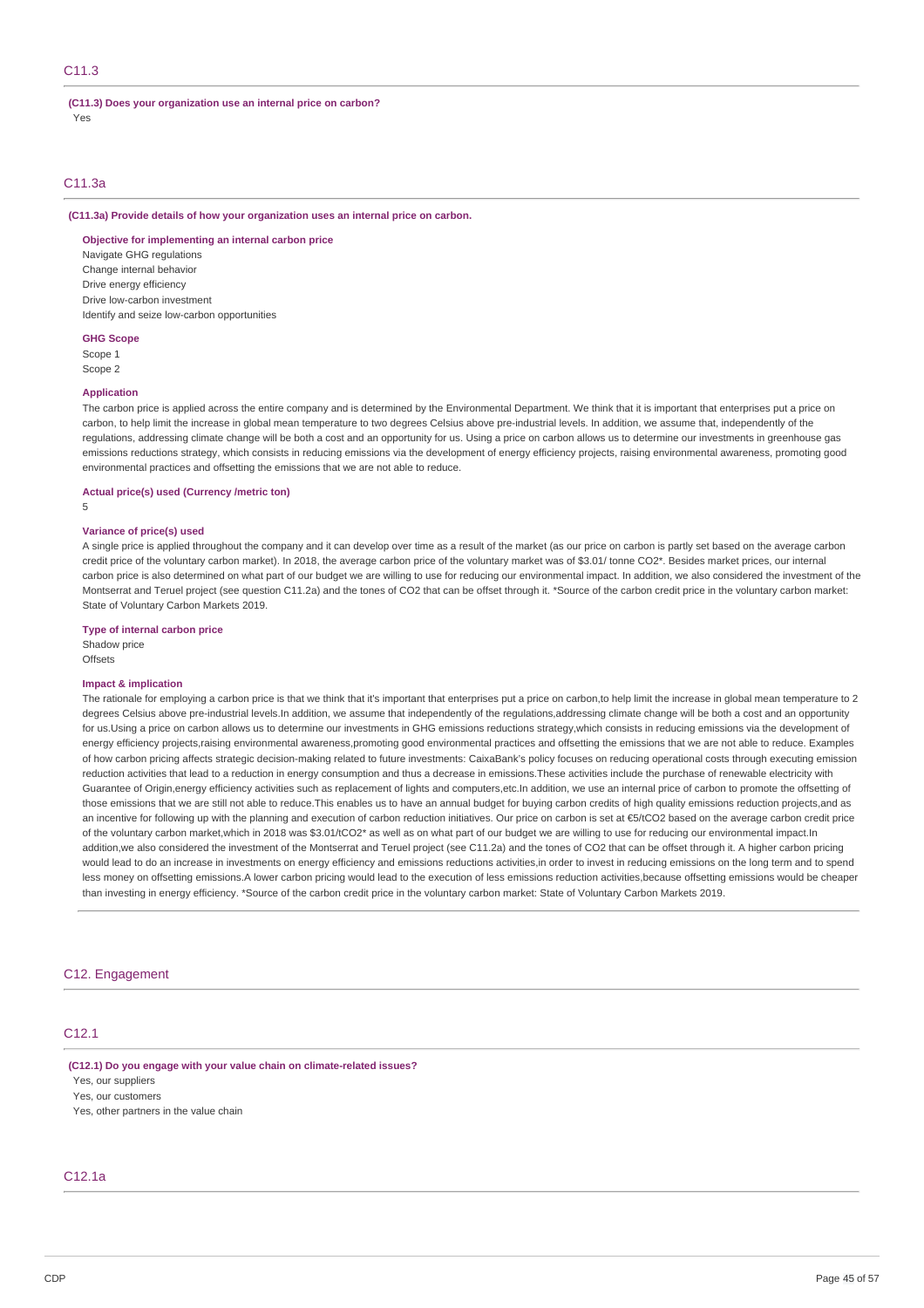#### **(C11.3) Does your organization use an internal price on carbon?**

Yes

### C11.3a

#### **(C11.3a) Provide details of how your organization uses an internal price on carbon.**

**Objective for implementing an internal carbon price**

Navigate GHG regulations Change internal behavior Drive energy efficiency Drive low-carbon investment Identify and seize low-carbon opportunities

#### **GHG Scope**

Scope 1 Scope 2

#### **Application**

The carbon price is applied across the entire company and is determined by the Environmental Department. We think that it is important that enterprises put a price on carbon, to help limit the increase in global mean temperature to two degrees Celsius above pre-industrial levels. In addition, we assume that, independently of the regulations, addressing climate change will be both a cost and an opportunity for us. Using a price on carbon allows us to determine our investments in greenhouse gas emissions reductions strategy, which consists in reducing emissions via the development of energy efficiency projects, raising environmental awareness, promoting good environmental practices and offsetting the emissions that we are not able to reduce.

**Actual price(s) used (Currency /metric ton)**

5

#### **Variance of price(s) used**

A single price is applied throughout the company and it can develop over time as a result of the market (as our price on carbon is partly set based on the average carbon credit price of the voluntary carbon market). In 2018, the average carbon price of the voluntary market was of \$3.01/ tonne CO2\*. Besides market prices, our internal carbon price is also determined on what part of our budget we are willing to use for reducing our environmental impact. In addition, we also considered the investment of the Montserrat and Teruel project (see question C11.2a) and the tones of CO2 that can be offset through it. \*Source of the carbon credit price in the voluntary carbon market: State of Voluntary Carbon Markets 2019.

**Type of internal carbon price**

Shadow price

**Offsets** 

#### **Impact & implication**

The rationale for employing a carbon price is that we think that it's important that enterprises put a price on carbon,to help limit the increase in global mean temperature to 2 degrees Celsius above pre-industrial levels.In addition, we assume that independently of the regulations, addressing climate change will be both a cost and an opportunity for us. Using a price on carbon allows us to determine our investments in GHG emissions reductions strategy, which consists in reducing emissions via the development of energy efficiency projects,raising environmental awareness,promoting good environmental practices and offsetting the emissions that we are not able to reduce. Examples of how carbon pricing affects strategic decision-making related to future investments: CaixaBank's policy focuses on reducing operational costs through executing emission reduction activities that lead to a reduction in energy consumption and thus a decrease in emissions. These activities include the purchase of renewable electricity with Guarantee of Origin,energy efficiency activities such as replacement of lights and computers,etc.In addition, we use an internal price of carbon to promote the offsetting of those emissions that we are still not able to reduce.This enables us to have an annual budget for buying carbon credits of high quality emissions reduction projects,and as an incentive for following up with the planning and execution of carbon reduction initiatives. Our price on carbon is set at €5/tCO2 based on the average carbon credit price of the voluntary carbon market,which in 2018 was \$3.01/tCO2\* as well as on what part of our budget we are willing to use for reducing our environmental impact.In addition,we also considered the investment of the Montserrat and Teruel project (see C11.2a) and the tones of CO2 that can be offset through it. A higher carbon pricing would lead to do an increase in investments on energy efficiency and emissions reductions activities, in order to invest in reducing emissions on the long term and to spend less money on offsetting emissions.A lower carbon pricing would lead to the execution of less emissions reduction activities,because offsetting emissions would be cheaper than investing in energy efficiency. \*Source of the carbon credit price in the voluntary carbon market: State of Voluntary Carbon Markets 2019.

#### C12. Engagement

### C12.1

**(C12.1) Do you engage with your value chain on climate-related issues?** Yes, our suppliers

Yes, our customers

Yes, other partners in the value chain

### C12.1a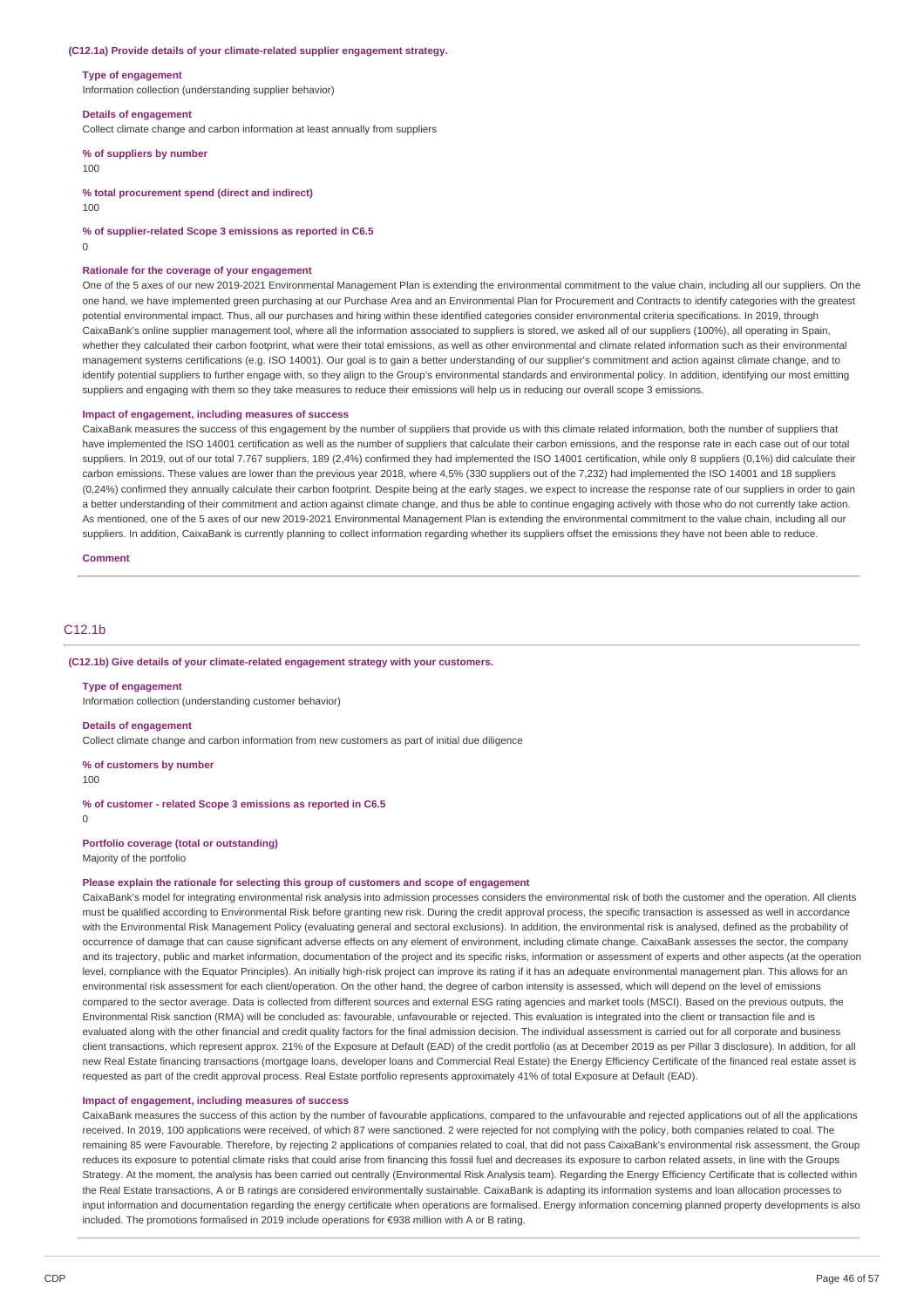#### **(C12.1a) Provide details of your climate-related supplier engagement strategy.**

#### **Type of engagement**

Information collection (understanding supplier behavior)

#### **Details of engagement**

Collect climate change and carbon information at least annually from suppliers

### **% of suppliers by number**

100

**% total procurement spend (direct and indirect)**

 $100$ 

**% of supplier-related Scope 3 emissions as reported in C6.5**

 $\Omega$ 

#### **Rationale for the coverage of your engagement**

One of the 5 axes of our new 2019-2021 Environmental Management Plan is extending the environmental commitment to the value chain, including all our suppliers. On the one hand, we have implemented green purchasing at our Purchase Area and an Environmental Plan for Procurement and Contracts to identify categories with the greatest potential environmental impact. Thus, all our purchases and hiring within these identified categories consider environmental criteria specifications. In 2019, through CaixaBank's online supplier management tool, where all the information associated to suppliers is stored, we asked all of our suppliers (100%), all operating in Spain, whether they calculated their carbon footprint, what were their total emissions, as well as other environmental and climate related information such as their environmental management systems certifications (e.g. ISO 14001). Our goal is to gain a better understanding of our supplier's commitment and action against climate change, and to identify potential suppliers to further engage with, so they align to the Group's environmental standards and environmental policy. In addition, identifying our most emitting suppliers and engaging with them so they take measures to reduce their emissions will help us in reducing our overall scope 3 emissions.

#### **Impact of engagement, including measures of success**

CaixaBank measures the success of this engagement by the number of suppliers that provide us with this climate related information, both the number of suppliers that have implemented the ISO 14001 certification as well as the number of suppliers that calculate their carbon emissions, and the response rate in each case out of our total suppliers. In 2019, out of our total 7.767 suppliers, 189 (2,4%) confirmed they had implemented the ISO 14001 certification, while only 8 suppliers (0,1%) did calculate their carbon emissions. These values are lower than the previous year 2018, where 4,5% (330 suppliers out of the 7,232) had implemented the ISO 14001 and 18 suppliers (0,24%) confirmed they annually calculate their carbon footprint. Despite being at the early stages, we expect to increase the response rate of our suppliers in order to gain a better understanding of their commitment and action against climate change, and thus be able to continue engaging actively with those who do not currently take action. As mentioned, one of the 5 axes of our new 2019-2021 Environmental Management Plan is extending the environmental commitment to the value chain, including all our suppliers. In addition, CaixaBank is currently planning to collect information regarding whether its suppliers offset the emissions they have not been able to reduce.

#### **Comment**

#### C12.1b

**(C12.1b) Give details of your climate-related engagement strategy with your customers.**

#### **Type of engagement**

Information collection (understanding customer behavior)

#### **Details of engagement**

Collect climate change and carbon information from new customers as part of initial due diligence

**% of customers by number**

100

#### **% of customer - related Scope 3 emissions as reported in C6.5**

 $\Omega$ 

#### **Portfolio coverage (total or outstanding)**

Majority of the portfolio

#### **Please explain the rationale for selecting this group of customers and scope of engagement**

CaixaBank's model for integrating environmental risk analysis into admission processes considers the environmental risk of both the customer and the operation. All clients must be qualified according to Environmental Risk before granting new risk. During the credit approval process, the specific transaction is assessed as well in accordance with the Environmental Risk Management Policy (evaluating general and sectoral exclusions). In addition, the environmental risk is analysed, defined as the probability of occurrence of damage that can cause significant adverse effects on any element of environment, including climate change. CaixaBank assesses the sector, the company and its trajectory, public and market information, documentation of the project and its specific risks, information or assessment of experts and other aspects (at the operation level, compliance with the Equator Principles). An initially high-risk project can improve its rating if it has an adequate environmental management plan. This allows for an environmental risk assessment for each client/operation. On the other hand, the degree of carbon intensity is assessed, which will depend on the level of emissions compared to the sector average. Data is collected from different sources and external ESG rating agencies and market tools (MSCI). Based on the previous outputs, the Environmental Risk sanction (RMA) will be concluded as: favourable, unfavourable or rejected. This evaluation is integrated into the client or transaction file and is evaluated along with the other financial and credit quality factors for the final admission decision. The individual assessment is carried out for all corporate and business client transactions, which represent approx. 21% of the Exposure at Default (EAD) of the credit portfolio (as at December 2019 as per Pillar 3 disclosure). In addition, for all new Real Estate financing transactions (mortgage loans, developer loans and Commercial Real Estate) the Energy Efficiency Certificate of the financed real estate asset is requested as part of the credit approval process. Real Estate portfolio represents approximately 41% of total Exposure at Default (EAD).

#### **Impact of engagement, including measures of success**

CaixaBank measures the success of this action by the number of favourable applications, compared to the unfavourable and rejected applications out of all the applications received. In 2019, 100 applications were received, of which 87 were sanctioned. 2 were rejected for not complying with the policy, both companies related to coal. The remaining 85 were Favourable. Therefore, by rejecting 2 applications of companies related to coal, that did not pass CaixaBank's environmental risk assessment, the Group reduces its exposure to potential climate risks that could arise from financing this fossil fuel and decreases its exposure to carbon related assets, in line with the Groups Strategy. At the moment, the analysis has been carried out centrally (Environmental Risk Analysis team). Regarding the Energy Efficiency Certificate that is collected within the Real Estate transactions, A or B ratings are considered environmentally sustainable. CaixaBank is adapting its information systems and loan allocation processes to input information and documentation regarding the energy certificate when operations are formalised. Energy information concerning planned property developments is also included. The promotions formalised in 2019 include operations for €938 million with A or B rating.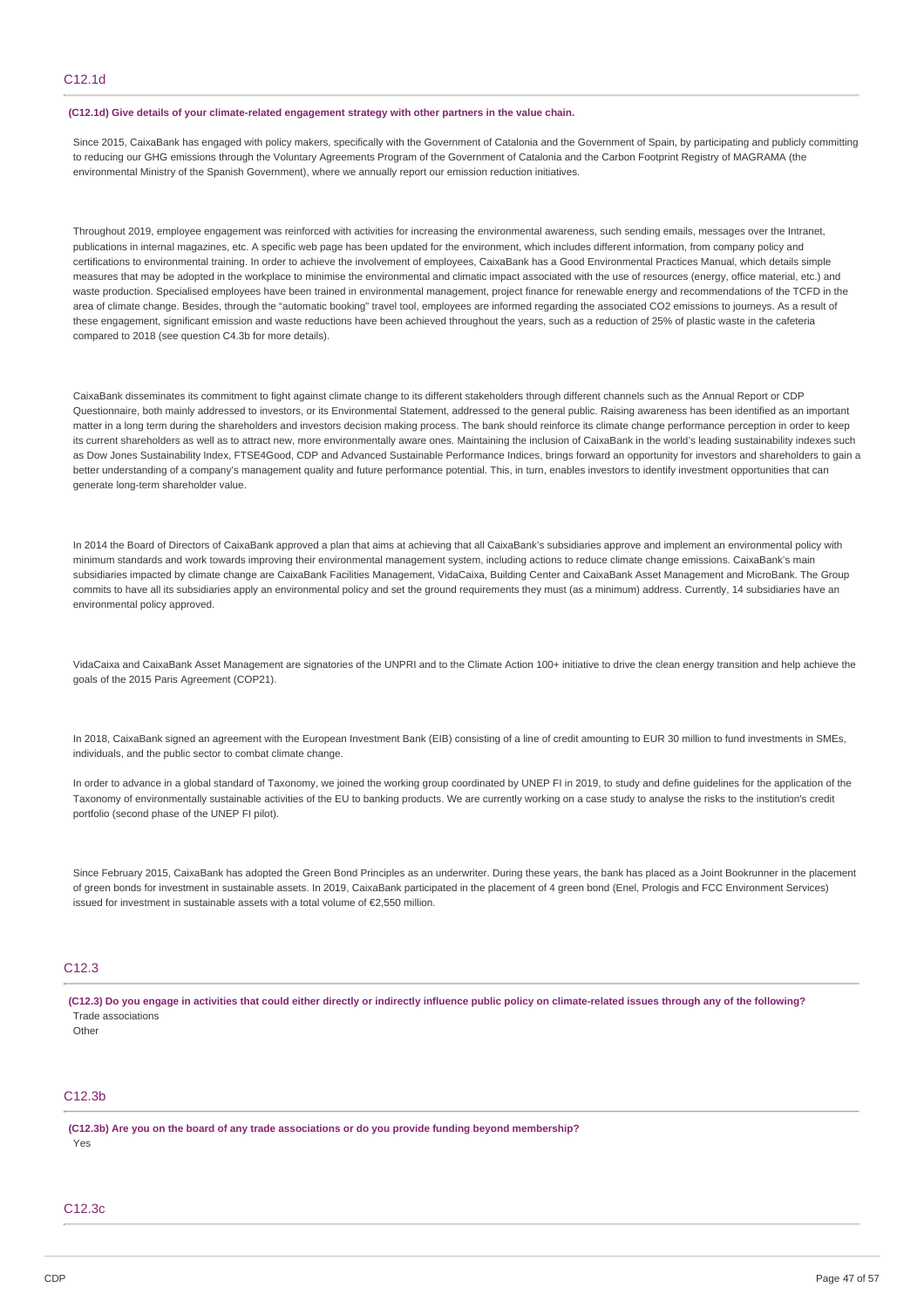#### **(C12.1d) Give details of your climate-related engagement strategy with other partners in the value chain.**

Since 2015, CaixaBank has engaged with policy makers, specifically with the Government of Catalonia and the Government of Spain, by participating and publicly committing to reducing our GHG emissions through the Voluntary Agreements Program of the Government of Catalonia and the Carbon Footprint Registry of MAGRAMA (the environmental Ministry of the Spanish Government), where we annually report our emission reduction initiatives.

Throughout 2019, employee engagement was reinforced with activities for increasing the environmental awareness, such sending emails, messages over the Intranet, publications in internal magazines, etc. A specific web page has been updated for the environment, which includes different information, from company policy and certifications to environmental training. In order to achieve the involvement of employees, CaixaBank has a Good Environmental Practices Manual, which details simple measures that may be adopted in the workplace to minimise the environmental and climatic impact associated with the use of resources (energy, office material, etc.) and waste production. Specialised employees have been trained in environmental management, project finance for renewable energy and recommendations of the TCFD in the area of climate change. Besides, through the "automatic booking" travel tool, employees are informed regarding the associated CO2 emissions to journeys. As a result of these engagement, significant emission and waste reductions have been achieved throughout the years, such as a reduction of 25% of plastic waste in the cafeteria compared to 2018 (see question C4.3b for more details).

CaixaBank disseminates its commitment to fight against climate change to its different stakeholders through different channels such as the Annual Report or CDP Questionnaire, both mainly addressed to investors, or its Environmental Statement, addressed to the general public. Raising awareness has been identified as an important matter in a long term during the shareholders and investors decision making process. The bank should reinforce its climate change performance perception in order to keep its current shareholders as well as to attract new, more environmentally aware ones. Maintaining the inclusion of CaixaBank in the world's leading sustainability indexes such as Dow Jones Sustainability Index, FTSE4Good, CDP and Advanced Sustainable Performance Indices, brings forward an opportunity for investors and shareholders to gain a better understanding of a company's management quality and future performance potential. This, in turn, enables investors to identify investment opportunities that can generate long-term shareholder value.

In 2014 the Board of Directors of CaixaBank approved a plan that aims at achieving that all CaixaBank's subsidiaries approve and implement an environmental policy with minimum standards and work towards improving their environmental management system, including actions to reduce climate change emissions. CaixaBank's main subsidiaries impacted by climate change are CaixaBank Facilities Management, VidaCaixa, Building Center and CaixaBank Asset Management and MicroBank. The Group commits to have all its subsidiaries apply an environmental policy and set the ground requirements they must (as a minimum) address. Currently, 14 subsidiaries have an environmental policy approved.

VidaCaixa and CaixaBank Asset Management are signatories of the UNPRI and to the Climate Action 100+ initiative to drive the clean energy transition and help achieve the goals of the 2015 Paris Agreement (COP21).

In 2018, CaixaBank signed an agreement with the European Investment Bank (EIB) consisting of a line of credit amounting to EUR 30 million to fund investments in SMEs, individuals, and the public sector to combat climate change.

In order to advance in a global standard of Taxonomy, we joined the working group coordinated by UNEP FI in 2019, to study and define guidelines for the application of the Taxonomy of environmentally sustainable activities of the EU to banking products. We are currently working on a case study to analyse the risks to the institution's credit portfolio (second phase of the UNEP FI pilot).

Since February 2015, CaixaBank has adopted the Green Bond Principles as an underwriter. During these years, the bank has placed as a Joint Bookrunner in the placement of green bonds for investment in sustainable assets. In 2019, CaixaBank participated in the placement of 4 green bond (Enel, Prologis and FCC Environment Services) issued for investment in sustainable assets with a total volume of €2,550 million.

#### C<sub>12</sub>.3

(C12.3) Do you engage in activities that could either directly or indirectly influence public policy on climate-related issues through any of the following? Trade associations Other

# C<sub>12.3b</sub>

**(C12.3b) Are you on the board of any trade associations or do you provide funding beyond membership?** Yes

#### C12.3c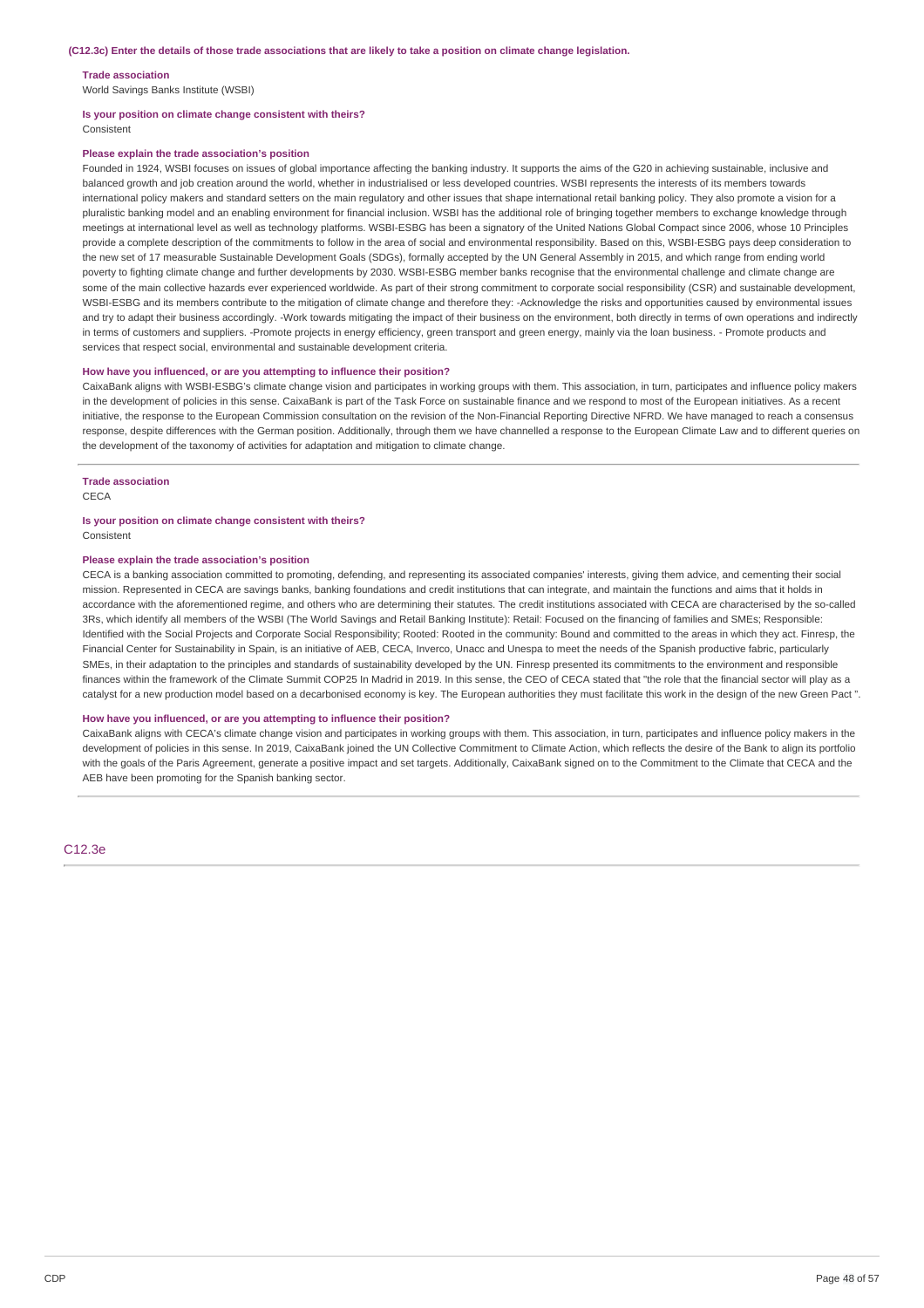#### **Trade association**

World Savings Banks Institute (WSBI)

#### **Is your position on climate change consistent with theirs?**

Consistent

#### **Please explain the trade association's position**

Founded in 1924, WSBI focuses on issues of global importance affecting the banking industry. It supports the aims of the G20 in achieving sustainable, inclusive and balanced growth and job creation around the world, whether in industrialised or less developed countries. WSBI represents the interests of its members towards international policy makers and standard setters on the main regulatory and other issues that shape international retail banking policy. They also promote a vision for a pluralistic banking model and an enabling environment for financial inclusion. WSBI has the additional role of bringing together members to exchange knowledge through meetings at international level as well as technology platforms. WSBI-ESBG has been a signatory of the United Nations Global Compact since 2006, whose 10 Principles provide a complete description of the commitments to follow in the area of social and environmental responsibility. Based on this, WSBI-ESBG pays deep consideration to the new set of 17 measurable Sustainable Development Goals (SDGs), formally accepted by the UN General Assembly in 2015, and which range from ending world poverty to fighting climate change and further developments by 2030. WSBI-ESBG member banks recognise that the environmental challenge and climate change are some of the main collective hazards ever experienced worldwide. As part of their strong commitment to corporate social responsibility (CSR) and sustainable development, WSBI-ESBG and its members contribute to the mitigation of climate change and therefore they: -Acknowledge the risks and opportunities caused by environmental issues and try to adapt their business accordingly. -Work towards mitigating the impact of their business on the environment, both directly in terms of own operations and indirectly in terms of customers and suppliers. -Promote projects in energy efficiency, green transport and green energy, mainly via the loan business. - Promote products and services that respect social, environmental and sustainable development criteria.

#### **How have you influenced, or are you attempting to influence their position?**

CaixaBank aligns with WSBI-ESBG's climate change vision and participates in working groups with them. This association, in turn, participates and influence policy makers in the development of policies in this sense. CaixaBank is part of the Task Force on sustainable finance and we respond to most of the European initiatives. As a recent initiative, the response to the European Commission consultation on the revision of the Non-Financial Reporting Directive NFRD. We have managed to reach a consensus response, despite differences with the German position. Additionally, through them we have channelled a response to the European Climate Law and to different queries on the development of the taxonomy of activities for adaptation and mitigation to climate change.

#### **Trade association**

**CECA** 

#### **Is your position on climate change consistent with theirs?** Consistent

### **Please explain the trade association's position**

CECA is a banking association committed to promoting, defending, and representing its associated companies' interests, giving them advice, and cementing their social mission. Represented in CECA are savings banks, banking foundations and credit institutions that can integrate, and maintain the functions and aims that it holds in accordance with the aforementioned regime, and others who are determining their statutes. The credit institutions associated with CECA are characterised by the so-called 3Rs, which identify all members of the WSBI (The World Savings and Retail Banking Institute): Retail: Focused on the financing of families and SMEs; Responsible: Identified with the Social Projects and Corporate Social Responsibility; Rooted: Rooted in the community: Bound and committed to the areas in which they act. Finresp, the Financial Center for Sustainability in Spain, is an initiative of AEB, CECA, Inverco, Unacc and Unespa to meet the needs of the Spanish productive fabric, particularly SMEs, in their adaptation to the principles and standards of sustainability developed by the UN. Finresp presented its commitments to the environment and responsible finances within the framework of the Climate Summit COP25 In Madrid in 2019. In this sense, the CEO of CECA stated that "the role that the financial sector will play as a catalyst for a new production model based on a decarbonised economy is key. The European authorities they must facilitate this work in the design of the new Green Pact".

#### **How have you influenced, or are you attempting to influence their position?**

CaixaBank aligns with CECA's climate change vision and participates in working groups with them. This association, in turn, participates and influence policy makers in the development of policies in this sense. In 2019, CaixaBank joined the UN Collective Commitment to Climate Action, which reflects the desire of the Bank to align its portfolio with the goals of the Paris Agreement, generate a positive impact and set targets. Additionally, CaixaBank signed on to the Commitment to the Climate that CECA and the AEB have been promoting for the Spanish banking sector.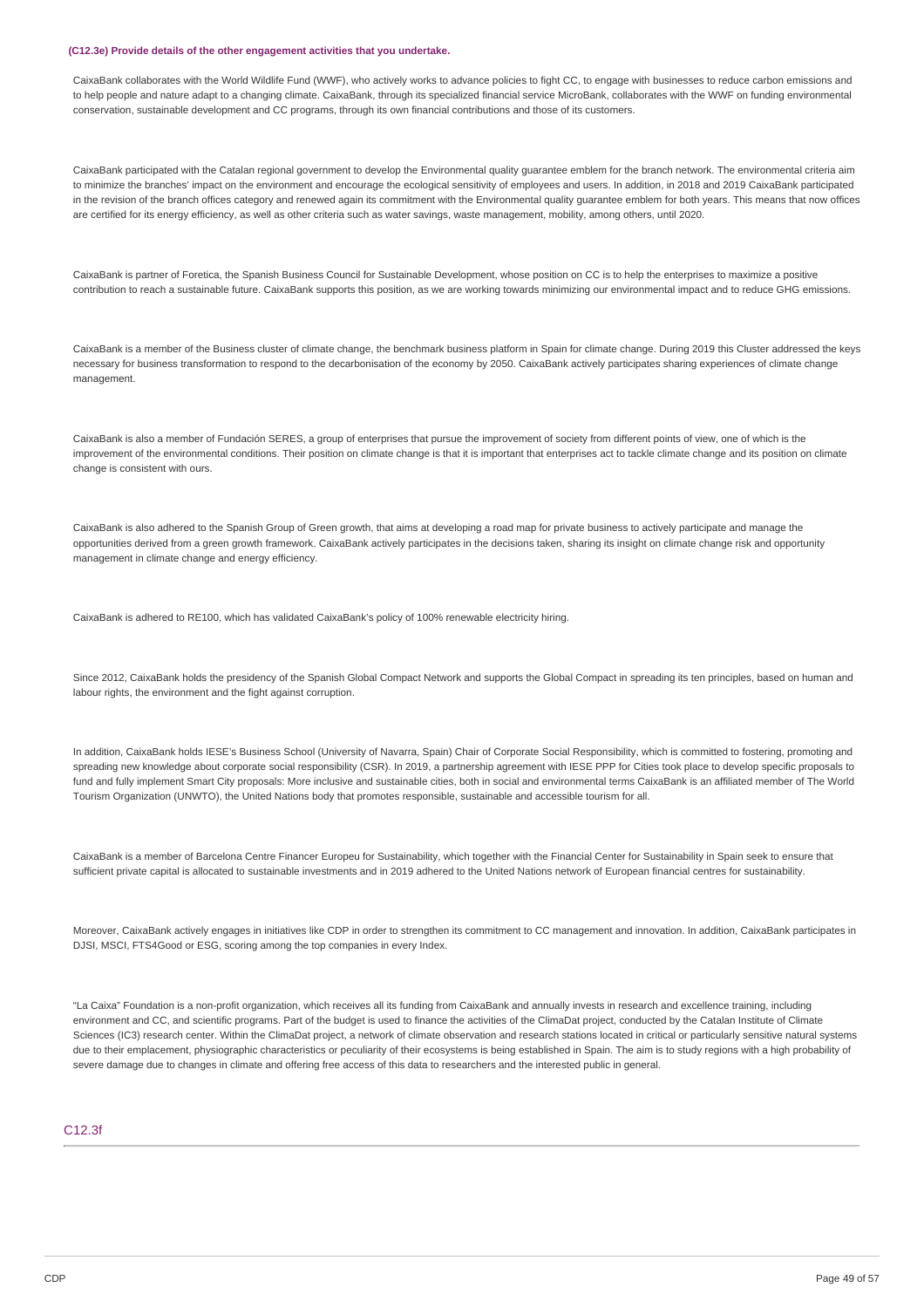#### **(C12.3e) Provide details of the other engagement activities that you undertake.**

CaixaBank collaborates with the World Wildlife Fund (WWF), who actively works to advance policies to fight CC, to engage with businesses to reduce carbon emissions and to help people and nature adapt to a changing climate. CaixaBank, through its specialized financial service MicroBank, collaborates with the WWF on funding environmental conservation, sustainable development and CC programs, through its own financial contributions and those of its customers.

CaixaBank participated with the Catalan regional government to develop the Environmental quality guarantee emblem for the branch network. The environmental criteria aim to minimize the branches' impact on the environment and encourage the ecological sensitivity of employees and users. In addition, in 2018 and 2019 CaixaBank participated in the revision of the branch offices category and renewed again its commitment with the Environmental quality quarantee emblem for both years. This means that now offices are certified for its energy efficiency, as well as other criteria such as water savings, waste management, mobility, among others, until 2020.

CaixaBank is partner of Foretica, the Spanish Business Council for Sustainable Development, whose position on CC is to help the enterprises to maximize a positive contribution to reach a sustainable future. CaixaBank supports this position, as we are working towards minimizing our environmental impact and to reduce GHG emissions.

CaixaBank is a member of the Business cluster of climate change, the benchmark business platform in Spain for climate change. During 2019 this Cluster addressed the keys necessary for business transformation to respond to the decarbonisation of the economy by 2050. CaixaBank actively participates sharing experiences of climate change management.

CaixaBank is also a member of Fundación SERES, a group of enterprises that pursue the improvement of society from different points of view, one of which is the improvement of the environmental conditions. Their position on climate change is that it is important that enterprises act to tackle climate change and its position on climate change is consistent with ours.

CaixaBank is also adhered to the Spanish Group of Green growth, that aims at developing a road map for private business to actively participate and manage the opportunities derived from a green growth framework. CaixaBank actively participates in the decisions taken, sharing its insight on climate change risk and opportunity management in climate change and energy efficiency.

CaixaBank is adhered to RE100, which has validated CaixaBank's policy of 100% renewable electricity hiring.

Since 2012, CaixaBank holds the presidency of the Spanish Global Compact Network and supports the Global Compact in spreading its ten principles, based on human and labour rights, the environment and the fight against corruption.

In addition, CaixaBank holds IESE's Business School (University of Navarra, Spain) Chair of Corporate Social Responsibility, which is committed to fostering, promoting and spreading new knowledge about corporate social responsibility (CSR). In 2019, a partnership agreement with IESE PPP for Cities took place to develop specific proposals to fund and fully implement Smart City proposals: More inclusive and sustainable cities, both in social and environmental terms CaixaBank is an affiliated member of The World Tourism Organization (UNWTO), the United Nations body that promotes responsible, sustainable and accessible tourism for all.

CaixaBank is a member of Barcelona Centre Financer Europeu for Sustainability, which together with the Financial Center for Sustainability in Spain seek to ensure that sufficient private capital is allocated to sustainable investments and in 2019 adhered to the United Nations network of European financial centres for sustainability.

Moreover, CaixaBank actively engages in initiatives like CDP in order to strengthen its commitment to CC management and innovation. In addition, CaixaBank participates in DJSI, MSCI, FTS4Good or ESG, scoring among the top companies in every Index.

"La Caixa" Foundation is a non-profit organization, which receives all its funding from CaixaBank and annually invests in research and excellence training, including environment and CC, and scientific programs. Part of the budget is used to finance the activities of the ClimaDat project, conducted by the Catalan Institute of Climate Sciences (IC3) research center. Within the ClimaDat project, a network of climate observation and research stations located in critical or particularly sensitive natural systems due to their emplacement, physiographic characteristics or peculiarity of their ecosystems is being established in Spain. The aim is to study regions with a high probability of severe damage due to changes in climate and offering free access of this data to researchers and the interested public in general.

### C12.3f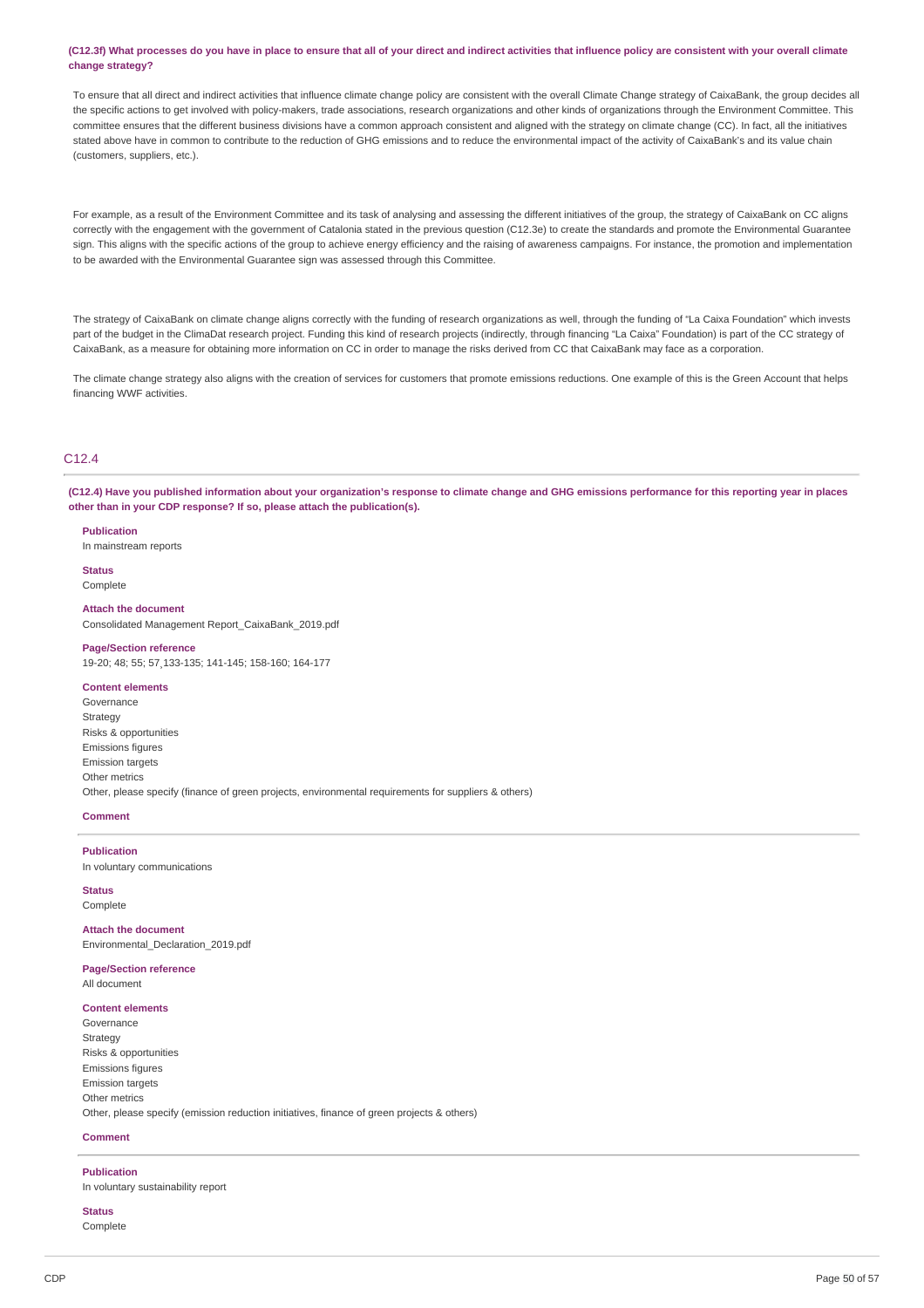(C12.3f) What processes do you have in place to ensure that all of your direct and indirect activities that influence policy are consistent with your overall climate **change strategy?**

To ensure that all direct and indirect activities that influence climate change policy are consistent with the overall Climate Change strategy of CaixaBank, the group decides all the specific actions to get involved with policy-makers, trade associations, research organizations and other kinds of organizations through the Environment Committee. This committee ensures that the different business divisions have a common approach consistent and aligned with the strategy on climate change (CC). In fact, all the initiatives stated above have in common to contribute to the reduction of GHG emissions and to reduce the environmental impact of the activity of CaixaBank's and its value chain (customers, suppliers, etc.).

For example, as a result of the Environment Committee and its task of analysing and assessing the different initiatives of the group, the strategy of CaixaBank on CC aligns correctly with the engagement with the government of Catalonia stated in the previous question (C12.3e) to create the standards and promote the Environmental Guarantee sign. This aligns with the specific actions of the group to achieve energy efficiency and the raising of awareness campaigns. For instance, the promotion and implementation to be awarded with the Environmental Guarantee sign was assessed through this Committee.

The strategy of CaixaBank on climate change aligns correctly with the funding of research organizations as well, through the funding of "La Caixa Foundation" which invests part of the budget in the ClimaDat research project. Funding this kind of research projects (indirectly, through financing "La Caixa" Foundation) is part of the CC strategy of CaixaBank, as a measure for obtaining more information on CC in order to manage the risks derived from CC that CaixaBank may face as a corporation.

The climate change strategy also aligns with the creation of services for customers that promote emissions reductions. One example of this is the Green Account that helps financing WWF activities.

### C12.4

(C12.4) Have you published information about your organization's response to climate change and GHG emissions performance for this reporting year in places **other than in your CDP response? If so, please attach the publication(s).**

#### **Publication**

In mainstream reports

**Status Complete** 

### **Attach the document**

Consolidated Management Report\_CaixaBank\_2019.pdf

#### **Page/Section reference**

19-20; 48; 55; 57¸133-135; 141-145; 158-160; 164-177

#### **Content elements**

Governance Strategy Risks & opportunities Emissions figures Emission targets Other metrics Other, please specify (finance of green projects, environmental requirements for suppliers & others)

### **Comment**

**Publication**

In voluntary communications

#### **Status** Complete

**Attach the document** Environmental\_Declaration\_2019.pdf

**Page/Section reference** All document

### **Content elements**

Governance **Strategy** Risks & opportunities Emissions figures Emission targets Other metrics Other, please specify (emission reduction initiatives, finance of green projects & others)

### **Comment**

**Publication**

In voluntary sustainability report

### **Status**

Complete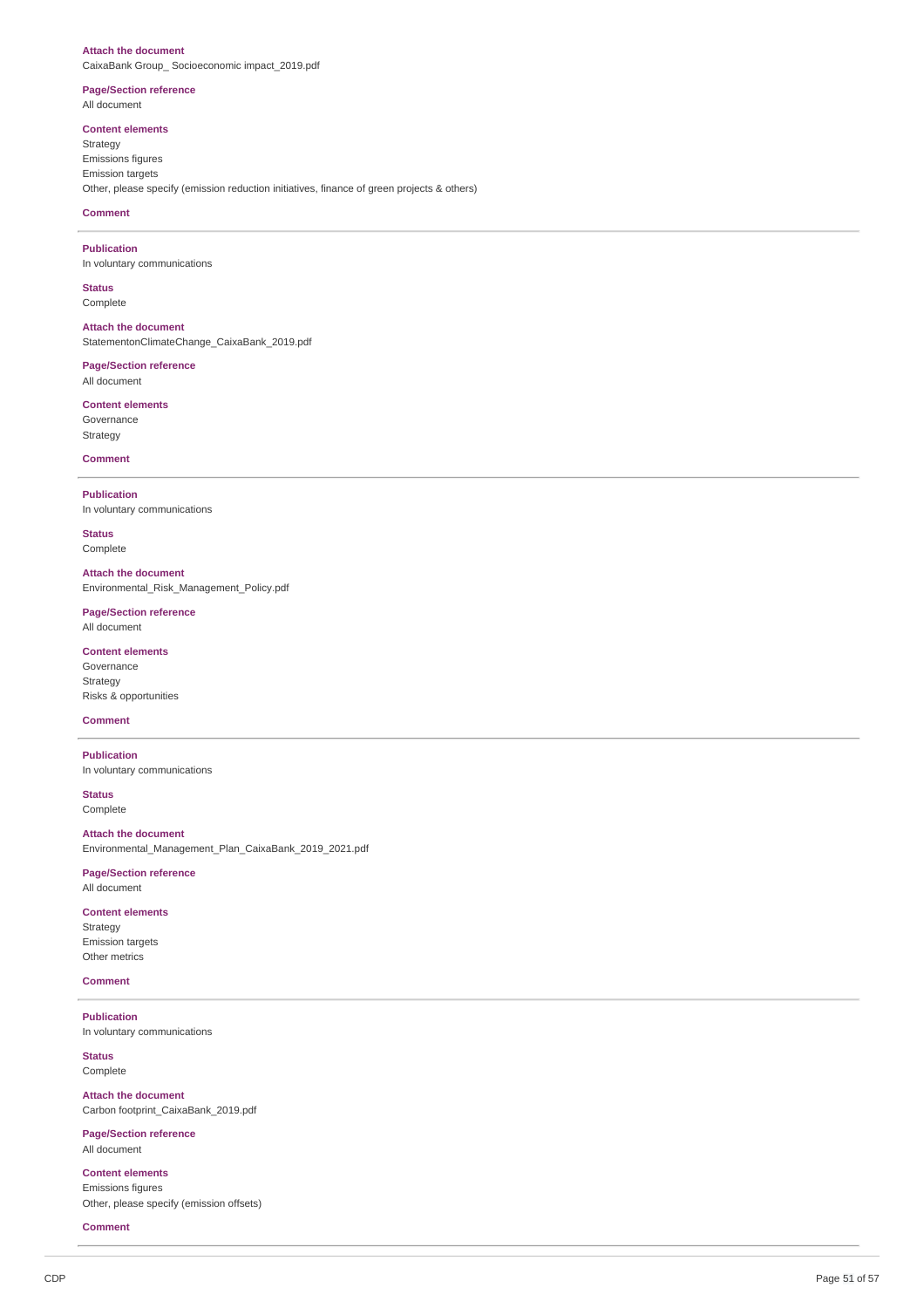#### **Attach the document** CaixaBank Group\_ Socioeconomic impact\_2019.pdf

### **Page/Section reference**

All document

### **Content elements**

Strategy Emissions figures Emission targets Other, please specify (emission reduction initiatives, finance of green projects & others)

### **Comment**

**Publication** In voluntary communications

#### **Status** Complete

**Attach the document** StatementonClimateChange\_CaixaBank\_2019.pdf

**Page/Section reference** All document

**Content elements** Governance Strategy

**Comment**

**Publication** In voluntary communications

**Status** Complete

**Attach the document** Environmental\_Risk\_Management\_Policy.pdf

**Page/Section reference** All document

**Content elements** Governance Strategy Risks & opportunities

### **Comment**

**Publication** In voluntary communications

**Status** Complete

**Attach the document** Environmental\_Management\_Plan\_CaixaBank\_2019\_2021.pdf

**Page/Section reference** All document

**Content elements** Strategy Emission targets Other metrics

### **Comment**

**Publication** In voluntary communications

**Status** Complete

**Attach the document** Carbon footprint\_CaixaBank\_2019.pdf

**Page/Section reference** All document

**Content elements** Emissions figures Other, please specify (emission offsets)

**Comment**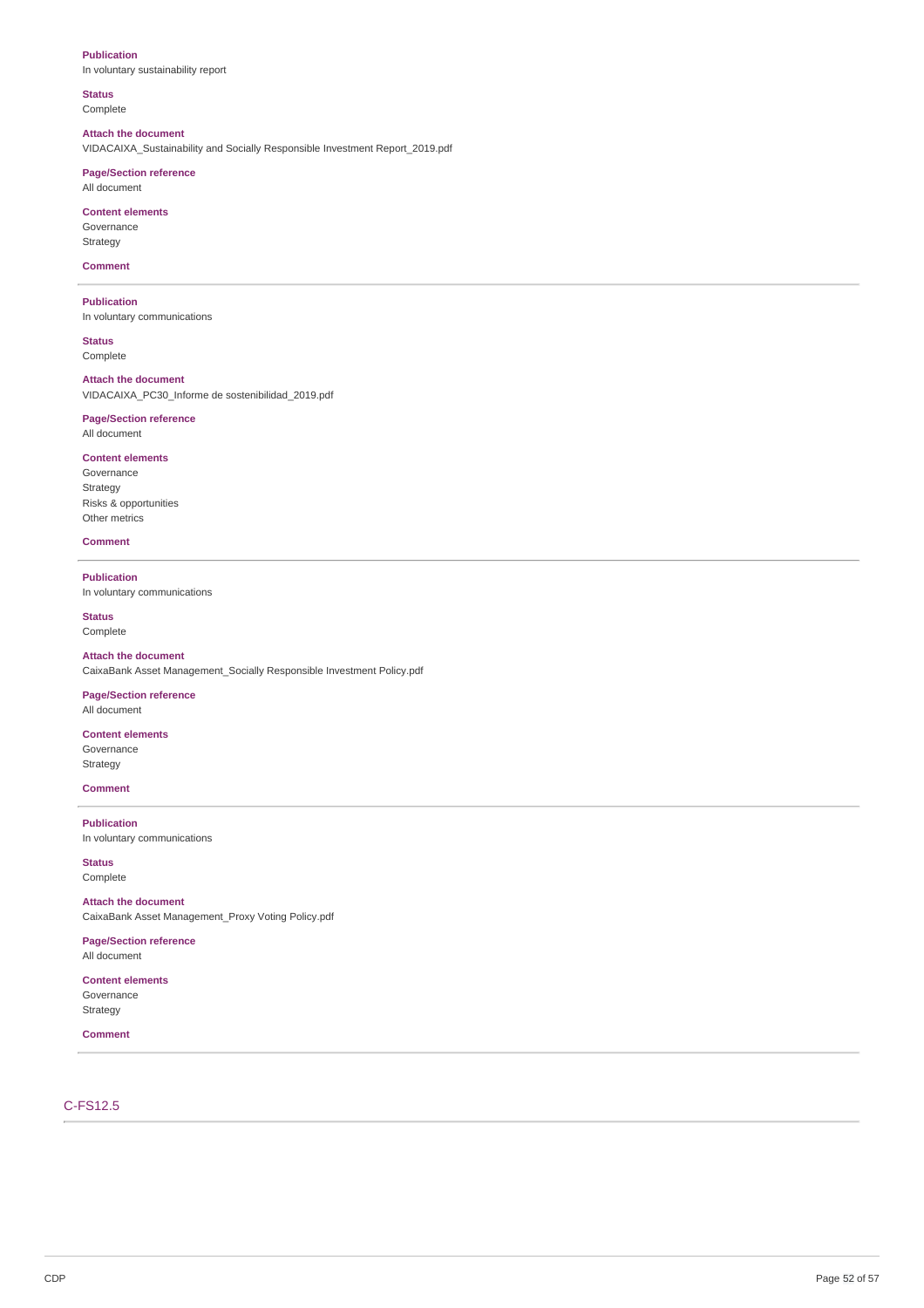### **Publication**

In voluntary sustainability report

#### **Status**

Complete

### **Attach the document**

VIDACAIXA\_Sustainability and Socially Responsible Investment Report\_2019.pdf

#### **Page/Section reference** All document

**Content elements** Governance Strategy

### **Comment**

**Publication** In voluntary communications

**Status** Complete

**Attach the document** VIDACAIXA\_PC30\_Informe de sostenibilidad\_2019.pdf

### **Page/Section reference** All document

**Content elements** Governance Strategy Risks & opportunities Other metrics

#### **Comment**

**Publication** In voluntary communications

**Status**

Complete

**Attach the document** CaixaBank Asset Management\_Socially Responsible Investment Policy.pdf

### **Page/Section reference**

All document

#### **Content elements** Governance Strategy

# **Comment**

**Publication** In voluntary communications

**Status** Complete

**Attach the document** CaixaBank Asset Management\_Proxy Voting Policy.pdf

#### **Page/Section reference** All document

**Content elements** Governance Strategy

### **Comment**

### C-FS12.5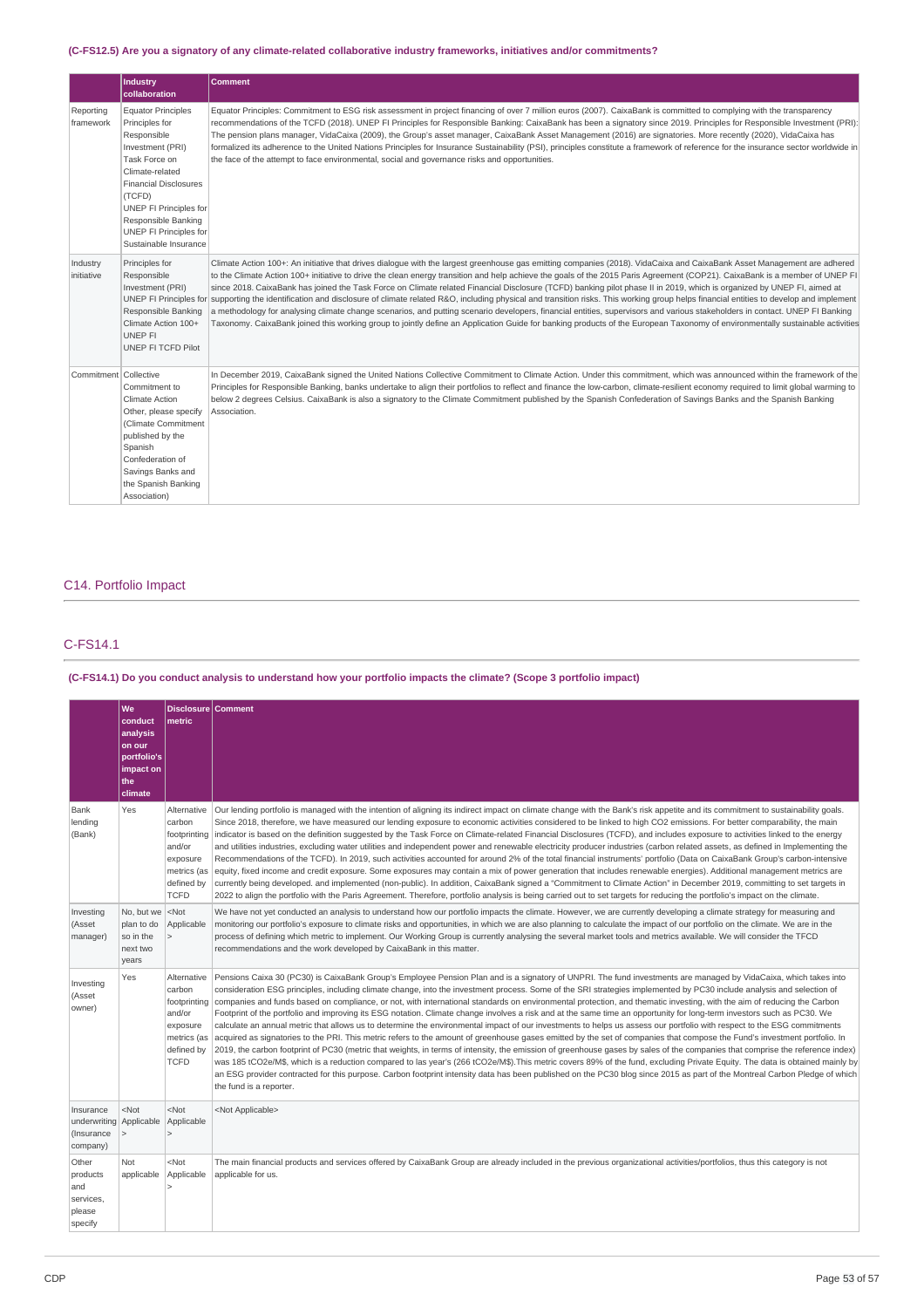### **(C-FS12.5) Are you a signatory of any climate-related collaborative industry frameworks, initiatives and/or commitments?**

|                        | Industry<br>collaboration                                                                                                                                                                                                                                        | <b>Comment</b>                                                                                                                                                                                                                                                                                                                                                                                                                                                                                                                                                                                                                                                                                                                                                                                                                                                                                                                                                                                                                                                                                               |
|------------------------|------------------------------------------------------------------------------------------------------------------------------------------------------------------------------------------------------------------------------------------------------------------|--------------------------------------------------------------------------------------------------------------------------------------------------------------------------------------------------------------------------------------------------------------------------------------------------------------------------------------------------------------------------------------------------------------------------------------------------------------------------------------------------------------------------------------------------------------------------------------------------------------------------------------------------------------------------------------------------------------------------------------------------------------------------------------------------------------------------------------------------------------------------------------------------------------------------------------------------------------------------------------------------------------------------------------------------------------------------------------------------------------|
| Reporting<br>framework | <b>Equator Principles</b><br>Principles for<br>Responsible<br>Investment (PRI)<br>Task Force on<br>Climate-related<br><b>Financial Disclosures</b><br>(TCFD)<br>UNEP FI Principles for<br>Responsible Banking<br>UNEP FI Principles for<br>Sustainable Insurance | Equator Principles: Commitment to ESG risk assessment in project financing of over 7 million euros (2007). CaixaBank is committed to complying with the transparency<br>recommendations of the TCFD (2018). UNEP FI Principles for Responsible Banking: CaixaBank has been a signatory since 2019. Principles for Responsible Investment (PRI):<br>The pension plans manager, VidaCaixa (2009), the Group's asset manager, CaixaBank Asset Management (2016) are signatories. More recently (2020), VidaCaixa has<br>formalized its adherence to the United Nations Principles for Insurance Sustainability (PSI), principles constitute a framework of reference for the insurance sector worldwide in<br>the face of the attempt to face environmental, social and governance risks and opportunities.                                                                                                                                                                                                                                                                                                     |
| Industry<br>initiative | Principles for<br>Responsible<br>Investment (PRI)<br>Responsible Banking<br>Climate Action 100+<br><b>UNEP FI</b><br>UNEP FI TCFD Pilot                                                                                                                          | Climate Action 100+: An initiative that drives dialoque with the largest greenhouse gas emitting companies (2018). VidaCaixa and CaixaBank Asset Management are adhered<br>to the Climate Action 100+ initiative to drive the clean energy transition and help achieve the goals of the 2015 Paris Agreement (COP21). CaixaBank is a member of UNEP FI<br>since 2018. CaixaBank has joined the Task Force on Climate related Financial Disclosure (TCFD) banking pilot phase II in 2019, which is organized by UNEP FI, aimed at<br>UNEP FI Principles for supporting the identification and disclosure of climate related R&O, including physical and transition risks. This working group helps financial entities to develop and implement<br>a methodology for analysing climate change scenarios, and putting scenario developers, financial entities, supervisors and various stakeholders in contact. UNEP FI Banking<br>Taxonomy. CaixaBank joined this working group to jointly define an Application Guide for banking products of the European Taxonomy of environmentally sustainable activities |
| Commitment Collective  | Commitment to<br><b>Climate Action</b><br>Other, please specify<br>(Climate Commitment<br>published by the<br>Spanish<br>Confederation of<br>Savings Banks and<br>the Spanish Banking<br>Association)                                                            | In December 2019, CaixaBank signed the United Nations Collective Commitment to Climate Action. Under this commitment, which was announced within the framework of the<br>Principles for Responsible Banking, banks undertake to align their portfolios to reflect and finance the low-carbon, climate-resilient economy required to limit global warming to<br>below 2 degrees Celsius. CaixaBank is also a signatory to the Climate Commitment published by the Spanish Confederation of Savings Banks and the Spanish Banking<br>Association.                                                                                                                                                                                                                                                                                                                                                                                                                                                                                                                                                              |

### C14. Portfolio Impact

### C-FS14.1

### (C-FS14.1) Do you conduct analysis to understand how your portfolio impacts the climate? (Scope 3 portfolio impact)

|                                                            | We<br>conduct<br>analysis<br>on our<br>portfolio's<br>impact on<br>the<br>climate | Disclosure Comment<br>metric                                                                            |                                                                                                                                                                                                                                                                                                                                                                                                                                                                                                                                                                                                                                                                                                                                                                                                                                                                                                                                                                                                                                                                                                                                                                                                                                                                                                                                                                                                                                                                                                                                                                                                                                 |
|------------------------------------------------------------|-----------------------------------------------------------------------------------|---------------------------------------------------------------------------------------------------------|---------------------------------------------------------------------------------------------------------------------------------------------------------------------------------------------------------------------------------------------------------------------------------------------------------------------------------------------------------------------------------------------------------------------------------------------------------------------------------------------------------------------------------------------------------------------------------------------------------------------------------------------------------------------------------------------------------------------------------------------------------------------------------------------------------------------------------------------------------------------------------------------------------------------------------------------------------------------------------------------------------------------------------------------------------------------------------------------------------------------------------------------------------------------------------------------------------------------------------------------------------------------------------------------------------------------------------------------------------------------------------------------------------------------------------------------------------------------------------------------------------------------------------------------------------------------------------------------------------------------------------|
| Bank<br>lending<br>(Bank)                                  | Yes                                                                               | Alternative<br>carbon<br>footprinting<br>and/or<br>exposure<br>metrics (as<br>defined by<br><b>TCFD</b> | Our lending portfolio is managed with the intention of aligning its indirect impact on climate change with the Bank's risk appetite and its commitment to sustainability goals.<br>Since 2018, therefore, we have measured our lending exposure to economic activities considered to be linked to high CO2 emissions. For better comparability, the main<br>indicator is based on the definition suggested by the Task Force on Climate-related Financial Disclosures (TCFD), and includes exposure to activities linked to the energy<br>and utilities industries, excluding water utilities and independent power and renewable electricity producer industries (carbon related assets, as defined in Implementing the<br>Recommendations of the TCFD). In 2019, such activities accounted for around 2% of the total financial instruments' portfolio (Data on CaixaBank Group's carbon-intensive<br>equity, fixed income and credit exposure. Some exposures may contain a mix of power generation that includes renewable energies). Additional management metrics are<br>currently being developed. and implemented (non-public). In addition, CaixaBank signed a "Commitment to Climate Action" in December 2019, committing to set targets in<br>2022 to align the portfolio with the Paris Agreement. Therefore, portfolio analysis is being carried out to set targets for reducing the portfolio's impact on the climate.                                                                                                                                                                                            |
| Investing<br>(Asset<br>manager)                            | No, but we<br>plan to do<br>so in the<br>next two<br>years                        | $<$ Not<br>Applicable<br>$\geq$                                                                         | We have not yet conducted an analysis to understand how our portfolio impacts the climate. However, we are currently developing a climate strategy for measuring and<br>monitoring our portfolio's exposure to climate risks and opportunities, in which we are also planning to calculate the impact of our portfolio on the climate. We are in the<br>process of defining which metric to implement. Our Working Group is currently analysing the several market tools and metrics available. We will consider the TFCD<br>recommendations and the work developed by CaixaBank in this matter.                                                                                                                                                                                                                                                                                                                                                                                                                                                                                                                                                                                                                                                                                                                                                                                                                                                                                                                                                                                                                                |
| Investing<br>(Asset<br>owner)                              | Yes                                                                               | Alternative<br>carbon<br>footprinting<br>and/or<br>exposure<br>metrics (as<br>defined by<br><b>TCFD</b> | Pensions Caixa 30 (PC30) is CaixaBank Group's Employee Pension Plan and is a signatory of UNPRI. The fund investments are managed by VidaCaixa, which takes into<br>consideration ESG principles, including climate change, into the investment process. Some of the SRI strategies implemented by PC30 include analysis and selection of<br>companies and funds based on compliance, or not, with international standards on environmental protection, and thematic investing, with the aim of reducing the Carbon<br>Footprint of the portfolio and improving its ESG notation. Climate change involves a risk and at the same time an opportunity for long-term investors such as PC30. We<br>calculate an annual metric that allows us to determine the environmental impact of our investments to helps us assess our portfolio with respect to the ESG commitments<br>acquired as signatories to the PRI. This metric refers to the amount of greenhouse gases emitted by the set of companies that compose the Fund's investment portfolio. In<br>2019, the carbon footprint of PC30 (metric that weights, in terms of intensity, the emission of greenhouse gases by sales of the companies that comprise the reference index)<br>was 185 tCO2e/M\$, which is a reduction compared to las year's (266 tCO2e/M\$). This metric covers 89% of the fund, excluding Private Equity. The data is obtained mainly by<br>an ESG provider contracted for this purpose. Carbon footprint intensity data has been published on the PC30 blog since 2015 as part of the Montreal Carbon Pledge of which<br>the fund is a reporter. |
| Insurance<br>underwriting<br>(Insurance<br>company)        | $<$ Not<br>Applicable                                                             | $<$ Not<br>Applicable                                                                                   | <not applicable=""></not>                                                                                                                                                                                                                                                                                                                                                                                                                                                                                                                                                                                                                                                                                                                                                                                                                                                                                                                                                                                                                                                                                                                                                                                                                                                                                                                                                                                                                                                                                                                                                                                                       |
| Other<br>products<br>and<br>services,<br>please<br>specify | Not<br>applicable                                                                 | $<$ Not<br>Applicable<br>$\overline{\phantom{a}}$                                                       | The main financial products and services offered by CaixaBank Group are already included in the previous organizational activities/portfolios, thus this category is not<br>applicable for us.                                                                                                                                                                                                                                                                                                                                                                                                                                                                                                                                                                                                                                                                                                                                                                                                                                                                                                                                                                                                                                                                                                                                                                                                                                                                                                                                                                                                                                  |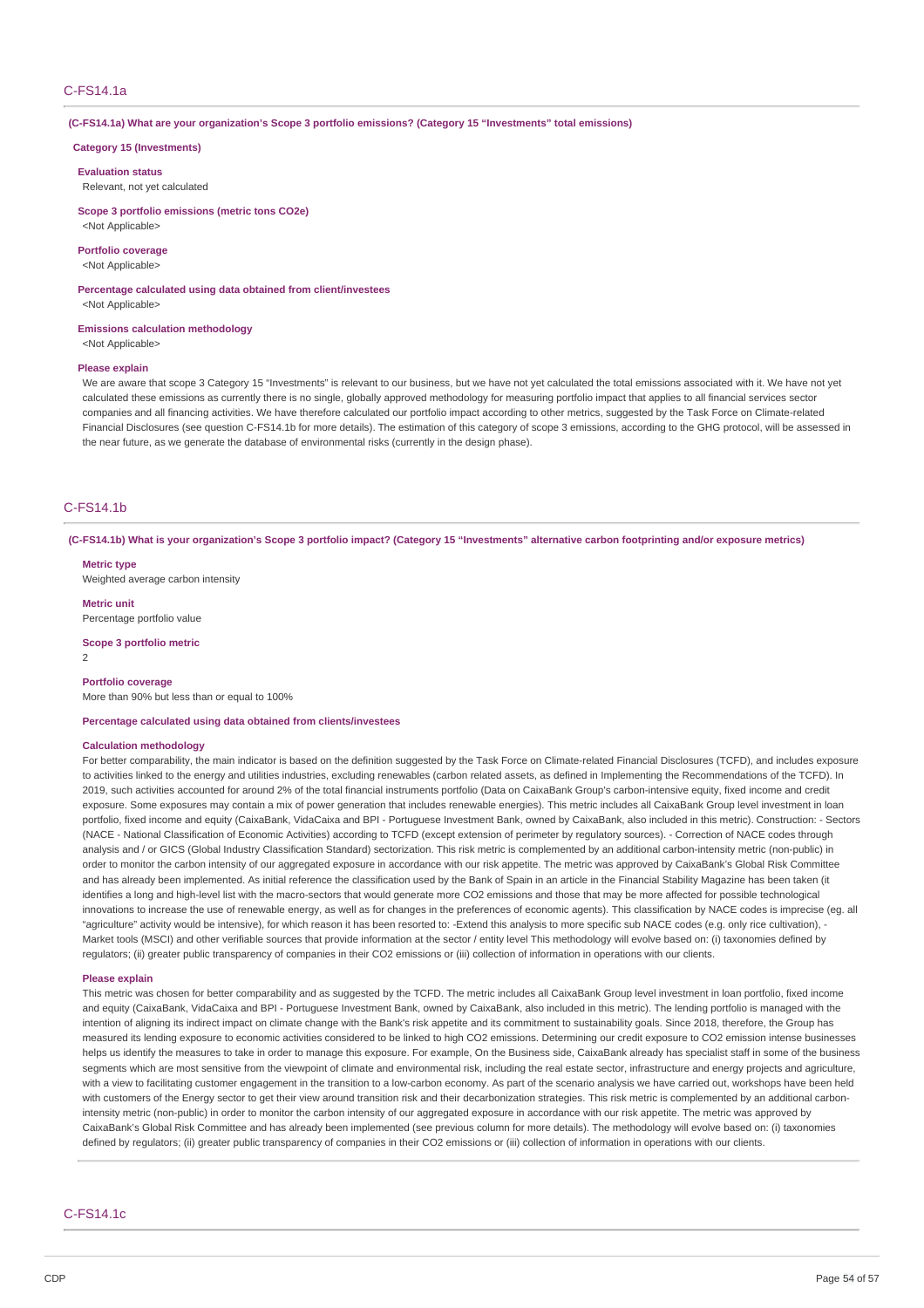#### C-FS14.1a

#### **(C-FS14.1a) What are your organization's Scope 3 portfolio emissions? (Category 15 "Investments" total emissions)**

#### **Category 15 (Investments)**

#### **Evaluation status**

Relevant, not yet calculated

**Scope 3 portfolio emissions (metric tons CO2e)**

### <Not Applicable> **Portfolio coverage**

<Not Applicable>

#### **Percentage calculated using data obtained from client/investees** <Not Applicable>

**Emissions calculation methodology**

<Not Applicable>

#### **Please explain**

We are aware that scope 3 Category 15 "Investments" is relevant to our business, but we have not yet calculated the total emissions associated with it. We have not yet calculated these emissions as currently there is no single, globally approved methodology for measuring portfolio impact that applies to all financial services sector companies and all financing activities. We have therefore calculated our portfolio impact according to other metrics, suggested by the Task Force on Climate-related Financial Disclosures (see question C-FS14.1b for more details). The estimation of this category of scope 3 emissions, according to the GHG protocol, will be assessed in the near future, as we generate the database of environmental risks (currently in the design phase).

### C-FS14.1b

(C-FS14.1b) What is your organization's Scope 3 portfolio impact? (Category 15 "Investments" alternative carbon footprinting and/or exposure metrics)

#### **Metric type**

Weighted average carbon intensity

**Metric unit** Percentage portfolio value

**Scope 3 portfolio metric**

### 2

**Portfolio coverage**

More than 90% but less than or equal to 100%

#### **Percentage calculated using data obtained from clients/investees**

#### **Calculation methodology**

For better comparability, the main indicator is based on the definition suggested by the Task Force on Climate-related Financial Disclosures (TCFD), and includes exposure to activities linked to the energy and utilities industries, excluding renewables (carbon related assets, as defined in Implementing the Recommendations of the TCFD). In 2019, such activities accounted for around 2% of the total financial instruments portfolio (Data on CaixaBank Group's carbon-intensive equity, fixed income and credit exposure. Some exposures may contain a mix of power generation that includes renewable energies). This metric includes all CaixaBank Group level investment in loan portfolio, fixed income and equity (CaixaBank, VidaCaixa and BPI - Portuguese Investment Bank, owned by CaixaBank, also included in this metric). Construction: - Sectors (NACE - National Classification of Economic Activities) according to TCFD (except extension of perimeter by regulatory sources). - Correction of NACE codes through analysis and / or GICS (Global Industry Classification Standard) sectorization. This risk metric is complemented by an additional carbon-intensity metric (non-public) in order to monitor the carbon intensity of our aggregated exposure in accordance with our risk appetite. The metric was approved by CaixaBank's Global Risk Committee and has already been implemented. As initial reference the classification used by the Bank of Spain in an article in the Financial Stability Magazine has been taken (it identifies a long and high-level list with the macro-sectors that would generate more CO2 emissions and those that may be more affected for possible technological innovations to increase the use of renewable energy, as well as for changes in the preferences of economic agents). This classification by NACE codes is imprecise (eg. all "agriculture" activity would be intensive), for which reason it has been resorted to: -Extend this analysis to more specific sub NACE codes (e.g. only rice cultivation), - Market tools (MSCI) and other verifiable sources that provide information at the sector / entity level This methodology will evolve based on: (i) taxonomies defined by regulators; (ii) greater public transparency of companies in their CO2 emissions or (iii) collection of information in operations with our clients.

#### **Please explain**

This metric was chosen for better comparability and as suggested by the TCFD. The metric includes all CaixaBank Group level investment in loan portfolio, fixed income and equity (CaixaBank, VidaCaixa and BPI - Portuguese Investment Bank, owned by CaixaBank, also included in this metric). The lending portfolio is managed with the intention of aligning its indirect impact on climate change with the Bank's risk appetite and its commitment to sustainability goals. Since 2018, therefore, the Group has measured its lending exposure to economic activities considered to be linked to high CO2 emissions. Determining our credit exposure to CO2 emission intense businesses helps us identify the measures to take in order to manage this exposure. For example, On the Business side, CaixaBank already has specialist staff in some of the business segments which are most sensitive from the viewpoint of climate and environmental risk, including the real estate sector, infrastructure and energy projects and agriculture, with a view to facilitating customer engagement in the transition to a low-carbon economy. As part of the scenario analysis we have carried out, workshops have been held with customers of the Energy sector to get their view around transition risk and their decarbonization strategies. This risk metric is complemented by an additional carbonintensity metric (non-public) in order to monitor the carbon intensity of our aggregated exposure in accordance with our risk appetite. The metric was approved by CaixaBank's Global Risk Committee and has already been implemented (see previous column for more details). The methodology will evolve based on: (i) taxonomies defined by regulators; (ii) greater public transparency of companies in their CO2 emissions or (iii) collection of information in operations with our clients.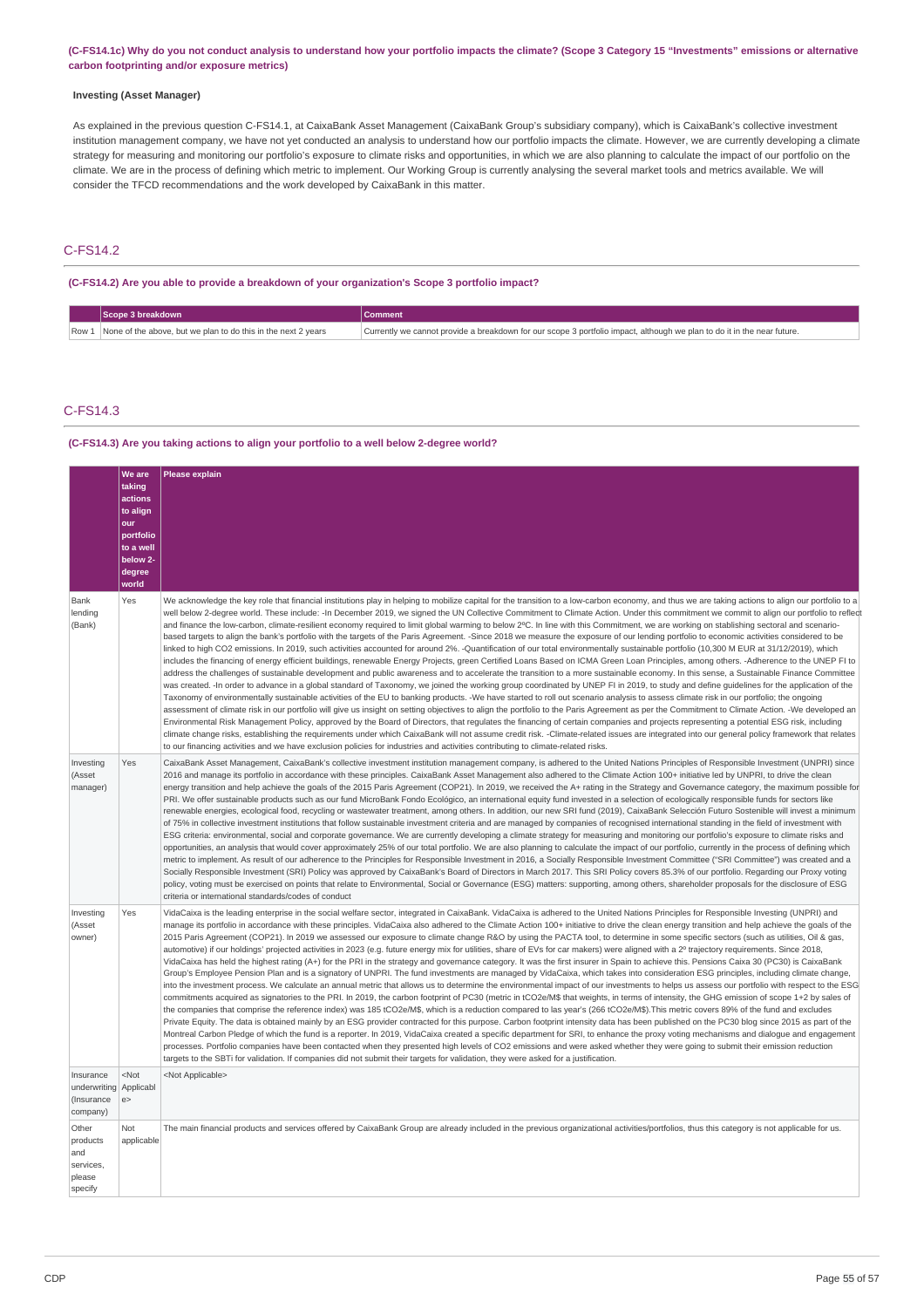(C-FS14.1c) Why do you not conduct analysis to understand how your portfolio impacts the climate? (Scope 3 Category 15 "Investments" emissions or alternative **carbon footprinting and/or exposure metrics)**

#### **Investing (Asset Manager)**

As explained in the previous question C-FS14.1, at CaixaBank Asset Management (CaixaBank Group's subsidiary company), which is CaixaBank's collective investment institution management company, we have not yet conducted an analysis to understand how our portfolio impacts the climate. However, we are currently developing a climate strategy for measuring and monitoring our portfolio's exposure to climate risks and opportunities, in which we are also planning to calculate the impact of our portfolio on the climate. We are in the process of defining which metric to implement. Our Working Group is currently analysing the several market tools and metrics available. We will consider the TFCD recommendations and the work developed by CaixaBank in this matter.

### C-FS14.2

**(C-FS14.2) Are you able to provide a breakdown of your organization's Scope 3 portfolio impact?**

| <b>Scope 3 breakdown</b>                                            | <b>Comment</b>                                                                                                          |
|---------------------------------------------------------------------|-------------------------------------------------------------------------------------------------------------------------|
| Row 1 None of the above, but we plan to do this in the next 2 years | Currently we cannot provide a breakdown for our scope 3 portfolio impact, although we plan to do it in the near future. |

### C-FS14.3

#### **(C-FS14.3) Are you taking actions to align your portfolio to a well below 2-degree world?**

|                                                               | <b>We are</b><br>taking<br>actions<br>to align<br>lour<br>portfolio<br>to a well<br>below 2-<br>degree<br>world | <b>Please explain</b>                                                                                                                                                                                                                                                                                                                                                                                                                                                                                                                                                                                                                                                                                                                                                                                                                                                                                                                                                                                                                                                                                                                                                                                                                                                                                                                                                                                                                                                                                                                                                                                                                                                                                                                                                                                                                                                                                                                                                                                                                                                                                                                                                                                                                                                                                                                                                                                                                                                                   |
|---------------------------------------------------------------|-----------------------------------------------------------------------------------------------------------------|-----------------------------------------------------------------------------------------------------------------------------------------------------------------------------------------------------------------------------------------------------------------------------------------------------------------------------------------------------------------------------------------------------------------------------------------------------------------------------------------------------------------------------------------------------------------------------------------------------------------------------------------------------------------------------------------------------------------------------------------------------------------------------------------------------------------------------------------------------------------------------------------------------------------------------------------------------------------------------------------------------------------------------------------------------------------------------------------------------------------------------------------------------------------------------------------------------------------------------------------------------------------------------------------------------------------------------------------------------------------------------------------------------------------------------------------------------------------------------------------------------------------------------------------------------------------------------------------------------------------------------------------------------------------------------------------------------------------------------------------------------------------------------------------------------------------------------------------------------------------------------------------------------------------------------------------------------------------------------------------------------------------------------------------------------------------------------------------------------------------------------------------------------------------------------------------------------------------------------------------------------------------------------------------------------------------------------------------------------------------------------------------------------------------------------------------------------------------------------------------|
| Bank<br>lending<br>(Bank)                                     | Yes                                                                                                             | We acknowledge the key role that financial institutions play in helping to mobilize capital for the transition to a low-carbon economy, and thus we are taking actions to align our portfolio to a<br>well below 2-degree world. These include: -In December 2019, we signed the UN Collective Commitment to Climate Action. Under this commitment we commit to align our portfolio to reflect<br>and finance the low-carbon, climate-resilient economy required to limit global warming to below 2°C. In line with this Commitment, we are working on stablishing sectoral and scenario-<br>based targets to align the bank's portfolio with the targets of the Paris Agreement. -Since 2018 we measure the exposure of our lending portfolio to economic activities considered to be<br>linked to high CO2 emissions. In 2019, such activities accounted for around 2%. -Quantification of our total environmentally sustainable portfolio (10,300 M EUR at 31/12/2019), which<br>includes the financing of energy efficient buildings, renewable Energy Projects, green Certified Loans Based on ICMA Green Loan Principles, among others. -Adherence to the UNEP FI to<br>address the challenges of sustainable development and public awareness and to accelerate the transition to a more sustainable economy. In this sense, a Sustainable Finance Committee<br>was created. -In order to advance in a global standard of Taxonomy, we joined the working group coordinated by UNEP FI in 2019, to study and define quidelines for the application of the<br>Taxonomy of environmentally sustainable activities of the EU to banking products. -We have started to roll out scenario analysis to assess climate risk in our portfolio; the ongoing<br>assessment of climate risk in our portfolio will give us insight on setting objectives to align the portfolio to the Paris Agreement as per the Commitment to Climate Action. -We developed an<br>Environmental Risk Management Policy, approved by the Board of Directors, that regulates the financing of certain companies and projects representing a potential ESG risk, including<br>climate change risks, establishing the requirements under which CaixaBank will not assume credit risk. -Climate-related issues are integrated into our general policy framework that relates<br>to our financing activities and we have exclusion policies for industries and activities contributing to climate-related risks. |
| Investing<br>(Asset<br>manager)                               | Yes                                                                                                             | CaixaBank Asset Management, CaixaBank's collective investment institution management company, is adhered to the United Nations Principles of Responsible Investment (UNPRI) since<br>2016 and manage its portfolio in accordance with these principles. CaixaBank Asset Management also adhered to the Climate Action 100+ initiative led by UNPRI, to drive the clean<br>energy transition and help achieve the goals of the 2015 Paris Agreement (COP21). In 2019, we received the A+ rating in the Strategy and Governance category, the maximum possible for<br>PRI. We offer sustainable products such as our fund MicroBank Fondo Ecológico, an international equity fund invested in a selection of ecologically responsible funds for sectors like<br>renewable energies, ecological food, recycling or wastewater treatment, among others. In addition, our new SRI fund (2019), CaixaBank Selección Futuro Sostenible will invest a minimum<br>of 75% in collective investment institutions that follow sustainable investment criteria and are managed by companies of recognised international standing in the field of investment with<br>ESG criteria: environmental, social and corporate governance. We are currently developing a climate strategy for measuring and monitoring our portfolio's exposure to climate risks and<br>opportunities, an analysis that would cover approximately 25% of our total portfolio. We are also planning to calculate the impact of our portfolio, currently in the process of defining which<br>metric to implement. As result of our adherence to the Principles for Responsible Investment in 2016, a Socially Responsible Investment Committee ("SRI Committee") was created and a<br>Socially Responsible Investment (SRI) Policy was approved by CaixaBank's Board of Directors in March 2017. This SRI Policy covers 85.3% of our portfolio. Regarding our Proxy voting<br>policy, voting must be exercised on points that relate to Environmental, Social or Governance (ESG) matters: supporting, among others, shareholder proposals for the disclosure of ESG<br>criteria or international standards/codes of conduct                                                                                                                                                                                                                                                                                                    |
| Investing<br>(Asset<br>owner)                                 | Yes                                                                                                             | VidaCaixa is the leading enterprise in the social welfare sector, integrated in CaixaBank. VidaCaixa is adhered to the United Nations Principles for Responsible Investing (UNPRI) and<br>manage its portfolio in accordance with these principles. VidaCaixa also adhered to the Climate Action 100+ initiative to drive the clean energy transition and help achieve the goals of the<br>2015 Paris Agreement (COP21). In 2019 we assessed our exposure to climate change R&O by using the PACTA tool, to determine in some specific sectors (such as utilities, Oil & gas,<br>automotive) if our holdings' projected activities in 2023 (e.g. future energy mix for utilities, share of EVs for car makers) were aligned with a 2 <sup>o</sup> trajectory requirements. Since 2018,<br>VidaCaixa has held the highest rating (A+) for the PRI in the strategy and governance category. It was the first insurer in Spain to achieve this. Pensions Caixa 30 (PC30) is CaixaBank<br>Group's Employee Pension Plan and is a signatory of UNPRI. The fund investments are managed by VidaCaixa, which takes into consideration ESG principles, including climate change,<br>into the investment process. We calculate an annual metric that allows us to determine the environmental impact of our investments to helps us assess our portfolio with respect to the ESG<br>commitments acquired as signatories to the PRI. In 2019, the carbon footprint of PC30 (metric in tCO2e/M\$ that weights, in terms of intensity, the GHG emission of scope 1+2 by sales of<br>the companies that comprise the reference index) was 185 tCO2e/M\$, which is a reduction compared to las year's (266 tCO2e/M\$). This metric covers 89% of the fund and excludes<br>Private Equity. The data is obtained mainly by an ESG provider contracted for this purpose. Carbon footprint intensity data has been published on the PC30 blog since 2015 as part of the<br>Montreal Carbon Pledge of which the fund is a reporter. In 2019, VidaCaixa created a specific department for SRI, to enhance the proxy voting mechanisms and dialoque and engagement<br>processes. Portfolio companies have been contacted when they presented high levels of CO2 emissions and were asked whether they were going to submit their emission reduction<br>targets to the SBTi for validation. If companies did not submit their targets for validation, they were asked for a justification.                    |
| Insurance<br>underwriting Applicabl<br>(Insurance<br>company) | $<$ Not<br>e                                                                                                    | <not applicable=""></not>                                                                                                                                                                                                                                                                                                                                                                                                                                                                                                                                                                                                                                                                                                                                                                                                                                                                                                                                                                                                                                                                                                                                                                                                                                                                                                                                                                                                                                                                                                                                                                                                                                                                                                                                                                                                                                                                                                                                                                                                                                                                                                                                                                                                                                                                                                                                                                                                                                                               |
| Other<br>products<br>and<br>services,<br>please<br>specify    | Not<br>applicable                                                                                               | The main financial products and services offered by CaixaBank Group are already included in the previous organizational activities/portfolios, thus this category is not applicable for us.                                                                                                                                                                                                                                                                                                                                                                                                                                                                                                                                                                                                                                                                                                                                                                                                                                                                                                                                                                                                                                                                                                                                                                                                                                                                                                                                                                                                                                                                                                                                                                                                                                                                                                                                                                                                                                                                                                                                                                                                                                                                                                                                                                                                                                                                                             |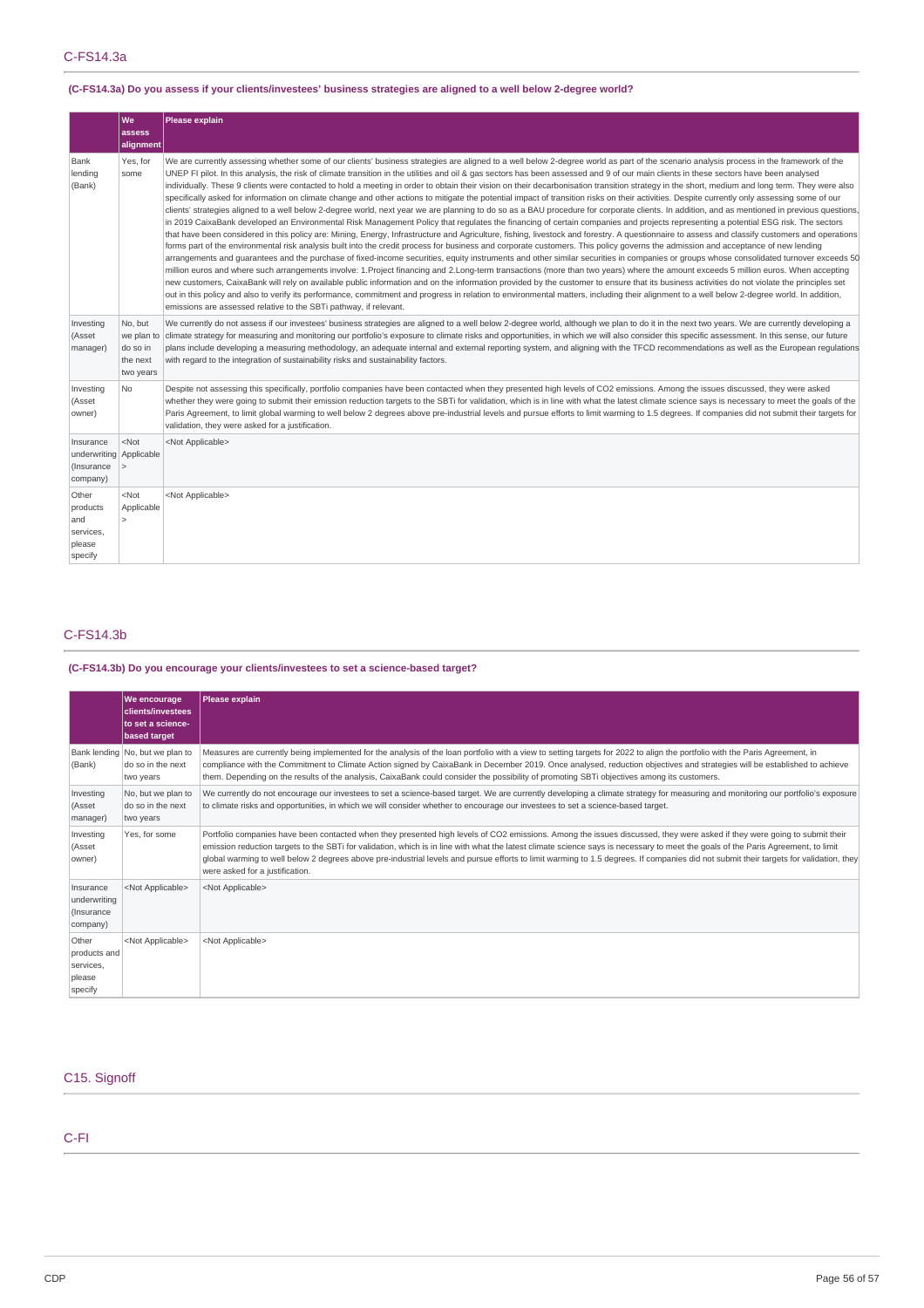### (C-FS14.3a) Do you assess if your clients/investees' business strategies are aligned to a well below 2-degree world?

|                                                                | lwe.                                         | Please explain                                                                                                                                                                                                                                                                                                                                                                                                                                                                                                                                                                                                                                                                                                                                                                                                                                                                                                                                                                                                                                                                                                                                                                                                                                                                                                                                                                                                                                                                                                                                                                                                                                                                                                                                                                                                                                                                                                                                                                                                                                                                                                                                                                                                                                                                                                                                                                                                       |
|----------------------------------------------------------------|----------------------------------------------|----------------------------------------------------------------------------------------------------------------------------------------------------------------------------------------------------------------------------------------------------------------------------------------------------------------------------------------------------------------------------------------------------------------------------------------------------------------------------------------------------------------------------------------------------------------------------------------------------------------------------------------------------------------------------------------------------------------------------------------------------------------------------------------------------------------------------------------------------------------------------------------------------------------------------------------------------------------------------------------------------------------------------------------------------------------------------------------------------------------------------------------------------------------------------------------------------------------------------------------------------------------------------------------------------------------------------------------------------------------------------------------------------------------------------------------------------------------------------------------------------------------------------------------------------------------------------------------------------------------------------------------------------------------------------------------------------------------------------------------------------------------------------------------------------------------------------------------------------------------------------------------------------------------------------------------------------------------------------------------------------------------------------------------------------------------------------------------------------------------------------------------------------------------------------------------------------------------------------------------------------------------------------------------------------------------------------------------------------------------------------------------------------------------------|
|                                                                | assess<br>alignment                          |                                                                                                                                                                                                                                                                                                                                                                                                                                                                                                                                                                                                                                                                                                                                                                                                                                                                                                                                                                                                                                                                                                                                                                                                                                                                                                                                                                                                                                                                                                                                                                                                                                                                                                                                                                                                                                                                                                                                                                                                                                                                                                                                                                                                                                                                                                                                                                                                                      |
| Bank<br>lending<br>(Bank)                                      | Yes, for<br>some                             | We are currently assessing whether some of our clients' business strategies are aligned to a well below 2-degree world as part of the scenario analysis process in the framework of the<br>UNEP FI pilot. In this analysis, the risk of climate transition in the utilities and oil & gas sectors has been assessed and 9 of our main clients in these sectors have been analysed<br>individually. These 9 clients were contacted to hold a meeting in order to obtain their vision on their decarbonisation transition strategy in the short, medium and long term. They were also<br>specifically asked for information on climate change and other actions to mitigate the potential impact of transition risks on their activities. Despite currently only assessing some of our<br>clients' strategies aligned to a well below 2-degree world, next year we are planning to do so as a BAU procedure for corporate clients. In addition, and as mentioned in previous questions,<br>in 2019 CaixaBank developed an Environmental Risk Management Policy that regulates the financing of certain companies and projects representing a potential ESG risk. The sectors<br>that have been considered in this policy are: Mining, Energy, Infrastructure and Agriculture, fishing, livestock and forestry. A questionnaire to assess and classify customers and operations<br>forms part of the environmental risk analysis built into the credit process for business and corporate customers. This policy governs the admission and acceptance of new lending<br>arrangements and quarantees and the purchase of fixed-income securities, equity instruments and other similar securities in companies or groups whose consolidated turnover exceeds 50<br>million euros and where such arrangements involve: 1.Project financing and 2.Long-term transactions (more than two years) where the amount exceeds 5 million euros. When accepting<br>new customers, CaixaBank will rely on available public information and on the information provided by the customer to ensure that its business activities do not violate the principles set<br>out in this policy and also to verify its performance, commitment and progress in relation to environmental matters, including their alignment to a well below 2-degree world. In addition,<br>emissions are assessed relative to the SBTi pathway, if relevant. |
| Investing<br>(Asset<br>manager)                                | No, but<br>do so in<br>the next<br>two years | We currently do not assess if our investees' business strategies are aligned to a well below 2-degree world, although we plan to do it in the next two years. We are currently developing a<br>we plan to climate strategy for measuring and monitoring our portfolio's exposure to climate risks and opportunities, in which we will also consider this specific assessment. In this sense, our future<br>plans include developing a measuring methodology, an adequate internal and external reporting system, and aligning with the TFCD recommendations as well as the European regulations<br>with regard to the integration of sustainability risks and sustainability factors.                                                                                                                                                                                                                                                                                                                                                                                                                                                                                                                                                                                                                                                                                                                                                                                                                                                                                                                                                                                                                                                                                                                                                                                                                                                                                                                                                                                                                                                                                                                                                                                                                                                                                                                                |
| Investing<br>(Asset<br>owner)                                  | No.                                          | Despite not assessing this specifically, portfolio companies have been contacted when they presented high levels of CO2 emissions. Among the issues discussed, they were asked<br>whether they were going to submit their emission reduction targets to the SBTi for validation, which is in line with what the latest climate science says is necessary to meet the goals of the<br>Paris Agreement, to limit global warming to well below 2 degrees above pre-industrial levels and pursue efforts to limit warming to 1.5 degrees. If companies did not submit their targets for<br>validation, they were asked for a justification.                                                                                                                                                                                                                                                                                                                                                                                                                                                                                                                                                                                                                                                                                                                                                                                                                                                                                                                                                                                                                                                                                                                                                                                                                                                                                                                                                                                                                                                                                                                                                                                                                                                                                                                                                                              |
| Insurance<br>underwriting Applicable<br>(Insurance<br>company) | $<$ Not<br>1>                                | <not applicable=""></not>                                                                                                                                                                                                                                                                                                                                                                                                                                                                                                                                                                                                                                                                                                                                                                                                                                                                                                                                                                                                                                                                                                                                                                                                                                                                                                                                                                                                                                                                                                                                                                                                                                                                                                                                                                                                                                                                                                                                                                                                                                                                                                                                                                                                                                                                                                                                                                                            |
| Other<br>products<br>and<br>services,<br>please<br>specify     | $<$ Not<br>Applicable<br>lэ                  | <not applicable=""></not>                                                                                                                                                                                                                                                                                                                                                                                                                                                                                                                                                                                                                                                                                                                                                                                                                                                                                                                                                                                                                                                                                                                                                                                                                                                                                                                                                                                                                                                                                                                                                                                                                                                                                                                                                                                                                                                                                                                                                                                                                                                                                                                                                                                                                                                                                                                                                                                            |

### C-FS14.3b

### **(C-FS14.3b) Do you encourage your clients/investees to set a science-based target?**

|                                                         | <b>We encourage</b><br>clients/investees<br>to set a science-<br><b>based target</b> | <b>Please explain</b>                                                                                                                                                                                                                                                                                                                                                                                                                                                                                                                                                                     |
|---------------------------------------------------------|--------------------------------------------------------------------------------------|-------------------------------------------------------------------------------------------------------------------------------------------------------------------------------------------------------------------------------------------------------------------------------------------------------------------------------------------------------------------------------------------------------------------------------------------------------------------------------------------------------------------------------------------------------------------------------------------|
| (Bank)                                                  | Bank lending No, but we plan to<br>do so in the next<br>two years                    | Measures are currently being implemented for the analysis of the loan portfolio with a view to setting targets for 2022 to align the portfolio with the Paris Agreement, in<br>compliance with the Commitment to Climate Action signed by CaixaBank in December 2019. Once analysed, reduction objectives and strategies will be established to achieve<br>them. Depending on the results of the analysis, CaixaBank could consider the possibility of promoting SBTi objectives among its customers.                                                                                     |
| Investing<br>(Asset<br>manager)                         | No, but we plan to<br>do so in the next<br>two years                                 | We currently do not encourage our investees to set a science-based target. We are currently developing a climate strategy for measuring and monitoring our portfolio's exposure<br>to climate risks and opportunities, in which we will consider whether to encourage our investees to set a science-based target.                                                                                                                                                                                                                                                                        |
| Investing<br>(Asset<br>owner)                           | Yes, for some                                                                        | Portfolio companies have been contacted when they presented high levels of CO2 emissions. Among the issues discussed, they were asked if they were going to submit their<br>emission reduction targets to the SBTi for validation, which is in line with what the latest climate science says is necessary to meet the goals of the Paris Agreement, to limit<br>global warming to well below 2 degrees above pre-industrial levels and pursue efforts to limit warming to 1.5 degrees. If companies did not submit their targets for validation, they<br>were asked for a justification. |
| Insurance<br>underwriting<br>(Insurance<br>company)     | <not applicable=""></not>                                                            | <not applicable=""></not>                                                                                                                                                                                                                                                                                                                                                                                                                                                                                                                                                                 |
| Other<br>products and<br>services,<br>please<br>specify | <not applicable=""></not>                                                            | <not applicable=""></not>                                                                                                                                                                                                                                                                                                                                                                                                                                                                                                                                                                 |

### C15. Signoff

### C-FI